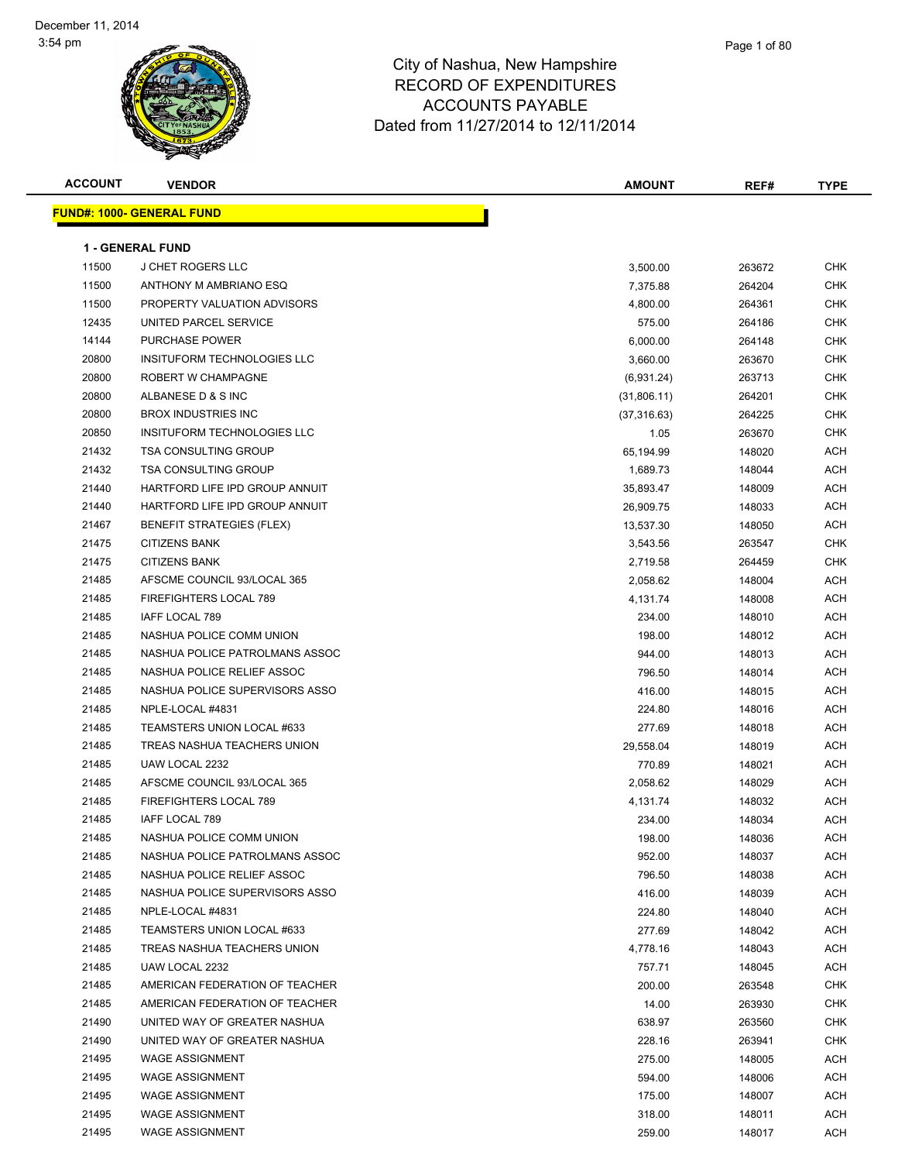| <b>ACCOUNT</b> | <b>VENDOR</b>                     | <b>AMOUNT</b> | REF#   | <b>TYPE</b> |
|----------------|-----------------------------------|---------------|--------|-------------|
|                | <u> FUND#: 1000- GENERAL FUND</u> |               |        |             |
|                |                                   |               |        |             |
|                | <b>1 - GENERAL FUND</b>           |               |        |             |
| 11500          | <b>J CHET ROGERS LLC</b>          | 3,500.00      | 263672 | CHK         |
| 11500          | ANTHONY M AMBRIANO ESQ            | 7,375.88      | 264204 | <b>CHK</b>  |
| 11500          | PROPERTY VALUATION ADVISORS       | 4,800.00      | 264361 | CHK         |
| 12435          | UNITED PARCEL SERVICE             | 575.00        | 264186 | CHK         |
| 14144          | <b>PURCHASE POWER</b>             | 6,000.00      | 264148 | CHK         |
| 20800          | INSITUFORM TECHNOLOGIES LLC       | 3,660.00      | 263670 | CHK         |
| 20800          | ROBERT W CHAMPAGNE                | (6,931.24)    | 263713 | <b>CHK</b>  |
| 20800          | ALBANESE D & S INC                | (31,806.11)   | 264201 | <b>CHK</b>  |
| 20800          | <b>BROX INDUSTRIES INC</b>        | (37, 316.63)  | 264225 | <b>CHK</b>  |
| 20850          | INSITUFORM TECHNOLOGIES LLC       | 1.05          | 263670 | <b>CHK</b>  |
| 21432          | <b>TSA CONSULTING GROUP</b>       | 65,194.99     | 148020 | <b>ACH</b>  |
| 21432          | <b>TSA CONSULTING GROUP</b>       | 1,689.73      | 148044 | ACH         |
| 21440          | HARTFORD LIFE IPD GROUP ANNUIT    | 35,893.47     | 148009 | <b>ACH</b>  |
| 21440          | HARTFORD LIFE IPD GROUP ANNUIT    | 26,909.75     | 148033 | ACH         |
| 21467          | <b>BENEFIT STRATEGIES (FLEX)</b>  | 13,537.30     | 148050 | ACH         |
| 21475          | <b>CITIZENS BANK</b>              | 3,543.56      | 263547 | CHK         |
| 21475          | <b>CITIZENS BANK</b>              | 2,719.58      | 264459 | CHK         |
| 21485          | AFSCME COUNCIL 93/LOCAL 365       | 2,058.62      | 148004 | ACH         |
| 21485          | FIREFIGHTERS LOCAL 789            | 4,131.74      | 148008 | ACH         |
| 21485          | IAFF LOCAL 789                    | 234.00        | 148010 | ACH         |
| 21485          | NASHUA POLICE COMM UNION          | 198.00        | 148012 | <b>ACH</b>  |
| 21485          | NASHUA POLICE PATROLMANS ASSOC    | 944.00        | 148013 | <b>ACH</b>  |
| 21485          | NASHUA POLICE RELIEF ASSOC        | 796.50        | 148014 | <b>ACH</b>  |
| 21485          | NASHUA POLICE SUPERVISORS ASSO    | 416.00        | 148015 | ACH         |
| 21485          | NPLE-LOCAL #4831                  | 224.80        | 148016 | ACH         |
| 21485          | TEAMSTERS UNION LOCAL #633        | 277.69        | 148018 | ACH         |
| 21485          | TREAS NASHUA TEACHERS UNION       | 29,558.04     | 148019 | <b>ACH</b>  |
| 21485          | UAW LOCAL 2232                    | 770.89        | 148021 | <b>ACH</b>  |
| 21485          | AFSCME COUNCIL 93/LOCAL 365       | 2,058.62      | 148029 | <b>ACH</b>  |
| 21485          | FIREFIGHTERS LOCAL 789            | 4,131.74      | 148032 | ACH         |
| 21485          | IAFF LOCAL 789                    | 234.00        | 148034 | ACH         |
| 21485          | NASHUA POLICE COMM UNION          | 198.00        | 148036 | <b>ACH</b>  |
| 21485          | NASHUA POLICE PATROLMANS ASSOC    | 952.00        | 148037 | ACH         |
| 21485          | NASHUA POLICE RELIEF ASSOC        | 796.50        | 148038 | ACH         |
| 21485          | NASHUA POLICE SUPERVISORS ASSO    | 416.00        | 148039 | <b>ACH</b>  |
| 21485          | NPLE-LOCAL #4831                  | 224.80        | 148040 | <b>ACH</b>  |
| 21485          | TEAMSTERS UNION LOCAL #633        | 277.69        | 148042 | <b>ACH</b>  |
| 21485          | TREAS NASHUA TEACHERS UNION       | 4,778.16      | 148043 | ACH         |
| 21485          | UAW LOCAL 2232                    | 757.71        | 148045 | ACH         |
| 21485          | AMERICAN FEDERATION OF TEACHER    | 200.00        | 263548 | CHK         |
| 21485          | AMERICAN FEDERATION OF TEACHER    | 14.00         | 263930 | CHK         |
| 21490          | UNITED WAY OF GREATER NASHUA      | 638.97        | 263560 | CHK         |
| 21490          | UNITED WAY OF GREATER NASHUA      | 228.16        | 263941 | CHK         |
| 21495          | <b>WAGE ASSIGNMENT</b>            | 275.00        | 148005 | ACH         |
| 21495          | <b>WAGE ASSIGNMENT</b>            | 594.00        | 148006 | ACH         |
| 21495          | <b>WAGE ASSIGNMENT</b>            | 175.00        | 148007 | <b>ACH</b>  |
| 21495          | <b>WAGE ASSIGNMENT</b>            | 318.00        | 148011 | ACH         |
| 21495          | <b>WAGE ASSIGNMENT</b>            | 259.00        | 148017 | ACH         |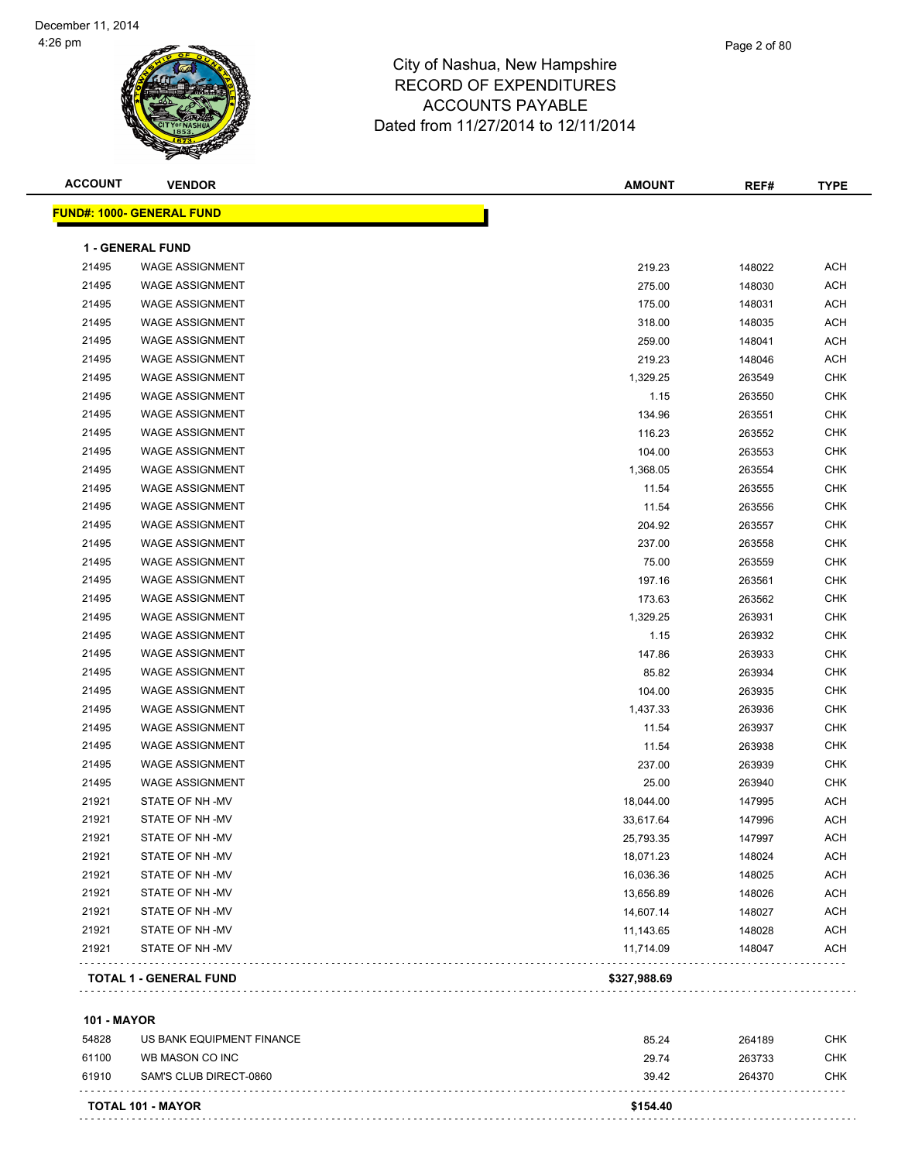| <b>ACCOUNT</b> | <b>VENDOR</b>                    | <b>AMOUNT</b> | REF#   | <b>TYPE</b> |
|----------------|----------------------------------|---------------|--------|-------------|
|                | <b>FUND#: 1000- GENERAL FUND</b> |               |        |             |
|                | 1 - GENERAL FUND                 |               |        |             |
| 21495          | <b>WAGE ASSIGNMENT</b>           | 219.23        | 148022 | <b>ACH</b>  |
| 21495          | <b>WAGE ASSIGNMENT</b>           | 275.00        | 148030 | <b>ACH</b>  |
| 21495          | <b>WAGE ASSIGNMENT</b>           | 175.00        | 148031 | <b>ACH</b>  |
| 21495          | <b>WAGE ASSIGNMENT</b>           | 318.00        | 148035 | <b>ACH</b>  |
| 21495          | <b>WAGE ASSIGNMENT</b>           | 259.00        | 148041 | <b>ACH</b>  |
| 21495          | <b>WAGE ASSIGNMENT</b>           | 219.23        | 148046 | <b>ACH</b>  |
| 21495          | <b>WAGE ASSIGNMENT</b>           | 1,329.25      | 263549 | <b>CHK</b>  |
| 21495          | <b>WAGE ASSIGNMENT</b>           | 1.15          | 263550 | <b>CHK</b>  |
| 21495          | <b>WAGE ASSIGNMENT</b>           | 134.96        | 263551 | <b>CHK</b>  |
| 21495          | <b>WAGE ASSIGNMENT</b>           | 116.23        | 263552 | <b>CHK</b>  |
| 21495          | <b>WAGE ASSIGNMENT</b>           | 104.00        | 263553 | CHK         |
| 21495          | <b>WAGE ASSIGNMENT</b>           | 1,368.05      | 263554 | CHK         |
| 21495          | <b>WAGE ASSIGNMENT</b>           | 11.54         | 263555 | <b>CHK</b>  |
| 21495          | <b>WAGE ASSIGNMENT</b>           | 11.54         | 263556 | <b>CHK</b>  |
| 21495          | <b>WAGE ASSIGNMENT</b>           | 204.92        | 263557 | <b>CHK</b>  |
| 21495          | <b>WAGE ASSIGNMENT</b>           | 237.00        | 263558 | CHK         |
| 21495          | <b>WAGE ASSIGNMENT</b>           | 75.00         | 263559 | <b>CHK</b>  |
| 21495          | <b>WAGE ASSIGNMENT</b>           | 197.16        | 263561 | <b>CHK</b>  |
| 21495          | <b>WAGE ASSIGNMENT</b>           | 173.63        | 263562 | <b>CHK</b>  |
| 21495          | <b>WAGE ASSIGNMENT</b>           | 1,329.25      | 263931 | CHK         |
| 21495          | <b>WAGE ASSIGNMENT</b>           | 1.15          | 263932 | CHK         |
| 21495          | <b>WAGE ASSIGNMENT</b>           | 147.86        | 263933 | <b>CHK</b>  |
| 21495          | <b>WAGE ASSIGNMENT</b>           | 85.82         | 263934 | CHK         |
| 21495          | <b>WAGE ASSIGNMENT</b>           | 104.00        | 263935 | <b>CHK</b>  |
| 21495          | <b>WAGE ASSIGNMENT</b>           | 1,437.33      | 263936 | <b>CHK</b>  |
| 21495          | <b>WAGE ASSIGNMENT</b>           | 11.54         | 263937 | <b>CHK</b>  |
| 21495          | <b>WAGE ASSIGNMENT</b>           | 11.54         | 263938 | <b>CHK</b>  |
| 21495          | <b>WAGE ASSIGNMENT</b>           | 237.00        | 263939 | <b>CHK</b>  |
| 21495          | <b>WAGE ASSIGNMENT</b>           | 25.00         | 263940 | <b>CHK</b>  |
| 21921          | STATE OF NH-MV                   | 18,044.00     | 147995 | <b>ACH</b>  |
| 21921          | STATE OF NH-MV                   | 33,617.64     | 147996 | <b>ACH</b>  |
| 21921          | STATE OF NH-MV                   | 25,793.35     | 147997 | ACH         |
| 21921          | STATE OF NH-MV                   | 18,071.23     | 148024 | ACH         |
| 21921          | STATE OF NH-MV                   | 16,036.36     | 148025 | <b>ACH</b>  |
| 21921          | STATE OF NH-MV                   | 13,656.89     | 148026 | <b>ACH</b>  |
| 21921          | STATE OF NH-MV                   | 14,607.14     | 148027 | <b>ACH</b>  |
| 21921          | STATE OF NH-MV                   | 11,143.65     | 148028 | <b>ACH</b>  |
| 21921          | STATE OF NH-MV                   | 11,714.09     | 148047 | <b>ACH</b>  |
|                | <b>TOTAL 1 - GENERAL FUND</b>    | \$327,988.69  |        |             |
|                |                                  |               |        |             |

#### **101 - MAYOR**

|       | <b>TOTAL 101 - MAYOR</b>  | \$154.40 |        |     |
|-------|---------------------------|----------|--------|-----|
| 61910 | SAM'S CLUB DIRECT-0860    | 39.42    | 264370 | CHK |
| 61100 | WB MASON CO INC           | 29.74    | 263733 | CHK |
| 54828 | US BANK EQUIPMENT FINANCE | 85.24    | 264189 | CHK |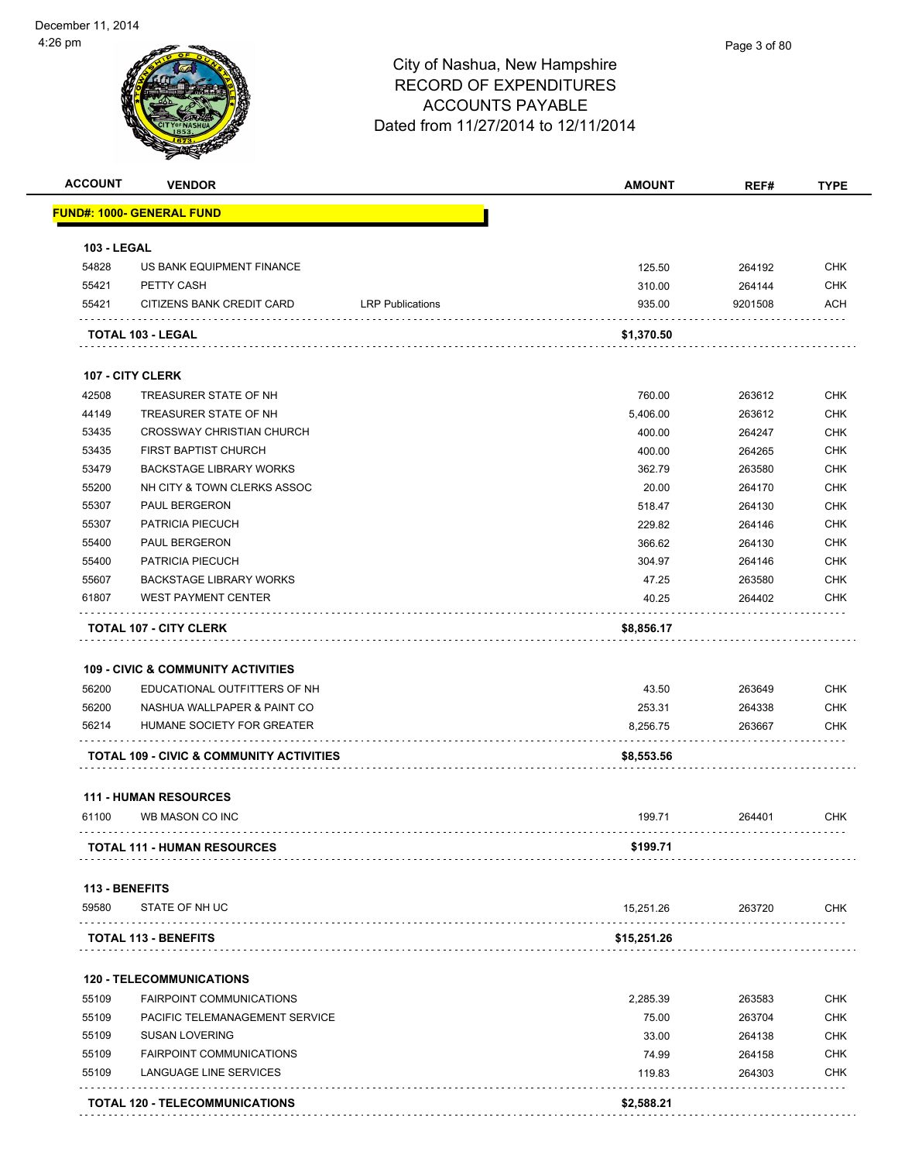|                    | <b>VENDOR</b>                                                                 |                         | <b>AMOUNT</b>   | REF#             | <b>TYPE</b>                                          |
|--------------------|-------------------------------------------------------------------------------|-------------------------|-----------------|------------------|------------------------------------------------------|
|                    | <u> FUND#: 1000- GENERAL FUND</u>                                             |                         |                 |                  |                                                      |
| <b>103 - LEGAL</b> |                                                                               |                         |                 |                  |                                                      |
| 54828              | US BANK EQUIPMENT FINANCE                                                     |                         | 125.50          | 264192           | <b>CHK</b>                                           |
| 55421              | PETTY CASH                                                                    |                         | 310.00          | 264144           | <b>CHK</b>                                           |
| 55421              | CITIZENS BANK CREDIT CARD                                                     | <b>LRP Publications</b> | 935.00          | 9201508          | <b>ACH</b>                                           |
|                    | TOTAL 103 - LEGAL                                                             |                         | \$1,370.50      |                  |                                                      |
|                    | 107 - CITY CLERK                                                              |                         |                 |                  |                                                      |
| 42508              | TREASURER STATE OF NH                                                         |                         | 760.00          | 263612           | <b>CHK</b>                                           |
| 44149              | TREASURER STATE OF NH                                                         |                         | 5,406.00        | 263612           | <b>CHK</b>                                           |
| 53435              | <b>CROSSWAY CHRISTIAN CHURCH</b>                                              |                         | 400.00          | 264247           | <b>CHK</b>                                           |
| 53435              | FIRST BAPTIST CHURCH                                                          |                         | 400.00          | 264265           | <b>CHK</b>                                           |
| 53479              | <b>BACKSTAGE LIBRARY WORKS</b>                                                |                         | 362.79          | 263580           | <b>CHK</b>                                           |
| 55200              | NH CITY & TOWN CLERKS ASSOC                                                   |                         | 20.00           | 264170           | <b>CHK</b>                                           |
| 55307              | <b>PAUL BERGERON</b>                                                          |                         | 518.47          | 264130           | <b>CHK</b>                                           |
| 55307              | <b>PATRICIA PIECUCH</b>                                                       |                         | 229.82          | 264146           | <b>CHK</b>                                           |
| 55400              | PAUL BERGERON                                                                 |                         | 366.62          | 264130           | <b>CHK</b>                                           |
| 55400              | PATRICIA PIECUCH                                                              |                         | 304.97          | 264146           | <b>CHK</b>                                           |
| 55607              | <b>BACKSTAGE LIBRARY WORKS</b>                                                |                         | 47.25           | 263580           | <b>CHK</b>                                           |
| 61807              | <b>WEST PAYMENT CENTER</b>                                                    |                         | 40.25           | 264402           | <b>CHK</b>                                           |
|                    |                                                                               |                         |                 |                  |                                                      |
|                    | <b>TOTAL 107 - CITY CLERK</b>                                                 |                         | \$8,856.17      |                  |                                                      |
| 56200              | <b>109 - CIVIC &amp; COMMUNITY ACTIVITIES</b><br>EDUCATIONAL OUTFITTERS OF NH |                         | 43.50           | 263649           |                                                      |
| 56200              | NASHUA WALLPAPER & PAINT CO                                                   |                         | 253.31          | 264338           |                                                      |
| 56214              | HUMANE SOCIETY FOR GREATER                                                    |                         | 8,256.75        | 263667           |                                                      |
|                    | TOTAL 109 - CIVIC & COMMUNITY ACTIVITIES                                      |                         | \$8,553.56      |                  | <b>CHK</b><br><b>CHK</b><br><b>CHK</b>               |
|                    |                                                                               |                         |                 |                  |                                                      |
| 61100              | <b>111 - HUMAN RESOURCES</b><br>WB MASON CO INC                               |                         | 199.71          | 264401           | <b>CHK</b>                                           |
|                    | <b>TOTAL 111 - HUMAN RESOURCES</b>                                            |                         | \$199.71        |                  |                                                      |
| 113 - BENEFITS     |                                                                               |                         |                 |                  |                                                      |
| 59580              | STATE OF NH UC                                                                |                         | 15,251.26       | 263720           | CHK                                                  |
|                    | TOTAL 113 - BENEFITS                                                          |                         | \$15,251.26     |                  |                                                      |
|                    | <b>120 - TELECOMMUNICATIONS</b>                                               |                         |                 |                  |                                                      |
| 55109              | <b>FAIRPOINT COMMUNICATIONS</b>                                               |                         |                 | 263583           | <b>CHK</b>                                           |
| 55109              |                                                                               |                         | 2,285.39        | 263704           |                                                      |
| 55109              | PACIFIC TELEMANAGEMENT SERVICE                                                |                         | 75.00           |                  |                                                      |
| 55109              | <b>SUSAN LOVERING</b>                                                         |                         | 33.00           | 264138           |                                                      |
| 55109              | <b>FAIRPOINT COMMUNICATIONS</b><br>LANGUAGE LINE SERVICES                     |                         | 74.99<br>119.83 | 264158<br>264303 | <b>CHK</b><br><b>CHK</b><br><b>CHK</b><br><b>CHK</b> |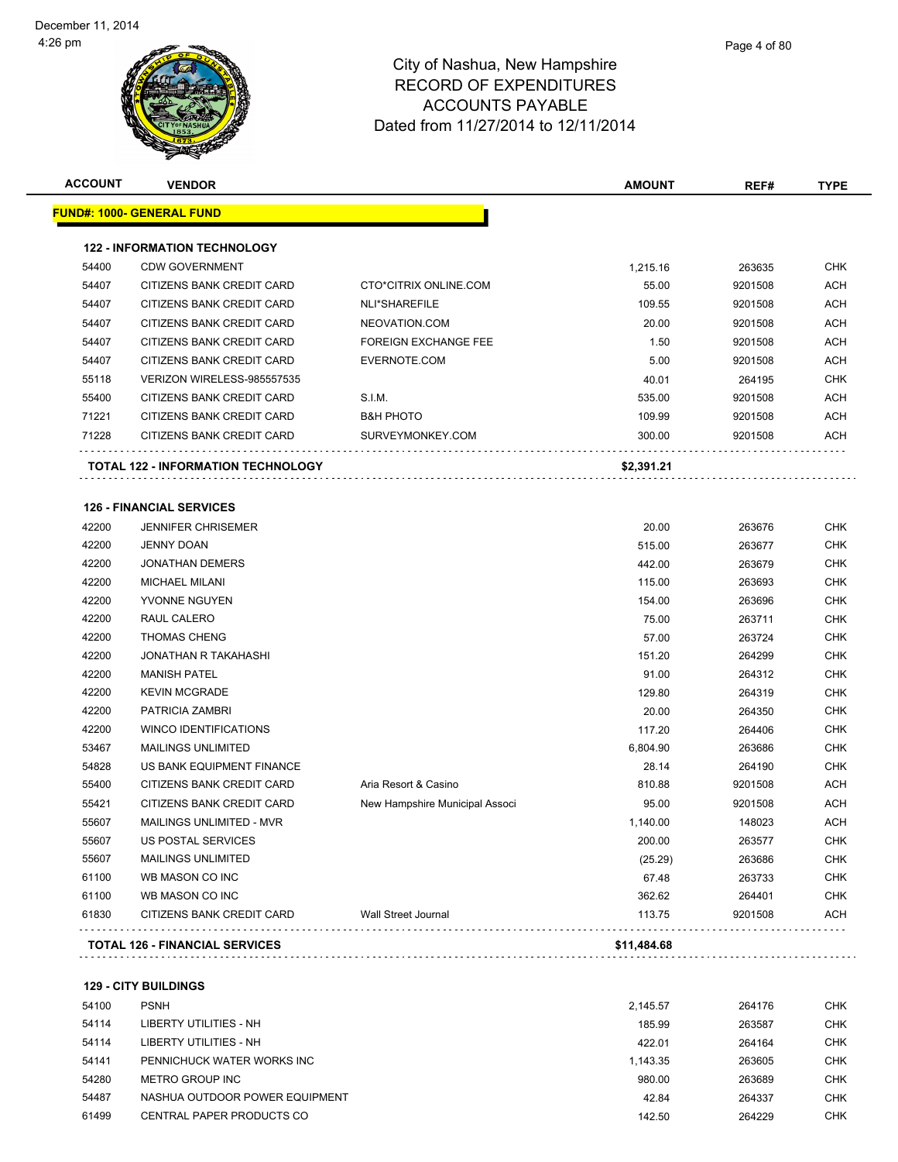| <b>ACCOUNT</b> | <b>VENDOR</b>                                                |                                | <b>AMOUNT</b> | REF#    | <b>TYPE</b> |
|----------------|--------------------------------------------------------------|--------------------------------|---------------|---------|-------------|
|                | <u> FUND#: 1000- GENERAL FUND</u>                            |                                |               |         |             |
|                | <b>122 - INFORMATION TECHNOLOGY</b>                          |                                |               |         |             |
| 54400          | <b>CDW GOVERNMENT</b>                                        |                                | 1,215.16      | 263635  | <b>CHK</b>  |
| 54407          | CITIZENS BANK CREDIT CARD                                    | CTO*CITRIX ONLINE.COM          | 55.00         | 9201508 | <b>ACH</b>  |
| 54407          | CITIZENS BANK CREDIT CARD                                    | NLI*SHAREFILE                  | 109.55        | 9201508 | <b>ACH</b>  |
| 54407          | CITIZENS BANK CREDIT CARD                                    | NEOVATION.COM                  | 20.00         | 9201508 | ACH         |
| 54407          | CITIZENS BANK CREDIT CARD                                    | <b>FOREIGN EXCHANGE FEE</b>    | 1.50          | 9201508 | ACH         |
| 54407          | CITIZENS BANK CREDIT CARD                                    | EVERNOTE.COM                   | 5.00          | 9201508 | <b>ACH</b>  |
| 55118          | VERIZON WIRELESS-985557535                                   |                                | 40.01         | 264195  | <b>CHK</b>  |
| 55400          | CITIZENS BANK CREDIT CARD                                    | S.I.M.                         | 535.00        | 9201508 | <b>ACH</b>  |
| 71221          | CITIZENS BANK CREDIT CARD                                    | <b>B&amp;H PHOTO</b>           | 109.99        | 9201508 | ACH         |
| 71228          | CITIZENS BANK CREDIT CARD                                    | SURVEYMONKEY.COM               | 300.00        | 9201508 | ACH         |
|                | <b>TOTAL 122 - INFORMATION TECHNOLOGY</b>                    |                                | \$2,391.21    |         |             |
|                |                                                              |                                |               |         |             |
| 42200          | <b>126 - FINANCIAL SERVICES</b><br><b>JENNIFER CHRISEMER</b> |                                | 20.00         | 263676  | <b>CHK</b>  |
| 42200          | <b>JENNY DOAN</b>                                            |                                | 515.00        | 263677  | <b>CHK</b>  |
| 42200          | <b>JONATHAN DEMERS</b>                                       |                                | 442.00        | 263679  | <b>CHK</b>  |
| 42200          | <b>MICHAEL MILANI</b>                                        |                                | 115.00        | 263693  | <b>CHK</b>  |
| 42200          | YVONNE NGUYEN                                                |                                | 154.00        | 263696  | CHK         |
| 42200          | RAUL CALERO                                                  |                                | 75.00         | 263711  | CHK         |
| 42200          | <b>THOMAS CHENG</b>                                          |                                | 57.00         | 263724  | <b>CHK</b>  |
| 42200          | JONATHAN R TAKAHASHI                                         |                                | 151.20        | 264299  | <b>CHK</b>  |
| 42200          | <b>MANISH PATEL</b>                                          |                                | 91.00         | 264312  | <b>CHK</b>  |
| 42200          | <b>KEVIN MCGRADE</b>                                         |                                | 129.80        | 264319  | <b>CHK</b>  |
| 42200          | PATRICIA ZAMBRI                                              |                                | 20.00         | 264350  | <b>CHK</b>  |
| 42200          | <b>WINCO IDENTIFICATIONS</b>                                 |                                | 117.20        | 264406  | <b>CHK</b>  |
| 53467          | <b>MAILINGS UNLIMITED</b>                                    |                                | 6,804.90      | 263686  | <b>CHK</b>  |
| 54828          | US BANK EQUIPMENT FINANCE                                    |                                | 28.14         | 264190  | <b>CHK</b>  |
| 55400          | CITIZENS BANK CREDIT CARD                                    | Aria Resort & Casino           | 810.88        | 9201508 | ACH         |
| 55421          | CITIZENS BANK CREDIT CARD                                    | New Hampshire Municipal Associ | 95.00         | 9201508 | ACH         |
| 55607          | MAILINGS UNLIMITED - MVR                                     |                                | 1,140.00      | 148023  | <b>ACH</b>  |
| 55607          | US POSTAL SERVICES                                           |                                | 200.00        | 263577  | CHK         |
| 55607          | <b>MAILINGS UNLIMITED</b>                                    |                                | (25.29)       | 263686  | <b>CHK</b>  |
| 61100          | WB MASON CO INC                                              |                                | 67.48         | 263733  | <b>CHK</b>  |
| 61100          | WB MASON CO INC                                              |                                | 362.62        | 264401  | <b>CHK</b>  |
| 61830          | CITIZENS BANK CREDIT CARD                                    | Wall Street Journal            | 113.75        | 9201508 | <b>ACH</b>  |
|                |                                                              |                                | \$11,484.68   |         |             |

**129 - CITY BUILDINGS**

| 54100 | <b>PSNH</b>                    | 2.145.57 | 264176 | <b>CHK</b> |
|-------|--------------------------------|----------|--------|------------|
| 54114 | LIBERTY UTILITIES - NH         | 185.99   | 263587 | <b>CHK</b> |
| 54114 | LIBERTY UTILITIES - NH         | 422.01   | 264164 | <b>CHK</b> |
| 54141 | PENNICHUCK WATER WORKS INC     | 1.143.35 | 263605 | <b>CHK</b> |
| 54280 | METRO GROUP INC                | 980.00   | 263689 | <b>CHK</b> |
| 54487 | NASHUA OUTDOOR POWER EQUIPMENT | 42.84    | 264337 | <b>CHK</b> |
| 61499 | CENTRAL PAPER PRODUCTS CO      | 142.50   | 264229 | <b>CHK</b> |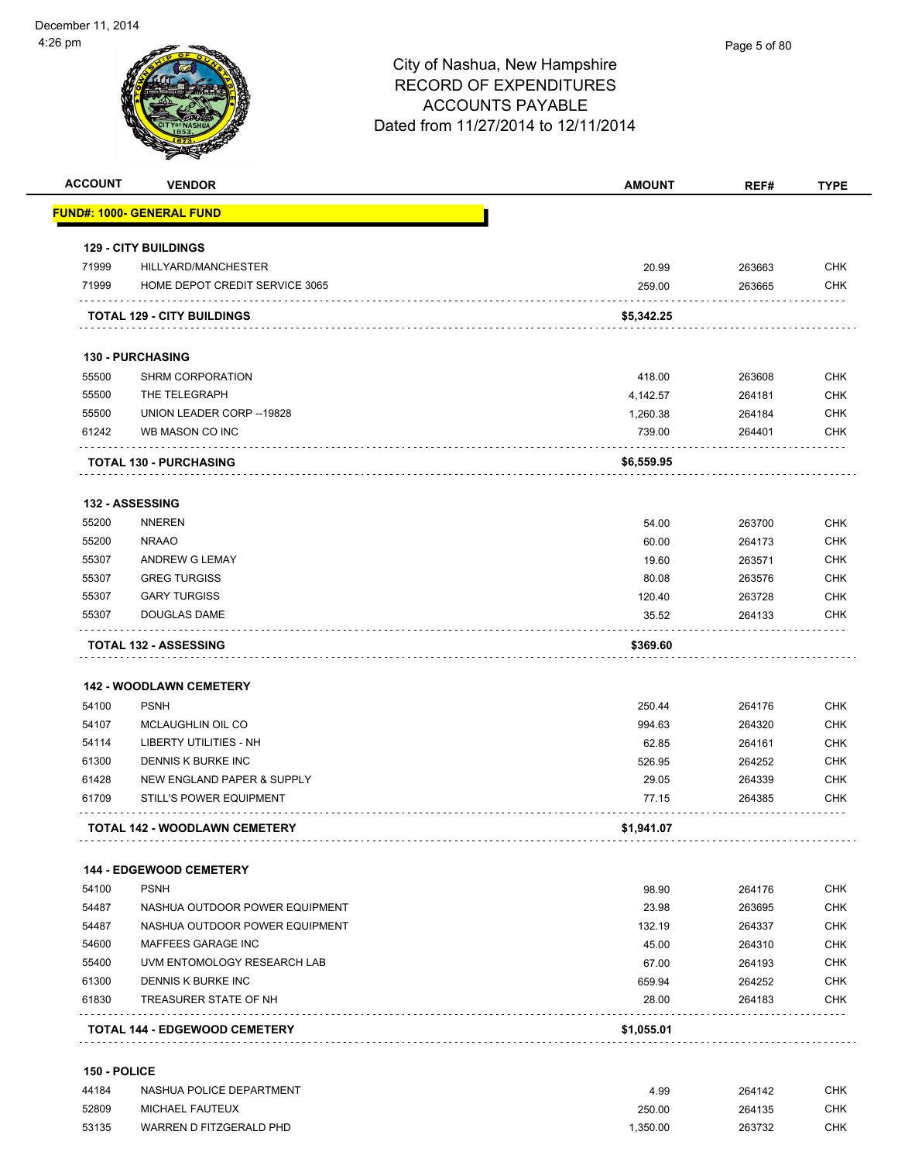|                                                             | <b>VENDOR</b>                                                          | <b>AMOUNT</b>       | REF#   | <b>TYPE</b>                                                                                                                                                                 |
|-------------------------------------------------------------|------------------------------------------------------------------------|---------------------|--------|-----------------------------------------------------------------------------------------------------------------------------------------------------------------------------|
|                                                             | <u> FUND#: 1000- GENERAL FUND</u>                                      |                     |        |                                                                                                                                                                             |
|                                                             | <b>129 - CITY BUILDINGS</b>                                            |                     |        |                                                                                                                                                                             |
| 71999                                                       | HILLYARD/MANCHESTER                                                    | 20.99               | 263663 | <b>CHK</b>                                                                                                                                                                  |
| 71999                                                       | HOME DEPOT CREDIT SERVICE 3065                                         | 259.00              | 263665 | <b>CHK</b>                                                                                                                                                                  |
|                                                             | <b>TOTAL 129 - CITY BUILDINGS</b>                                      | \$5,342.25          |        |                                                                                                                                                                             |
|                                                             | <b>130 - PURCHASING</b>                                                |                     |        |                                                                                                                                                                             |
| 55500                                                       | <b>SHRM CORPORATION</b>                                                | 418.00              | 263608 | <b>CHK</b>                                                                                                                                                                  |
| 55500                                                       | THE TELEGRAPH                                                          | 4,142.57            | 264181 | <b>CHK</b>                                                                                                                                                                  |
| 55500                                                       | UNION LEADER CORP -- 19828                                             | 1,260.38            | 264184 | <b>CHK</b>                                                                                                                                                                  |
| 61242                                                       | WB MASON CO INC                                                        | 739.00              | 264401 | <b>CHK</b>                                                                                                                                                                  |
|                                                             | <b>TOTAL 130 - PURCHASING</b>                                          | \$6,559.95          |        |                                                                                                                                                                             |
|                                                             | 132 - ASSESSING                                                        |                     |        |                                                                                                                                                                             |
| 55200                                                       | <b>NNEREN</b>                                                          | 54.00               | 263700 | <b>CHK</b>                                                                                                                                                                  |
| 55200                                                       | <b>NRAAO</b>                                                           | 60.00               | 264173 | <b>CHK</b>                                                                                                                                                                  |
| 55307                                                       | ANDREW G LEMAY                                                         | 19.60               | 263571 | <b>CHK</b>                                                                                                                                                                  |
| 55307                                                       | <b>GREG TURGISS</b>                                                    | 80.08               | 263576 | <b>CHK</b>                                                                                                                                                                  |
| 55307                                                       | <b>GARY TURGISS</b>                                                    | 120.40              | 263728 | <b>CHK</b>                                                                                                                                                                  |
|                                                             |                                                                        |                     |        |                                                                                                                                                                             |
| 55307                                                       | DOUGLAS DAME                                                           | 35.52               | 264133 | <b>CHK</b>                                                                                                                                                                  |
|                                                             | <b>TOTAL 132 - ASSESSING</b>                                           | \$369.60            |        |                                                                                                                                                                             |
|                                                             | <b>142 - WOODLAWN CEMETERY</b>                                         |                     |        |                                                                                                                                                                             |
| 54100                                                       | <b>PSNH</b>                                                            | 250.44              | 264176 |                                                                                                                                                                             |
| 54107                                                       | MCLAUGHLIN OIL CO                                                      | 994.63              | 264320 |                                                                                                                                                                             |
| 54114                                                       | LIBERTY UTILITIES - NH                                                 | 62.85               | 264161 |                                                                                                                                                                             |
| 61300                                                       | DENNIS K BURKE INC                                                     | 526.95              | 264252 |                                                                                                                                                                             |
|                                                             | NEW ENGLAND PAPER & SUPPLY                                             | 29.05               | 264339 |                                                                                                                                                                             |
| 61428<br>61709                                              | <b>STILL'S POWER EQUIPMENT</b><br><b>TOTAL 142 - WOODLAWN CEMETERY</b> | 77.15<br>\$1,941.07 | 264385 |                                                                                                                                                                             |
|                                                             |                                                                        |                     |        |                                                                                                                                                                             |
|                                                             | <b>144 - EDGEWOOD CEMETERY</b>                                         |                     |        |                                                                                                                                                                             |
|                                                             | <b>PSNH</b>                                                            | 98.90               | 264176 |                                                                                                                                                                             |
|                                                             | NASHUA OUTDOOR POWER EQUIPMENT                                         | 23.98               | 263695 |                                                                                                                                                                             |
|                                                             | NASHUA OUTDOOR POWER EQUIPMENT                                         | 132.19              | 264337 |                                                                                                                                                                             |
|                                                             | MAFFEES GARAGE INC                                                     | 45.00               | 264310 |                                                                                                                                                                             |
|                                                             | UVM ENTOMOLOGY RESEARCH LAB                                            | 67.00               | 264193 |                                                                                                                                                                             |
|                                                             | DENNIS K BURKE INC                                                     | 659.94              | 264252 |                                                                                                                                                                             |
| 54100<br>54487<br>54487<br>54600<br>55400<br>61300<br>61830 | TREASURER STATE OF NH                                                  | 28.00               | 264183 | <b>CHK</b><br><b>CHK</b><br><b>CHK</b><br><b>CHK</b><br><b>CHK</b><br><b>CHK</b><br>CHK<br><b>CHK</b><br><b>CHK</b><br><b>CHK</b><br><b>CHK</b><br><b>CHK</b><br><b>CHK</b> |

| 44184 | NASHUA POLICE DEPARTMENT | 4.99     | 264142 | <b>CHK</b> |
|-------|--------------------------|----------|--------|------------|
| 52809 | MICHAEL FAUTEUX          | 250.00   | 264135 | <b>CHK</b> |
| 53135 | WARREN D FITZGERALD PHD  | 1.350.00 | 263732 | <b>CHK</b> |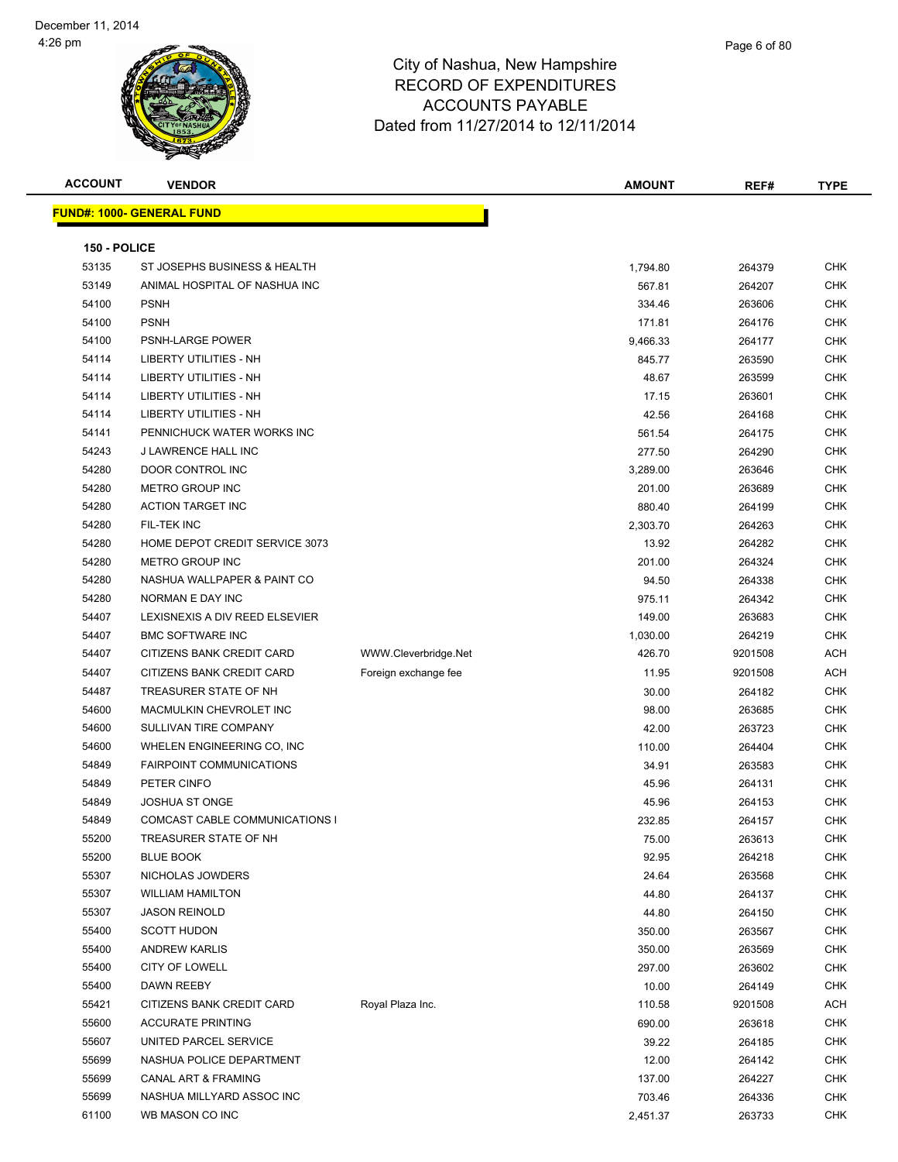| <b>ACCOUNT</b> | <b>VENDOR</b>                    |                      | <b>AMOUNT</b> | REF#    | <b>TYPE</b> |
|----------------|----------------------------------|----------------------|---------------|---------|-------------|
|                | <b>FUND#: 1000- GENERAL FUND</b> |                      |               |         |             |
|                |                                  |                      |               |         |             |
| 150 - POLICE   |                                  |                      |               |         |             |
| 53135          | ST JOSEPHS BUSINESS & HEALTH     |                      | 1,794.80      | 264379  | <b>CHK</b>  |
| 53149          | ANIMAL HOSPITAL OF NASHUA INC    |                      | 567.81        | 264207  | <b>CHK</b>  |
| 54100          | <b>PSNH</b>                      |                      | 334.46        | 263606  | <b>CHK</b>  |
| 54100          | <b>PSNH</b>                      |                      | 171.81        | 264176  | <b>CHK</b>  |
| 54100          | PSNH-LARGE POWER                 |                      | 9,466.33      | 264177  | <b>CHK</b>  |
| 54114          | LIBERTY UTILITIES - NH           |                      | 845.77        | 263590  | <b>CHK</b>  |
| 54114          | LIBERTY UTILITIES - NH           |                      | 48.67         | 263599  | CHK         |
| 54114          | LIBERTY UTILITIES - NH           |                      | 17.15         | 263601  | <b>CHK</b>  |
| 54114          | <b>LIBERTY UTILITIES - NH</b>    |                      | 42.56         | 264168  | <b>CHK</b>  |
| 54141          | PENNICHUCK WATER WORKS INC       |                      | 561.54        | 264175  | <b>CHK</b>  |
| 54243          | J LAWRENCE HALL INC              |                      | 277.50        | 264290  | <b>CHK</b>  |
| 54280          | DOOR CONTROL INC                 |                      | 3,289.00      | 263646  | <b>CHK</b>  |
| 54280          | <b>METRO GROUP INC</b>           |                      | 201.00        | 263689  | <b>CHK</b>  |
| 54280          | <b>ACTION TARGET INC</b>         |                      | 880.40        | 264199  | <b>CHK</b>  |
| 54280          | FIL-TEK INC                      |                      | 2,303.70      | 264263  | <b>CHK</b>  |
| 54280          | HOME DEPOT CREDIT SERVICE 3073   |                      | 13.92         | 264282  | <b>CHK</b>  |
| 54280          | <b>METRO GROUP INC</b>           |                      | 201.00        | 264324  | <b>CHK</b>  |
| 54280          | NASHUA WALLPAPER & PAINT CO      |                      | 94.50         | 264338  | CHK         |
| 54280          | NORMAN E DAY INC                 |                      | 975.11        | 264342  | <b>CHK</b>  |
| 54407          | LEXISNEXIS A DIV REED ELSEVIER   |                      | 149.00        | 263683  | <b>CHK</b>  |
| 54407          | <b>BMC SOFTWARE INC</b>          |                      | 1,030.00      | 264219  | <b>CHK</b>  |
| 54407          | CITIZENS BANK CREDIT CARD        | WWW.Cleverbridge.Net | 426.70        | 9201508 | <b>ACH</b>  |
| 54407          | CITIZENS BANK CREDIT CARD        | Foreign exchange fee | 11.95         | 9201508 | <b>ACH</b>  |
| 54487          | TREASURER STATE OF NH            |                      | 30.00         | 264182  | <b>CHK</b>  |
| 54600          | MACMULKIN CHEVROLET INC          |                      | 98.00         | 263685  | <b>CHK</b>  |
| 54600          | SULLIVAN TIRE COMPANY            |                      | 42.00         | 263723  | <b>CHK</b>  |
| 54600          | WHELEN ENGINEERING CO, INC       |                      | 110.00        | 264404  | <b>CHK</b>  |
| 54849          | <b>FAIRPOINT COMMUNICATIONS</b>  |                      | 34.91         | 263583  | <b>CHK</b>  |
| 54849          | PETER CINFO                      |                      | 45.96         | 264131  | <b>CHK</b>  |
| 54849          | <b>JOSHUA ST ONGE</b>            |                      | 45.96         | 264153  | <b>CHK</b>  |
| 54849          | COMCAST CABLE COMMUNICATIONS I   |                      | 232.85        | 264157  | <b>CHK</b>  |
| 55200          | TREASURER STATE OF NH            |                      | 75.00         | 263613  | <b>CHK</b>  |
| 55200          | <b>BLUE BOOK</b>                 |                      | 92.95         | 264218  | <b>CHK</b>  |
| 55307          | NICHOLAS JOWDERS                 |                      | 24.64         | 263568  | <b>CHK</b>  |
| 55307          | <b>WILLIAM HAMILTON</b>          |                      | 44.80         | 264137  | <b>CHK</b>  |
| 55307          | <b>JASON REINOLD</b>             |                      | 44.80         | 264150  | <b>CHK</b>  |
| 55400          | <b>SCOTT HUDON</b>               |                      | 350.00        | 263567  | <b>CHK</b>  |
| 55400          | <b>ANDREW KARLIS</b>             |                      | 350.00        | 263569  | <b>CHK</b>  |
| 55400          | CITY OF LOWELL                   |                      | 297.00        | 263602  | CHK         |
| 55400          | DAWN REEBY                       |                      | 10.00         | 264149  | CHK         |
| 55421          | CITIZENS BANK CREDIT CARD        | Royal Plaza Inc.     | 110.58        | 9201508 | ACH         |
| 55600          | <b>ACCURATE PRINTING</b>         |                      | 690.00        | 263618  | <b>CHK</b>  |
| 55607          | UNITED PARCEL SERVICE            |                      | 39.22         | 264185  | <b>CHK</b>  |
| 55699          | NASHUA POLICE DEPARTMENT         |                      | 12.00         | 264142  | CHK         |
| 55699          | CANAL ART & FRAMING              |                      | 137.00        | 264227  | <b>CHK</b>  |
| 55699          | NASHUA MILLYARD ASSOC INC        |                      | 703.46        | 264336  | <b>CHK</b>  |
| 61100          | WB MASON CO INC                  |                      | 2,451.37      | 263733  | <b>CHK</b>  |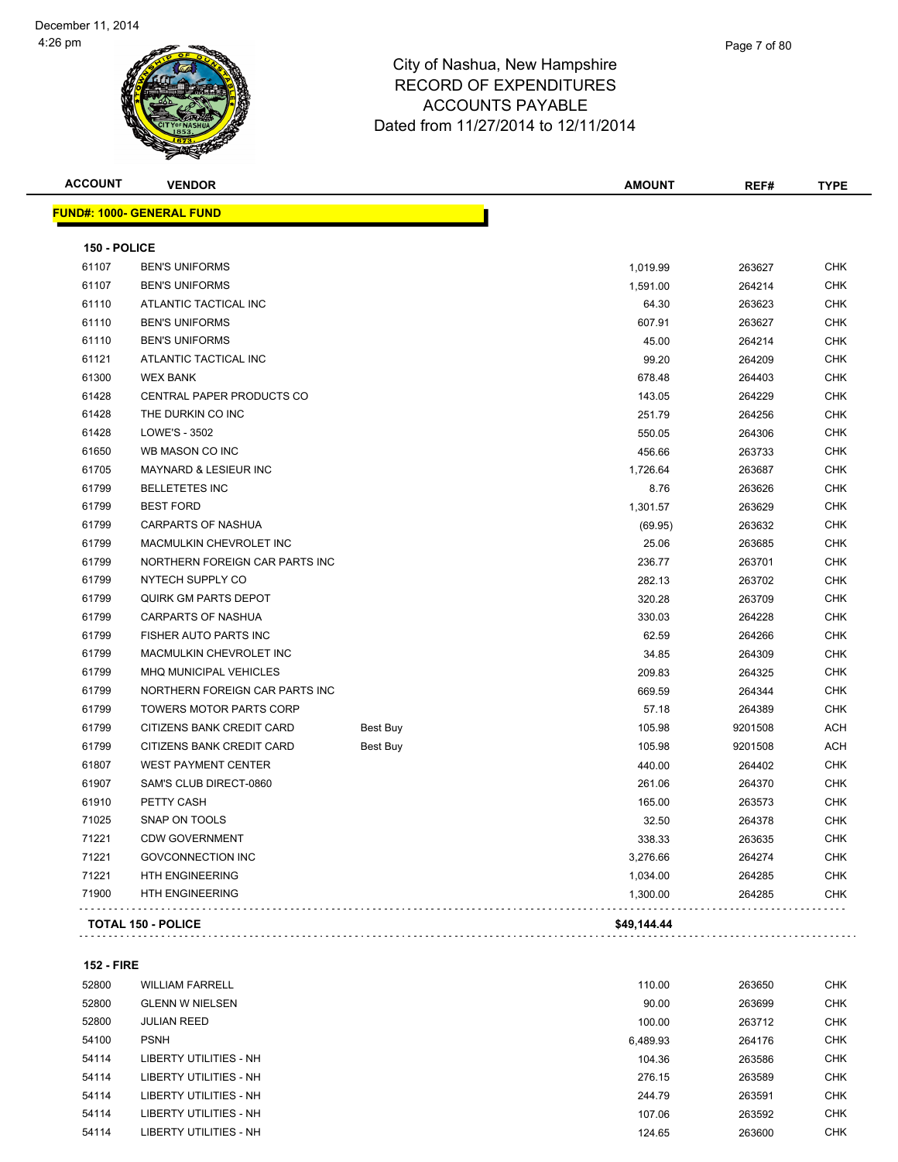

| <b>ACCOUNT</b> | <b>VENDOR</b>                     |          | <b>AMOUNT</b> | REF#    | <b>TYPE</b> |
|----------------|-----------------------------------|----------|---------------|---------|-------------|
|                | <u> FUND#: 1000- GENERAL FUND</u> |          |               |         |             |
| 150 - POLICE   |                                   |          |               |         |             |
| 61107          | <b>BEN'S UNIFORMS</b>             |          | 1,019.99      | 263627  | <b>CHK</b>  |
| 61107          | <b>BEN'S UNIFORMS</b>             |          | 1,591.00      | 264214  | <b>CHK</b>  |
| 61110          | ATLANTIC TACTICAL INC             |          | 64.30         | 263623  | <b>CHK</b>  |
| 61110          | <b>BEN'S UNIFORMS</b>             |          | 607.91        | 263627  | <b>CHK</b>  |
| 61110          | <b>BEN'S UNIFORMS</b>             |          | 45.00         | 264214  | <b>CHK</b>  |
| 61121          | ATLANTIC TACTICAL INC             |          | 99.20         | 264209  | <b>CHK</b>  |
| 61300          | <b>WEX BANK</b>                   |          | 678.48        | 264403  | <b>CHK</b>  |
| 61428          | <b>CENTRAL PAPER PRODUCTS CO</b>  |          | 143.05        | 264229  | <b>CHK</b>  |
| 61428          | THE DURKIN CO INC                 |          | 251.79        | 264256  | <b>CHK</b>  |
| 61428          | LOWE'S - 3502                     |          | 550.05        | 264306  | <b>CHK</b>  |
| 61650          | WB MASON CO INC                   |          | 456.66        | 263733  | <b>CHK</b>  |
| 61705          | MAYNARD & LESIEUR INC             |          | 1,726.64      | 263687  | <b>CHK</b>  |
| 61799          | <b>BELLETETES INC</b>             |          | 8.76          | 263626  | <b>CHK</b>  |
| 61799          | <b>BEST FORD</b>                  |          | 1,301.57      | 263629  | <b>CHK</b>  |
| 61799          | <b>CARPARTS OF NASHUA</b>         |          | (69.95)       | 263632  | <b>CHK</b>  |
| 61799          | MACMULKIN CHEVROLET INC           |          | 25.06         | 263685  | <b>CHK</b>  |
| 61799          | NORTHERN FOREIGN CAR PARTS INC    |          | 236.77        | 263701  | <b>CHK</b>  |
| 61799          | NYTECH SUPPLY CO                  |          | 282.13        | 263702  | <b>CHK</b>  |
| 61799          | <b>QUIRK GM PARTS DEPOT</b>       |          | 320.28        | 263709  | <b>CHK</b>  |
| 61799          | <b>CARPARTS OF NASHUA</b>         |          | 330.03        | 264228  | <b>CHK</b>  |
| 61799          | FISHER AUTO PARTS INC             |          | 62.59         | 264266  | <b>CHK</b>  |
| 61799          | MACMULKIN CHEVROLET INC           |          | 34.85         | 264309  | <b>CHK</b>  |
| 61799          | MHQ MUNICIPAL VEHICLES            |          | 209.83        | 264325  | <b>CHK</b>  |
| 61799          | NORTHERN FOREIGN CAR PARTS INC    |          | 669.59        | 264344  | <b>CHK</b>  |
| 61799          | <b>TOWERS MOTOR PARTS CORP</b>    |          | 57.18         | 264389  | <b>CHK</b>  |
| 61799          | CITIZENS BANK CREDIT CARD         | Best Buy | 105.98        | 9201508 | ACH         |
| 61799          | CITIZENS BANK CREDIT CARD         | Best Buy | 105.98        | 9201508 | <b>ACH</b>  |
| 61807          | <b>WEST PAYMENT CENTER</b>        |          | 440.00        | 264402  | <b>CHK</b>  |
| 61907          | SAM'S CLUB DIRECT-0860            |          | 261.06        | 264370  | <b>CHK</b>  |
| 61910          | PETTY CASH                        |          | 165.00        | 263573  | <b>CHK</b>  |
| 71025          | SNAP ON TOOLS                     |          | 32.50         | 264378  | <b>CHK</b>  |
| 71221          | <b>CDW GOVERNMENT</b>             |          | 338.33        | 263635  | <b>CHK</b>  |
| 71221          | <b>GOVCONNECTION INC</b>          |          | 3,276.66      | 264274  | <b>CHK</b>  |
| 71221          | <b>HTH ENGINEERING</b>            |          | 1,034.00      | 264285  | <b>CHK</b>  |
| 71900          | <b>HTH ENGINEERING</b>            |          | 1,300.00      | 264285  | <b>CHK</b>  |

**152 - FIRE**

| 52800 | <b>WILLIAM FARRELL</b>        | 110.00   | 263650 | <b>CHK</b> |
|-------|-------------------------------|----------|--------|------------|
| 52800 | <b>GLENN W NIELSEN</b>        | 90.00    | 263699 | <b>CHK</b> |
| 52800 | <b>JULIAN REED</b>            | 100.00   | 263712 | <b>CHK</b> |
| 54100 | <b>PSNH</b>                   | 6.489.93 | 264176 | <b>CHK</b> |
| 54114 | <b>LIBERTY UTILITIES - NH</b> | 104.36   | 263586 | <b>CHK</b> |
| 54114 | LIBERTY UTILITIES - NH        | 276.15   | 263589 | <b>CHK</b> |
| 54114 | LIBERTY UTILITIES - NH        | 244.79   | 263591 | <b>CHK</b> |
| 54114 | LIBERTY UTILITIES - NH        | 107.06   | 263592 | <b>CHK</b> |
| 54114 | LIBERTY UTILITIES - NH        | 124.65   | 263600 | <b>CHK</b> |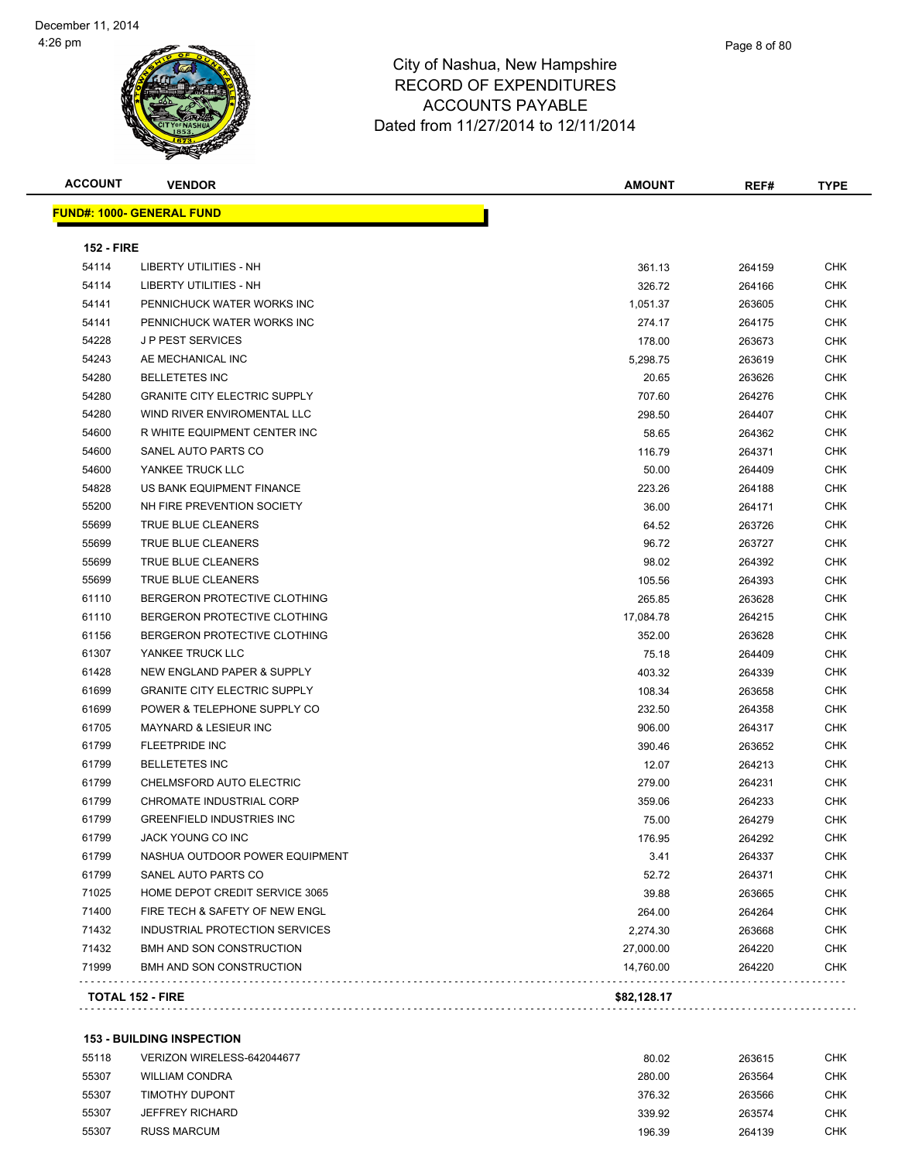| <b>ACCOUNT</b>    | <b>VENDOR</b>                                         | AMOUNT      | REF#   | TYPE       |
|-------------------|-------------------------------------------------------|-------------|--------|------------|
|                   | <b>FUND#: 1000- GENERAL FUND</b>                      |             |        |            |
|                   |                                                       |             |        |            |
| <b>152 - FIRE</b> |                                                       |             |        |            |
| 54114             | LIBERTY UTILITIES - NH                                | 361.13      | 264159 | <b>CHK</b> |
| 54114<br>54141    | LIBERTY UTILITIES - NH<br>PENNICHUCK WATER WORKS INC  | 326.72      | 264166 | <b>CHK</b> |
|                   |                                                       | 1,051.37    | 263605 | <b>CHK</b> |
| 54141             | PENNICHUCK WATER WORKS INC<br><b>JP PEST SERVICES</b> | 274.17      | 264175 | <b>CHK</b> |
| 54228             |                                                       | 178.00      | 263673 | <b>CHK</b> |
| 54243             | AE MECHANICAL INC                                     | 5,298.75    | 263619 | CHK        |
| 54280             | <b>BELLETETES INC</b>                                 | 20.65       | 263626 | CHK        |
| 54280             | <b>GRANITE CITY ELECTRIC SUPPLY</b>                   | 707.60      | 264276 | CHK        |
| 54280             | WIND RIVER ENVIROMENTAL LLC                           | 298.50      | 264407 | <b>CHK</b> |
| 54600             | R WHITE EQUIPMENT CENTER INC                          | 58.65       | 264362 | <b>CHK</b> |
| 54600             | SANEL AUTO PARTS CO                                   | 116.79      | 264371 | <b>CHK</b> |
| 54600             | YANKEE TRUCK LLC                                      | 50.00       | 264409 | <b>CHK</b> |
| 54828             | US BANK EQUIPMENT FINANCE                             | 223.26      | 264188 | <b>CHK</b> |
| 55200             | NH FIRE PREVENTION SOCIETY                            | 36.00       | 264171 | <b>CHK</b> |
| 55699             | TRUE BLUE CLEANERS                                    | 64.52       | 263726 | CHK        |
| 55699             | <b>TRUE BLUE CLEANERS</b>                             | 96.72       | 263727 | <b>CHK</b> |
| 55699             | <b>TRUE BLUE CLEANERS</b>                             | 98.02       | 264392 | <b>CHK</b> |
| 55699             | TRUE BLUE CLEANERS                                    | 105.56      | 264393 | CHK        |
| 61110             | BERGERON PROTECTIVE CLOTHING                          | 265.85      | 263628 | CHK        |
| 61110             | BERGERON PROTECTIVE CLOTHING                          | 17,084.78   | 264215 | <b>CHK</b> |
| 61156             | BERGERON PROTECTIVE CLOTHING                          | 352.00      | 263628 | CHK        |
| 61307             | YANKEE TRUCK LLC                                      | 75.18       | 264409 | <b>CHK</b> |
| 61428             | NEW ENGLAND PAPER & SUPPLY                            | 403.32      | 264339 | <b>CHK</b> |
| 61699             | <b>GRANITE CITY ELECTRIC SUPPLY</b>                   | 108.34      | 263658 | <b>CHK</b> |
| 61699             | POWER & TELEPHONE SUPPLY CO                           | 232.50      | 264358 | <b>CHK</b> |
| 61705             | <b>MAYNARD &amp; LESIEUR INC</b>                      | 906.00      | 264317 | CHK        |
| 61799             | <b>FLEETPRIDE INC</b>                                 | 390.46      | 263652 | <b>CHK</b> |
| 61799             | <b>BELLETETES INC</b>                                 | 12.07       | 264213 | CHK        |
| 61799             | CHELMSFORD AUTO ELECTRIC                              | 279.00      | 264231 | CHK        |
| 61799             | CHROMATE INDUSTRIAL CORP                              | 359.06      | 264233 | <b>CHK</b> |
| 61799             | <b>GREENFIELD INDUSTRIES INC</b>                      | 75.00       | 264279 | CHK        |
| 61799             | JACK YOUNG CO INC                                     | 176.95      | 264292 | <b>CHK</b> |
| 61799             | NASHUA OUTDOOR POWER EQUIPMENT                        | 3.41        | 264337 | <b>CHK</b> |
| 61799             | SANEL AUTO PARTS CO                                   | 52.72       | 264371 | <b>CHK</b> |
| 71025             | HOME DEPOT CREDIT SERVICE 3065                        | 39.88       | 263665 | <b>CHK</b> |
| 71400             | FIRE TECH & SAFETY OF NEW ENGL                        | 264.00      | 264264 | <b>CHK</b> |
| 71432             | INDUSTRIAL PROTECTION SERVICES                        | 2,274.30    | 263668 | <b>CHK</b> |
| 71432             | BMH AND SON CONSTRUCTION                              | 27,000.00   | 264220 | <b>CHK</b> |
| 71999             | BMH AND SON CONSTRUCTION                              | 14,760.00   | 264220 | <b>CHK</b> |
|                   | <b>TOTAL 152 - FIRE</b>                               | \$82,128.17 |        |            |
|                   |                                                       |             |        |            |

#### **153 - BUILDING INSPECTION**

| 55118 | VERIZON WIRELESS-642044677 | 80.02  | 263615 | снк        |
|-------|----------------------------|--------|--------|------------|
| 55307 | <b>WILLIAM CONDRA</b>      | 280.00 | 263564 | снк        |
| 55307 | TIMOTHY DUPONT             | 376.32 | 263566 | <b>CHK</b> |
| 55307 | <b>JEFFREY RICHARD</b>     | 339.92 | 263574 | снк        |
| 55307 | <b>RUSS MARCUM</b>         | 196.39 | 264139 | снк        |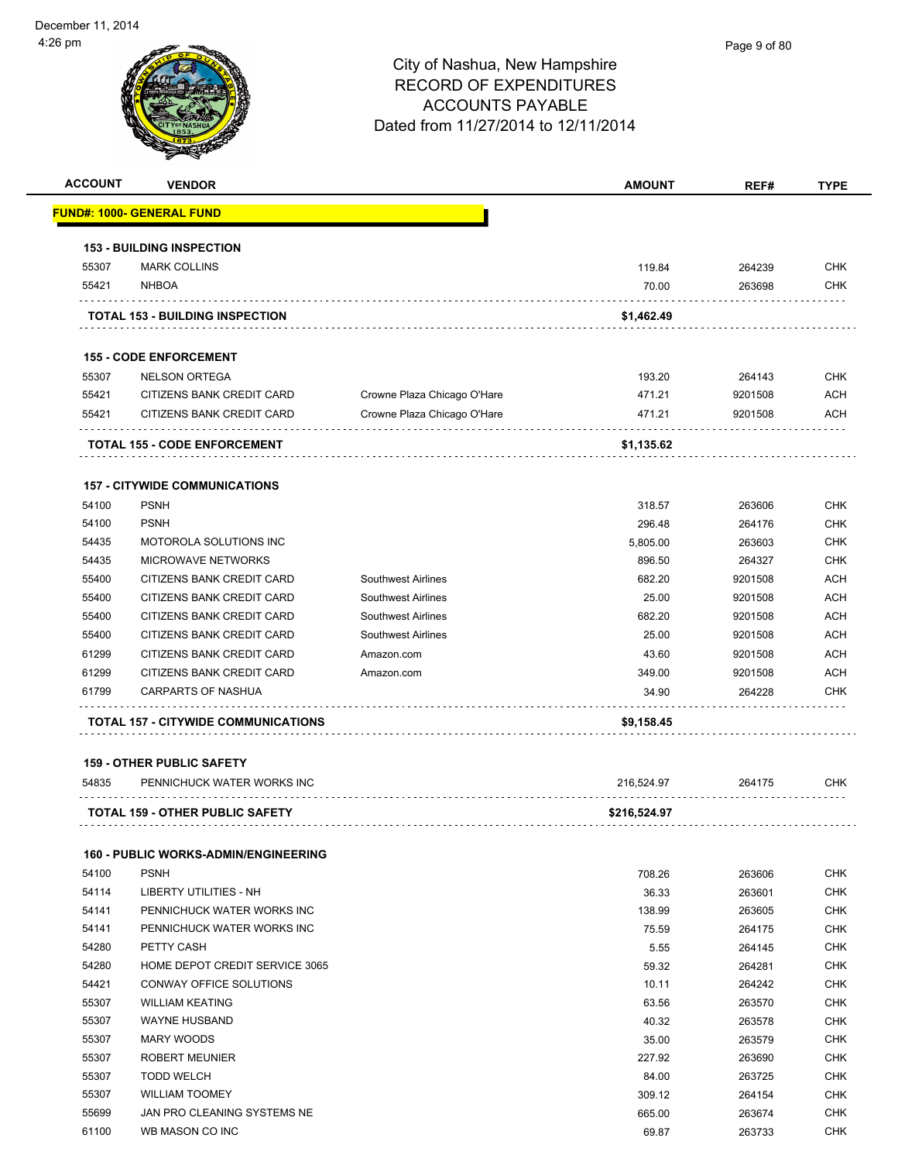

|                |                                                            |                             | <b>AMOUNT</b>    | REF#             | <b>TYPE</b>                                                                                                                                                                                      |
|----------------|------------------------------------------------------------|-----------------------------|------------------|------------------|--------------------------------------------------------------------------------------------------------------------------------------------------------------------------------------------------|
|                | <u> FUND#: 1000- GENERAL FUND</u>                          |                             |                  |                  |                                                                                                                                                                                                  |
|                | <b>153 - BUILDING INSPECTION</b>                           |                             |                  |                  |                                                                                                                                                                                                  |
| 55307          | <b>MARK COLLINS</b>                                        |                             | 119.84           | 264239           | <b>CHK</b>                                                                                                                                                                                       |
| 55421          | <b>NHBOA</b>                                               |                             | 70.00            | 263698           | <b>CHK</b>                                                                                                                                                                                       |
|                | <b>TOTAL 153 - BUILDING INSPECTION</b>                     |                             | \$1,462.49       |                  |                                                                                                                                                                                                  |
|                | <b>155 - CODE ENFORCEMENT</b>                              |                             |                  |                  |                                                                                                                                                                                                  |
| 55307          | <b>NELSON ORTEGA</b>                                       |                             | 193.20           | 264143           | <b>CHK</b>                                                                                                                                                                                       |
| 55421          | CITIZENS BANK CREDIT CARD                                  | Crowne Plaza Chicago O'Hare | 471.21           | 9201508          | <b>ACH</b>                                                                                                                                                                                       |
| 55421          | CITIZENS BANK CREDIT CARD                                  | Crowne Plaza Chicago O'Hare | 471.21           | 9201508          | <b>ACH</b>                                                                                                                                                                                       |
|                | <b>TOTAL 155 - CODE ENFORCEMENT</b>                        |                             | \$1,135.62       |                  |                                                                                                                                                                                                  |
|                |                                                            |                             |                  |                  |                                                                                                                                                                                                  |
|                | <b>157 - CITYWIDE COMMUNICATIONS</b>                       |                             |                  |                  |                                                                                                                                                                                                  |
| 54100          | <b>PSNH</b>                                                |                             | 318.57           | 263606           | <b>CHK</b>                                                                                                                                                                                       |
| 54100          | <b>PSNH</b>                                                |                             | 296.48           | 264176           | <b>CHK</b>                                                                                                                                                                                       |
| 54435          | MOTOROLA SOLUTIONS INC                                     |                             | 5,805.00         | 263603           | <b>CHK</b>                                                                                                                                                                                       |
| 54435          | MICROWAVE NETWORKS                                         |                             | 896.50           | 264327           | <b>CHK</b>                                                                                                                                                                                       |
| 55400          | CITIZENS BANK CREDIT CARD                                  | <b>Southwest Airlines</b>   | 682.20           | 9201508          | <b>ACH</b>                                                                                                                                                                                       |
| 55400          | CITIZENS BANK CREDIT CARD                                  | <b>Southwest Airlines</b>   | 25.00            | 9201508          | <b>ACH</b>                                                                                                                                                                                       |
| 55400          | CITIZENS BANK CREDIT CARD                                  | <b>Southwest Airlines</b>   | 682.20           | 9201508          | <b>ACH</b>                                                                                                                                                                                       |
| 55400          | CITIZENS BANK CREDIT CARD                                  | <b>Southwest Airlines</b>   | 25.00            | 9201508          | <b>ACH</b>                                                                                                                                                                                       |
| 61299          | CITIZENS BANK CREDIT CARD                                  | Amazon.com                  | 43.60            | 9201508          | <b>ACH</b>                                                                                                                                                                                       |
| 61299          | CITIZENS BANK CREDIT CARD                                  | Amazon.com                  | 349.00           | 9201508          | <b>ACH</b>                                                                                                                                                                                       |
|                | <b>CARPARTS OF NASHUA</b>                                  |                             | 34.90            | 264228           | <b>CHK</b>                                                                                                                                                                                       |
| 61799          |                                                            |                             |                  |                  |                                                                                                                                                                                                  |
|                | <b>TOTAL 157 - CITYWIDE COMMUNICATIONS</b>                 |                             | \$9,158.45       |                  |                                                                                                                                                                                                  |
|                | <b>159 - OTHER PUBLIC SAFETY</b>                           |                             |                  |                  |                                                                                                                                                                                                  |
| 54835          | PENNICHUCK WATER WORKS INC                                 |                             | 216,524.97       | 264175           | <b>CHK</b>                                                                                                                                                                                       |
|                | TOTAL 159 - OTHER PUBLIC SAFETY                            |                             | \$216,524.97     |                  |                                                                                                                                                                                                  |
|                |                                                            |                             |                  |                  |                                                                                                                                                                                                  |
| 54100          | <b>160 - PUBLIC WORKS-ADMIN/ENGINEERING</b><br><b>PSNH</b> |                             | 708.26           | 263606           |                                                                                                                                                                                                  |
| 54114          | LIBERTY UTILITIES - NH                                     |                             | 36.33            | 263601           |                                                                                                                                                                                                  |
| 54141          | PENNICHUCK WATER WORKS INC                                 |                             | 138.99           | 263605           |                                                                                                                                                                                                  |
| 54141          | PENNICHUCK WATER WORKS INC                                 |                             | 75.59            | 264175           |                                                                                                                                                                                                  |
| 54280          | PETTY CASH                                                 |                             | 5.55             | 264145           |                                                                                                                                                                                                  |
| 54280          | HOME DEPOT CREDIT SERVICE 3065                             |                             |                  |                  |                                                                                                                                                                                                  |
|                |                                                            |                             | 59.32            | 264281           |                                                                                                                                                                                                  |
| 54421<br>55307 | CONWAY OFFICE SOLUTIONS<br><b>WILLIAM KEATING</b>          |                             | 10.11            | 264242           |                                                                                                                                                                                                  |
| 55307          | WAYNE HUSBAND                                              |                             | 63.56<br>40.32   | 263570<br>263578 |                                                                                                                                                                                                  |
| 55307          | MARY WOODS                                                 |                             |                  |                  |                                                                                                                                                                                                  |
| 55307          | <b>ROBERT MEUNIER</b>                                      |                             | 35.00<br>227.92  | 263579<br>263690 |                                                                                                                                                                                                  |
| 55307          | <b>TODD WELCH</b>                                          |                             |                  |                  |                                                                                                                                                                                                  |
|                |                                                            |                             | 84.00            | 263725           |                                                                                                                                                                                                  |
| 55307<br>55699 | <b>WILLIAM TOOMEY</b><br>JAN PRO CLEANING SYSTEMS NE       |                             | 309.12<br>665.00 | 264154<br>263674 | <b>CHK</b><br><b>CHK</b><br><b>CHK</b><br><b>CHK</b><br><b>CHK</b><br><b>CHK</b><br><b>CHK</b><br><b>CHK</b><br><b>CHK</b><br><b>CHK</b><br><b>CHK</b><br><b>CHK</b><br><b>CHK</b><br><b>CHK</b> |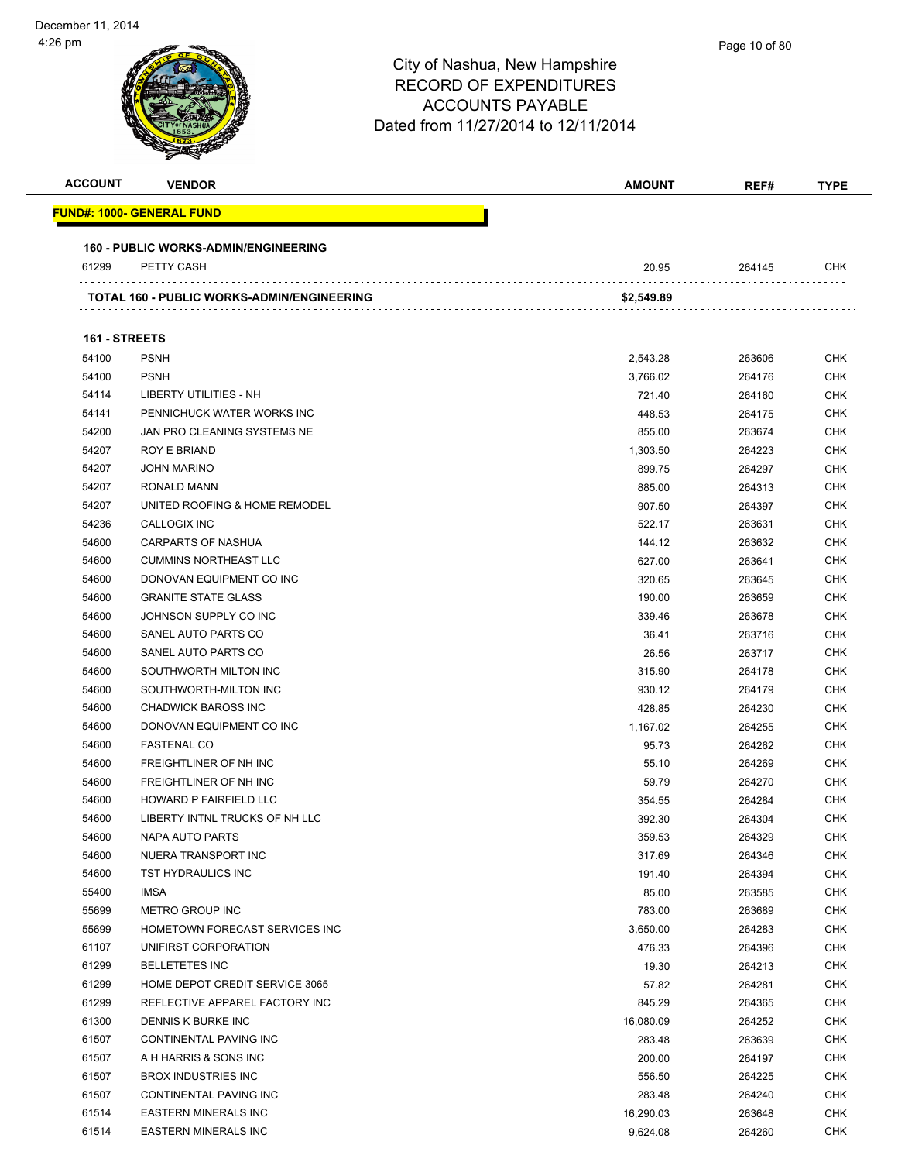| <b>ACCOUNT</b> | <b>VENDOR</b>                               | <b>AMOUNT</b> | REF#   | <b>TYPE</b> |
|----------------|---------------------------------------------|---------------|--------|-------------|
|                | <u> FUND#: 1000- GENERAL FUND</u>           |               |        |             |
|                | <b>160 - PUBLIC WORKS-ADMIN/ENGINEERING</b> |               |        |             |
| 61299          | PETTY CASH                                  | 20.95         | 264145 | <b>CHK</b>  |
|                | TOTAL 160 - PUBLIC WORKS-ADMIN/ENGINEERING  | \$2,549.89    |        |             |
|                |                                             |               |        |             |
| 161 - STREETS  |                                             |               |        |             |
| 54100          | <b>PSNH</b>                                 | 2,543.28      | 263606 | <b>CHK</b>  |
| 54100          | <b>PSNH</b>                                 | 3,766.02      | 264176 | <b>CHK</b>  |
| 54114          | LIBERTY UTILITIES - NH                      | 721.40        | 264160 | <b>CHK</b>  |
| 54141          | PENNICHUCK WATER WORKS INC                  | 448.53        | 264175 | <b>CHK</b>  |
| 54200          | JAN PRO CLEANING SYSTEMS NE                 | 855.00        | 263674 | <b>CHK</b>  |
| 54207          | ROY E BRIAND                                | 1,303.50      | 264223 | <b>CHK</b>  |
| 54207          | <b>JOHN MARINO</b>                          | 899.75        | 264297 | <b>CHK</b>  |
| 54207          | RONALD MANN                                 | 885.00        | 264313 | <b>CHK</b>  |
| 54207          | UNITED ROOFING & HOME REMODEL               | 907.50        | 264397 | <b>CHK</b>  |
| 54236          | <b>CALLOGIX INC</b>                         | 522.17        | 263631 | <b>CHK</b>  |
| 54600          | CARPARTS OF NASHUA                          | 144.12        | 263632 | <b>CHK</b>  |
| 54600          | <b>CUMMINS NORTHEAST LLC</b>                | 627.00        | 263641 | <b>CHK</b>  |
| 54600          | DONOVAN EQUIPMENT CO INC                    | 320.65        | 263645 | <b>CHK</b>  |
| 54600          | <b>GRANITE STATE GLASS</b>                  | 190.00        | 263659 | <b>CHK</b>  |
| 54600          | JOHNSON SUPPLY CO INC                       | 339.46        | 263678 | <b>CHK</b>  |
| 54600          | SANEL AUTO PARTS CO                         | 36.41         | 263716 | <b>CHK</b>  |
| 54600          | SANEL AUTO PARTS CO                         | 26.56         | 263717 | <b>CHK</b>  |
| 54600          | SOUTHWORTH MILTON INC                       | 315.90        | 264178 | <b>CHK</b>  |
| 54600          | SOUTHWORTH-MILTON INC                       | 930.12        | 264179 | <b>CHK</b>  |
|                |                                             |               |        |             |
| 54600          | <b>CHADWICK BAROSS INC</b>                  | 428.85        | 264230 | <b>CHK</b>  |
| 54600          | DONOVAN EQUIPMENT CO INC                    | 1,167.02      | 264255 | <b>CHK</b>  |
| 54600          | <b>FASTENAL CO</b>                          | 95.73         | 264262 | <b>CHK</b>  |
| 54600          | <b>FREIGHTLINER OF NH INC</b>               | 55.10         | 264269 | <b>CHK</b>  |
| 54600          | FREIGHTLINER OF NH INC                      | 59.79         | 264270 | <b>CHK</b>  |
| 54600          | HOWARD P FAIRFIELD LLC                      | 354.55        | 264284 | <b>CHK</b>  |
| 54600          | LIBERTY INTNL TRUCKS OF NH LLC              | 392.30        | 264304 | CHK         |
| 54600          | NAPA AUTO PARTS                             | 359.53        | 264329 | CHK         |
| 54600          | NUERA TRANSPORT INC                         | 317.69        | 264346 | <b>CHK</b>  |
| 54600          | TST HYDRAULICS INC                          | 191.40        | 264394 | <b>CHK</b>  |
| 55400          | <b>IMSA</b>                                 | 85.00         | 263585 | <b>CHK</b>  |
| 55699          | <b>METRO GROUP INC</b>                      | 783.00        | 263689 | <b>CHK</b>  |
| 55699          | HOMETOWN FORECAST SERVICES INC              | 3,650.00      | 264283 | <b>CHK</b>  |
| 61107          | UNIFIRST CORPORATION                        | 476.33        | 264396 | <b>CHK</b>  |
| 61299          | <b>BELLETETES INC</b>                       | 19.30         | 264213 | <b>CHK</b>  |
| 61299          | HOME DEPOT CREDIT SERVICE 3065              | 57.82         | 264281 | <b>CHK</b>  |
| 61299          | REFLECTIVE APPAREL FACTORY INC              | 845.29        | 264365 | <b>CHK</b>  |
| 61300          | DENNIS K BURKE INC                          | 16,080.09     | 264252 | <b>CHK</b>  |
| 61507          | CONTINENTAL PAVING INC                      | 283.48        | 263639 | <b>CHK</b>  |
| 61507          | A H HARRIS & SONS INC                       | 200.00        | 264197 | <b>CHK</b>  |
| 61507          | <b>BROX INDUSTRIES INC</b>                  | 556.50        | 264225 | <b>CHK</b>  |
| 61507          | CONTINENTAL PAVING INC                      | 283.48        | 264240 | <b>CHK</b>  |
| 61514          | <b>EASTERN MINERALS INC</b>                 | 16,290.03     | 263648 | <b>CHK</b>  |
| 61514          | <b>EASTERN MINERALS INC</b>                 | 9,624.08      | 264260 | <b>CHK</b>  |
|                |                                             |               |        |             |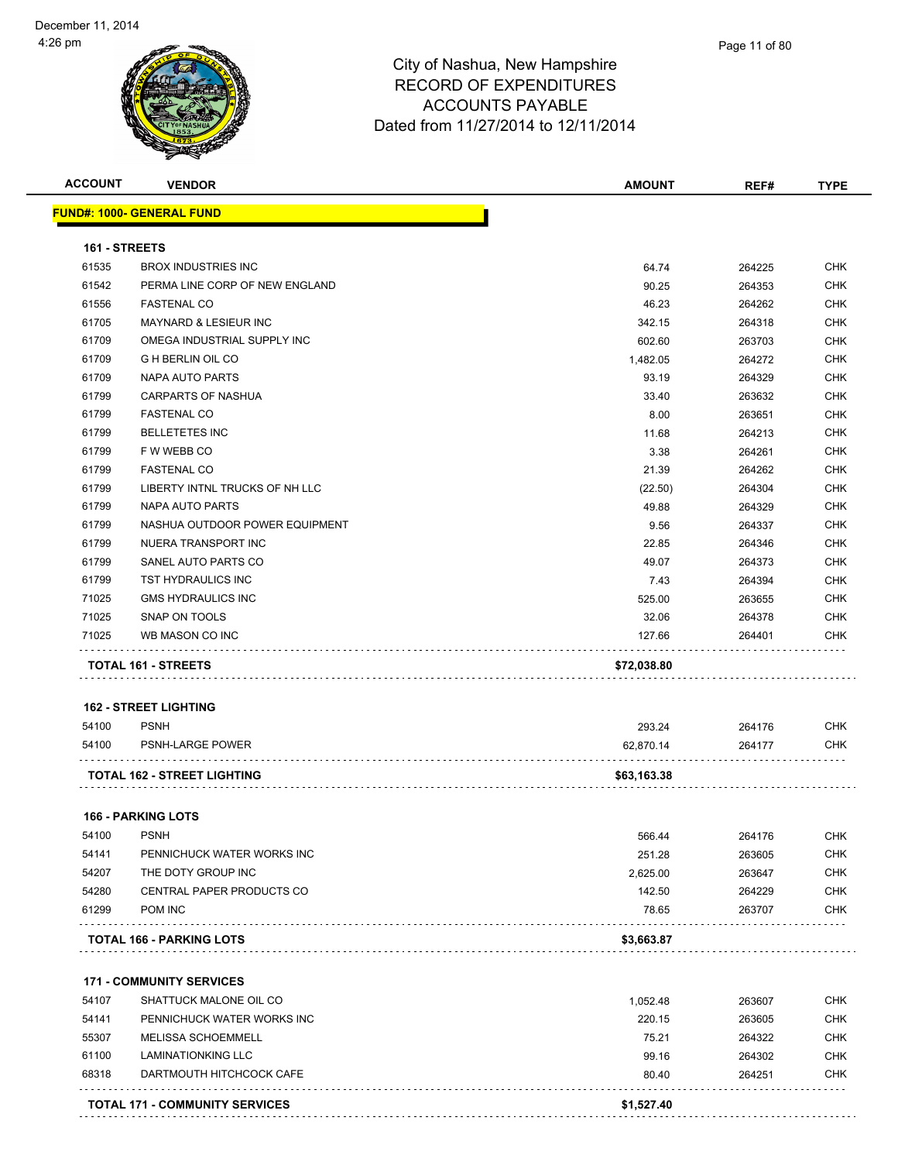

| <b>ACCOUNT</b> | <b>VENDOR</b>                                    | <b>AMOUNT</b>      | REF#             | <b>TYPE</b>              |
|----------------|--------------------------------------------------|--------------------|------------------|--------------------------|
|                | <u> FUND#: 1000- GENERAL FUND</u>                |                    |                  |                          |
| 161 - STREETS  |                                                  |                    |                  |                          |
| 61535          | <b>BROX INDUSTRIES INC</b>                       | 64.74              | 264225           | <b>CHK</b>               |
| 61542          | PERMA LINE CORP OF NEW ENGLAND                   | 90.25              | 264353           | <b>CHK</b>               |
| 61556          | <b>FASTENAL CO</b>                               | 46.23              | 264262           | <b>CHK</b>               |
| 61705          | <b>MAYNARD &amp; LESIEUR INC</b>                 | 342.15             | 264318           | <b>CHK</b>               |
| 61709          | OMEGA INDUSTRIAL SUPPLY INC                      | 602.60             | 263703           | <b>CHK</b>               |
| 61709          | <b>GHBERLIN OIL CO</b>                           | 1,482.05           | 264272           | <b>CHK</b>               |
| 61709          | NAPA AUTO PARTS                                  | 93.19              | 264329           | <b>CHK</b>               |
| 61799          | CARPARTS OF NASHUA                               | 33.40              | 263632           | <b>CHK</b>               |
| 61799          | <b>FASTENAL CO</b>                               | 8.00               | 263651           | <b>CHK</b>               |
| 61799          | <b>BELLETETES INC</b>                            | 11.68              | 264213           | <b>CHK</b>               |
| 61799          | F W WEBB CO                                      | 3.38               | 264261           | <b>CHK</b>               |
| 61799          | <b>FASTENAL CO</b>                               | 21.39              | 264262           | CHK                      |
| 61799          | LIBERTY INTNL TRUCKS OF NH LLC                   | (22.50)            | 264304           | <b>CHK</b>               |
| 61799          | <b>NAPA AUTO PARTS</b>                           | 49.88              | 264329           | <b>CHK</b>               |
| 61799          | NASHUA OUTDOOR POWER EQUIPMENT                   | 9.56               | 264337           | <b>CHK</b>               |
| 61799          | NUERA TRANSPORT INC                              | 22.85              | 264346           | CHK                      |
| 61799          | SANEL AUTO PARTS CO                              | 49.07              | 264373           | CHK                      |
| 61799          | TST HYDRAULICS INC                               | 7.43               | 264394           | <b>CHK</b>               |
| 71025          | <b>GMS HYDRAULICS INC</b>                        | 525.00             | 263655           | <b>CHK</b>               |
| 71025          | SNAP ON TOOLS                                    | 32.06              | 264378           | <b>CHK</b>               |
| 71025          | WB MASON CO INC                                  | 127.66             | 264401           | CHK                      |
|                | TOTAL 161 - STREETS                              | \$72,038.80        |                  |                          |
|                |                                                  |                    |                  |                          |
|                | <b>162 - STREET LIGHTING</b>                     |                    |                  |                          |
| 54100          | <b>PSNH</b>                                      | 293.24             | 264176           | <b>CHK</b>               |
| 54100          | PSNH-LARGE POWER                                 | 62,870.14          | 264177           | <b>CHK</b>               |
|                | <b>TOTAL 162 - STREET LIGHTING</b>               | \$63,163.38        |                  |                          |
|                | <b>166 - PARKING LOTS</b>                        |                    |                  |                          |
| 54100          | <b>PSNH</b>                                      | 566.44             | 264176           | <b>CHK</b>               |
| 54141          |                                                  |                    |                  |                          |
| 54207          | PENNICHUCK WATER WORKS INC<br>THE DOTY GROUP INC | 251.28<br>2,625.00 | 263605           | <b>CHK</b><br><b>CHK</b> |
|                | CENTRAL PAPER PRODUCTS CO                        | 142.50             | 263647<br>264229 |                          |
| 54280<br>61299 | POM INC                                          | 78.65              | 263707           | <b>CHK</b><br><b>CHK</b> |
|                |                                                  |                    |                  |                          |
|                | <b>TOTAL 166 - PARKING LOTS</b>                  | \$3,663.87         |                  |                          |
|                | <b>171 - COMMUNITY SERVICES</b>                  |                    |                  |                          |
| 54107          | SHATTUCK MALONE OIL CO                           | 1,052.48           | 263607           | <b>CHK</b>               |
| 54141          | PENNICHUCK WATER WORKS INC                       | 220.15             | 263605           | <b>CHK</b>               |
| 55307          | MELISSA SCHOEMMELL                               | 75.21              | 264322           | <b>CHK</b>               |
| 61100          | <b>LAMINATIONKING LLC</b>                        | 99.16              | 264302           | <b>CHK</b>               |
| 68318          | DARTMOUTH HITCHCOCK CAFE                         | 80.40              | 264251           | <b>CHK</b>               |
|                |                                                  |                    |                  |                          |
|                | <b>TOTAL 171 - COMMUNITY SERVICES</b>            | \$1,527.40         |                  |                          |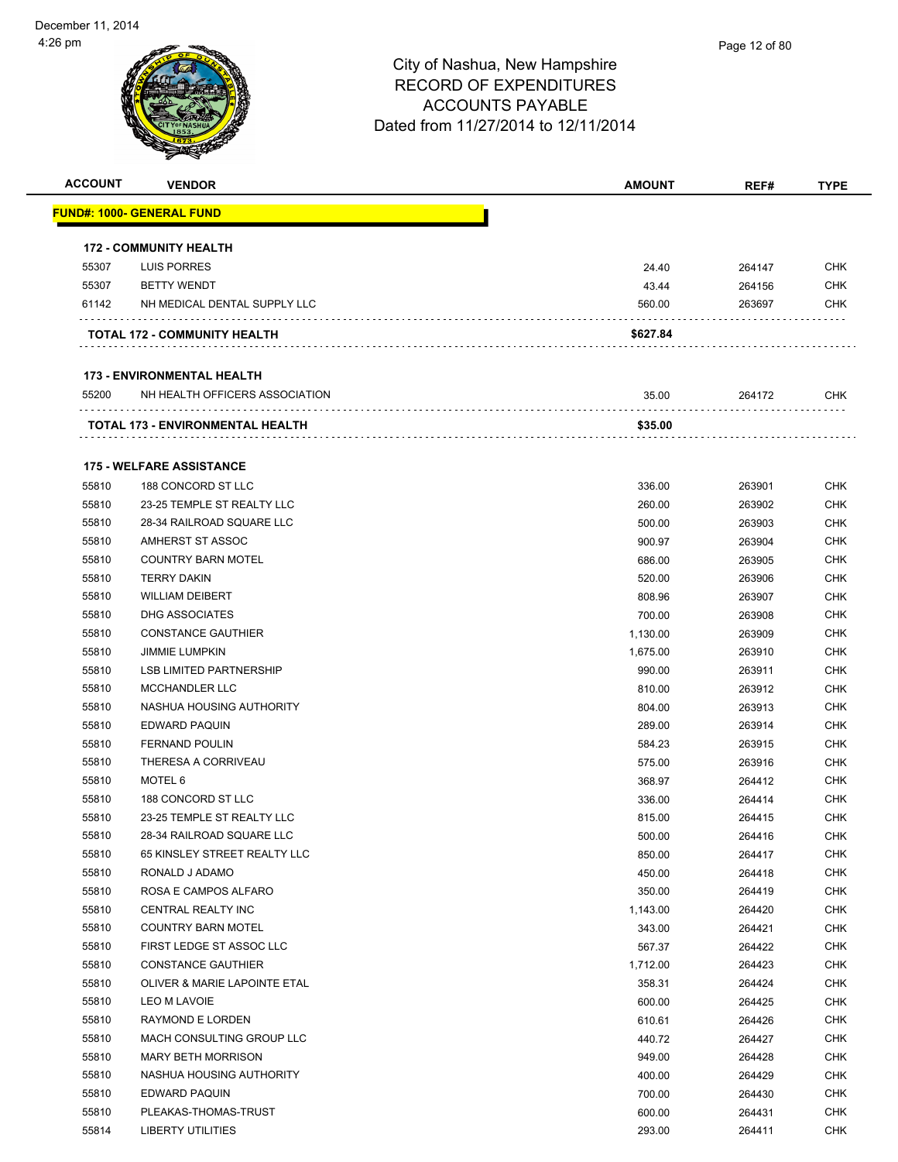| <b>ACCOUNT</b> | <b>VENDOR</b>                           | <b>AMOUNT</b>        | REF#             | <b>TYPE</b> |
|----------------|-----------------------------------------|----------------------|------------------|-------------|
|                | <u> FUND#: 1000- GENERAL FUND</u>       |                      |                  |             |
|                |                                         |                      |                  |             |
|                | <b>172 - COMMUNITY HEALTH</b>           |                      |                  |             |
| 55307          | <b>LUIS PORRES</b>                      | 24.40                | 264147           | <b>CHK</b>  |
| 55307          | <b>BETTY WENDT</b>                      | 43.44                | 264156           | <b>CHK</b>  |
| 61142          | NH MEDICAL DENTAL SUPPLY LLC            | 560.00               | 263697           | <b>CHK</b>  |
|                |                                         |                      |                  |             |
|                | TOTAL 172 - COMMUNITY HEALTH            | \$627.84             |                  |             |
|                |                                         |                      |                  |             |
|                | <b>173 - ENVIRONMENTAL HEALTH</b>       |                      |                  |             |
| 55200          | NH HEALTH OFFICERS ASSOCIATION          | 35.00                | 264172           | <b>CHK</b>  |
|                | TOTAL 173 - ENVIRONMENTAL HEALTH        | \$35.00              |                  |             |
|                | <b>175 - WELFARE ASSISTANCE</b>         |                      |                  |             |
| 55810          | 188 CONCORD ST LLC                      | 336.00               | 263901           | <b>CHK</b>  |
| 55810          | 23-25 TEMPLE ST REALTY LLC              | 260.00               | 263902           | <b>CHK</b>  |
| 55810          | 28-34 RAILROAD SQUARE LLC               | 500.00               | 263903           | <b>CHK</b>  |
| 55810          | AMHERST ST ASSOC                        | 900.97               | 263904           | <b>CHK</b>  |
| 55810          | <b>COUNTRY BARN MOTEL</b>               | 686.00               | 263905           | <b>CHK</b>  |
| 55810          | <b>TERRY DAKIN</b>                      | 520.00               | 263906           | CHK         |
| 55810          | <b>WILLIAM DEIBERT</b>                  | 808.96               | 263907           | CHK         |
| 55810          | DHG ASSOCIATES                          | 700.00               | 263908           | <b>CHK</b>  |
| 55810          | <b>CONSTANCE GAUTHIER</b>               |                      |                  | CHK         |
| 55810          | <b>JIMMIE LUMPKIN</b>                   | 1,130.00<br>1,675.00 | 263909<br>263910 | CHK         |
| 55810          | <b>LSB LIMITED PARTNERSHIP</b>          | 990.00               | 263911           | <b>CHK</b>  |
| 55810          | MCCHANDLER LLC                          | 810.00               | 263912           | <b>CHK</b>  |
| 55810          | NASHUA HOUSING AUTHORITY                | 804.00               | 263913           | <b>CHK</b>  |
| 55810          | EDWARD PAQUIN                           | 289.00               | 263914           | <b>CHK</b>  |
| 55810          | <b>FERNAND POULIN</b>                   | 584.23               | 263915           | CHK         |
| 55810          | THERESA A CORRIVEAU                     | 575.00               | 263916           | <b>CHK</b>  |
| 55810          | MOTEL 6                                 | 368.97               | 264412           | CHK         |
| 55810          | 188 CONCORD ST LLC                      | 336.00               | 264414           | <b>CHK</b>  |
| 55810          | 23-25 TEMPLE ST REALTY LLC              |                      | 264415           | <b>CHK</b>  |
| 55810          | 28-34 RAILROAD SQUARE LLC               | 815.00<br>500.00     | 264416           | <b>CHK</b>  |
| 55810          | 65 KINSLEY STREET REALTY LLC            | 850.00               | 264417           | CHK         |
| 55810          | RONALD J ADAMO                          | 450.00               | 264418           | <b>CHK</b>  |
| 55810          | ROSA E CAMPOS ALFARO                    | 350.00               | 264419           | <b>CHK</b>  |
| 55810          | CENTRAL REALTY INC                      | 1,143.00             | 264420           | <b>CHK</b>  |
| 55810          | <b>COUNTRY BARN MOTEL</b>               | 343.00               | 264421           | <b>CHK</b>  |
| 55810          | FIRST LEDGE ST ASSOC LLC                | 567.37               | 264422           | <b>CHK</b>  |
| 55810          | <b>CONSTANCE GAUTHIER</b>               | 1,712.00             | 264423           | <b>CHK</b>  |
| 55810          | <b>OLIVER &amp; MARIE LAPOINTE ETAL</b> | 358.31               | 264424           | <b>CHK</b>  |
| 55810          | LEO M LAVOIE                            | 600.00               | 264425           | <b>CHK</b>  |
| 55810          | RAYMOND E LORDEN                        | 610.61               | 264426           | <b>CHK</b>  |
| 55810          | MACH CONSULTING GROUP LLC               | 440.72               | 264427           | <b>CHK</b>  |
| 55810          | <b>MARY BETH MORRISON</b>               |                      |                  | <b>CHK</b>  |
| 55810          | NASHUA HOUSING AUTHORITY                | 949.00               | 264428           | <b>CHK</b>  |
| 55810          | EDWARD PAQUIN                           | 400.00               | 264429           | <b>CHK</b>  |
| 55810          | PLEAKAS-THOMAS-TRUST                    | 700.00               | 264430           |             |
|                |                                         | 600.00               | 264431           | <b>CHK</b>  |
| 55814          | <b>LIBERTY UTILITIES</b>                | 293.00               | 264411           | <b>CHK</b>  |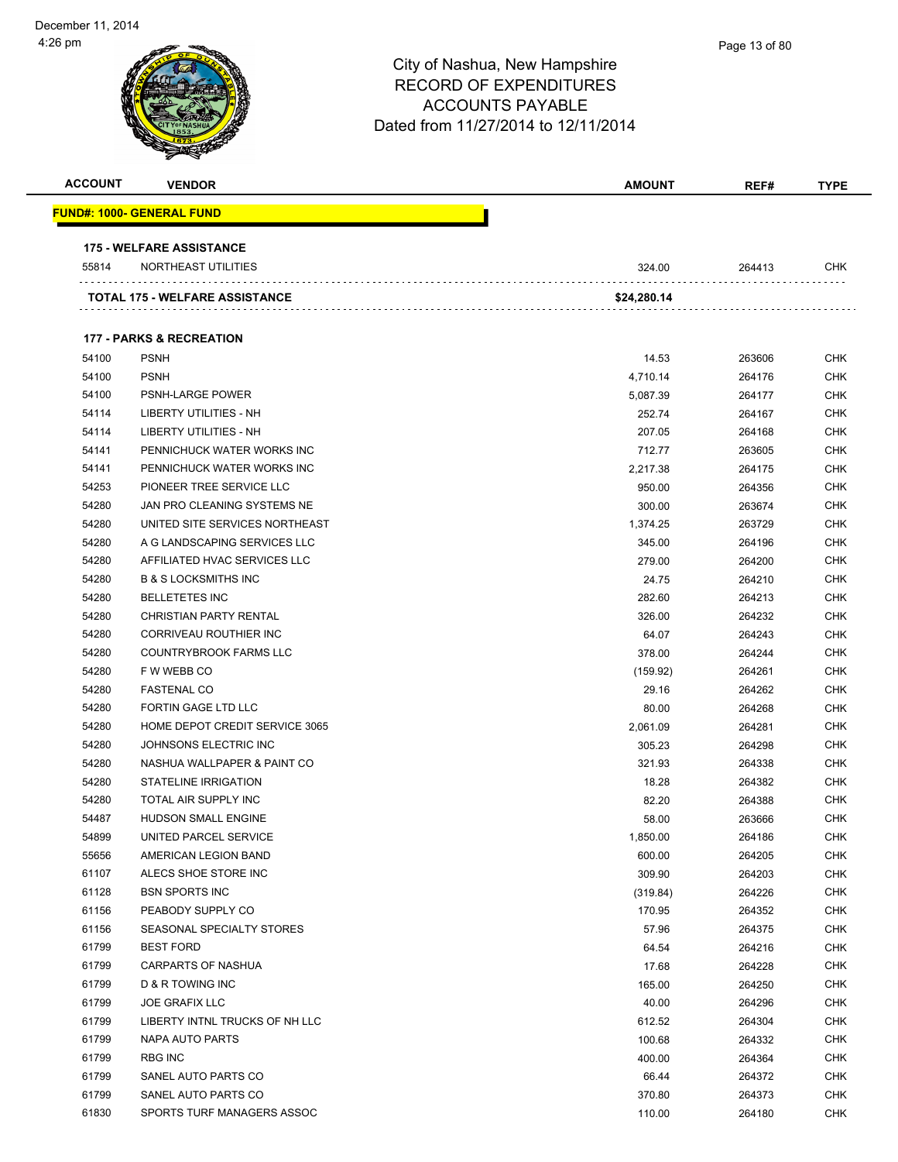| <b>ACCOUNT</b> | <b>VENDOR</b>                         | AMOUNT      | REF#   | <b>TYPE</b> |
|----------------|---------------------------------------|-------------|--------|-------------|
|                | <u> FUND#: 1000- GENERAL FUND</u>     |             |        |             |
|                | <b>175 - WELFARE ASSISTANCE</b>       |             |        |             |
| 55814          | NORTHEAST UTILITIES                   | 324.00      | 264413 | CHK         |
|                | <b>TOTAL 175 - WELFARE ASSISTANCE</b> | \$24,280.14 |        |             |
|                | <b>177 - PARKS &amp; RECREATION</b>   |             |        |             |
| 54100          | <b>PSNH</b>                           | 14.53       | 263606 | CHK         |
| 54100          | <b>PSNH</b>                           | 4,710.14    | 264176 | <b>CHK</b>  |
| 54100          | PSNH-LARGE POWER                      | 5,087.39    | 264177 | CHK         |
| 54114          | LIBERTY UTILITIES - NH                | 252.74      | 264167 | CHK         |
| 54114          | LIBERTY UTILITIES - NH                | 207.05      | 264168 | <b>CHK</b>  |
| 54141          | PENNICHUCK WATER WORKS INC            | 712.77      | 263605 | CHK         |
| 54141          | PENNICHUCK WATER WORKS INC            | 2,217.38    | 264175 | CHK         |
| 54253          | PIONEER TREE SERVICE LLC              | 950.00      | 264356 | CHK         |
| 54280          | JAN PRO CLEANING SYSTEMS NE           | 300.00      | 263674 | CHK         |
| 54280          | UNITED SITE SERVICES NORTHEAST        | 1,374.25    | 263729 | CHK         |
| 54280          | A G LANDSCAPING SERVICES LLC          | 345.00      | 264196 | CHK         |
| 54280          | AFFILIATED HVAC SERVICES LLC          | 279.00      | 264200 | CHK         |
| 54280          | <b>B &amp; S LOCKSMITHS INC</b>       | 24.75       | 264210 | CHK         |
| 54280          | <b>BELLETETES INC</b>                 | 282.60      | 264213 | CHK         |
| 54280          | <b>CHRISTIAN PARTY RENTAL</b>         | 326.00      | 264232 | <b>CHK</b>  |
| 54280          | CORRIVEAU ROUTHIER INC                | 64.07       | 264243 | <b>CHK</b>  |
| 54280          | <b>COUNTRYBROOK FARMS LLC</b>         | 378.00      | 264244 | CHK         |
| 54280          | F W WEBB CO                           | (159.92)    | 264261 | CHK         |
| 54280          | <b>FASTENAL CO</b>                    | 29.16       | 264262 | CHK         |
| 54280          | FORTIN GAGE LTD LLC                   | 80.00       | 264268 | CHK         |
| 54280          | HOME DEPOT CREDIT SERVICE 3065        | 2,061.09    | 264281 | <b>CHK</b>  |
| 54280          | JOHNSONS ELECTRIC INC                 | 305.23      | 264298 | CHK         |
| 54280          | NASHUA WALLPAPER & PAINT CO           | 321.93      | 264338 | CHK         |
| 54280          | STATELINE IRRIGATION                  | 18.28       | 264382 | CHK         |
| 54280          | <b>TOTAL AIR SUPPLY INC</b>           | 82.20       | 264388 | CHK         |
| 54487          | <b>HUDSON SMALL ENGINE</b>            | 58.00       | 263666 | <b>CHK</b>  |
| 54899          | UNITED PARCEL SERVICE                 | 1,850.00    | 264186 | <b>CHK</b>  |
| 55656          | AMERICAN LEGION BAND                  | 600.00      | 264205 | <b>CHK</b>  |
| 61107          | ALECS SHOE STORE INC                  | 309.90      | 264203 | <b>CHK</b>  |
| 61128          | <b>BSN SPORTS INC</b>                 | (319.84)    | 264226 | <b>CHK</b>  |
| 61156          | PEABODY SUPPLY CO                     | 170.95      | 264352 | <b>CHK</b>  |
| 61156          | SEASONAL SPECIALTY STORES             | 57.96       | 264375 | <b>CHK</b>  |
| 61799          | <b>BEST FORD</b>                      | 64.54       | 264216 | <b>CHK</b>  |
| 61799          | <b>CARPARTS OF NASHUA</b>             | 17.68       | 264228 | <b>CHK</b>  |
| 61799          | <b>D &amp; R TOWING INC</b>           | 165.00      | 264250 | <b>CHK</b>  |
| 61799          | <b>JOE GRAFIX LLC</b>                 | 40.00       | 264296 | <b>CHK</b>  |
| 61799          | LIBERTY INTNL TRUCKS OF NH LLC        | 612.52      | 264304 | <b>CHK</b>  |
| 61799          | NAPA AUTO PARTS                       | 100.68      | 264332 | <b>CHK</b>  |
| 61799          | <b>RBG INC</b>                        | 400.00      | 264364 | <b>CHK</b>  |
| 61799          | SANEL AUTO PARTS CO                   | 66.44       | 264372 | <b>CHK</b>  |
| 61799          | SANEL AUTO PARTS CO                   | 370.80      | 264373 | CHK         |
| 61830          | SPORTS TURF MANAGERS ASSOC            | 110.00      | 264180 | <b>CHK</b>  |
|                |                                       |             |        |             |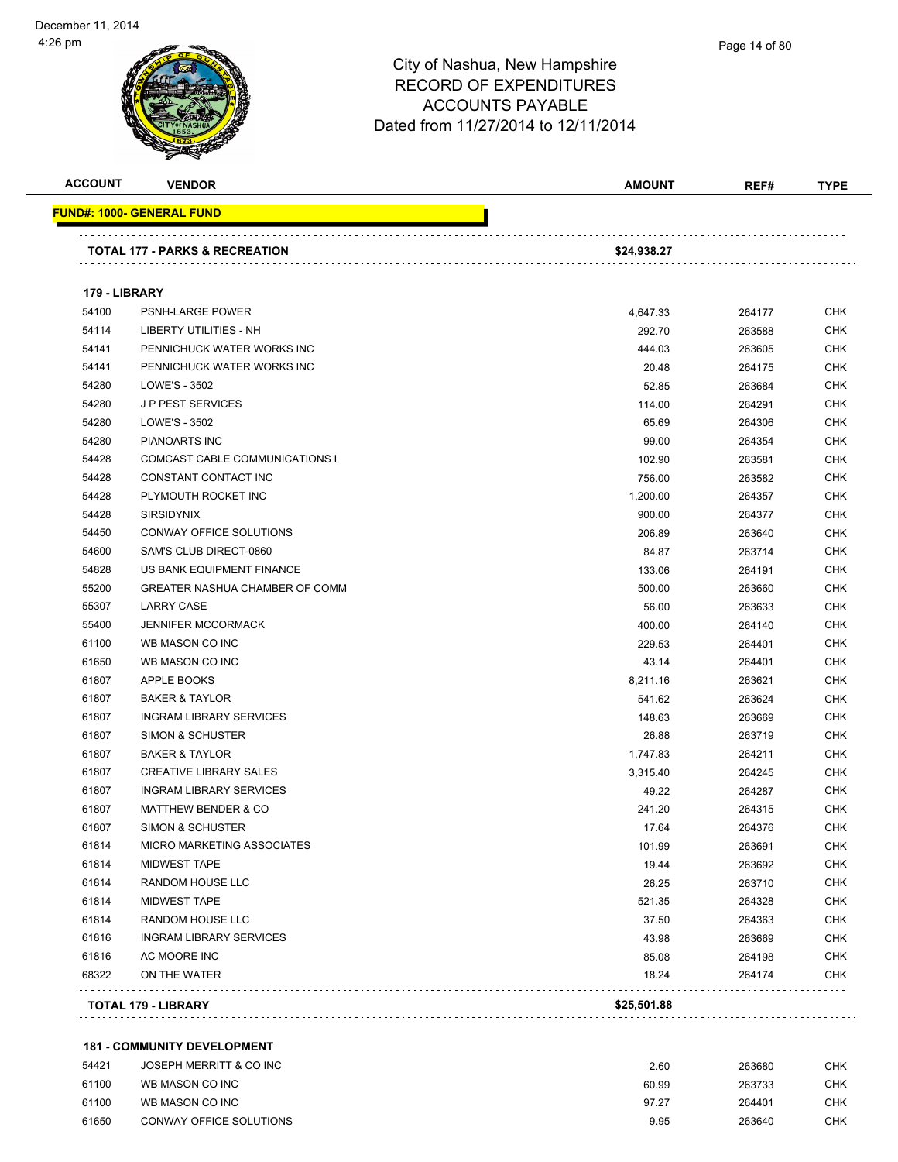| <b>ACCOUNT</b> | <b>VENDOR</b>                             | AMOUNT      | REF#   | <b>TYPE</b> |
|----------------|-------------------------------------------|-------------|--------|-------------|
|                | <u> FUND#: 1000- GENERAL FUND</u>         |             |        |             |
|                | <b>TOTAL 177 - PARKS &amp; RECREATION</b> | \$24,938.27 |        |             |
|                |                                           |             |        |             |
| 179 - LIBRARY  |                                           |             |        |             |
| 54100          | <b>PSNH-LARGE POWER</b>                   | 4,647.33    | 264177 | <b>CHK</b>  |
| 54114          | LIBERTY UTILITIES - NH                    | 292.70      | 263588 | <b>CHK</b>  |
| 54141          | PENNICHUCK WATER WORKS INC                | 444.03      | 263605 | <b>CHK</b>  |
| 54141          | PENNICHUCK WATER WORKS INC                | 20.48       | 264175 | <b>CHK</b>  |
| 54280          | LOWE'S - 3502                             | 52.85       | 263684 | <b>CHK</b>  |
| 54280          | <b>JP PEST SERVICES</b>                   | 114.00      | 264291 | <b>CHK</b>  |
| 54280          | LOWE'S - 3502                             | 65.69       | 264306 | <b>CHK</b>  |
| 54280          | PIANOARTS INC                             | 99.00       | 264354 | <b>CHK</b>  |
| 54428          | <b>COMCAST CABLE COMMUNICATIONS I</b>     | 102.90      | 263581 | <b>CHK</b>  |
| 54428          | CONSTANT CONTACT INC                      | 756.00      | 263582 | <b>CHK</b>  |
| 54428          | PLYMOUTH ROCKET INC                       | 1,200.00    | 264357 | CHK         |
| 54428          | <b>SIRSIDYNIX</b>                         | 900.00      | 264377 | <b>CHK</b>  |
| 54450          | <b>CONWAY OFFICE SOLUTIONS</b>            | 206.89      | 263640 | <b>CHK</b>  |
| 54600          | SAM'S CLUB DIRECT-0860                    | 84.87       | 263714 | <b>CHK</b>  |
| 54828          | US BANK EQUIPMENT FINANCE                 | 133.06      | 264191 | <b>CHK</b>  |
| 55200          | <b>GREATER NASHUA CHAMBER OF COMM</b>     | 500.00      | 263660 | <b>CHK</b>  |
| 55307          | <b>LARRY CASE</b>                         | 56.00       | 263633 | <b>CHK</b>  |
| 55400          | <b>JENNIFER MCCORMACK</b>                 | 400.00      | 264140 | <b>CHK</b>  |
| 61100          | WB MASON CO INC                           | 229.53      | 264401 | <b>CHK</b>  |
| 61650          | WB MASON CO INC                           | 43.14       | 264401 | <b>CHK</b>  |
| 61807          | APPLE BOOKS                               | 8,211.16    | 263621 | <b>CHK</b>  |
| 61807          | <b>BAKER &amp; TAYLOR</b>                 | 541.62      | 263624 | <b>CHK</b>  |
| 61807          | <b>INGRAM LIBRARY SERVICES</b>            | 148.63      | 263669 | <b>CHK</b>  |
| 61807          | SIMON & SCHUSTER                          | 26.88       | 263719 | <b>CHK</b>  |
| 61807          | <b>BAKER &amp; TAYLOR</b>                 | 1,747.83    | 264211 | <b>CHK</b>  |
| 61807          | <b>CREATIVE LIBRARY SALES</b>             | 3,315.40    | 264245 | <b>CHK</b>  |
| 61807          | <b>INGRAM LIBRARY SERVICES</b>            | 49.22       | 264287 | <b>CHK</b>  |
| 61807          | <b>MATTHEW BENDER &amp; CO</b>            | 241.20      | 264315 | <b>CHK</b>  |
| 61807          | SIMON & SCHUSTER                          | 17.64       | 264376 | <b>CHK</b>  |
| 61814          | MICRO MARKETING ASSOCIATES                | 101.99      | 263691 | <b>CHK</b>  |
| 61814          | <b>MIDWEST TAPE</b>                       | 19.44       | 263692 | <b>CHK</b>  |
| 61814          | RANDOM HOUSE LLC                          | 26.25       | 263710 | <b>CHK</b>  |
| 61814          | <b>MIDWEST TAPE</b>                       | 521.35      | 264328 | <b>CHK</b>  |
| 61814          | RANDOM HOUSE LLC                          | 37.50       | 264363 | <b>CHK</b>  |
| 61816          | <b>INGRAM LIBRARY SERVICES</b>            | 43.98       | 263669 | <b>CHK</b>  |
| 61816          | AC MOORE INC                              | 85.08       | 264198 | <b>CHK</b>  |
| 68322          | ON THE WATER                              | 18.24       | 264174 | <b>CHK</b>  |
|                | TOTAL 179 - LIBRARY                       | \$25,501.88 |        |             |
|                |                                           |             |        |             |

#### **181 - COMMUNITY DEVELOPMENT**

| 54421 | JOSEPH MERRITT & CO INC | 2.60  | 263680 | снк |
|-------|-------------------------|-------|--------|-----|
| 61100 | WB MASON CO INC         | 60.99 | 263733 | CHK |
| 61100 | WB MASON CO INC         | 97.27 | 264401 | CHK |
| 61650 | CONWAY OFFICE SOLUTIONS | 9.95  | 263640 | CHK |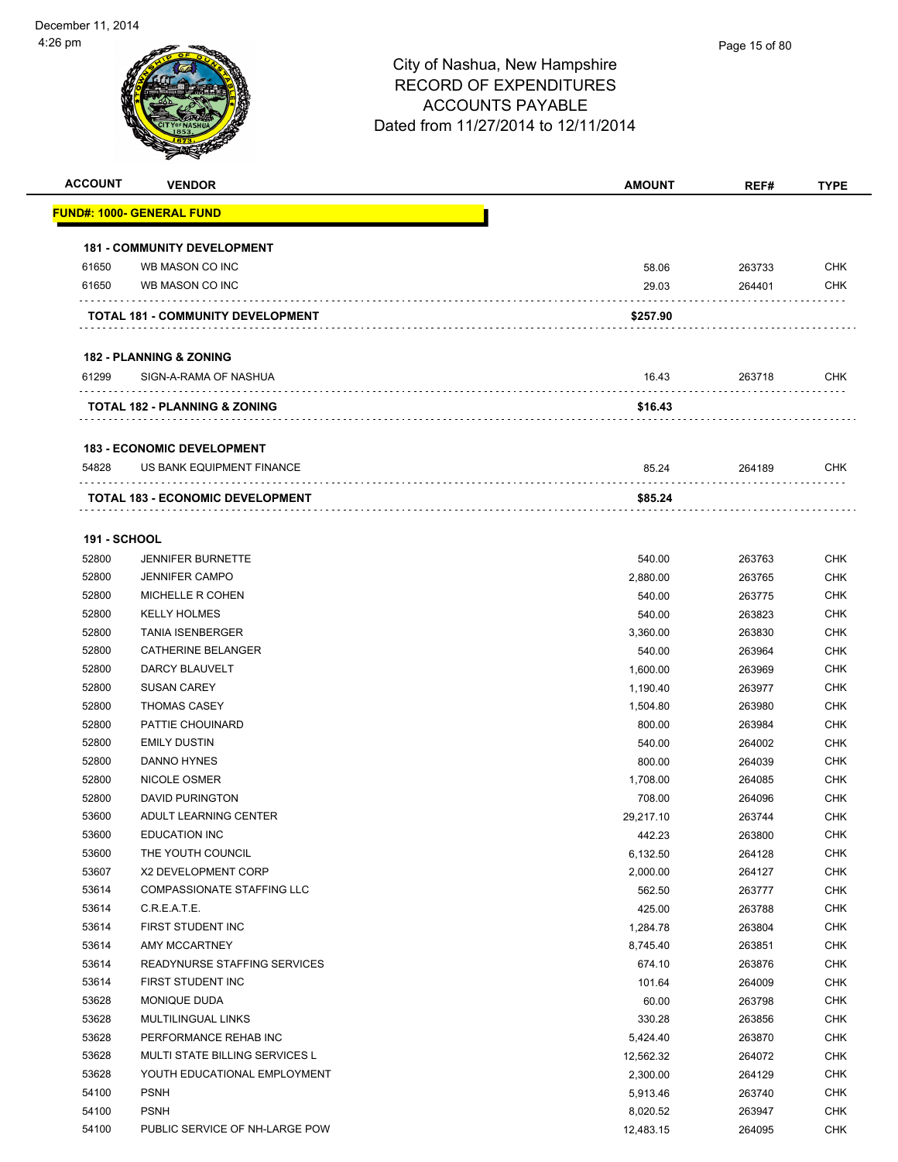| <b>ACCOUNT</b>      | <b>VENDOR</b>                            | <b>AMOUNT</b>  | REF#             | <b>TYPE</b>              |
|---------------------|------------------------------------------|----------------|------------------|--------------------------|
|                     | <u> FUND#: 1000- GENERAL FUND</u>        |                |                  |                          |
|                     |                                          |                |                  |                          |
|                     | <b>181 - COMMUNITY DEVELOPMENT</b>       |                |                  |                          |
| 61650<br>61650      | WB MASON CO INC<br>WB MASON CO INC       | 58.06<br>29.03 | 263733<br>264401 | <b>CHK</b><br><b>CHK</b> |
|                     |                                          |                |                  |                          |
|                     | TOTAL 181 - COMMUNITY DEVELOPMENT        | \$257.90       |                  |                          |
|                     | <b>182 - PLANNING &amp; ZONING</b>       |                |                  |                          |
| 61299               | SIGN-A-RAMA OF NASHUA                    | 16.43          | 263718           | <b>CHK</b>               |
|                     | <b>TOTAL 182 - PLANNING &amp; ZONING</b> | \$16.43        |                  |                          |
|                     | <b>183 - ECONOMIC DEVELOPMENT</b>        |                |                  |                          |
| 54828               | US BANK EQUIPMENT FINANCE                | 85.24          | 264189           | <b>CHK</b>               |
|                     | <b>TOTAL 183 - ECONOMIC DEVELOPMENT</b>  | \$85.24        |                  |                          |
|                     |                                          |                |                  |                          |
| <b>191 - SCHOOL</b> |                                          |                |                  |                          |
| 52800               | <b>JENNIFER BURNETTE</b>                 | 540.00         | 263763           | <b>CHK</b>               |
| 52800               | <b>JENNIFER CAMPO</b>                    | 2,880.00       | 263765           | CHK                      |
| 52800               | MICHELLE R COHEN                         | 540.00         | 263775           | <b>CHK</b>               |
| 52800               | <b>KELLY HOLMES</b>                      | 540.00         | 263823           | <b>CHK</b>               |
| 52800               | <b>TANIA ISENBERGER</b>                  | 3,360.00       | 263830           | <b>CHK</b>               |
| 52800               | <b>CATHERINE BELANGER</b>                | 540.00         | 263964           | <b>CHK</b>               |
| 52800               | DARCY BLAUVELT                           | 1,600.00       | 263969           | <b>CHK</b>               |
| 52800               | <b>SUSAN CAREY</b>                       | 1,190.40       | 263977           | <b>CHK</b>               |
| 52800               | <b>THOMAS CASEY</b>                      | 1,504.80       | 263980           | <b>CHK</b>               |
| 52800               | PATTIE CHOUINARD                         | 800.00         | 263984           | <b>CHK</b>               |
| 52800               | <b>EMILY DUSTIN</b>                      | 540.00         | 264002           | <b>CHK</b>               |
| 52800               | DANNO HYNES                              | 800.00         | 264039           | <b>CHK</b>               |
| 52800               | NICOLE OSMER                             | 1,708.00       | 264085           | CHK                      |
| 52800               | <b>DAVID PURINGTON</b>                   | 708.00         | 264096           | <b>CHK</b>               |
| 53600               | ADULT LEARNING CENTER                    | 29,217.10      | 263744           | <b>CHK</b>               |
| 53600               | <b>EDUCATION INC</b>                     | 442.23         | 263800           | <b>CHK</b>               |
| 53600               | THE YOUTH COUNCIL                        | 6,132.50       | 264128           | CHK                      |
| 53607               | X2 DEVELOPMENT CORP                      | 2,000.00       | 264127           | <b>CHK</b>               |
| 53614               | COMPASSIONATE STAFFING LLC               | 562.50         | 263777           | <b>CHK</b>               |
| 53614               | C.R.E.A.T.E.                             | 425.00         | 263788           | CHK                      |
| 53614               | FIRST STUDENT INC                        | 1,284.78       | 263804           | <b>CHK</b>               |
| 53614               | AMY MCCARTNEY                            | 8,745.40       | 263851           | <b>CHK</b>               |
| 53614               | READYNURSE STAFFING SERVICES             | 674.10         | 263876           | <b>CHK</b>               |
| 53614               | FIRST STUDENT INC                        | 101.64         | 264009           | <b>CHK</b>               |
| 53628               | MONIQUE DUDA                             | 60.00          | 263798           | <b>CHK</b>               |
| 53628               | MULTILINGUAL LINKS                       | 330.28         | 263856           | <b>CHK</b>               |
| 53628               | PERFORMANCE REHAB INC                    | 5,424.40       | 263870           | <b>CHK</b>               |
| 53628               | MULTI STATE BILLING SERVICES L           | 12,562.32      | 264072           | <b>CHK</b>               |
| 53628               | YOUTH EDUCATIONAL EMPLOYMENT             | 2,300.00       | 264129           | <b>CHK</b>               |
| 54100               | <b>PSNH</b>                              | 5,913.46       | 263740           | <b>CHK</b>               |
| 54100               | <b>PSNH</b>                              | 8,020.52       | 263947           | <b>CHK</b>               |
| 54100               | PUBLIC SERVICE OF NH-LARGE POW           | 12,483.15      | 264095           | <b>CHK</b>               |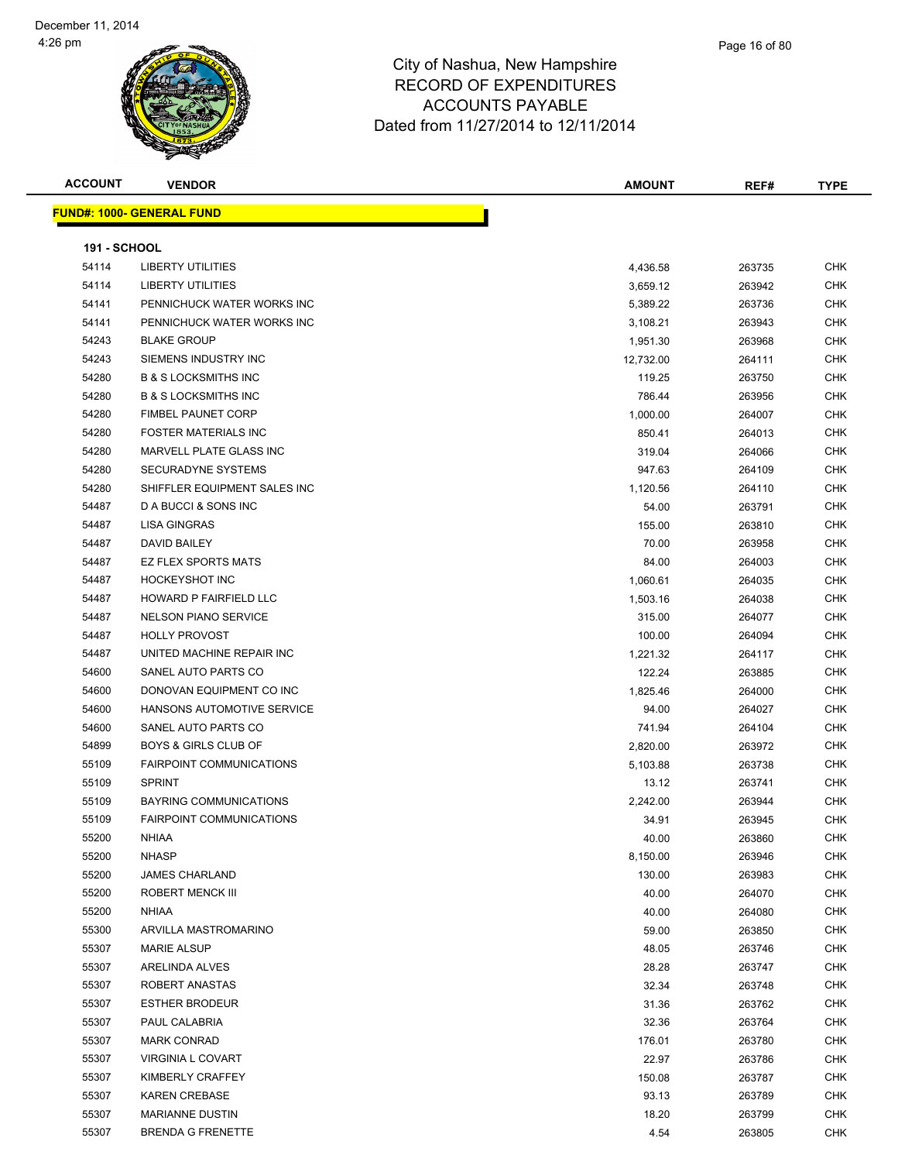

| <b>ACCOUNT</b>      | <b>VENDOR</b>                    | <b>AMOUNT</b> | REF#   | <b>TYPE</b> |
|---------------------|----------------------------------|---------------|--------|-------------|
|                     | <b>FUND#: 1000- GENERAL FUND</b> |               |        |             |
|                     |                                  |               |        |             |
| <b>191 - SCHOOL</b> | <b>LIBERTY UTILITIES</b>         |               |        | <b>CHK</b>  |
| 54114<br>54114      | <b>LIBERTY UTILITIES</b>         | 4,436.58      | 263735 | <b>CHK</b>  |
|                     |                                  | 3,659.12      | 263942 |             |
| 54141               | PENNICHUCK WATER WORKS INC       | 5,389.22      | 263736 | <b>CHK</b>  |
| 54141               | PENNICHUCK WATER WORKS INC       | 3,108.21      | 263943 | <b>CHK</b>  |
| 54243               | <b>BLAKE GROUP</b>               | 1,951.30      | 263968 | <b>CHK</b>  |
| 54243               | SIEMENS INDUSTRY INC             | 12,732.00     | 264111 | <b>CHK</b>  |
| 54280               | <b>B &amp; S LOCKSMITHS INC</b>  | 119.25        | 263750 | <b>CHK</b>  |
| 54280               | <b>B &amp; S LOCKSMITHS INC</b>  | 786.44        | 263956 | <b>CHK</b>  |
| 54280               | <b>FIMBEL PAUNET CORP</b>        | 1,000.00      | 264007 | <b>CHK</b>  |
| 54280               | <b>FOSTER MATERIALS INC</b>      | 850.41        | 264013 | <b>CHK</b>  |
| 54280               | MARVELL PLATE GLASS INC          | 319.04        | 264066 | <b>CHK</b>  |
| 54280               | <b>SECURADYNE SYSTEMS</b>        | 947.63        | 264109 | <b>CHK</b>  |
| 54280               | SHIFFLER EQUIPMENT SALES INC     | 1,120.56      | 264110 | <b>CHK</b>  |
| 54487               | D A BUCCI & SONS INC             | 54.00         | 263791 | <b>CHK</b>  |
| 54487               | <b>LISA GINGRAS</b>              | 155.00        | 263810 | <b>CHK</b>  |
| 54487               | DAVID BAILEY                     | 70.00         | 263958 | <b>CHK</b>  |
| 54487               | <b>EZ FLEX SPORTS MATS</b>       | 84.00         | 264003 | <b>CHK</b>  |
| 54487               | <b>HOCKEYSHOT INC</b>            | 1,060.61      | 264035 | <b>CHK</b>  |
| 54487               | HOWARD P FAIRFIELD LLC           | 1,503.16      | 264038 | <b>CHK</b>  |
| 54487               | <b>NELSON PIANO SERVICE</b>      | 315.00        | 264077 | <b>CHK</b>  |
| 54487               | <b>HOLLY PROVOST</b>             | 100.00        | 264094 | <b>CHK</b>  |
| 54487               | UNITED MACHINE REPAIR INC        | 1,221.32      | 264117 | <b>CHK</b>  |
| 54600               | SANEL AUTO PARTS CO              | 122.24        | 263885 | <b>CHK</b>  |
| 54600               | DONOVAN EQUIPMENT CO INC         | 1,825.46      | 264000 | <b>CHK</b>  |
| 54600               | HANSONS AUTOMOTIVE SERVICE       | 94.00         | 264027 | <b>CHK</b>  |
| 54600               | SANEL AUTO PARTS CO              | 741.94        | 264104 | <b>CHK</b>  |
| 54899               | <b>BOYS &amp; GIRLS CLUB OF</b>  | 2,820.00      | 263972 | <b>CHK</b>  |
| 55109               | <b>FAIRPOINT COMMUNICATIONS</b>  | 5,103.88      | 263738 | <b>CHK</b>  |
| 55109               | <b>SPRINT</b>                    | 13.12         | 263741 | <b>CHK</b>  |
| 55109               | <b>BAYRING COMMUNICATIONS</b>    | 2,242.00      | 263944 | <b>CHK</b>  |
| 55109               | <b>FAIRPOINT COMMUNICATIONS</b>  | 34.91         | 263945 | <b>CHK</b>  |
| 55200               | NHIAA                            | 40.00         | 263860 | CHK         |
| 55200               | <b>NHASP</b>                     | 8,150.00      | 263946 | <b>CHK</b>  |
| 55200               | <b>JAMES CHARLAND</b>            | 130.00        | 263983 | <b>CHK</b>  |
| 55200               | <b>ROBERT MENCK III</b>          | 40.00         | 264070 | <b>CHK</b>  |
| 55200               | <b>NHIAA</b>                     | 40.00         | 264080 | <b>CHK</b>  |
| 55300               | ARVILLA MASTROMARINO             | 59.00         | 263850 | <b>CHK</b>  |
| 55307               | <b>MARIE ALSUP</b>               | 48.05         | 263746 | <b>CHK</b>  |
| 55307               | ARELINDA ALVES                   | 28.28         | 263747 | <b>CHK</b>  |
| 55307               | ROBERT ANASTAS                   | 32.34         | 263748 | <b>CHK</b>  |
| 55307               | <b>ESTHER BRODEUR</b>            | 31.36         | 263762 | <b>CHK</b>  |
| 55307               | PAUL CALABRIA                    | 32.36         | 263764 | <b>CHK</b>  |
| 55307               | <b>MARK CONRAD</b>               | 176.01        | 263780 | <b>CHK</b>  |
| 55307               | <b>VIRGINIA L COVART</b>         | 22.97         | 263786 | <b>CHK</b>  |
| 55307               | KIMBERLY CRAFFEY                 | 150.08        | 263787 | <b>CHK</b>  |
| 55307               | <b>KAREN CREBASE</b>             | 93.13         | 263789 | <b>CHK</b>  |
| 55307               | <b>MARIANNE DUSTIN</b>           | 18.20         | 263799 | <b>CHK</b>  |
| 55307               | <b>BRENDA G FRENETTE</b>         | 4.54          | 263805 | <b>CHK</b>  |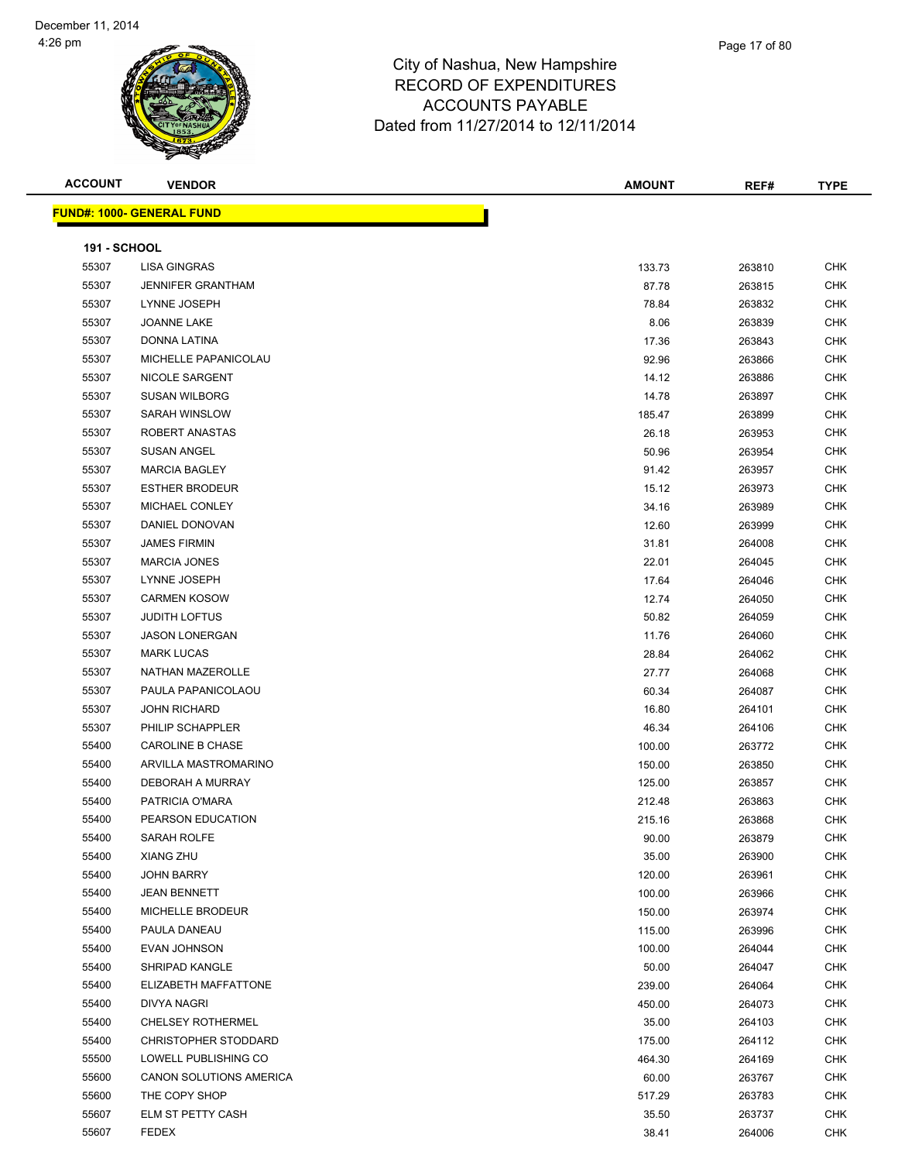

| <b>ACCOUNT</b>      | <b>VENDOR</b>                    | <b>AMOUNT</b> | REF#   | <b>TYPE</b> |
|---------------------|----------------------------------|---------------|--------|-------------|
|                     | <b>FUND#: 1000- GENERAL FUND</b> |               |        |             |
|                     |                                  |               |        |             |
| <b>191 - SCHOOL</b> |                                  |               |        |             |
| 55307               | LISA GINGRAS                     | 133.73        | 263810 | <b>CHK</b>  |
| 55307               | <b>JENNIFER GRANTHAM</b>         | 87.78         | 263815 | <b>CHK</b>  |
| 55307               | LYNNE JOSEPH                     | 78.84         | 263832 | <b>CHK</b>  |
| 55307               | <b>JOANNE LAKE</b>               | 8.06          | 263839 | <b>CHK</b>  |
| 55307               | DONNA LATINA                     | 17.36         | 263843 | <b>CHK</b>  |
| 55307               | MICHELLE PAPANICOLAU             | 92.96         | 263866 | <b>CHK</b>  |
| 55307               | NICOLE SARGENT                   | 14.12         | 263886 | <b>CHK</b>  |
| 55307               | <b>SUSAN WILBORG</b>             | 14.78         | 263897 | <b>CHK</b>  |
| 55307               | SARAH WINSLOW                    | 185.47        | 263899 | <b>CHK</b>  |
| 55307               | ROBERT ANASTAS                   | 26.18         | 263953 | <b>CHK</b>  |
| 55307               | <b>SUSAN ANGEL</b>               | 50.96         | 263954 | <b>CHK</b>  |
| 55307               | <b>MARCIA BAGLEY</b>             | 91.42         | 263957 | <b>CHK</b>  |
| 55307               | <b>ESTHER BRODEUR</b>            | 15.12         | 263973 | <b>CHK</b>  |
| 55307               | MICHAEL CONLEY                   | 34.16         | 263989 | <b>CHK</b>  |
| 55307               | DANIEL DONOVAN                   | 12.60         | 263999 | <b>CHK</b>  |
| 55307               | <b>JAMES FIRMIN</b>              | 31.81         | 264008 | <b>CHK</b>  |
| 55307               | <b>MARCIA JONES</b>              | 22.01         | 264045 | <b>CHK</b>  |
| 55307               | LYNNE JOSEPH                     | 17.64         | 264046 | <b>CHK</b>  |
| 55307               | <b>CARMEN KOSOW</b>              | 12.74         | 264050 | <b>CHK</b>  |
| 55307               | <b>JUDITH LOFTUS</b>             | 50.82         | 264059 | <b>CHK</b>  |
| 55307               | <b>JASON LONERGAN</b>            | 11.76         | 264060 | <b>CHK</b>  |
| 55307               | <b>MARK LUCAS</b>                | 28.84         | 264062 | <b>CHK</b>  |
| 55307               | NATHAN MAZEROLLE                 | 27.77         | 264068 | <b>CHK</b>  |
| 55307               | PAULA PAPANICOLAOU               | 60.34         | 264087 | <b>CHK</b>  |
| 55307               | <b>JOHN RICHARD</b>              | 16.80         | 264101 | <b>CHK</b>  |
| 55307               | PHILIP SCHAPPLER                 | 46.34         | 264106 | <b>CHK</b>  |
| 55400               | <b>CAROLINE B CHASE</b>          | 100.00        | 263772 | <b>CHK</b>  |
| 55400               | ARVILLA MASTROMARINO             | 150.00        | 263850 | <b>CHK</b>  |
| 55400               | DEBORAH A MURRAY                 | 125.00        | 263857 | <b>CHK</b>  |
| 55400               | PATRICIA O'MARA                  | 212.48        | 263863 | <b>CHK</b>  |
| 55400               | PEARSON EDUCATION                | 215.16        | 263868 | <b>CHK</b>  |
| 55400               | SARAH ROLFE                      | 90.00         | 263879 | <b>CHK</b>  |
| 55400               | XIANG ZHU                        | 35.00         | 263900 | <b>CHK</b>  |
| 55400               | <b>JOHN BARRY</b>                | 120.00        | 263961 | <b>CHK</b>  |
| 55400               | <b>JEAN BENNETT</b>              | 100.00        | 263966 | <b>CHK</b>  |
| 55400               | MICHELLE BRODEUR                 | 150.00        | 263974 | <b>CHK</b>  |
| 55400               | PAULA DANEAU                     | 115.00        | 263996 | <b>CHK</b>  |
| 55400               | <b>EVAN JOHNSON</b>              | 100.00        | 264044 | <b>CHK</b>  |
| 55400               | SHRIPAD KANGLE                   | 50.00         | 264047 | <b>CHK</b>  |
| 55400               | ELIZABETH MAFFATTONE             | 239.00        | 264064 | <b>CHK</b>  |
| 55400               | <b>DIVYA NAGRI</b>               | 450.00        | 264073 | <b>CHK</b>  |
| 55400               | <b>CHELSEY ROTHERMEL</b>         | 35.00         | 264103 | <b>CHK</b>  |
| 55400               | <b>CHRISTOPHER STODDARD</b>      | 175.00        | 264112 | <b>CHK</b>  |
| 55500               | LOWELL PUBLISHING CO             | 464.30        | 264169 | <b>CHK</b>  |
| 55600               | CANON SOLUTIONS AMERICA          | 60.00         | 263767 | <b>CHK</b>  |
| 55600               | THE COPY SHOP                    | 517.29        | 263783 | <b>CHK</b>  |
| 55607               | ELM ST PETTY CASH                | 35.50         | 263737 | <b>CHK</b>  |
| 55607               | <b>FEDEX</b>                     | 38.41         | 264006 | <b>CHK</b>  |
|                     |                                  |               |        |             |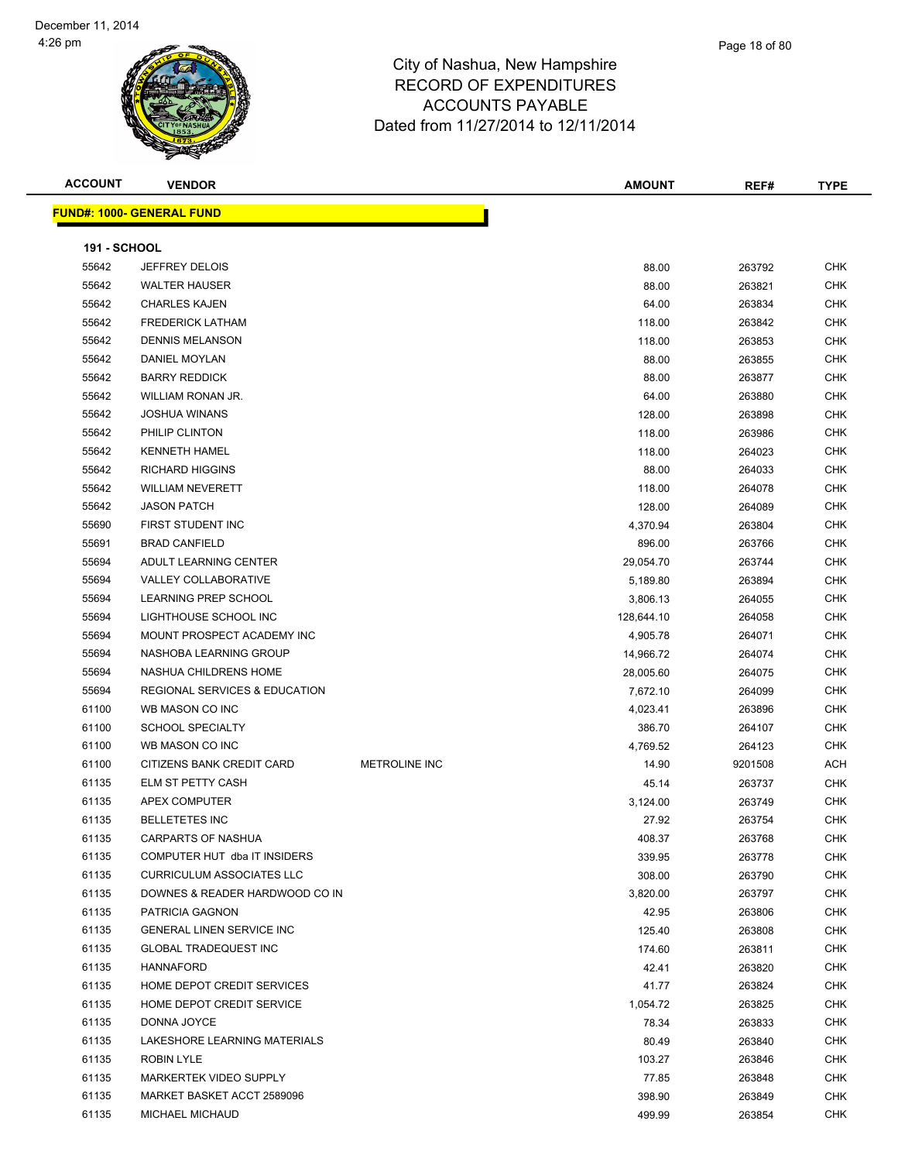| <b>ACCOUNT</b>      | <b>VENDOR</b>                            |                      | <b>AMOUNT</b> | REF#    | <b>TYPE</b> |
|---------------------|------------------------------------------|----------------------|---------------|---------|-------------|
|                     | <b>FUND#: 1000- GENERAL FUND</b>         |                      |               |         |             |
| <b>191 - SCHOOL</b> |                                          |                      |               |         |             |
| 55642               | JEFFREY DELOIS                           |                      | 88.00         | 263792  | <b>CHK</b>  |
| 55642               | <b>WALTER HAUSER</b>                     |                      | 88.00         | 263821  | <b>CHK</b>  |
| 55642               | <b>CHARLES KAJEN</b>                     |                      | 64.00         | 263834  | <b>CHK</b>  |
| 55642               | <b>FREDERICK LATHAM</b>                  |                      | 118.00        | 263842  | <b>CHK</b>  |
| 55642               | <b>DENNIS MELANSON</b>                   |                      | 118.00        | 263853  | CHK         |
| 55642               | <b>DANIEL MOYLAN</b>                     |                      | 88.00         | 263855  | <b>CHK</b>  |
| 55642               | <b>BARRY REDDICK</b>                     |                      | 88.00         | 263877  | CHK         |
| 55642               | WILLIAM RONAN JR.                        |                      | 64.00         | 263880  | CHK         |
| 55642               | <b>JOSHUA WINANS</b>                     |                      | 128.00        | 263898  | <b>CHK</b>  |
| 55642               | PHILIP CLINTON                           |                      | 118.00        | 263986  | <b>CHK</b>  |
| 55642               | <b>KENNETH HAMEL</b>                     |                      | 118.00        | 264023  | <b>CHK</b>  |
| 55642               | <b>RICHARD HIGGINS</b>                   |                      | 88.00         | 264033  | <b>CHK</b>  |
| 55642               | <b>WILLIAM NEVERETT</b>                  |                      | 118.00        | 264078  | <b>CHK</b>  |
| 55642               | <b>JASON PATCH</b>                       |                      | 128.00        | 264089  | <b>CHK</b>  |
| 55690               | FIRST STUDENT INC                        |                      | 4,370.94      | 263804  | CHK         |
| 55691               | <b>BRAD CANFIELD</b>                     |                      | 896.00        | 263766  | CHK         |
| 55694               | ADULT LEARNING CENTER                    |                      | 29,054.70     | 263744  | <b>CHK</b>  |
| 55694               | <b>VALLEY COLLABORATIVE</b>              |                      | 5,189.80      | 263894  | CHK         |
| 55694               | <b>LEARNING PREP SCHOOL</b>              |                      | 3,806.13      | 264055  | <b>CHK</b>  |
| 55694               | LIGHTHOUSE SCHOOL INC                    |                      | 128,644.10    | 264058  | CHK         |
| 55694               | MOUNT PROSPECT ACADEMY INC               |                      | 4,905.78      | 264071  | CHK         |
| 55694               | NASHOBA LEARNING GROUP                   |                      | 14,966.72     | 264074  | CHK         |
| 55694               | NASHUA CHILDRENS HOME                    |                      | 28,005.60     | 264075  | CHK         |
| 55694               | <b>REGIONAL SERVICES &amp; EDUCATION</b> |                      | 7,672.10      | 264099  | <b>CHK</b>  |
| 61100               | WB MASON CO INC                          |                      | 4,023.41      | 263896  | <b>CHK</b>  |
| 61100               | <b>SCHOOL SPECIALTY</b>                  |                      | 386.70        | 264107  | <b>CHK</b>  |
| 61100               | WB MASON CO INC                          |                      | 4,769.52      | 264123  | <b>CHK</b>  |
| 61100               | CITIZENS BANK CREDIT CARD                | <b>METROLINE INC</b> | 14.90         | 9201508 | <b>ACH</b>  |
| 61135               | ELM ST PETTY CASH                        |                      | 45.14         | 263737  | CHK         |
| 61135               | APEX COMPUTER                            |                      | 3,124.00      | 263749  | <b>CHK</b>  |
| 61135               | <b>BELLETETES INC</b>                    |                      | 27.92         | 263754  | <b>CHK</b>  |
| 61135               | <b>CARPARTS OF NASHUA</b>                |                      | 408.37        | 263768  | <b>CHK</b>  |
| 61135               | COMPUTER HUT dba IT INSIDERS             |                      | 339.95        | 263778  | <b>CHK</b>  |
| 61135               | <b>CURRICULUM ASSOCIATES LLC</b>         |                      | 308.00        | 263790  | CHK         |

 DOWNES & READER HARDWOOD CO IN 3,820.00 263797 CHK PATRICIA GAGNON 42.95 263806 CHK GENERAL LINEN SERVICE INC 125.40 263808 CHK GLOBAL TRADEQUEST INC 174.60 263811 CHK HANNAFORD 42.41 263820 CHK HOME DEPOT CREDIT SERVICES 41.77 263824 CHK er and the proof of the proof of the control of the control of the control of the control of the control of the control of the control of the control of the control of the control of the control of the control of the contr DONNA JOYCE 78.34 263833 CHK LAKESHORE LEARNING MATERIALS 80.49 263840 CHK ROBIN LYLE 103.27 263846 CHK MARKERTEK VIDEO SUPPLY 77.85 263848 CHK MARKET BASKET ACCT 2589096 398.90 263849 CHK MICHAEL MICHAUD 499.99 263854 CHK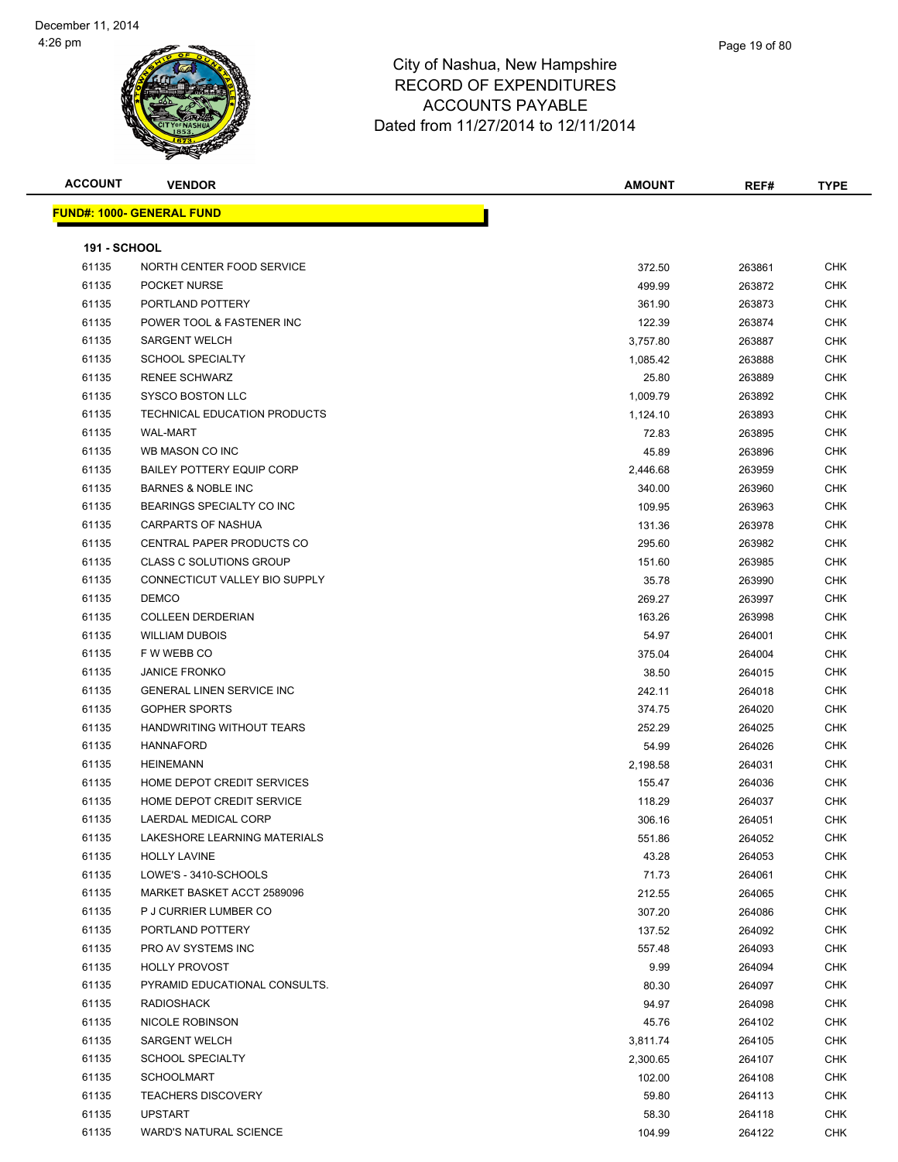| <b>ACCOUNT</b>      | <b>VENDOR</b>                     | AMOUNT   | REF#   | <b>TYPE</b> |
|---------------------|-----------------------------------|----------|--------|-------------|
|                     | <u> FUND#: 1000- GENERAL FUND</u> |          |        |             |
|                     |                                   |          |        |             |
| <b>191 - SCHOOL</b> |                                   |          |        |             |
| 61135               | NORTH CENTER FOOD SERVICE         | 372.50   | 263861 | <b>CHK</b>  |
| 61135               | POCKET NURSE                      | 499.99   | 263872 | <b>CHK</b>  |
| 61135               | PORTLAND POTTERY                  | 361.90   | 263873 | <b>CHK</b>  |
| 61135               | POWER TOOL & FASTENER INC         | 122.39   | 263874 | <b>CHK</b>  |
| 61135               | <b>SARGENT WELCH</b>              | 3,757.80 | 263887 | <b>CHK</b>  |
| 61135               | <b>SCHOOL SPECIALTY</b>           | 1,085.42 | 263888 | <b>CHK</b>  |
| 61135               | <b>RENEE SCHWARZ</b>              | 25.80    | 263889 | <b>CHK</b>  |
| 61135               | <b>SYSCO BOSTON LLC</b>           | 1,009.79 | 263892 | <b>CHK</b>  |
| 61135               | TECHNICAL EDUCATION PRODUCTS      | 1,124.10 | 263893 | <b>CHK</b>  |
| 61135               | <b>WAL-MART</b>                   | 72.83    | 263895 | <b>CHK</b>  |
| 61135               | WB MASON CO INC                   | 45.89    | 263896 | <b>CHK</b>  |
| 61135               | <b>BAILEY POTTERY EQUIP CORP</b>  | 2,446.68 | 263959 | <b>CHK</b>  |
| 61135               | <b>BARNES &amp; NOBLE INC</b>     | 340.00   | 263960 | <b>CHK</b>  |
| 61135               | BEARINGS SPECIALTY CO INC         | 109.95   | 263963 | <b>CHK</b>  |
| 61135               | <b>CARPARTS OF NASHUA</b>         | 131.36   | 263978 | CHK         |
| 61135               | CENTRAL PAPER PRODUCTS CO         | 295.60   | 263982 | <b>CHK</b>  |
| 61135               | <b>CLASS C SOLUTIONS GROUP</b>    | 151.60   | 263985 | <b>CHK</b>  |
| 61135               | CONNECTICUT VALLEY BIO SUPPLY     | 35.78    | 263990 | <b>CHK</b>  |
| 61135               | <b>DEMCO</b>                      | 269.27   | 263997 | <b>CHK</b>  |
| 61135               | <b>COLLEEN DERDERIAN</b>          | 163.26   | 263998 | <b>CHK</b>  |
| 61135               | <b>WILLIAM DUBOIS</b>             | 54.97    | 264001 | <b>CHK</b>  |
| 61135               | F W WEBB CO                       | 375.04   | 264004 | <b>CHK</b>  |
| 61135               | <b>JANICE FRONKO</b>              | 38.50    | 264015 | <b>CHK</b>  |
| 61135               | <b>GENERAL LINEN SERVICE INC</b>  | 242.11   | 264018 | <b>CHK</b>  |
| 61135               | <b>GOPHER SPORTS</b>              | 374.75   | 264020 | <b>CHK</b>  |
| 61135               | HANDWRITING WITHOUT TEARS         | 252.29   | 264025 | <b>CHK</b>  |
| 61135               | <b>HANNAFORD</b>                  | 54.99    | 264026 | <b>CHK</b>  |
| 61135               | HEINEMANN                         | 2,198.58 | 264031 | <b>CHK</b>  |
| 61135               | HOME DEPOT CREDIT SERVICES        | 155.47   | 264036 | <b>CHK</b>  |
| 61135               | HOME DEPOT CREDIT SERVICE         | 118.29   | 264037 | <b>CHK</b>  |
| 61135               | <b>LAERDAL MEDICAL CORP</b>       | 306.16   | 264051 | <b>CHK</b>  |
| 61135               | LAKESHORE LEARNING MATERIALS      | 551.86   | 264052 | CHK         |
| 61135               | <b>HOLLY LAVINE</b>               | 43.28    | 264053 | <b>CHK</b>  |
| 61135               | LOWE'S - 3410-SCHOOLS             | 71.73    | 264061 | <b>CHK</b>  |
| 61135               | MARKET BASKET ACCT 2589096        | 212.55   | 264065 | <b>CHK</b>  |
| 61135               | P J CURRIER LUMBER CO             | 307.20   | 264086 | <b>CHK</b>  |
| 61135               | PORTLAND POTTERY                  | 137.52   | 264092 | <b>CHK</b>  |
| 61135               | PRO AV SYSTEMS INC                | 557.48   | 264093 | <b>CHK</b>  |
| 61135               | <b>HOLLY PROVOST</b>              | 9.99     | 264094 | <b>CHK</b>  |
| 61135               | PYRAMID EDUCATIONAL CONSULTS.     | 80.30    | 264097 | <b>CHK</b>  |
| 61135               | <b>RADIOSHACK</b>                 | 94.97    | 264098 | CHK         |
| 61135               | NICOLE ROBINSON                   | 45.76    | 264102 | <b>CHK</b>  |
| 61135               | <b>SARGENT WELCH</b>              | 3,811.74 | 264105 | <b>CHK</b>  |
| 61135               | <b>SCHOOL SPECIALTY</b>           | 2,300.65 | 264107 | <b>CHK</b>  |
| 61135               | <b>SCHOOLMART</b>                 | 102.00   | 264108 | <b>CHK</b>  |
| 61135               | <b>TEACHERS DISCOVERY</b>         | 59.80    | 264113 | CHK         |
| 61135               | <b>UPSTART</b>                    | 58.30    | 264118 | <b>CHK</b>  |
| 61135               | <b>WARD'S NATURAL SCIENCE</b>     | 104.99   | 264122 | <b>CHK</b>  |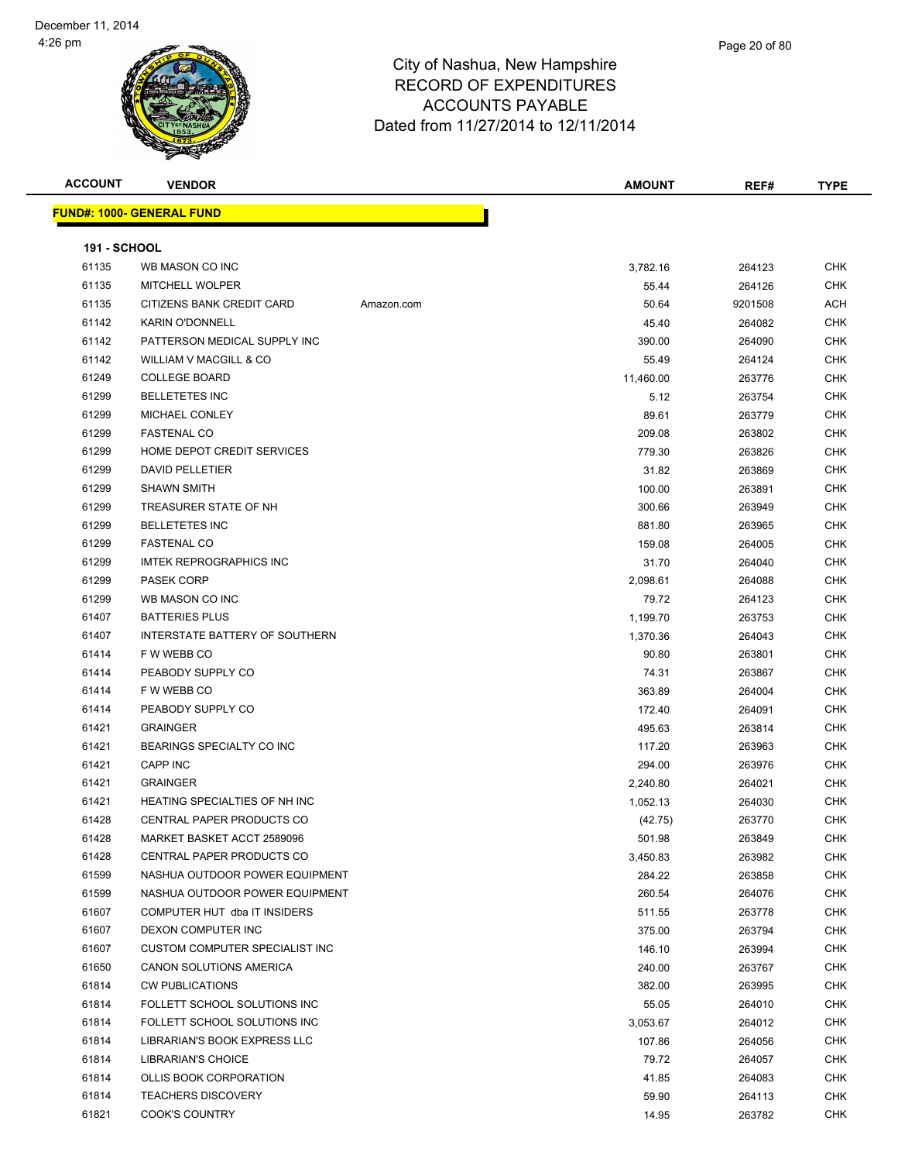| <b>ACCOUNT</b>      | <b>VENDOR</b>                     |            | <b>AMOUNT</b> | REF#    | <b>TYPE</b> |
|---------------------|-----------------------------------|------------|---------------|---------|-------------|
|                     | <u> FUND#: 1000- GENERAL FUND</u> |            |               |         |             |
|                     |                                   |            |               |         |             |
| <b>191 - SCHOOL</b> |                                   |            |               |         |             |
| 61135               | WB MASON CO INC                   |            | 3,782.16      | 264123  | <b>CHK</b>  |
| 61135               | MITCHELL WOLPER                   |            | 55.44         | 264126  | <b>CHK</b>  |
| 61135               | CITIZENS BANK CREDIT CARD         | Amazon.com | 50.64         | 9201508 | <b>ACH</b>  |
| 61142               | <b>KARIN O'DONNELL</b>            |            | 45.40         | 264082  | <b>CHK</b>  |
| 61142               | PATTERSON MEDICAL SUPPLY INC      |            | 390.00        | 264090  | <b>CHK</b>  |
| 61142               | WILLIAM V MACGILL & CO            |            | 55.49         | 264124  | <b>CHK</b>  |
| 61249               | <b>COLLEGE BOARD</b>              |            | 11,460.00     | 263776  | <b>CHK</b>  |
| 61299               | <b>BELLETETES INC</b>             |            | 5.12          | 263754  | <b>CHK</b>  |
| 61299               | MICHAEL CONLEY                    |            | 89.61         | 263779  | <b>CHK</b>  |
| 61299               | <b>FASTENAL CO</b>                |            | 209.08        | 263802  | <b>CHK</b>  |
| 61299               | HOME DEPOT CREDIT SERVICES        |            | 779.30        | 263826  | <b>CHK</b>  |
| 61299               | <b>DAVID PELLETIER</b>            |            | 31.82         | 263869  | <b>CHK</b>  |
| 61299               | <b>SHAWN SMITH</b>                |            | 100.00        | 263891  | <b>CHK</b>  |
| 61299               | TREASURER STATE OF NH             |            | 300.66        | 263949  | <b>CHK</b>  |
| 61299               | <b>BELLETETES INC</b>             |            | 881.80        | 263965  | <b>CHK</b>  |
| 61299               | <b>FASTENAL CO</b>                |            | 159.08        | 264005  | <b>CHK</b>  |
| 61299               | <b>IMTEK REPROGRAPHICS INC</b>    |            | 31.70         | 264040  | CHK         |
| 61299               | <b>PASEK CORP</b>                 |            | 2,098.61      | 264088  | <b>CHK</b>  |
| 61299               | WB MASON CO INC                   |            | 79.72         | 264123  | <b>CHK</b>  |
| 61407               | <b>BATTERIES PLUS</b>             |            | 1,199.70      | 263753  | <b>CHK</b>  |
| 61407               | INTERSTATE BATTERY OF SOUTHERN    |            | 1,370.36      | 264043  | <b>CHK</b>  |
| 61414               | F W WEBB CO                       |            | 90.80         | 263801  | <b>CHK</b>  |
| 61414               | PEABODY SUPPLY CO                 |            | 74.31         | 263867  | <b>CHK</b>  |
| 61414               | F W WEBB CO                       |            | 363.89        | 264004  | <b>CHK</b>  |
| 61414               | PEABODY SUPPLY CO                 |            | 172.40        | 264091  | <b>CHK</b>  |
| 61421               | <b>GRAINGER</b>                   |            | 495.63        | 263814  | <b>CHK</b>  |
| 61421               | BEARINGS SPECIALTY CO INC         |            | 117.20        | 263963  | <b>CHK</b>  |
| 61421               | CAPP INC                          |            | 294.00        | 263976  | <b>CHK</b>  |
| 61421               | <b>GRAINGER</b>                   |            | 2,240.80      | 264021  | <b>CHK</b>  |
| 61421               | HEATING SPECIALTIES OF NH INC     |            | 1,052.13      | 264030  | <b>CHK</b>  |
| 61428               | CENTRAL PAPER PRODUCTS CO         |            | (42.75)       | 263770  | <b>CHK</b>  |
| 61428               | MARKET BASKET ACCT 2589096        |            | 501.98        | 263849  | CHK         |
| 61428               | CENTRAL PAPER PRODUCTS CO         |            | 3,450.83      | 263982  | <b>CHK</b>  |
| 61599               | NASHUA OUTDOOR POWER EQUIPMENT    |            | 284.22        | 263858  | <b>CHK</b>  |
| 61599               | NASHUA OUTDOOR POWER EQUIPMENT    |            | 260.54        | 264076  | <b>CHK</b>  |
| 61607               | COMPUTER HUT dba IT INSIDERS      |            | 511.55        | 263778  | <b>CHK</b>  |
| 61607               | DEXON COMPUTER INC                |            | 375.00        | 263794  | <b>CHK</b>  |
| 61607               | CUSTOM COMPUTER SPECIALIST INC    |            | 146.10        | 263994  | <b>CHK</b>  |
| 61650               | CANON SOLUTIONS AMERICA           |            | 240.00        | 263767  | <b>CHK</b>  |
| 61814               | <b>CW PUBLICATIONS</b>            |            | 382.00        | 263995  | <b>CHK</b>  |
| 61814               | FOLLETT SCHOOL SOLUTIONS INC      |            | 55.05         | 264010  | <b>CHK</b>  |
| 61814               | FOLLETT SCHOOL SOLUTIONS INC      |            | 3,053.67      | 264012  | <b>CHK</b>  |
| 61814               | LIBRARIAN'S BOOK EXPRESS LLC      |            | 107.86        | 264056  | <b>CHK</b>  |
| 61814               | LIBRARIAN'S CHOICE                |            | 79.72         | 264057  | <b>CHK</b>  |
| 61814               | OLLIS BOOK CORPORATION            |            | 41.85         | 264083  | <b>CHK</b>  |
| 61814               | <b>TEACHERS DISCOVERY</b>         |            | 59.90         | 264113  | <b>CHK</b>  |
| 61821               | <b>COOK'S COUNTRY</b>             |            | 14.95         | 263782  | <b>CHK</b>  |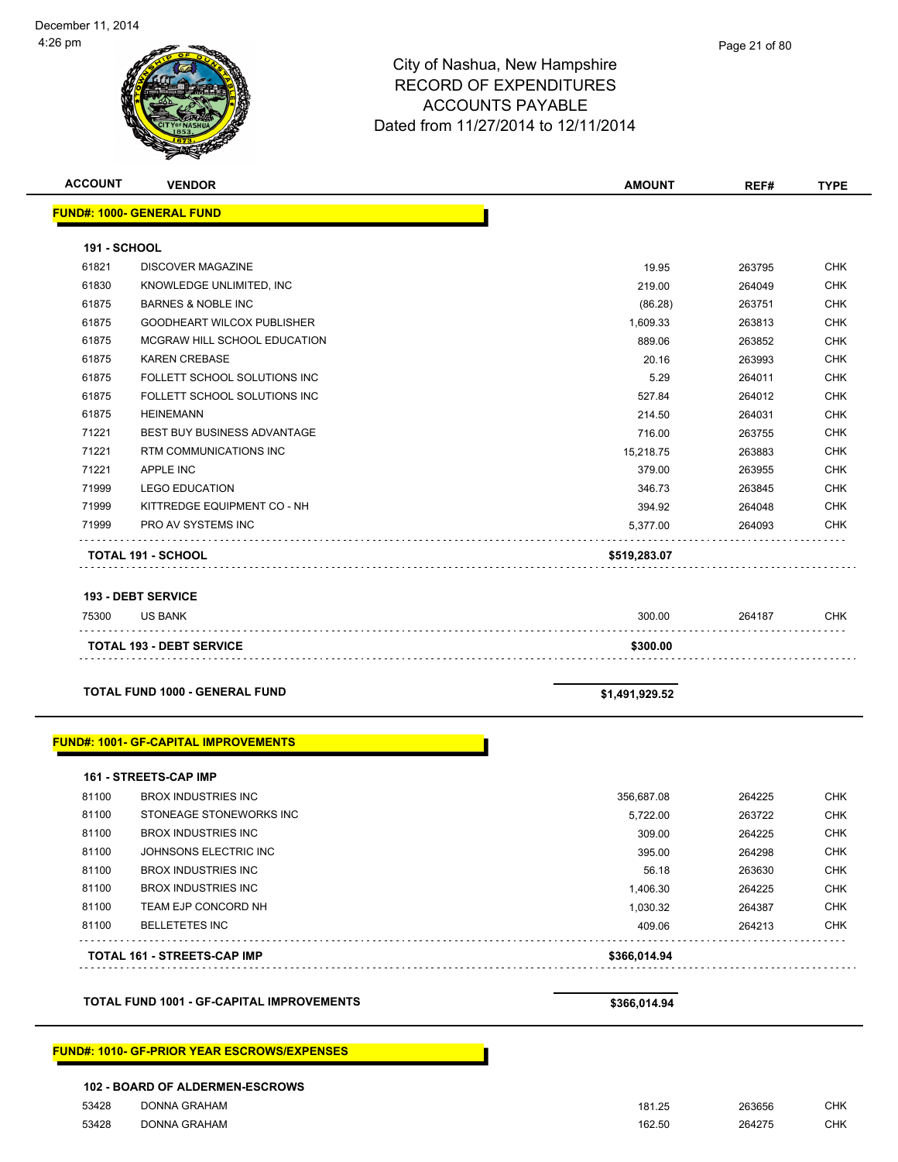| <b>ACCOUNT</b>      | <b>VENDOR</b>                                         | <b>AMOUNT</b>      | REF#             | <b>TYPE</b>              |
|---------------------|-------------------------------------------------------|--------------------|------------------|--------------------------|
|                     | <b>FUND#: 1000- GENERAL FUND</b>                      |                    |                  |                          |
| <b>191 - SCHOOL</b> |                                                       |                    |                  |                          |
| 61821               | <b>DISCOVER MAGAZINE</b>                              | 19.95              | 263795           | <b>CHK</b>               |
| 61830               | KNOWLEDGE UNLIMITED, INC                              | 219.00             | 264049           | <b>CHK</b>               |
| 61875               | <b>BARNES &amp; NOBLE INC</b>                         | (86.28)            | 263751           | <b>CHK</b>               |
| 61875               | GOODHEART WILCOX PUBLISHER                            | 1,609.33           | 263813           | <b>CHK</b>               |
| 61875               | MCGRAW HILL SCHOOL EDUCATION                          | 889.06             | 263852           | <b>CHK</b>               |
| 61875               | <b>KAREN CREBASE</b>                                  | 20.16              | 263993           | <b>CHK</b>               |
| 61875               | FOLLETT SCHOOL SOLUTIONS INC                          | 5.29               | 264011           | <b>CHK</b>               |
| 61875               | FOLLETT SCHOOL SOLUTIONS INC                          | 527.84             | 264012           | <b>CHK</b>               |
| 61875               | <b>HEINEMANN</b>                                      | 214.50             | 264031           | <b>CHK</b>               |
| 71221               | BEST BUY BUSINESS ADVANTAGE                           | 716.00             | 263755           | <b>CHK</b>               |
| 71221               | RTM COMMUNICATIONS INC                                | 15,218.75          | 263883           | <b>CHK</b>               |
| 71221               | APPLE INC                                             | 379.00             | 263955           | <b>CHK</b>               |
| 71999               | <b>LEGO EDUCATION</b>                                 | 346.73             | 263845           | <b>CHK</b>               |
| 71999               | KITTREDGE EQUIPMENT CO - NH                           | 394.92             | 264048           | <b>CHK</b>               |
| 71999               | <b>PRO AV SYSTEMS INC</b>                             | 5,377.00           | 264093           | <b>CHK</b>               |
|                     | <b>TOTAL 191 - SCHOOL</b>                             | \$519,283.07       |                  |                          |
|                     |                                                       |                    |                  |                          |
|                     | <b>193 - DEBT SERVICE</b>                             |                    |                  |                          |
| 75300               | <b>US BANK</b>                                        | 300.00             | 264187           | <b>CHK</b>               |
|                     | <b>TOTAL 193 - DEBT SERVICE</b>                       | \$300.00           |                  |                          |
|                     |                                                       |                    |                  |                          |
|                     | TOTAL FUND 1000 - GENERAL FUND                        | \$1,491,929.52     |                  |                          |
|                     | <b>FUND#: 1001- GF-CAPITAL IMPROVEMENTS</b>           |                    |                  |                          |
|                     |                                                       |                    |                  |                          |
|                     | <b>161 - STREETS-CAP IMP</b>                          |                    |                  |                          |
| 81100<br>81100      | <b>BROX INDUSTRIES INC</b><br>STONEAGE STONEWORKS INC | 356,687.08         | 264225<br>263722 | <b>CHK</b><br><b>CHK</b> |
| 81100               | <b>BROX INDUSTRIES INC</b>                            | 5,722.00<br>309.00 | 264225           | <b>CHK</b>               |
| 81100               | JOHNSONS ELECTRIC INC                                 | 395.00             | 264298           | <b>CHK</b>               |
| 81100               | <b>BROX INDUSTRIES INC</b>                            | 56.18              | 263630           | <b>CHK</b>               |
| 81100               | <b>BROX INDUSTRIES INC</b>                            | 1,406.30           | 264225           | <b>CHK</b>               |
| 81100               | TEAM EJP CONCORD NH                                   | 1,030.32           | 264387           | <b>CHK</b>               |
| 81100               | <b>BELLETETES INC</b>                                 | 409.06             | 264213           | <b>CHK</b>               |
|                     |                                                       |                    |                  |                          |
|                     | <b>TOTAL 161 - STREETS-CAP IMP</b>                    | \$366,014.94       |                  |                          |
|                     | TOTAL FUND 1001 - GF-CAPITAL IMPROVEMENTS             | \$366,014.94       |                  |                          |
|                     |                                                       |                    |                  |                          |
|                     | <b>FUND#: 1010- GF-PRIOR YEAR ESCROWS/EXPENSES</b>    |                    |                  |                          |
|                     | 102 - BOARD OF ALDERMEN-ESCROWS                       |                    |                  |                          |

53428 DONNA GRAHAM 261.25 263656 CHK 53428 DONNA GRAHAM 162.50 264275 CHK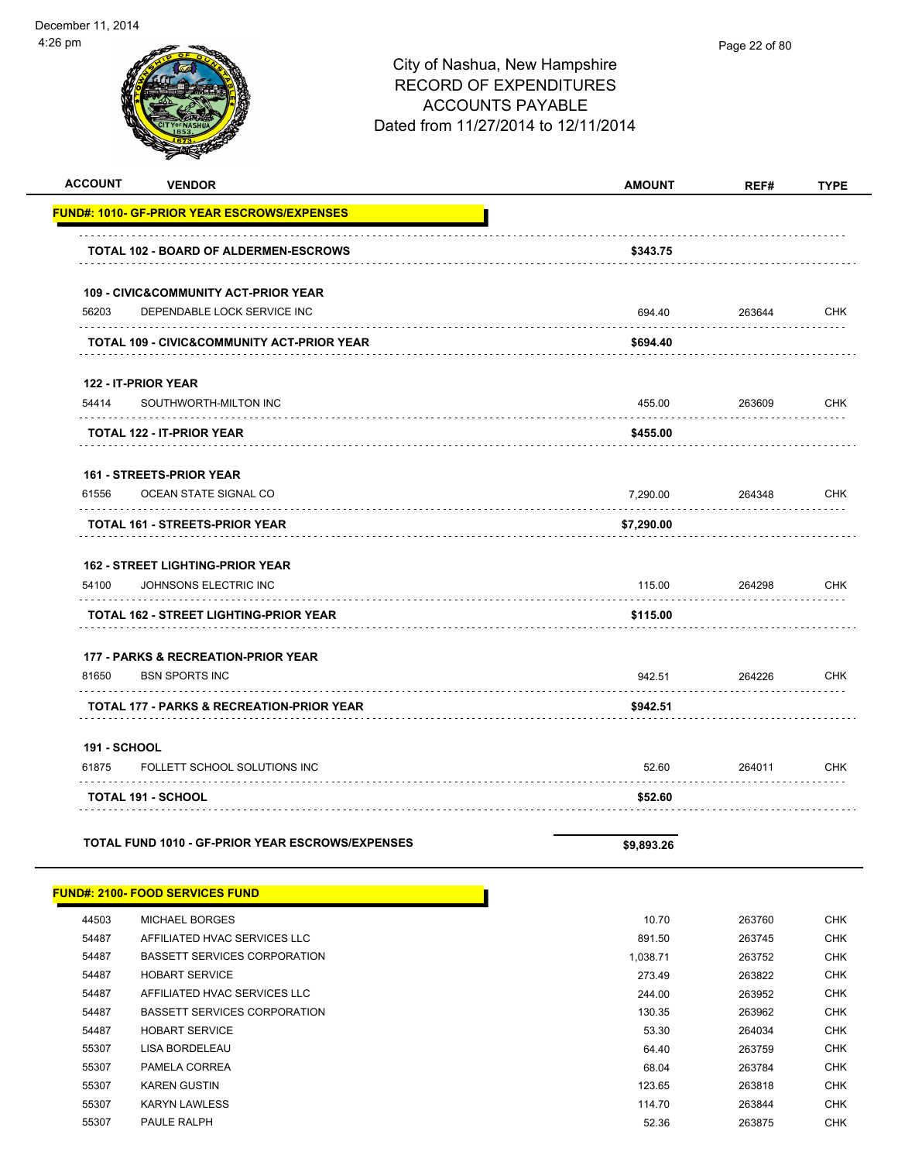| <b>ACCOUNT</b><br><b>VENDOR</b>                      | <b>AMOUNT</b> | REF#   | <b>TYPE</b> |
|------------------------------------------------------|---------------|--------|-------------|
| <u> FUND#: 1010- GF-PRIOR YEAR ESCROWS/EXPENSES</u>  |               |        |             |
| TOTAL 102 - BOARD OF ALDERMEN-ESCROWS                | \$343.75      |        |             |
| <b>109 - CIVIC&amp;COMMUNITY ACT-PRIOR YEAR</b>      |               |        |             |
| 56203<br>DEPENDABLE LOCK SERVICE INC                 | 694.40        | 263644 | <b>CHK</b>  |
| TOTAL 109 - CIVIC&COMMUNITY ACT-PRIOR YEAR           | \$694.40      |        |             |
| 122 - IT-PRIOR YEAR                                  |               |        |             |
| 54414<br>SOUTHWORTH-MILTON INC                       | 455.00        | 263609 | <b>CHK</b>  |
| TOTAL 122 - IT-PRIOR YEAR                            | \$455.00      |        |             |
| 161 - STREETS-PRIOR YEAR                             |               |        |             |
| 61556<br>OCEAN STATE SIGNAL CO                       | 7,290.00      | 264348 | <b>CHK</b>  |
| TOTAL 161 - STREETS-PRIOR YEAR                       | \$7,290.00    |        |             |
| <b>162 - STREET LIGHTING-PRIOR YEAR</b>              |               |        |             |
| 54100<br>JOHNSONS ELECTRIC INC                       | 115.00        | 264298 | <b>CHK</b>  |
| TOTAL 162 - STREET LIGHTING-PRIOR YEAR               | \$115.00      |        |             |
| <b>177 - PARKS &amp; RECREATION-PRIOR YEAR</b>       |               |        |             |
| 81650<br><b>BSN SPORTS INC</b>                       | 942.51        | 264226 | <b>CHK</b>  |
| <b>TOTAL 177 - PARKS &amp; RECREATION-PRIOR YEAR</b> | \$942.51      |        |             |
| 191 - SCHOOL                                         |               |        |             |
| 61875<br>FOLLETT SCHOOL SOLUTIONS INC                | 52.60         | 264011 | <b>CHK</b>  |
| TOTAL 191 - SCHOOL                                   | \$52.60       |        |             |
| TOTAL FUND 1010 - GF-PRIOR YEAR ESCROWS/EXPENSES     | \$9,893.26    |        |             |
|                                                      |               |        |             |

|       | <b>FUND#: 2100- FOOD SERVICES FUND</b> |          |        |            |
|-------|----------------------------------------|----------|--------|------------|
| 44503 | <b>MICHAEL BORGES</b>                  | 10.70    | 263760 | <b>CHK</b> |
| 54487 | AFFILIATED HVAC SERVICES LLC           | 891.50   | 263745 | <b>CHK</b> |
| 54487 | BASSETT SERVICES CORPORATION           | 1,038.71 | 263752 | <b>CHK</b> |
| 54487 | <b>HOBART SERVICE</b>                  | 273.49   | 263822 | <b>CHK</b> |
| 54487 | AFFILIATED HVAC SERVICES LLC           | 244.00   | 263952 | <b>CHK</b> |
| 54487 | <b>BASSETT SERVICES CORPORATION</b>    | 130.35   | 263962 | <b>CHK</b> |
| 54487 | <b>HOBART SERVICE</b>                  | 53.30    | 264034 | <b>CHK</b> |
| 55307 | LISA BORDELEAU                         | 64.40    | 263759 | <b>CHK</b> |
| 55307 | PAMELA CORREA                          | 68.04    | 263784 | CHK        |
| 55307 | <b>KAREN GUSTIN</b>                    | 123.65   | 263818 | CHK        |
| 55307 | <b>KARYN LAWLESS</b>                   | 114.70   | 263844 | CHK        |
| 55307 | <b>PAULE RALPH</b>                     | 52.36    | 263875 | CHK        |
|       |                                        |          |        |            |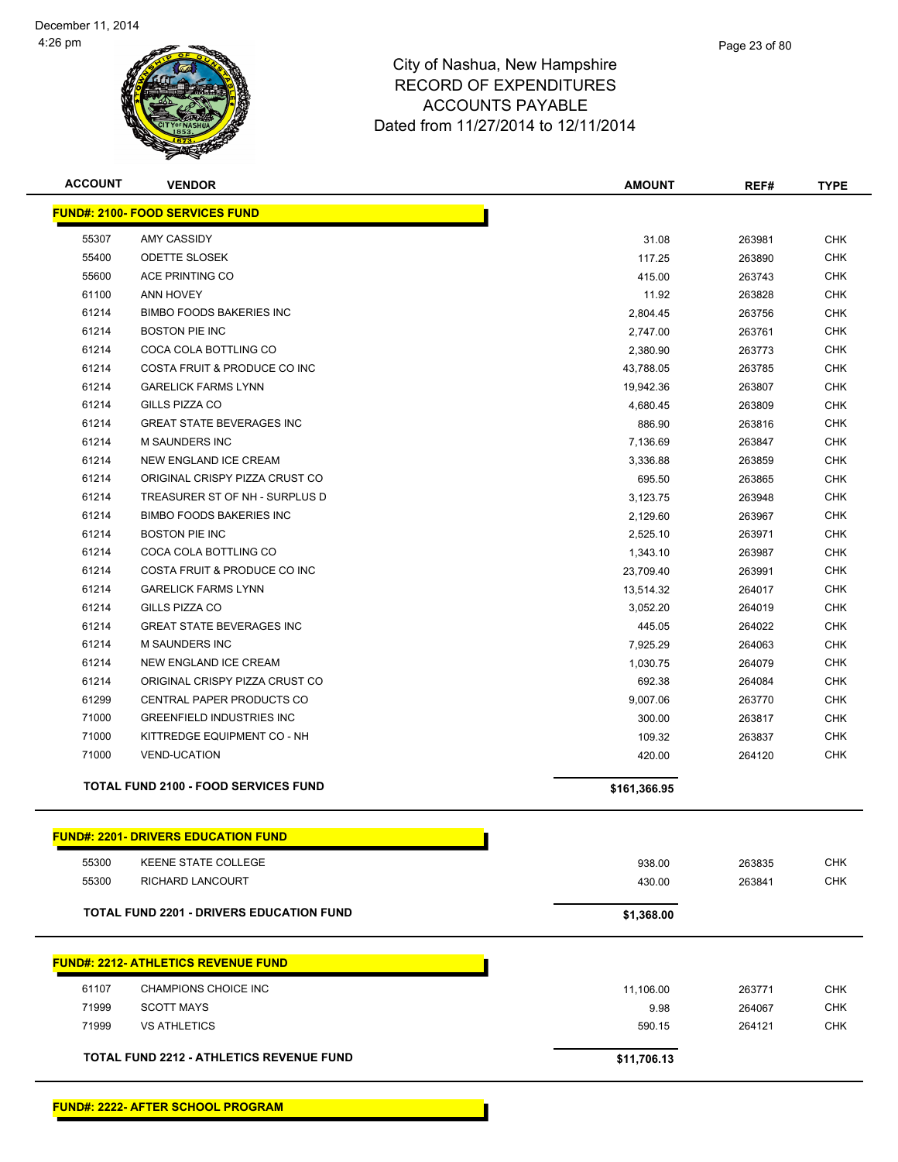

| <b>ACCOUNT</b> | <b>VENDOR</b>                                   | <b>AMOUNT</b> | REF#   | <b>TYPE</b> |
|----------------|-------------------------------------------------|---------------|--------|-------------|
|                | <b>FUND#: 2100- FOOD SERVICES FUND</b>          |               |        |             |
| 55307          | AMY CASSIDY                                     | 31.08         | 263981 | <b>CHK</b>  |
| 55400          | <b>ODETTE SLOSEK</b>                            | 117.25        | 263890 | <b>CHK</b>  |
| 55600          | ACE PRINTING CO                                 | 415.00        | 263743 | <b>CHK</b>  |
| 61100          | <b>ANN HOVEY</b>                                | 11.92         | 263828 | <b>CHK</b>  |
| 61214          | <b>BIMBO FOODS BAKERIES INC</b>                 | 2,804.45      | 263756 | <b>CHK</b>  |
| 61214          | <b>BOSTON PIE INC</b>                           | 2,747.00      | 263761 | <b>CHK</b>  |
| 61214          | COCA COLA BOTTLING CO                           | 2,380.90      | 263773 | <b>CHK</b>  |
| 61214          | COSTA FRUIT & PRODUCE CO INC                    | 43,788.05     | 263785 | <b>CHK</b>  |
| 61214          | <b>GARELICK FARMS LYNN</b>                      | 19,942.36     | 263807 | <b>CHK</b>  |
| 61214          | GILLS PIZZA CO                                  | 4,680.45      | 263809 | <b>CHK</b>  |
| 61214          | <b>GREAT STATE BEVERAGES INC</b>                | 886.90        | 263816 | <b>CHK</b>  |
| 61214          | <b>M SAUNDERS INC</b>                           | 7,136.69      | 263847 | <b>CHK</b>  |
| 61214          | NEW ENGLAND ICE CREAM                           | 3,336.88      | 263859 | <b>CHK</b>  |
| 61214          | ORIGINAL CRISPY PIZZA CRUST CO                  | 695.50        | 263865 | <b>CHK</b>  |
| 61214          | TREASURER ST OF NH - SURPLUS D                  | 3,123.75      | 263948 | <b>CHK</b>  |
| 61214          | <b>BIMBO FOODS BAKERIES INC</b>                 | 2,129.60      | 263967 | <b>CHK</b>  |
| 61214          | <b>BOSTON PIE INC</b>                           | 2,525.10      | 263971 | <b>CHK</b>  |
| 61214          | COCA COLA BOTTLING CO                           | 1,343.10      | 263987 | <b>CHK</b>  |
| 61214          | COSTA FRUIT & PRODUCE CO INC                    | 23,709.40     | 263991 | <b>CHK</b>  |
| 61214          | <b>GARELICK FARMS LYNN</b>                      | 13,514.32     | 264017 | <b>CHK</b>  |
| 61214          | <b>GILLS PIZZA CO</b>                           | 3,052.20      | 264019 | <b>CHK</b>  |
| 61214          | <b>GREAT STATE BEVERAGES INC</b>                | 445.05        | 264022 | <b>CHK</b>  |
| 61214          | <b>M SAUNDERS INC</b>                           | 7,925.29      | 264063 | <b>CHK</b>  |
| 61214          | NEW ENGLAND ICE CREAM                           | 1,030.75      | 264079 | <b>CHK</b>  |
| 61214          | ORIGINAL CRISPY PIZZA CRUST CO                  | 692.38        | 264084 | <b>CHK</b>  |
| 61299          | CENTRAL PAPER PRODUCTS CO                       | 9,007.06      | 263770 | <b>CHK</b>  |
| 71000          | <b>GREENFIELD INDUSTRIES INC</b>                | 300.00        | 263817 | <b>CHK</b>  |
| 71000          | KITTREDGE EQUIPMENT CO - NH                     | 109.32        | 263837 | <b>CHK</b>  |
| 71000          | <b>VEND-UCATION</b>                             | 420.00        | 264120 | <b>CHK</b>  |
|                | <b>TOTAL FUND 2100 - FOOD SERVICES FUND</b>     | \$161,366.95  |        |             |
|                | <b>FUND#: 2201- DRIVERS EDUCATION FUND</b>      |               |        |             |
| 55300          | <b>KEENE STATE COLLEGE</b>                      | 938.00        | 263835 | <b>CHK</b>  |
| 55300          | RICHARD LANCOURT                                | 430.00        | 263841 | <b>CHK</b>  |
|                | <b>TOTAL FUND 2201 - DRIVERS EDUCATION FUND</b> | \$1,368.00    |        |             |
|                |                                                 |               |        |             |
|                | <u> FUND#: 2212- ATHLETICS REVENUE FUND</u>     |               |        |             |
| 61107          | CHAMPIONS CHOICE INC                            | 11,106.00     | 263771 | <b>CHK</b>  |
| 71999          | <b>SCOTT MAYS</b>                               | 9.98          | 264067 | <b>CHK</b>  |
| 71999          | <b>VS ATHLETICS</b>                             | 590.15        | 264121 | <b>CHK</b>  |
|                | <b>TOTAL FUND 2212 - ATHLETICS REVENUE FUND</b> | \$11,706.13   |        |             |
|                |                                                 |               |        |             |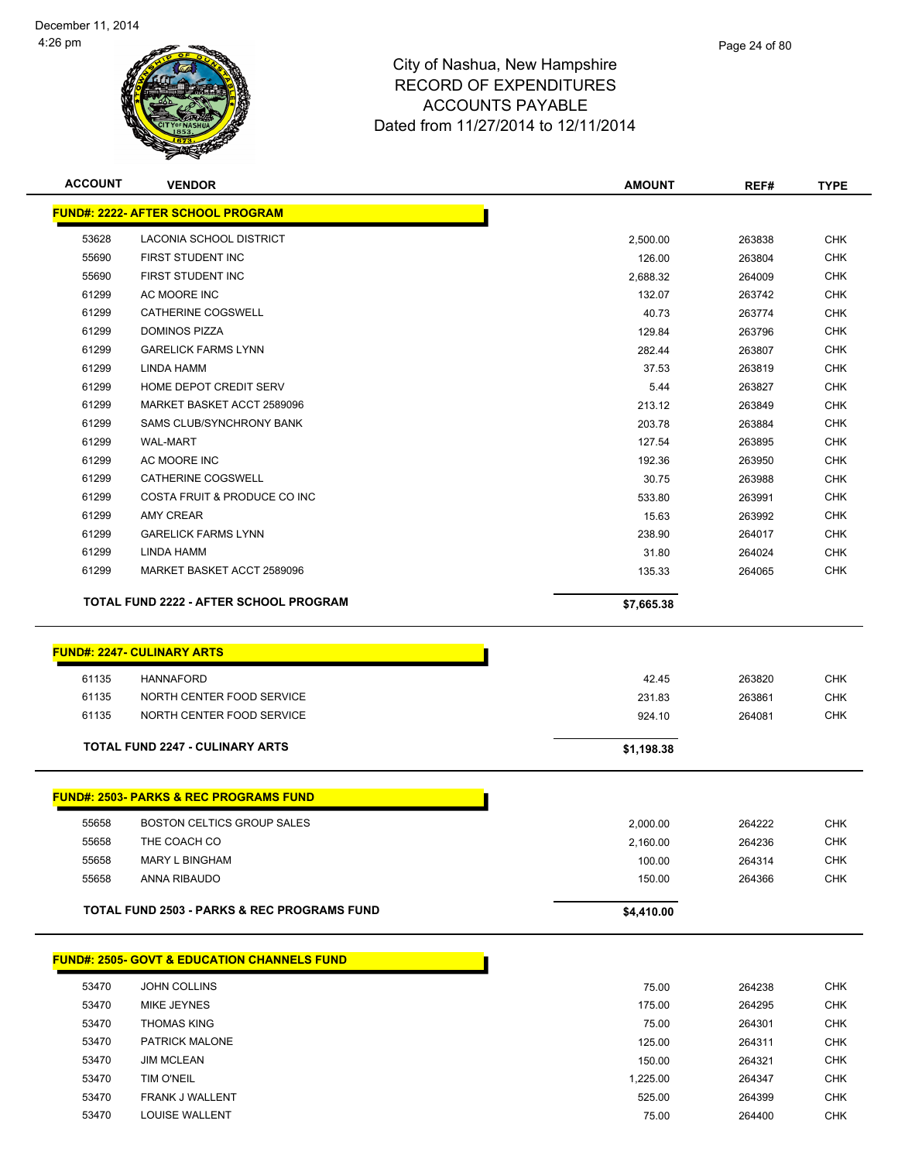

| <b>ACCOUNT</b>                                | <b>VENDOR</b>                                          | <b>AMOUNT</b>      | REF#             | <b>TYPE</b>              |
|-----------------------------------------------|--------------------------------------------------------|--------------------|------------------|--------------------------|
|                                               | <b>FUND#: 2222- AFTER SCHOOL PROGRAM</b>               |                    |                  |                          |
| 53628                                         | LACONIA SCHOOL DISTRICT                                | 2,500.00           | 263838           | <b>CHK</b>               |
| 55690                                         | FIRST STUDENT INC                                      | 126.00             | 263804           | <b>CHK</b>               |
| 55690                                         | FIRST STUDENT INC                                      | 2,688.32           | 264009           | <b>CHK</b>               |
| 61299                                         | AC MOORE INC                                           | 132.07             | 263742           | <b>CHK</b>               |
| 61299                                         | <b>CATHERINE COGSWELL</b>                              | 40.73              | 263774           | <b>CHK</b>               |
| 61299                                         | <b>DOMINOS PIZZA</b>                                   | 129.84             | 263796           | <b>CHK</b>               |
| 61299                                         | <b>GARELICK FARMS LYNN</b>                             | 282.44             | 263807           | <b>CHK</b>               |
| 61299                                         | LINDA HAMM                                             | 37.53              | 263819           | <b>CHK</b>               |
| 61299                                         | HOME DEPOT CREDIT SERV                                 | 5.44               | 263827           | <b>CHK</b>               |
| 61299                                         | MARKET BASKET ACCT 2589096                             | 213.12             | 263849           | <b>CHK</b>               |
| 61299                                         | SAMS CLUB/SYNCHRONY BANK                               | 203.78             | 263884           | <b>CHK</b>               |
| 61299                                         | <b>WAL-MART</b>                                        | 127.54             | 263895           | <b>CHK</b>               |
| 61299                                         | AC MOORE INC                                           | 192.36             | 263950           | <b>CHK</b>               |
| 61299                                         | CATHERINE COGSWELL                                     | 30.75              | 263988           | <b>CHK</b>               |
| 61299                                         | COSTA FRUIT & PRODUCE CO INC                           | 533.80             | 263991           | <b>CHK</b>               |
| 61299                                         | <b>AMY CREAR</b>                                       | 15.63              | 263992           | <b>CHK</b>               |
| 61299                                         | <b>GARELICK FARMS LYNN</b>                             | 238.90             | 264017           | <b>CHK</b>               |
| 61299                                         | <b>LINDA HAMM</b>                                      | 31.80              | 264024           | <b>CHK</b>               |
| 61299                                         | MARKET BASKET ACCT 2589096                             | 135.33             | 264065           | <b>CHK</b>               |
| <b>TOTAL FUND 2222 - AFTER SCHOOL PROGRAM</b> |                                                        | \$7,665.38         |                  |                          |
|                                               |                                                        |                    |                  |                          |
|                                               | <b>FUND#: 2247- CULINARY ARTS</b>                      |                    |                  |                          |
| 61135                                         | <b>HANNAFORD</b>                                       | 42.45              | 263820           | <b>CHK</b>               |
| 61135                                         | NORTH CENTER FOOD SERVICE                              | 231.83             | 263861           | <b>CHK</b>               |
| 61135                                         | NORTH CENTER FOOD SERVICE                              | 924.10             | 264081           | <b>CHK</b>               |
|                                               |                                                        |                    |                  |                          |
|                                               | <b>TOTAL FUND 2247 - CULINARY ARTS</b>                 | \$1,198.38         |                  |                          |
|                                               | <b>FUND#: 2503- PARKS &amp; REC PROGRAMS FUND</b>      |                    |                  |                          |
| 55658                                         | <b>BOSTON CELTICS GROUP SALES</b>                      | 2,000.00           | 264222           | <b>CHK</b>               |
| 55658                                         | THE COACH CO                                           | 2,160.00           | 264236           | <b>CHK</b>               |
| 55658                                         | <b>MARY L BINGHAM</b>                                  | 100.00             | 264314           | <b>CHK</b>               |
| 55658                                         | ANNA RIBAUDO                                           | 150.00             | 264366           | <b>CHK</b>               |
|                                               |                                                        |                    |                  |                          |
|                                               | <b>TOTAL FUND 2503 - PARKS &amp; REC PROGRAMS FUND</b> | \$4,410.00         |                  |                          |
|                                               | <b>FUND#: 2505- GOVT &amp; EDUCATION CHANNELS FUND</b> |                    |                  |                          |
|                                               |                                                        |                    |                  |                          |
| 53470<br>53470                                | <b>JOHN COLLINS</b>                                    | 75.00<br>175.00    | 264238<br>264295 | <b>CHK</b><br>CHK        |
| 53470                                         | MIKE JEYNES<br><b>THOMAS KING</b>                      |                    |                  | <b>CHK</b>               |
|                                               | PATRICK MALONE                                         | 75.00              | 264301           |                          |
| 53470<br>53470                                |                                                        | 125.00             | 264311           | <b>CHK</b><br><b>CHK</b> |
| 53470                                         | <b>JIM MCLEAN</b><br>TIM O'NEIL                        | 150.00             | 264321           |                          |
| 53470                                         | FRANK J WALLENT                                        | 1,225.00<br>525.00 | 264347<br>264399 | <b>CHK</b><br><b>CHK</b> |
| 53470                                         | LOUISE WALLENT                                         | 75.00              | 264400           | <b>CHK</b>               |
|                                               |                                                        |                    |                  |                          |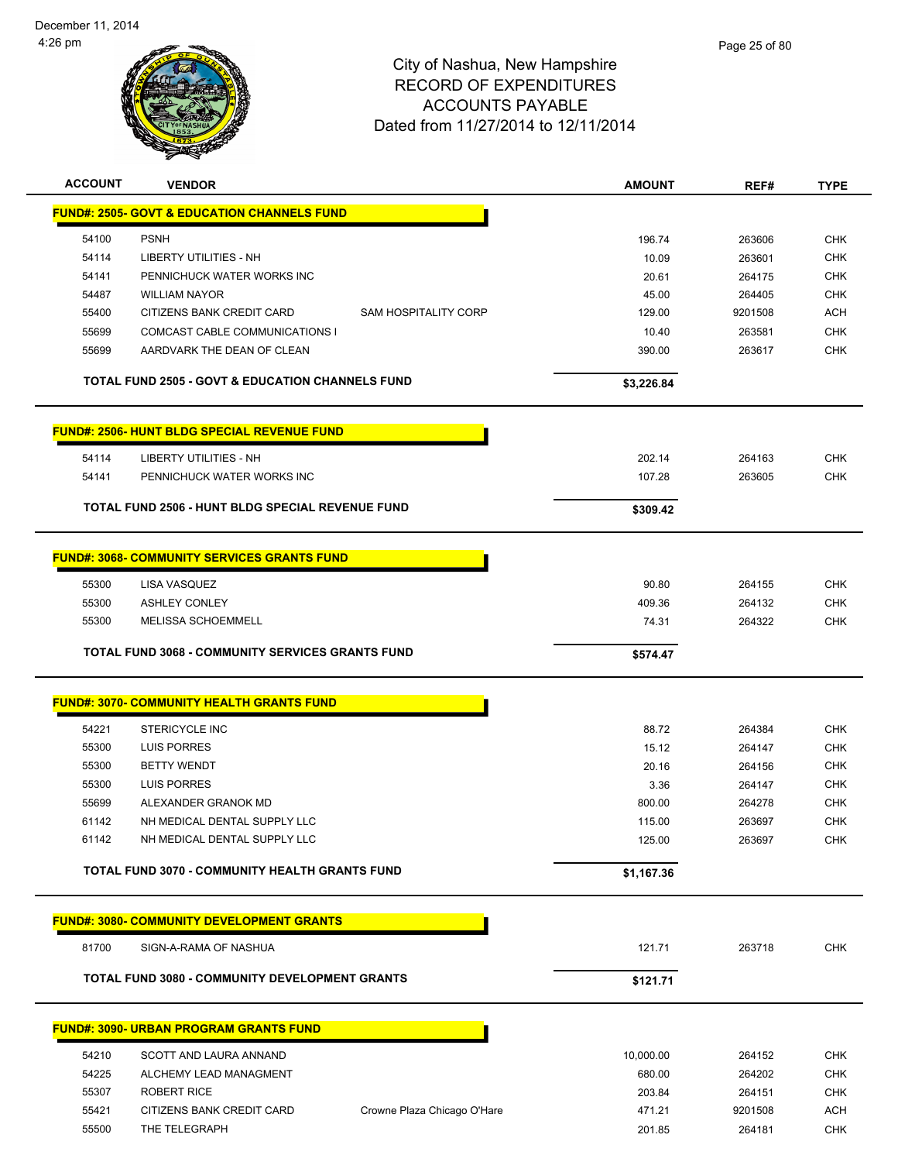

| <b>ACCOUNT</b> | <b>VENDOR</b>                                               |                             | <b>AMOUNT</b> | REF#    | TYPE       |
|----------------|-------------------------------------------------------------|-----------------------------|---------------|---------|------------|
|                | <b>FUND#: 2505- GOVT &amp; EDUCATION CHANNELS FUND</b>      |                             |               |         |            |
| 54100          | <b>PSNH</b>                                                 |                             | 196.74        | 263606  | <b>CHK</b> |
| 54114          | <b>LIBERTY UTILITIES - NH</b>                               |                             | 10.09         | 263601  | <b>CHK</b> |
| 54141          | PENNICHUCK WATER WORKS INC                                  |                             | 20.61         | 264175  | CHK        |
| 54487          | <b>WILLIAM NAYOR</b>                                        |                             | 45.00         | 264405  | <b>CHK</b> |
| 55400          | CITIZENS BANK CREDIT CARD                                   | <b>SAM HOSPITALITY CORP</b> | 129.00        | 9201508 | <b>ACH</b> |
| 55699          | <b>COMCAST CABLE COMMUNICATIONS I</b>                       |                             | 10.40         | 263581  | <b>CHK</b> |
| 55699          | AARDVARK THE DEAN OF CLEAN                                  |                             | 390.00        | 263617  | <b>CHK</b> |
|                | <b>TOTAL FUND 2505 - GOVT &amp; EDUCATION CHANNELS FUND</b> |                             | \$3,226.84    |         |            |
|                |                                                             |                             |               |         |            |
|                | <b>FUND#: 2506- HUNT BLDG SPECIAL REVENUE FUND</b>          |                             |               |         |            |
| 54114          | <b>LIBERTY UTILITIES - NH</b>                               |                             | 202.14        | 264163  | <b>CHK</b> |
| 54141          | PENNICHUCK WATER WORKS INC                                  |                             | 107.28        | 263605  | <b>CHK</b> |
|                |                                                             |                             |               |         |            |
|                | <b>TOTAL FUND 2506 - HUNT BLDG SPECIAL REVENUE FUND</b>     |                             | \$309.42      |         |            |
|                | <b>FUND#: 3068- COMMUNITY SERVICES GRANTS FUND</b>          |                             |               |         |            |
|                |                                                             |                             |               |         |            |
| 55300          | LISA VASQUEZ                                                |                             | 90.80         | 264155  | <b>CHK</b> |
| 55300          | <b>ASHLEY CONLEY</b>                                        |                             | 409.36        | 264132  | <b>CHK</b> |
| 55300          | MELISSA SCHOEMMELL                                          |                             | 74.31         | 264322  | <b>CHK</b> |
|                | <b>TOTAL FUND 3068 - COMMUNITY SERVICES GRANTS FUND</b>     |                             | \$574.47      |         |            |
|                |                                                             |                             |               |         |            |
|                | <b>FUND#: 3070- COMMUNITY HEALTH GRANTS FUND</b>            |                             |               |         |            |
| 54221          | STERICYCLE INC                                              |                             | 88.72         | 264384  | <b>CHK</b> |
| 55300          | LUIS PORRES                                                 |                             | 15.12         | 264147  | <b>CHK</b> |
| 55300          | <b>BETTY WENDT</b>                                          |                             | 20.16         | 264156  | <b>CHK</b> |
| 55300          | LUIS PORRES                                                 |                             | 3.36          | 264147  | <b>CHK</b> |
| 55699          | ALEXANDER GRANOK MD                                         |                             | 800.00        | 264278  | <b>CHK</b> |
| 61142          | NH MEDICAL DENTAL SUPPLY LLC                                |                             | 115.00        | 263697  | <b>CHK</b> |
| 61142          | NH MEDICAL DENTAL SUPPLY LLC                                |                             | 125.00        | 263697  | CHK        |
|                | <b>TOTAL FUND 3070 - COMMUNITY HEALTH GRANTS FUND</b>       |                             |               |         |            |
|                |                                                             |                             | \$1,167.36    |         |            |
|                | <b>FUND#: 3080- COMMUNITY DEVELOPMENT GRANTS</b>            |                             |               |         |            |
| 81700          | SIGN-A-RAMA OF NASHUA                                       |                             | 121.71        | 263718  | <b>CHK</b> |
|                | <b>TOTAL FUND 3080 - COMMUNITY DEVELOPMENT GRANTS</b>       |                             | \$121.71      |         |            |
|                |                                                             |                             |               |         |            |
|                | <b>FUND#: 3090- URBAN PROGRAM GRANTS FUND</b>               |                             |               |         |            |
| 54210          | SCOTT AND LAURA ANNAND                                      |                             | 10,000.00     | 264152  | <b>CHK</b> |
| 54225          | ALCHEMY LEAD MANAGMENT                                      |                             | 680.00        | 264202  | <b>CHK</b> |
| 55307          | <b>ROBERT RICE</b>                                          |                             | 203.84        | 264151  | <b>CHK</b> |
| 55421          | CITIZENS BANK CREDIT CARD                                   | Crowne Plaza Chicago O'Hare | 471.21        | 9201508 | <b>ACH</b> |
| 55500          | THE TELEGRAPH                                               |                             | 201.85        | 264181  | <b>CHK</b> |
|                |                                                             |                             |               |         |            |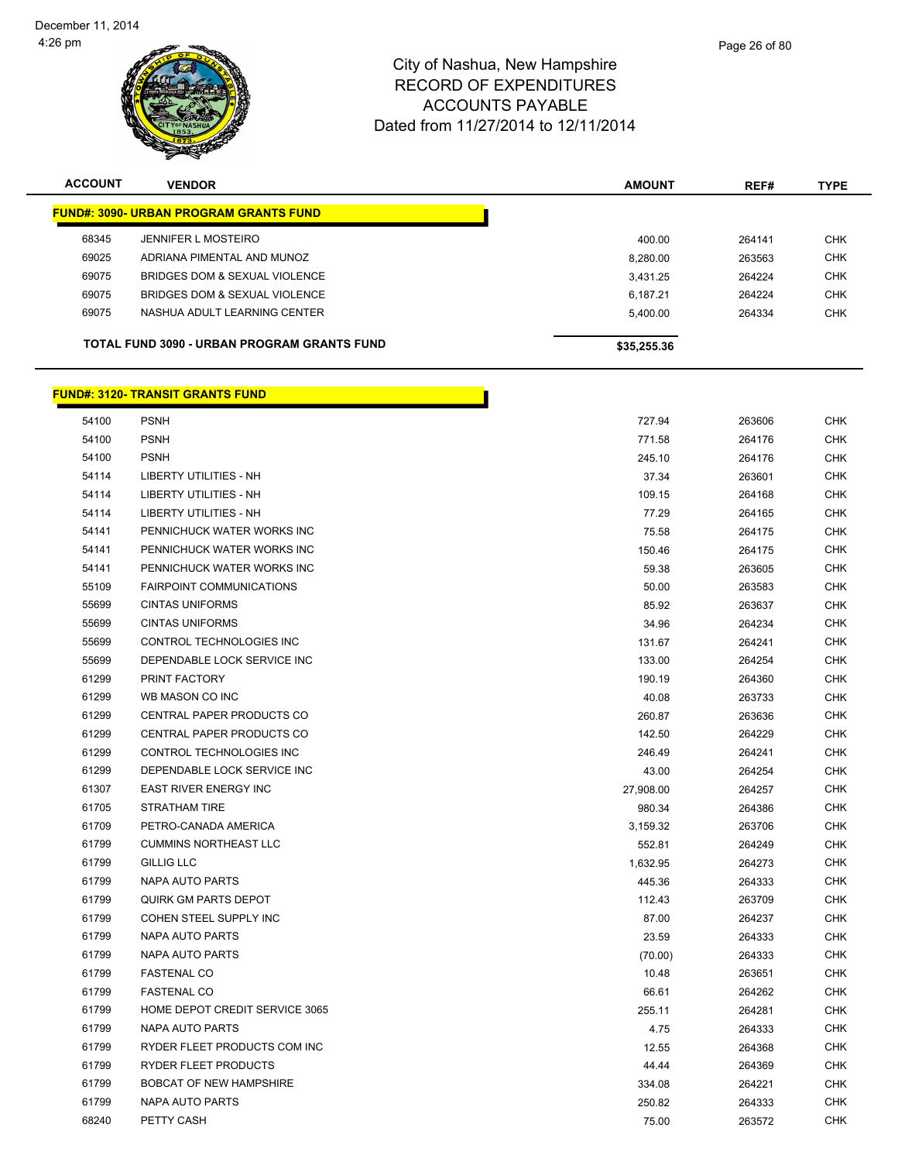

| <b>ACCOUNT</b> | <b>VENDOR</b>                                 | <b>AMOUNT</b> | REF#   | <b>TYPE</b> |
|----------------|-----------------------------------------------|---------------|--------|-------------|
|                | <b>FUND#: 3090- URBAN PROGRAM GRANTS FUND</b> |               |        |             |
| 68345          | JENNIFER L MOSTEIRO                           | 400.00        | 264141 | <b>CHK</b>  |
| 69025          | ADRIANA PIMENTAL AND MUNOZ                    | 8,280.00      | 263563 | <b>CHK</b>  |
| 69075          | BRIDGES DOM & SEXUAL VIOLENCE                 | 3.431.25      | 264224 | <b>CHK</b>  |
| 69075          | BRIDGES DOM & SEXUAL VIOLENCE                 | 6,187.21      | 264224 | <b>CHK</b>  |
| 69075          | NASHUA ADULT LEARNING CENTER                  | 5.400.00      | 264334 | <b>CHK</b>  |
|                | TOTAL FUND 3090 - URBAN PROGRAM GRANTS FUND   | \$35,255.36   |        |             |

|       | <u>FUND#: 3120- TRANSIT GRANTS FUND</u> |           |        |
|-------|-----------------------------------------|-----------|--------|
| 54100 | <b>PSNH</b>                             | 727.94    | 263606 |
| 54100 | <b>PSNH</b>                             | 771.58    | 264176 |
| 54100 | <b>PSNH</b>                             | 245.10    | 264176 |
| 54114 | <b>LIBERTY UTILITIES - NH</b>           | 37.34     | 263601 |
| 54114 | <b>LIBERTY UTILITIES - NH</b>           | 109.15    | 264168 |
| 54114 | LIBERTY UTILITIES - NH                  | 77.29     | 264165 |
| 54141 | PENNICHUCK WATER WORKS INC              | 75.58     | 264175 |
| 54141 | PENNICHUCK WATER WORKS INC              | 150.46    | 264175 |
| 54141 | PENNICHUCK WATER WORKS INC              | 59.38     | 263605 |
| 55109 | <b>FAIRPOINT COMMUNICATIONS</b>         | 50.00     | 263583 |
| 55699 | <b>CINTAS UNIFORMS</b>                  | 85.92     | 263637 |
| 55699 | <b>CINTAS UNIFORMS</b>                  | 34.96     | 264234 |
| 55699 | CONTROL TECHNOLOGIES INC                | 131.67    | 264241 |
| 55699 | DEPENDABLE LOCK SERVICE INC             | 133.00    | 264254 |
| 61299 | PRINT FACTORY                           | 190.19    | 264360 |
| 61299 | WB MASON CO INC                         | 40.08     | 263733 |
| 61299 | CENTRAL PAPER PRODUCTS CO               | 260.87    | 263636 |
| 61299 | CENTRAL PAPER PRODUCTS CO               | 142.50    | 264229 |
| 61299 | CONTROL TECHNOLOGIES INC                | 246.49    | 264241 |
| 61299 | DEPENDABLE LOCK SERVICE INC             | 43.00     | 264254 |
| 61307 | <b>EAST RIVER ENERGY INC</b>            | 27,908.00 | 264257 |
| 61705 | <b>STRATHAM TIRE</b>                    | 980.34    | 264386 |
| 61709 | PETRO-CANADA AMERICA                    | 3,159.32  | 263706 |
| 61799 | <b>CUMMINS NORTHEAST LLC</b>            | 552.81    | 264249 |
| 61799 | <b>GILLIG LLC</b>                       | 1,632.95  | 264273 |
| 61799 | <b>NAPA AUTO PARTS</b>                  | 445.36    | 264333 |
| 61799 | <b>QUIRK GM PARTS DEPOT</b>             | 112.43    | 263709 |
| 61799 | COHEN STEEL SUPPLY INC                  | 87.00     | 264237 |
| 61799 | NAPA AUTO PARTS                         | 23.59     | 264333 |
| 61799 | <b>NAPA AUTO PARTS</b>                  | (70.00)   | 264333 |
| 61799 | <b>FASTENAL CO</b>                      | 10.48     | 263651 |
| 61799 | <b>FASTENAL CO</b>                      | 66.61     | 264262 |
| 61799 | HOME DEPOT CREDIT SERVICE 3065          | 255.11    | 264281 |
| 61799 | NAPA AUTO PARTS                         | 4.75      | 264333 |
| 61799 | RYDER FLEET PRODUCTS COM INC            | 12.55     | 264368 |
| 61799 | RYDER FLEET PRODUCTS                    | 44.44     | 264369 |
| 61799 | <b>BOBCAT OF NEW HAMPSHIRE</b>          | 334.08    | 264221 |
| 61799 | <b>NAPA AUTO PARTS</b>                  | 250.82    | 264333 |

PETTY CASH 75.00 263572 CHK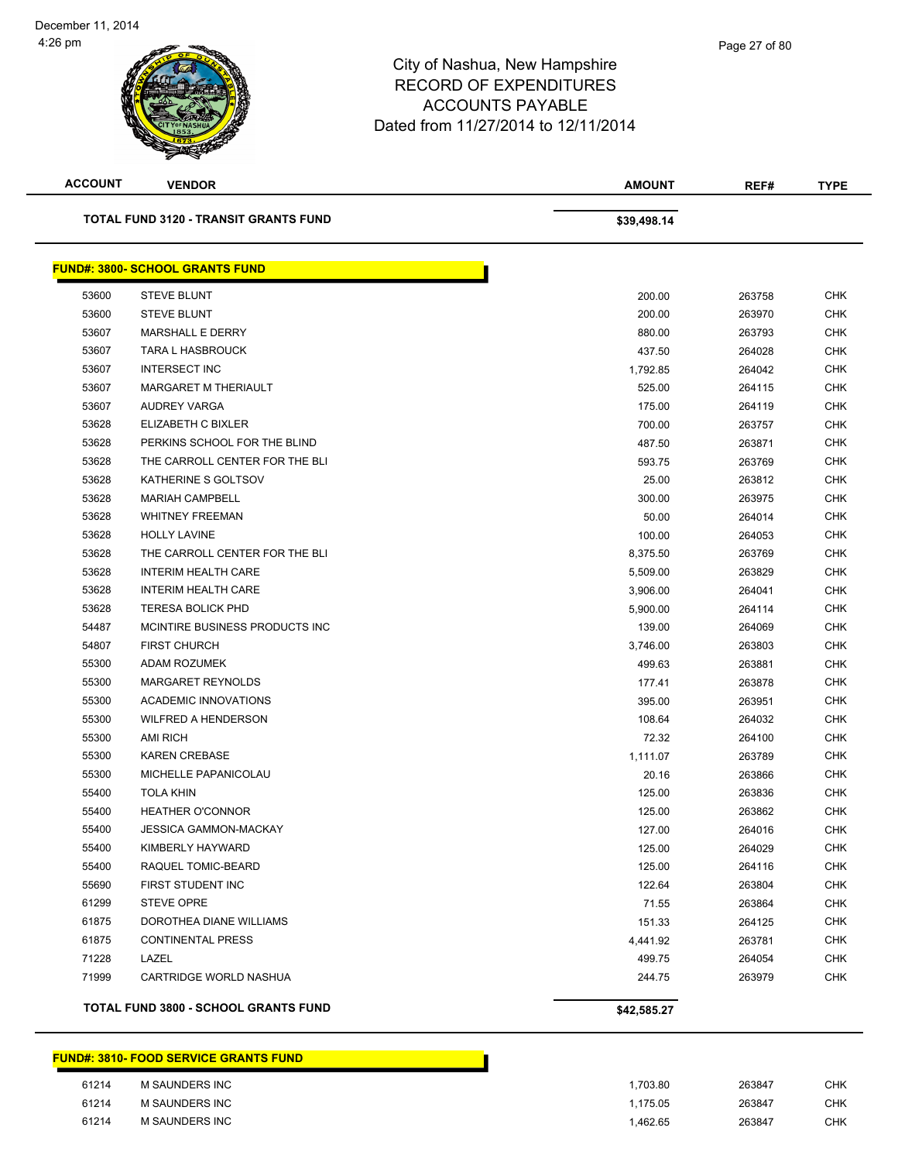| <b>ACCOUNT</b> | <b>VENDOR</b>                                | <b>AMOUNT</b> | REF#   | <b>TYPE</b> |
|----------------|----------------------------------------------|---------------|--------|-------------|
|                | <b>TOTAL FUND 3120 - TRANSIT GRANTS FUND</b> | \$39,498.14   |        |             |
|                | <b>FUND#: 3800- SCHOOL GRANTS FUND</b>       |               |        |             |
| 53600          | <b>STEVE BLUNT</b>                           | 200.00        | 263758 | <b>CHK</b>  |
| 53600          | <b>STEVE BLUNT</b>                           | 200.00        | 263970 | <b>CHK</b>  |
| 53607          | <b>MARSHALL E DERRY</b>                      | 880.00        | 263793 | CHK         |
| 53607          | <b>TARA L HASBROUCK</b>                      | 437.50        | 264028 | <b>CHK</b>  |
| 53607          | <b>INTERSECT INC</b>                         | 1,792.85      | 264042 | <b>CHK</b>  |
| 53607          | <b>MARGARET M THERIAULT</b>                  | 525.00        | 264115 | CHK         |
| 53607          | AUDREY VARGA                                 | 175.00        | 264119 | <b>CHK</b>  |
| 53628          | ELIZABETH C BIXLER                           | 700.00        | 263757 | CHK         |
| 53628          | PERKINS SCHOOL FOR THE BLIND                 | 487.50        | 263871 | CHK         |
| 53628          | THE CARROLL CENTER FOR THE BLI               | 593.75        | 263769 | <b>CHK</b>  |
| 53628          | KATHERINE S GOLTSOV                          | 25.00         | 263812 | CHK         |
| 53628          | <b>MARIAH CAMPBELL</b>                       | 300.00        | 263975 | <b>CHK</b>  |
| 53628          | <b>WHITNEY FREEMAN</b>                       | 50.00         | 264014 | <b>CHK</b>  |
| 53628          | <b>HOLLY LAVINE</b>                          | 100.00        | 264053 | CHK         |
| 53628          | THE CARROLL CENTER FOR THE BLI               | 8,375.50      | 263769 | <b>CHK</b>  |
| 53628          | <b>INTERIM HEALTH CARE</b>                   | 5,509.00      | 263829 | <b>CHK</b>  |
| 53628          | <b>INTERIM HEALTH CARE</b>                   | 3,906.00      | 264041 | CHK         |
| 53628          | <b>TERESA BOLICK PHD</b>                     | 5,900.00      | 264114 | CHK         |
| 54487          | MCINTIRE BUSINESS PRODUCTS INC.              | 139.00        | 264069 | CHK         |
| 54807          | <b>FIRST CHURCH</b>                          | 3,746.00      | 263803 | <b>CHK</b>  |
| 55300          | ADAM ROZUMEK                                 | 499.63        | 263881 | <b>CHK</b>  |
| 55300          | MARGARET REYNOLDS                            | 177.41        | 263878 | CHK         |
| 55300          | <b>ACADEMIC INNOVATIONS</b>                  | 395.00        | 263951 | <b>CHK</b>  |
| 55300          | <b>WILFRED A HENDERSON</b>                   | 108.64        | 264032 | <b>CHK</b>  |
| 55300          | <b>AMI RICH</b>                              | 72.32         | 264100 | CHK         |
| 55300          | <b>KAREN CREBASE</b>                         | 1,111.07      | 263789 | <b>CHK</b>  |
| 55300          | MICHELLE PAPANICOLAU                         | 20.16         | 263866 | CHK         |
| 55400          | <b>TOLA KHIN</b>                             | 125.00        | 263836 | CHK         |
| 55400          | <b>HEATHER O'CONNOR</b>                      | 125.00        | 263862 | <b>CHK</b>  |
| 55400          | <b>JESSICA GAMMON-MACKAY</b>                 | 127.00        | 264016 | CHK         |
| 55400          | KIMBERLY HAYWARD                             | 125.00        | 264029 | <b>CHK</b>  |
| 55400          | RAQUEL TOMIC-BEARD                           | 125.00        | 264116 | <b>CHK</b>  |
| 55690          | FIRST STUDENT INC                            | 122.64        | 263804 | <b>CHK</b>  |
| 61299          | <b>STEVE OPRE</b>                            | 71.55         | 263864 | <b>CHK</b>  |
| 61875          | DOROTHEA DIANE WILLIAMS                      | 151.33        | 264125 | <b>CHK</b>  |
| 61875          | <b>CONTINENTAL PRESS</b>                     | 4,441.92      | 263781 | CHK         |
| 71228          | LAZEL                                        | 499.75        | 264054 | <b>CHK</b>  |
| 71999          | CARTRIDGE WORLD NASHUA                       | 244.75        | 263979 | CHK         |
|                | TOTAL FUND 3800 - SCHOOL GRANTS FUND         | \$42,585.27   |        |             |

#### **FUND#: 3810- FOOD SERVICE GRANTS FUND**

| 61214 | <b>M SAUNDERS INC</b> | .703.80 | 263847 | <b>CHK</b> |
|-------|-----------------------|---------|--------|------------|
| 61214 | <b>M SAUNDERS INC</b> | .175.05 | 263847 | <b>CHK</b> |
| 61214 | <b>M SAUNDERS INC</b> | .462.65 | 263847 | <b>CHK</b> |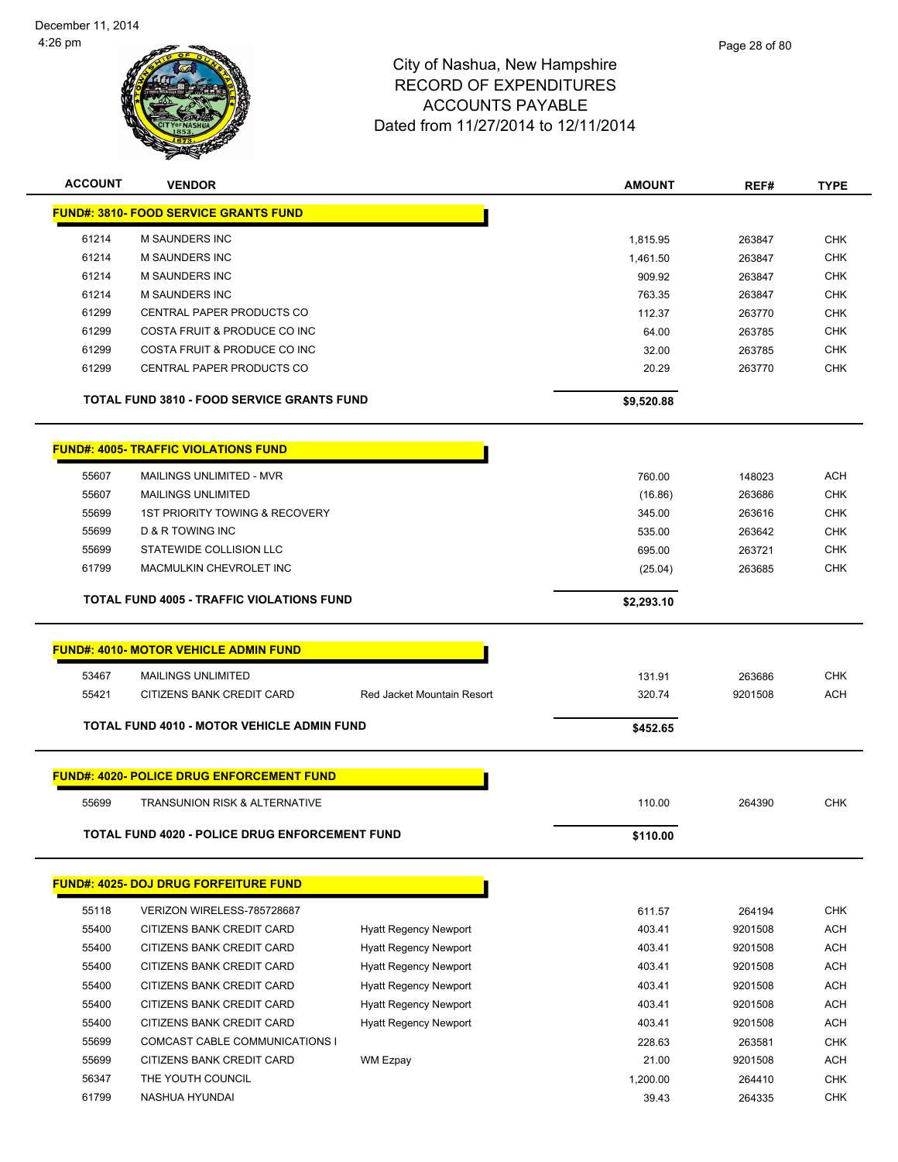

| <b>ACCOUNT</b> | <b>VENDOR</b>                                     |                              | AMOUNT     | REF#    | <b>TYPE</b> |
|----------------|---------------------------------------------------|------------------------------|------------|---------|-------------|
|                | <b>FUND#: 3810- FOOD SERVICE GRANTS FUND</b>      |                              |            |         |             |
| 61214          | <b>M SAUNDERS INC</b>                             |                              | 1,815.95   | 263847  | <b>CHK</b>  |
| 61214          | <b>M SAUNDERS INC</b>                             |                              | 1,461.50   | 263847  | <b>CHK</b>  |
| 61214          | <b>M SAUNDERS INC</b>                             |                              | 909.92     | 263847  | <b>CHK</b>  |
| 61214          | <b>M SAUNDERS INC</b>                             |                              | 763.35     | 263847  | CHK         |
| 61299          | CENTRAL PAPER PRODUCTS CO                         |                              | 112.37     | 263770  | CHK         |
| 61299          | COSTA FRUIT & PRODUCE CO INC                      |                              | 64.00      | 263785  | <b>CHK</b>  |
| 61299          | COSTA FRUIT & PRODUCE CO INC                      |                              | 32.00      | 263785  | <b>CHK</b>  |
| 61299          | CENTRAL PAPER PRODUCTS CO                         |                              | 20.29      | 263770  | <b>CHK</b>  |
|                | <b>TOTAL FUND 3810 - FOOD SERVICE GRANTS FUND</b> |                              | \$9,520.88 |         |             |
|                |                                                   |                              |            |         |             |
|                | <b>FUND#: 4005- TRAFFIC VIOLATIONS FUND</b>       |                              |            |         |             |
| 55607          | MAILINGS UNLIMITED - MVR                          |                              | 760.00     | 148023  | <b>ACH</b>  |
| 55607          | <b>MAILINGS UNLIMITED</b>                         |                              | (16.86)    | 263686  | <b>CHK</b>  |
| 55699          | <b>1ST PRIORITY TOWING &amp; RECOVERY</b>         |                              | 345.00     | 263616  | <b>CHK</b>  |
| 55699          | <b>D &amp; R TOWING INC</b>                       |                              | 535.00     | 263642  | <b>CHK</b>  |
| 55699          | STATEWIDE COLLISION LLC                           |                              | 695.00     | 263721  | CHK         |
| 61799          | MACMULKIN CHEVROLET INC                           |                              | (25.04)    | 263685  | <b>CHK</b>  |
|                | <b>TOTAL FUND 4005 - TRAFFIC VIOLATIONS FUND</b>  |                              | \$2,293.10 |         |             |
|                |                                                   |                              |            |         |             |
|                | <b>FUND#: 4010- MOTOR VEHICLE ADMIN FUND</b>      |                              |            |         |             |
| 53467          | <b>MAILINGS UNLIMITED</b>                         |                              | 131.91     | 263686  | <b>CHK</b>  |
| 55421          | CITIZENS BANK CREDIT CARD                         | Red Jacket Mountain Resort   | 320.74     | 9201508 | <b>ACH</b>  |
|                | TOTAL FUND 4010 - MOTOR VEHICLE ADMIN FUND        |                              | \$452.65   |         |             |
|                |                                                   |                              |            |         |             |
|                | <b>FUND#: 4020- POLICE DRUG ENFORCEMENT FUND</b>  |                              |            |         |             |
| 55699          | <b>TRANSUNION RISK &amp; ALTERNATIVE</b>          |                              | 110.00     | 264390  | <b>CHK</b>  |
|                | TOTAL FUND 4020 - POLICE DRUG ENFORCEMENT FUND    |                              | \$110.00   |         |             |
|                |                                                   |                              |            |         |             |
|                | <b>FUND#: 4025- DOJ DRUG FORFEITURE FUND</b>      |                              |            |         |             |
| 55118          | VERIZON WIRELESS-785728687                        |                              | 611.57     | 264194  | <b>CHK</b>  |
| 55400          | CITIZENS BANK CREDIT CARD                         | <b>Hyatt Regency Newport</b> | 403.41     | 9201508 | <b>ACH</b>  |
| 55400          | CITIZENS BANK CREDIT CARD                         | <b>Hyatt Regency Newport</b> | 403.41     | 9201508 | <b>ACH</b>  |
| 55400          | CITIZENS BANK CREDIT CARD                         | <b>Hyatt Regency Newport</b> | 403.41     | 9201508 | <b>ACH</b>  |
| 55400          | CITIZENS BANK CREDIT CARD                         | <b>Hyatt Regency Newport</b> | 403.41     | 9201508 | <b>ACH</b>  |
| 55400          | CITIZENS BANK CREDIT CARD                         | <b>Hyatt Regency Newport</b> | 403.41     | 9201508 | <b>ACH</b>  |
| 55400          | CITIZENS BANK CREDIT CARD                         | <b>Hyatt Regency Newport</b> | 403.41     | 9201508 | <b>ACH</b>  |
| 55699          | COMCAST CABLE COMMUNICATIONS I                    |                              | 228.63     | 263581  | <b>CHK</b>  |
| 55699          | CITIZENS BANK CREDIT CARD                         | WM Ezpay                     | 21.00      | 9201508 | ACH         |
| 56347          | THE YOUTH COUNCIL                                 |                              | 1,200.00   | 264410  | <b>CHK</b>  |
| 61799          | NASHUA HYUNDAI                                    |                              | 39.43      | 264335  | CHK         |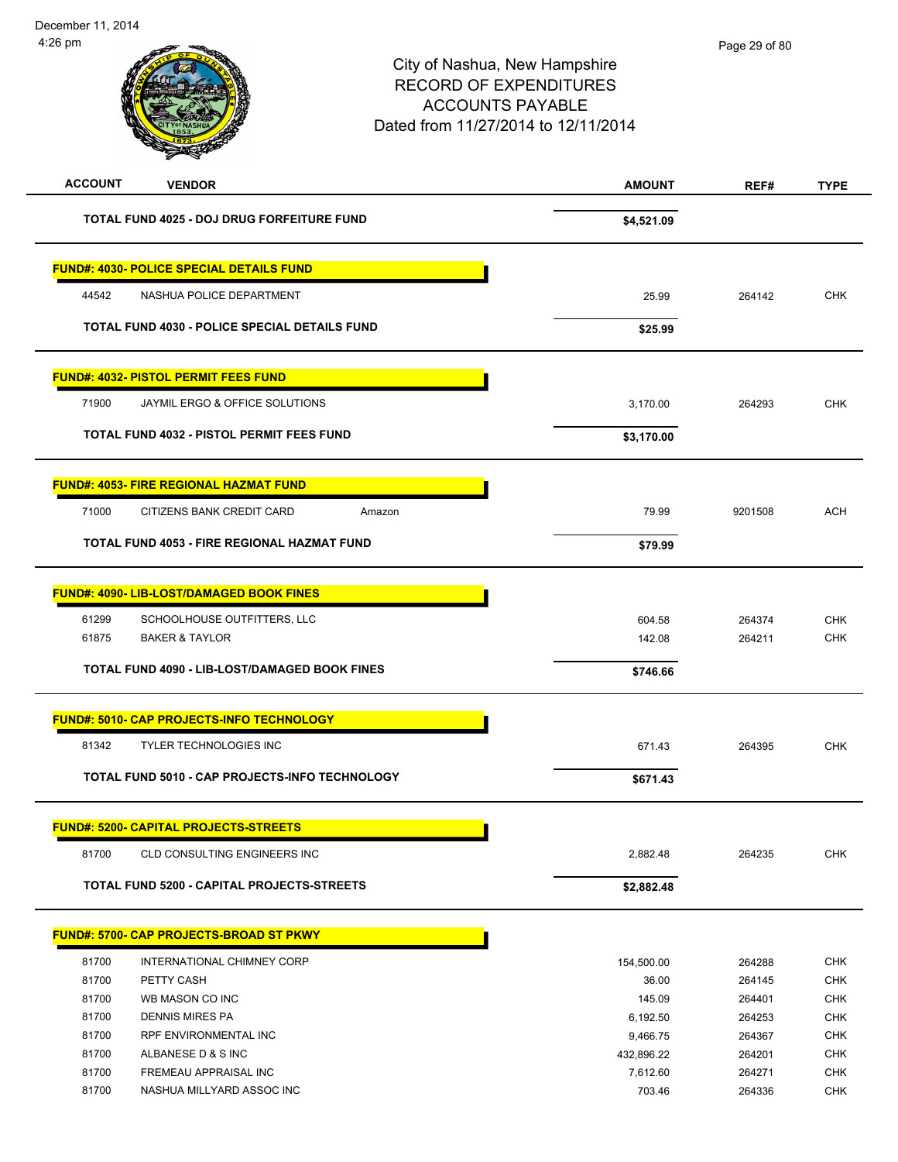|                                                       |                 | Page 29 of 80                                                                                                                    |                   |
|-------------------------------------------------------|-----------------|----------------------------------------------------------------------------------------------------------------------------------|-------------------|
|                                                       |                 |                                                                                                                                  |                   |
| <b>VENDOR</b>                                         | <b>AMOUNT</b>   | REF#                                                                                                                             | <b>TYPE</b>       |
| TOTAL FUND 4025 - DOJ DRUG FORFEITURE FUND            | \$4,521.09      |                                                                                                                                  |                   |
| <b>FUND#: 4030- POLICE SPECIAL DETAILS FUND</b>       |                 |                                                                                                                                  |                   |
| NASHUA POLICE DEPARTMENT                              | 25.99           | 264142                                                                                                                           | <b>CHK</b>        |
| <b>TOTAL FUND 4030 - POLICE SPECIAL DETAILS FUND</b>  | \$25.99         |                                                                                                                                  |                   |
| <b>FUND#: 4032- PISTOL PERMIT FEES FUND</b>           |                 |                                                                                                                                  |                   |
| JAYMIL ERGO & OFFICE SOLUTIONS                        | 3,170.00        | 264293                                                                                                                           | <b>CHK</b>        |
| <b>TOTAL FUND 4032 - PISTOL PERMIT FEES FUND</b>      | \$3,170.00      |                                                                                                                                  |                   |
| <b>FUND#: 4053- FIRE REGIONAL HAZMAT FUND</b>         |                 |                                                                                                                                  |                   |
| CITIZENS BANK CREDIT CARD<br>Amazon                   | 79.99           | 9201508                                                                                                                          | <b>ACH</b>        |
| TOTAL FUND 4053 - FIRE REGIONAL HAZMAT FUND           | \$79.99         |                                                                                                                                  |                   |
| <b>FUND#: 4090- LIB-LOST/DAMAGED BOOK FINES</b>       |                 |                                                                                                                                  |                   |
| SCHOOLHOUSE OUTFITTERS, LLC                           | 604.58          | 264374                                                                                                                           | <b>CHK</b>        |
| <b>BAKER &amp; TAYLOR</b>                             | 142.08          | 264211                                                                                                                           | <b>CHK</b>        |
| TOTAL FUND 4090 - LIB-LOST/DAMAGED BOOK FINES         | \$746.66        |                                                                                                                                  |                   |
| FUND#: 5010- CAP PROJECTS-INFO TECHNOLOGY             |                 |                                                                                                                                  |                   |
| <b>TYLER TECHNOLOGIES INC</b>                         | 671.43          | 264395                                                                                                                           | <b>CHK</b>        |
| <b>TOTAL FUND 5010 - CAP PROJECTS-INFO TECHNOLOGY</b> | \$671.43        |                                                                                                                                  |                   |
| <b>FUND#: 5200- CAPITAL PROJECTS-STREETS</b>          |                 |                                                                                                                                  |                   |
| CLD CONSULTING ENGINEERS INC                          | 2,882.48        | 264235                                                                                                                           | CHK               |
| TOTAL FUND 5200 - CAPITAL PROJECTS-STREETS            | \$2,882.48      |                                                                                                                                  |                   |
| <b>FUND#: 5700- CAP PROJECTS-BROAD ST PKWY</b>        |                 |                                                                                                                                  |                   |
| INTERNATIONAL CHIMNEY CORP                            | 154,500.00      | 264288                                                                                                                           | <b>CHK</b>        |
| PETTY CASH<br>WB MASON CO INC                         | 36.00<br>145.09 | 264145                                                                                                                           | <b>CHK</b><br>CHK |
|                                                       |                 | City of Nashua, New Hampshire<br><b>RECORD OF EXPENDITURES</b><br><b>ACCOUNTS PAYABLE</b><br>Dated from 11/27/2014 to 12/11/2014 |                   |

 DENNIS MIRES PA 6,192.50 264253 CHK RPF ENVIRONMENTAL INC 9,466.75 264367 CHK ALBANESE D & S INC 432,896.22 264201 CHK 81700 FREMEAU APPRAISAL INC **All and the Contract CHK** 7,612.60 264271 CHK NASHUA MILLYARD ASSOC INC 703.46 264336 CHK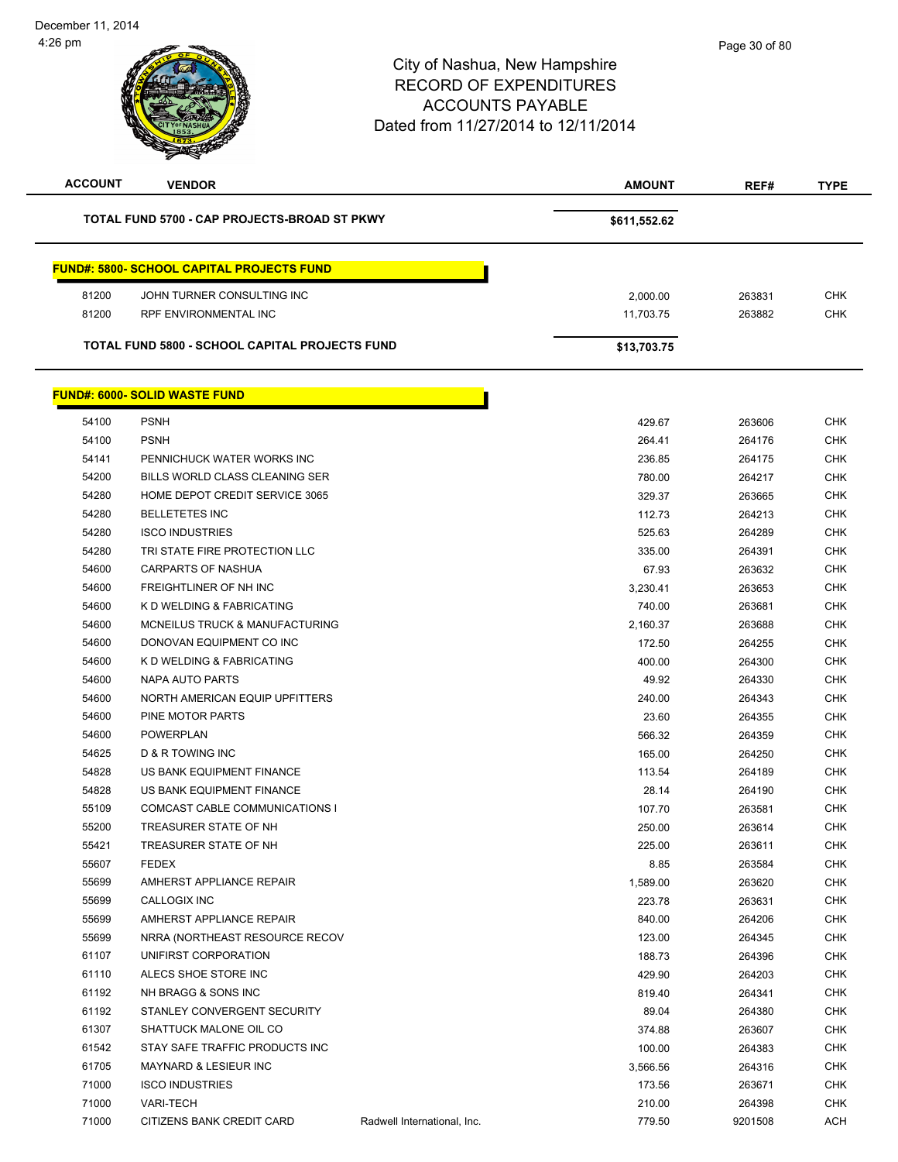$\overline{\phantom{0}}$ 

| <b>ACCOUNT</b> | <b>VENDOR</b>                                           |                             | AMOUNT       | REF#    | <b>TYPE</b> |
|----------------|---------------------------------------------------------|-----------------------------|--------------|---------|-------------|
|                | TOTAL FUND 5700 - CAP PROJECTS-BROAD ST PKWY            |                             | \$611,552.62 |         |             |
|                |                                                         |                             |              |         |             |
|                | <b>FUND#: 5800- SCHOOL CAPITAL PROJECTS FUND</b>        |                             |              |         |             |
| 81200          | JOHN TURNER CONSULTING INC                              |                             | 2,000.00     | 263831  | <b>CHK</b>  |
| 81200          | RPF ENVIRONMENTAL INC                                   |                             | 11,703.75    | 263882  | <b>CHK</b>  |
|                | TOTAL FUND 5800 - SCHOOL CAPITAL PROJECTS FUND          |                             | \$13,703.75  |         |             |
|                | <b>FUND#: 6000- SOLID WASTE FUND</b>                    |                             |              |         |             |
| 54100          | <b>PSNH</b>                                             |                             | 429.67       | 263606  | <b>CHK</b>  |
| 54100          | <b>PSNH</b>                                             |                             | 264.41       | 264176  | <b>CHK</b>  |
| 54141          | PENNICHUCK WATER WORKS INC                              |                             | 236.85       | 264175  | <b>CHK</b>  |
| 54200          | BILLS WORLD CLASS CLEANING SER                          |                             | 780.00       | 264217  | <b>CHK</b>  |
|                | HOME DEPOT CREDIT SERVICE 3065                          |                             |              |         | <b>CHK</b>  |
| 54280          |                                                         |                             | 329.37       | 263665  |             |
| 54280          | <b>BELLETETES INC</b>                                   |                             | 112.73       | 264213  | <b>CHK</b>  |
| 54280          | <b>ISCO INDUSTRIES</b><br>TRI STATE FIRE PROTECTION LLC |                             | 525.63       | 264289  | <b>CHK</b>  |
| 54280          |                                                         |                             | 335.00       | 264391  | <b>CHK</b>  |
| 54600          | <b>CARPARTS OF NASHUA</b>                               |                             | 67.93        | 263632  | <b>CHK</b>  |
| 54600          | FREIGHTLINER OF NH INC                                  |                             | 3,230.41     | 263653  | <b>CHK</b>  |
| 54600          | K D WELDING & FABRICATING                               |                             | 740.00       | 263681  | <b>CHK</b>  |
| 54600          | MCNEILUS TRUCK & MANUFACTURING                          |                             | 2,160.37     | 263688  | <b>CHK</b>  |
| 54600          | DONOVAN EQUIPMENT CO INC                                |                             | 172.50       | 264255  | <b>CHK</b>  |
| 54600          | K D WELDING & FABRICATING                               |                             | 400.00       | 264300  | <b>CHK</b>  |
| 54600          | NAPA AUTO PARTS                                         |                             | 49.92        | 264330  | <b>CHK</b>  |
| 54600          | NORTH AMERICAN EQUIP UPFITTERS                          |                             | 240.00       | 264343  | <b>CHK</b>  |
| 54600          | PINE MOTOR PARTS                                        |                             | 23.60        | 264355  | <b>CHK</b>  |
| 54600          | <b>POWERPLAN</b>                                        |                             | 566.32       | 264359  | <b>CHK</b>  |
| 54625          | D & R TOWING INC                                        |                             | 165.00       | 264250  | <b>CHK</b>  |
| 54828          | US BANK EQUIPMENT FINANCE                               |                             | 113.54       | 264189  | <b>CHK</b>  |
| 54828          | US BANK EQUIPMENT FINANCE                               |                             | 28.14        | 264190  | <b>CHK</b>  |
| 55109          | COMCAST CABLE COMMUNICATIONS I                          |                             | 107.70       | 263581  | <b>CHK</b>  |
| 55200          | TREASURER STATE OF NH                                   |                             | 250.00       | 263614  | CHK         |
| 55421          | TREASURER STATE OF NH                                   |                             | 225.00       | 263611  | <b>CHK</b>  |
| 55607          | <b>FEDEX</b>                                            |                             | 8.85         | 263584  | <b>CHK</b>  |
| 55699          | AMHERST APPLIANCE REPAIR                                |                             | 1,589.00     | 263620  | <b>CHK</b>  |
| 55699          | <b>CALLOGIX INC</b>                                     |                             | 223.78       | 263631  | <b>CHK</b>  |
| 55699          | AMHERST APPLIANCE REPAIR                                |                             | 840.00       | 264206  | <b>CHK</b>  |
| 55699          | NRRA (NORTHEAST RESOURCE RECOV                          |                             | 123.00       | 264345  | <b>CHK</b>  |
| 61107          | UNIFIRST CORPORATION                                    |                             | 188.73       | 264396  | <b>CHK</b>  |
| 61110          | ALECS SHOE STORE INC                                    |                             | 429.90       | 264203  | <b>CHK</b>  |
| 61192          | NH BRAGG & SONS INC                                     |                             | 819.40       | 264341  | <b>CHK</b>  |
| 61192          | STANLEY CONVERGENT SECURITY                             |                             | 89.04        | 264380  | <b>CHK</b>  |
| 61307          | SHATTUCK MALONE OIL CO                                  |                             | 374.88       | 263607  | <b>CHK</b>  |
| 61542          | STAY SAFE TRAFFIC PRODUCTS INC                          |                             | 100.00       | 264383  | <b>CHK</b>  |
| 61705          | <b>MAYNARD &amp; LESIEUR INC</b>                        |                             | 3,566.56     | 264316  | <b>CHK</b>  |
| 71000          | <b>ISCO INDUSTRIES</b>                                  |                             | 173.56       | 263671  | <b>CHK</b>  |
| 71000          | <b>VARI-TECH</b>                                        |                             | 210.00       | 264398  | <b>CHK</b>  |
| 71000          | CITIZENS BANK CREDIT CARD                               | Radwell International, Inc. | 779.50       | 9201508 | ACH         |
|                |                                                         |                             |              |         |             |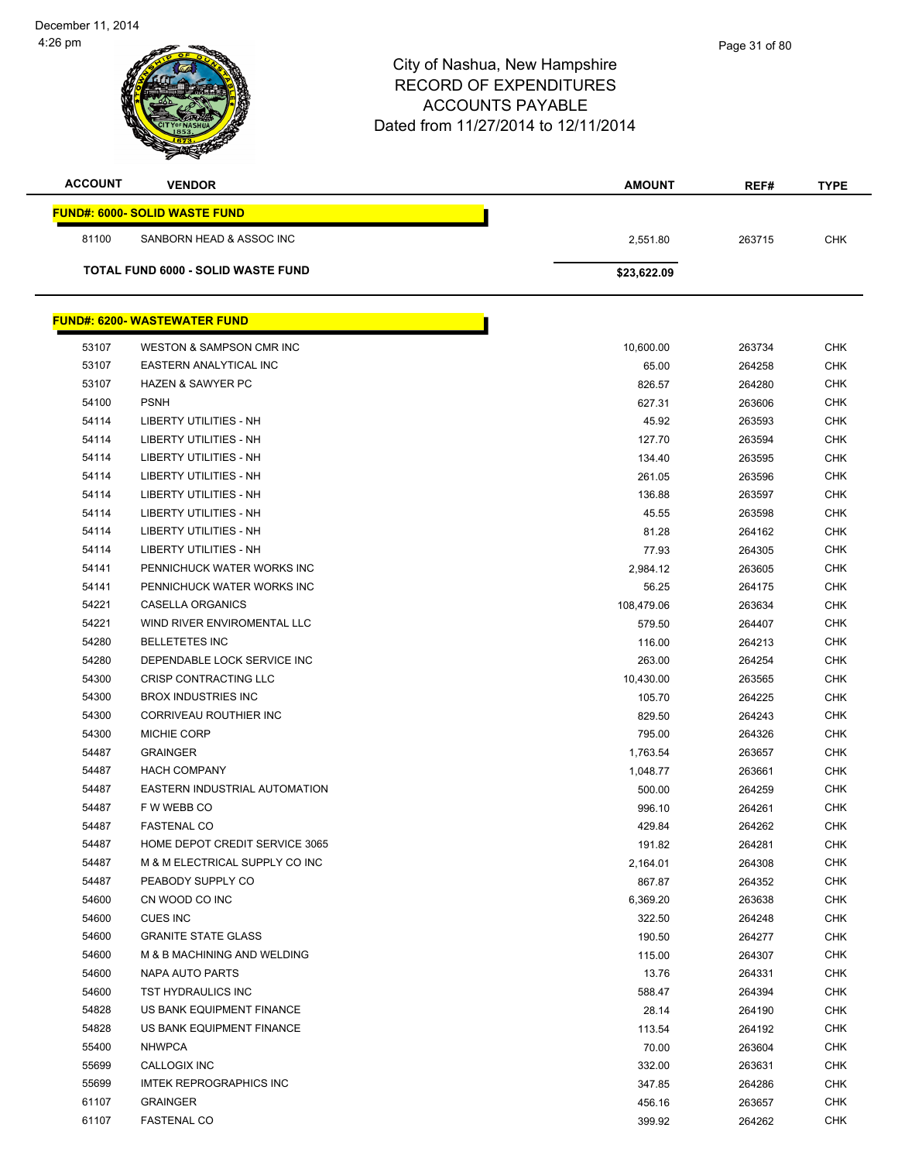| <b>ACCOUNT</b> | <b>VENDOR</b>                             | <b>AMOUNT</b> | REF#   | <b>TYPE</b> |
|----------------|-------------------------------------------|---------------|--------|-------------|
|                | <b>FUND#: 6000- SOLID WASTE FUND</b>      |               |        |             |
| 81100          | SANBORN HEAD & ASSOC INC                  | 2,551.80      | 263715 | <b>CHK</b>  |
|                | <b>TOTAL FUND 6000 - SOLID WASTE FUND</b> | \$23,622.09   |        |             |
|                |                                           |               |        |             |
|                | <b>FUND#: 6200- WASTEWATER FUND</b>       |               |        |             |
| 53107          | WESTON & SAMPSON CMR INC                  | 10,600.00     | 263734 | <b>CHK</b>  |
| 53107          | EASTERN ANALYTICAL INC                    | 65.00         | 264258 | <b>CHK</b>  |
| 53107          | <b>HAZEN &amp; SAWYER PC</b>              | 826.57        | 264280 | <b>CHK</b>  |
| 54100          | <b>PSNH</b>                               | 627.31        | 263606 | <b>CHK</b>  |
| 54114          | LIBERTY UTILITIES - NH                    | 45.92         | 263593 | <b>CHK</b>  |
| 54114          | LIBERTY UTILITIES - NH                    | 127.70        | 263594 | <b>CHK</b>  |
| 54114          | LIBERTY UTILITIES - NH                    | 134.40        | 263595 | <b>CHK</b>  |
| 54114          | <b>LIBERTY UTILITIES - NH</b>             | 261.05        | 263596 | <b>CHK</b>  |
| 54114          | <b>LIBERTY UTILITIES - NH</b>             | 136.88        | 263597 | <b>CHK</b>  |
| 54114          | LIBERTY UTILITIES - NH                    | 45.55         | 263598 | <b>CHK</b>  |
| 54114          | LIBERTY UTILITIES - NH                    | 81.28         | 264162 | <b>CHK</b>  |
| 54114          | LIBERTY UTILITIES - NH                    | 77.93         | 264305 | <b>CHK</b>  |
| 54141          | PENNICHUCK WATER WORKS INC                | 2,984.12      | 263605 | <b>CHK</b>  |
| 54141          | PENNICHUCK WATER WORKS INC                | 56.25         | 264175 | <b>CHK</b>  |
| 54221          | CASELLA ORGANICS                          | 108,479.06    | 263634 | <b>CHK</b>  |
| 54221          | WIND RIVER ENVIROMENTAL LLC               | 579.50        | 264407 | <b>CHK</b>  |
| 54280          | <b>BELLETETES INC</b>                     | 116.00        | 264213 | <b>CHK</b>  |
| 54280          | DEPENDABLE LOCK SERVICE INC               | 263.00        | 264254 | <b>CHK</b>  |
| 54300          | CRISP CONTRACTING LLC                     | 10,430.00     | 263565 | <b>CHK</b>  |
| 54300          | <b>BROX INDUSTRIES INC</b>                | 105.70        | 264225 | <b>CHK</b>  |
| 54300          | CORRIVEAU ROUTHIER INC                    | 829.50        | 264243 | <b>CHK</b>  |
| 54300          | <b>MICHIE CORP</b>                        | 795.00        | 264326 | <b>CHK</b>  |
| 54487          | <b>GRAINGER</b>                           | 1,763.54      | 263657 | <b>CHK</b>  |
| 54487          | <b>HACH COMPANY</b>                       | 1,048.77      | 263661 | <b>CHK</b>  |
| 54487          | EASTERN INDUSTRIAL AUTOMATION             | 500.00        | 264259 | <b>CHK</b>  |
| 54487          | F W WEBB CO                               | 996.10        | 264261 | <b>CHK</b>  |
| 54487          | <b>FASTENAL CO</b>                        | 429.84        | 264262 | <b>CHK</b>  |
| 54487          | HOME DEPOT CREDIT SERVICE 3065            | 191.82        | 264281 | <b>CHK</b>  |
| 54487          | M & M ELECTRICAL SUPPLY CO INC            | 2,164.01      | 264308 | <b>CHK</b>  |
| 54487          | PEABODY SUPPLY CO                         | 867.87        | 264352 | <b>CHK</b>  |
| 54600          | CN WOOD CO INC                            | 6,369.20      | 263638 | <b>CHK</b>  |
| 54600          | CUES INC                                  | 322.50        | 264248 | <b>CHK</b>  |
| 54600          | <b>GRANITE STATE GLASS</b>                | 190.50        | 264277 | <b>CHK</b>  |
| 54600          | M & B MACHINING AND WELDING               | 115.00        | 264307 | <b>CHK</b>  |
| 54600          | NAPA AUTO PARTS                           | 13.76         | 264331 | <b>CHK</b>  |
| 54600          | TST HYDRAULICS INC                        | 588.47        | 264394 | <b>CHK</b>  |
| 54828          | US BANK EQUIPMENT FINANCE                 | 28.14         | 264190 | <b>CHK</b>  |
| 54828          | US BANK EQUIPMENT FINANCE                 | 113.54        | 264192 | <b>CHK</b>  |
| 55400          | <b>NHWPCA</b>                             | 70.00         | 263604 | <b>CHK</b>  |
| 55699          | CALLOGIX INC                              | 332.00        | 263631 | <b>CHK</b>  |
| 55699          | <b>IMTEK REPROGRAPHICS INC</b>            | 347.85        | 264286 | <b>CHK</b>  |
| 61107          | <b>GRAINGER</b>                           | 456.16        | 263657 | <b>CHK</b>  |
| 61107          | <b>FASTENAL CO</b>                        | 399.92        | 264262 | <b>CHK</b>  |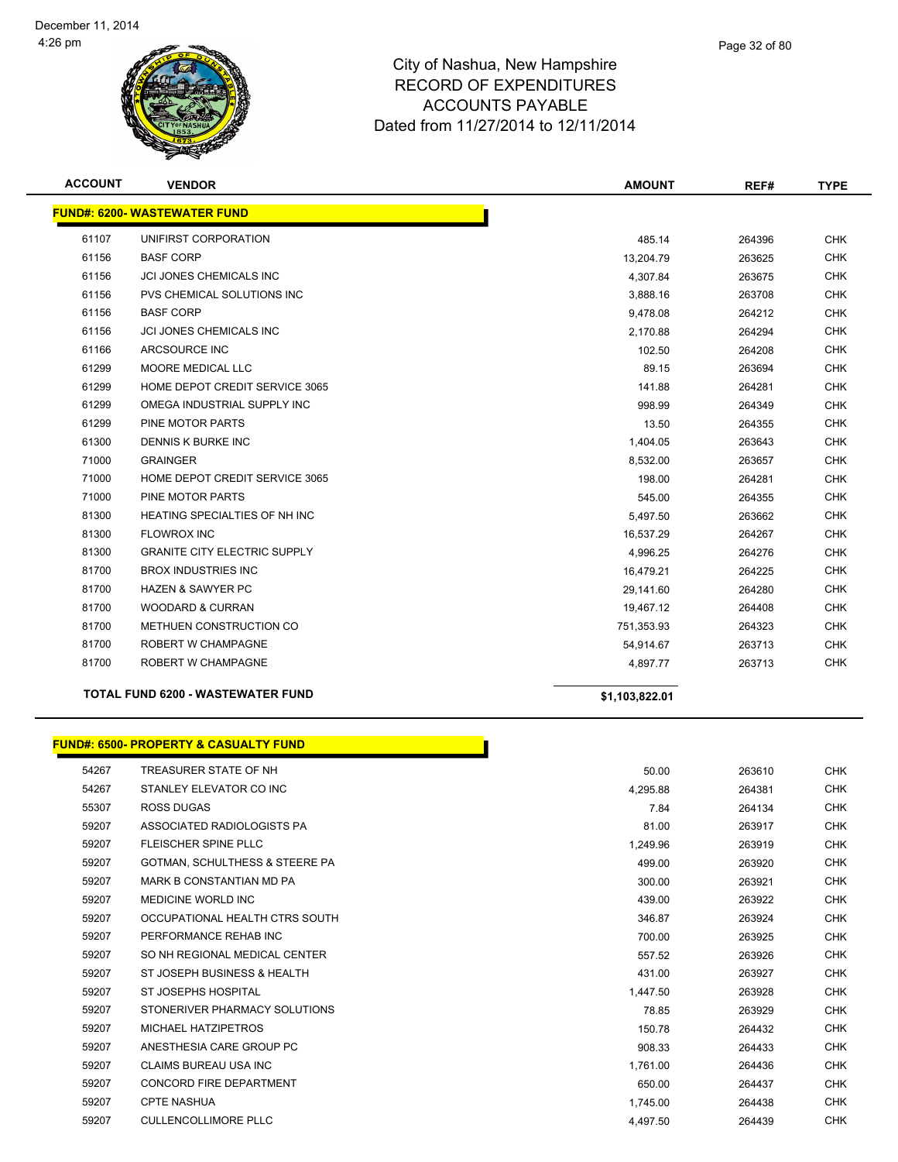

| <b>ACCOUNT</b> | <b>VENDOR</b>                            | <b>AMOUNT</b>  | REF#   | <b>TYPE</b> |
|----------------|------------------------------------------|----------------|--------|-------------|
|                | <b>FUND#: 6200- WASTEWATER FUND</b>      |                |        |             |
| 61107          | UNIFIRST CORPORATION                     | 485.14         | 264396 | <b>CHK</b>  |
| 61156          | <b>BASF CORP</b>                         | 13,204.79      | 263625 | <b>CHK</b>  |
| 61156          | JCI JONES CHEMICALS INC                  | 4,307.84       | 263675 | <b>CHK</b>  |
| 61156          | PVS CHEMICAL SOLUTIONS INC               | 3,888.16       | 263708 | <b>CHK</b>  |
| 61156          | <b>BASF CORP</b>                         | 9,478.08       | 264212 | <b>CHK</b>  |
| 61156          | <b>JCI JONES CHEMICALS INC</b>           | 2,170.88       | 264294 | <b>CHK</b>  |
| 61166          | ARCSOURCE INC                            | 102.50         | 264208 | <b>CHK</b>  |
| 61299          | MOORE MEDICAL LLC                        | 89.15          | 263694 | <b>CHK</b>  |
| 61299          | HOME DEPOT CREDIT SERVICE 3065           | 141.88         | 264281 | <b>CHK</b>  |
| 61299          | OMEGA INDUSTRIAL SUPPLY INC              | 998.99         | 264349 | <b>CHK</b>  |
| 61299          | PINE MOTOR PARTS                         | 13.50          | 264355 | <b>CHK</b>  |
| 61300          | <b>DENNIS K BURKE INC</b>                | 1,404.05       | 263643 | <b>CHK</b>  |
| 71000          | <b>GRAINGER</b>                          | 8,532.00       | 263657 | <b>CHK</b>  |
| 71000          | HOME DEPOT CREDIT SERVICE 3065           | 198.00         | 264281 | <b>CHK</b>  |
| 71000          | PINE MOTOR PARTS                         | 545.00         | 264355 | <b>CHK</b>  |
| 81300          | HEATING SPECIALTIES OF NH INC            | 5,497.50       | 263662 | <b>CHK</b>  |
| 81300          | <b>FLOWROX INC</b>                       | 16,537.29      | 264267 | <b>CHK</b>  |
| 81300          | <b>GRANITE CITY ELECTRIC SUPPLY</b>      | 4,996.25       | 264276 | <b>CHK</b>  |
| 81700          | <b>BROX INDUSTRIES INC</b>               | 16,479.21      | 264225 | <b>CHK</b>  |
| 81700          | <b>HAZEN &amp; SAWYER PC</b>             | 29,141.60      | 264280 | <b>CHK</b>  |
| 81700          | <b>WOODARD &amp; CURRAN</b>              | 19,467.12      | 264408 | <b>CHK</b>  |
| 81700          | METHUEN CONSTRUCTION CO                  | 751,353.93     | 264323 | <b>CHK</b>  |
| 81700          | ROBERT W CHAMPAGNE                       | 54,914.67      | 263713 | <b>CHK</b>  |
| 81700          | ROBERT W CHAMPAGNE                       | 4,897.77       | 263713 | <b>CHK</b>  |
|                | <b>TOTAL FUND 6200 - WASTEWATER FUND</b> | \$1,103,822.01 |        |             |

# **FUND#: 6500- PROPERTY & CASUALTY FUND**

| 54267 | TREASURER STATE OF NH          | 50.00    | 263610 |
|-------|--------------------------------|----------|--------|
| 54267 | STANLEY ELEVATOR CO INC        | 4,295.88 | 264381 |
| 55307 | <b>ROSS DUGAS</b>              | 7.84     | 264134 |
| 59207 | ASSOCIATED RADIOLOGISTS PA     | 81.00    | 263917 |
| 59207 | FLEISCHER SPINE PLLC           | 1.249.96 | 263919 |
| 59207 | GOTMAN, SCHULTHESS & STEERE PA | 499.00   | 263920 |
| 59207 | MARK B CONSTANTIAN MD PA       | 300.00   | 263921 |
| 59207 | <b>MEDICINE WORLD INC</b>      | 439.00   | 263922 |
| 59207 | OCCUPATIONAL HEALTH CTRS SOUTH | 346.87   | 263924 |
| 59207 | PERFORMANCE REHAB INC          | 700.00   | 263925 |
| 59207 | SO NH REGIONAL MEDICAL CENTER  | 557.52   | 263926 |
| 59207 | ST JOSEPH BUSINESS & HEALTH    | 431.00   | 263927 |
| 59207 | <b>ST JOSEPHS HOSPITAL</b>     | 1,447.50 | 263928 |
| 59207 | STONERIVER PHARMACY SOLUTIONS  | 78.85    | 263929 |
| 59207 | MICHAEL HATZIPETROS            | 150.78   | 264432 |
| 59207 | ANESTHESIA CARE GROUP PC       | 908.33   | 264433 |
| 59207 | CLAIMS BUREAU USA INC          | 1,761.00 | 264436 |
| 59207 | CONCORD FIRE DEPARTMENT        | 650.00   | 264437 |
| 59207 | <b>CPTE NASHUA</b>             | 1,745.00 | 264438 |
| 59207 | <b>CULLENCOLLIMORE PLLC</b>    | 4,497.50 | 264439 |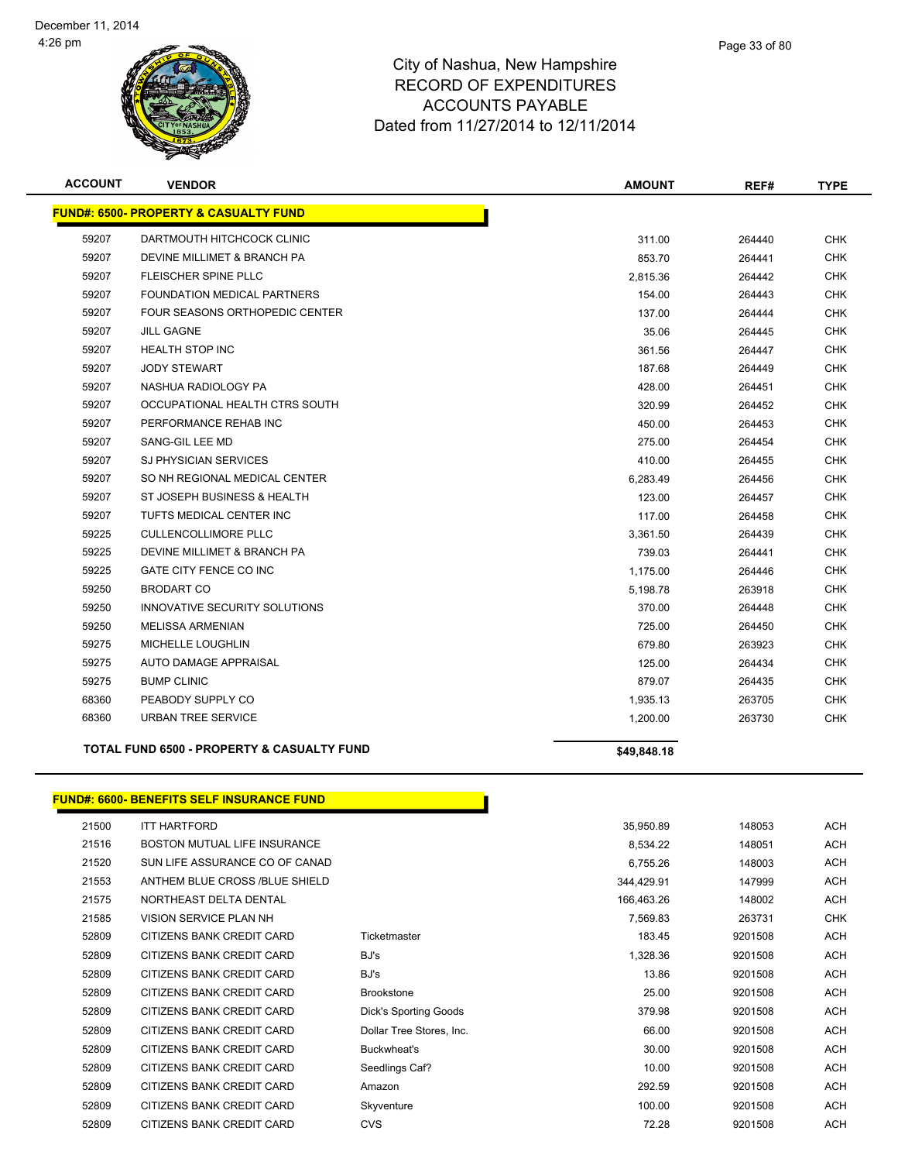

| <b>ACCOUNT</b> | <b>VENDOR</b>                                         | <b>AMOUNT</b> | REF#   | <b>TYPE</b> |
|----------------|-------------------------------------------------------|---------------|--------|-------------|
|                | <b>FUND#: 6500- PROPERTY &amp; CASUALTY FUND</b>      |               |        |             |
| 59207          | DARTMOUTH HITCHCOCK CLINIC                            | 311.00        | 264440 | CHK         |
| 59207          | DEVINE MILLIMET & BRANCH PA                           | 853.70        | 264441 | <b>CHK</b>  |
| 59207          | <b>FLEISCHER SPINE PLLC</b>                           | 2,815.36      | 264442 | <b>CHK</b>  |
| 59207          | <b>FOUNDATION MEDICAL PARTNERS</b>                    | 154.00        | 264443 | <b>CHK</b>  |
| 59207          | FOUR SEASONS ORTHOPEDIC CENTER                        | 137.00        | 264444 | CHK         |
| 59207          | <b>JILL GAGNE</b>                                     | 35.06         | 264445 | <b>CHK</b>  |
| 59207          | <b>HEALTH STOP INC</b>                                | 361.56        | 264447 | CHK         |
| 59207          | <b>JODY STEWART</b>                                   | 187.68        | 264449 | <b>CHK</b>  |
| 59207          | NASHUA RADIOLOGY PA                                   | 428.00        | 264451 | <b>CHK</b>  |
| 59207          | OCCUPATIONAL HEALTH CTRS SOUTH                        | 320.99        | 264452 | <b>CHK</b>  |
| 59207          | PERFORMANCE REHAB INC                                 | 450.00        | 264453 | <b>CHK</b>  |
| 59207          | SANG-GIL LEE MD                                       | 275.00        | 264454 | <b>CHK</b>  |
| 59207          | <b>SJ PHYSICIAN SERVICES</b>                          | 410.00        | 264455 | CHK         |
| 59207          | SO NH REGIONAL MEDICAL CENTER                         | 6,283.49      | 264456 | <b>CHK</b>  |
| 59207          | ST JOSEPH BUSINESS & HEALTH                           | 123.00        | 264457 | CHK         |
| 59207          | TUFTS MEDICAL CENTER INC                              | 117.00        | 264458 | <b>CHK</b>  |
| 59225          | <b>CULLENCOLLIMORE PLLC</b>                           | 3,361.50      | 264439 | <b>CHK</b>  |
| 59225          | DEVINE MILLIMET & BRANCH PA                           | 739.03        | 264441 | <b>CHK</b>  |
| 59225          | GATE CITY FENCE CO INC                                | 1,175.00      | 264446 | <b>CHK</b>  |
| 59250          | <b>BRODART CO</b>                                     | 5,198.78      | 263918 | <b>CHK</b>  |
| 59250          | INNOVATIVE SECURITY SOLUTIONS                         | 370.00        | 264448 | CHK         |
| 59250          | <b>MELISSA ARMENIAN</b>                               | 725.00        | 264450 | <b>CHK</b>  |
| 59275          | MICHELLE LOUGHLIN                                     | 679.80        | 263923 | CHK         |
| 59275          | <b>AUTO DAMAGE APPRAISAL</b>                          | 125.00        | 264434 | <b>CHK</b>  |
| 59275          | <b>BUMP CLINIC</b>                                    | 879.07        | 264435 | CHK         |
| 68360          | PEABODY SUPPLY CO                                     | 1,935.13      | 263705 | <b>CHK</b>  |
| 68360          | <b>URBAN TREE SERVICE</b>                             | 1,200.00      | 263730 | <b>CHK</b>  |
|                | <b>TOTAL FUND 6500 - PROPERTY &amp; CASUALTY FUND</b> | \$49,848.18   |        |             |

#### **FUND#: 6600- BENEFITS SELF INSURANCE FUND**

| 21500 | <b>ITT HARTFORD</b>                 |                          | 35,950.89  | 148053  | <b>ACH</b> |
|-------|-------------------------------------|--------------------------|------------|---------|------------|
| 21516 | <b>BOSTON MUTUAL LIFE INSURANCE</b> |                          | 8,534.22   | 148051  | ACH        |
| 21520 | SUN LIFE ASSURANCE CO OF CANAD      |                          | 6,755.26   | 148003  | <b>ACH</b> |
| 21553 | ANTHEM BLUE CROSS /BLUE SHIELD      |                          | 344,429.91 | 147999  | <b>ACH</b> |
| 21575 | NORTHEAST DELTA DENTAL              |                          | 166,463.26 | 148002  | <b>ACH</b> |
| 21585 | <b>VISION SERVICE PLAN NH</b>       |                          | 7,569.83   | 263731  | <b>CHK</b> |
| 52809 | CITIZENS BANK CREDIT CARD           | Ticketmaster             | 183.45     | 9201508 | <b>ACH</b> |
| 52809 | CITIZENS BANK CREDIT CARD           | BJ's                     | 1,328.36   | 9201508 | <b>ACH</b> |
| 52809 | CITIZENS BANK CREDIT CARD           | BJ's                     | 13.86      | 9201508 | ACH        |
| 52809 | CITIZENS BANK CREDIT CARD           | <b>Brookstone</b>        | 25.00      | 9201508 | <b>ACH</b> |
| 52809 | CITIZENS BANK CREDIT CARD           | Dick's Sporting Goods    | 379.98     | 9201508 | <b>ACH</b> |
| 52809 | CITIZENS BANK CREDIT CARD           | Dollar Tree Stores, Inc. | 66.00      | 9201508 | <b>ACH</b> |
| 52809 | CITIZENS BANK CREDIT CARD           | Buckwheat's              | 30.00      | 9201508 | <b>ACH</b> |
| 52809 | CITIZENS BANK CREDIT CARD           | Seedlings Caf?           | 10.00      | 9201508 | <b>ACH</b> |
| 52809 | CITIZENS BANK CREDIT CARD           | Amazon                   | 292.59     | 9201508 | <b>ACH</b> |
| 52809 | CITIZENS BANK CREDIT CARD           | Skyventure               | 100.00     | 9201508 | <b>ACH</b> |
| 52809 | CITIZENS BANK CREDIT CARD           | <b>CVS</b>               | 72.28      | 9201508 | <b>ACH</b> |

Г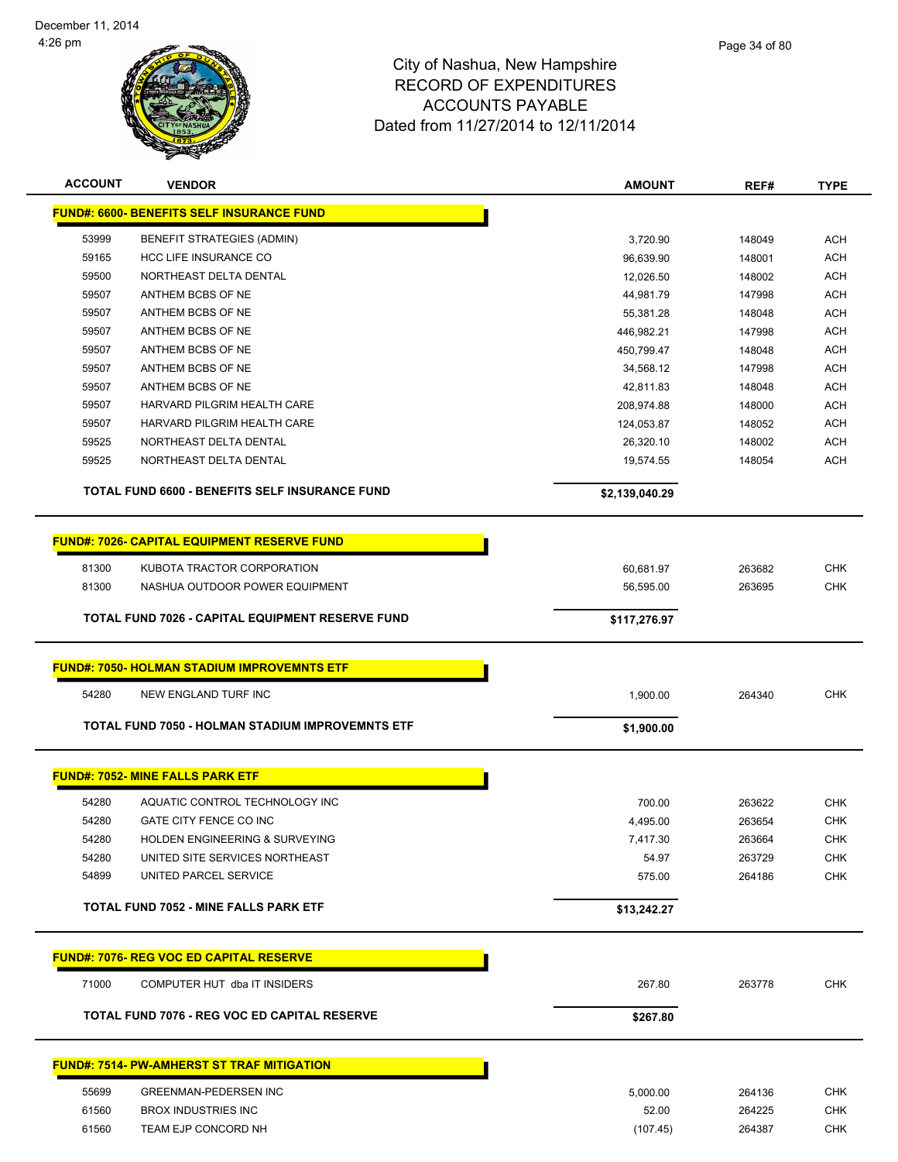

|             | Page 34 of 80 |
|-------------|---------------|
| re          |               |
| $\mathbf C$ |               |

| <b>ACCOUNT</b> | <b>VENDOR</b>                                      | <b>AMOUNT</b>  | REF#   | <b>TYPE</b> |
|----------------|----------------------------------------------------|----------------|--------|-------------|
|                | <u> FUND#: 6600- BENEFITS SELF INSURANCE FUND</u>  |                |        |             |
| 53999          | BENEFIT STRATEGIES (ADMIN)                         | 3,720.90       | 148049 | <b>ACH</b>  |
| 59165          | HCC LIFE INSURANCE CO                              | 96,639.90      | 148001 | <b>ACH</b>  |
| 59500          | NORTHEAST DELTA DENTAL                             | 12,026.50      | 148002 | <b>ACH</b>  |
| 59507          | ANTHEM BCBS OF NE                                  | 44,981.79      | 147998 | <b>ACH</b>  |
| 59507          | ANTHEM BCBS OF NE                                  | 55,381.28      | 148048 | <b>ACH</b>  |
| 59507          | ANTHEM BCBS OF NE                                  | 446,982.21     | 147998 | <b>ACH</b>  |
| 59507          | ANTHEM BCBS OF NE                                  | 450,799.47     | 148048 | <b>ACH</b>  |
| 59507          | ANTHEM BCBS OF NE                                  | 34,568.12      | 147998 | <b>ACH</b>  |
| 59507          | ANTHEM BCBS OF NE                                  | 42,811.83      | 148048 | <b>ACH</b>  |
| 59507          | HARVARD PILGRIM HEALTH CARE                        | 208,974.88     | 148000 | <b>ACH</b>  |
| 59507          | HARVARD PILGRIM HEALTH CARE                        | 124,053.87     | 148052 | <b>ACH</b>  |
| 59525          | NORTHEAST DELTA DENTAL                             | 26,320.10      | 148002 | <b>ACH</b>  |
| 59525          | NORTHEAST DELTA DENTAL                             | 19,574.55      | 148054 | <b>ACH</b>  |
|                | TOTAL FUND 6600 - BENEFITS SELF INSURANCE FUND     | \$2,139,040.29 |        |             |
|                | <b>FUND#: 7026- CAPITAL EQUIPMENT RESERVE FUND</b> |                |        |             |
| 81300          | KUBOTA TRACTOR CORPORATION                         | 60,681.97      | 263682 | <b>CHK</b>  |
| 81300          | NASHUA OUTDOOR POWER EQUIPMENT                     | 56,595.00      | 263695 | <b>CHK</b>  |
|                |                                                    |                |        |             |
|                | TOTAL FUND 7026 - CAPITAL EQUIPMENT RESERVE FUND   | \$117,276.97   |        |             |
|                | <b>FUND#: 7050- HOLMAN STADIUM IMPROVEMNTS ETF</b> |                |        |             |
| 54280          | NEW ENGLAND TURF INC                               | 1,900.00       | 264340 | <b>CHK</b>  |
|                | TOTAL FUND 7050 - HOLMAN STADIUM IMPROVEMNTS ETF   | \$1,900.00     |        |             |
|                | <b>FUND#: 7052- MINE FALLS PARK ETF</b>            |                |        |             |
| 54280          | AQUATIC CONTROL TECHNOLOGY INC                     | 700.00         | 263622 | <b>CHK</b>  |
| 54280          | GATE CITY FENCE CO INC                             | 4,495.00       | 263654 | <b>CHK</b>  |
| 54280          | HOLDEN ENGINEERING & SURVEYING                     | 7,417.30       | 263664 | <b>CHK</b>  |
| 54280          | UNITED SITE SERVICES NORTHEAST                     | 54.97          | 263729 | <b>CHK</b>  |
| 54899          | UNITED PARCEL SERVICE                              | 575.00         | 264186 | <b>CHK</b>  |
|                | <b>TOTAL FUND 7052 - MINE FALLS PARK ETF</b>       | \$13,242.27    |        |             |
|                | <b>FUND#: 7076- REG VOC ED CAPITAL RESERVE</b>     |                |        |             |
| 71000          | COMPUTER HUT dba IT INSIDERS                       | 267.80         | 263778 | <b>CHK</b>  |
|                | TOTAL FUND 7076 - REG VOC ED CAPITAL RESERVE       | \$267.80       |        |             |
|                | <b>FUND#: 7514- PW-AMHERST ST TRAF MITIGATION</b>  |                |        |             |
| 55699          | <b>GREENMAN-PEDERSEN INC</b>                       | 5,000.00       | 264136 | <b>CHK</b>  |
| 61560          | <b>BROX INDUSTRIES INC</b>                         | 52.00          | 264225 | <b>CHK</b>  |
| 61560          | TEAM EJP CONCORD NH                                | (107.45)       | 264387 | <b>CHK</b>  |
|                |                                                    |                |        |             |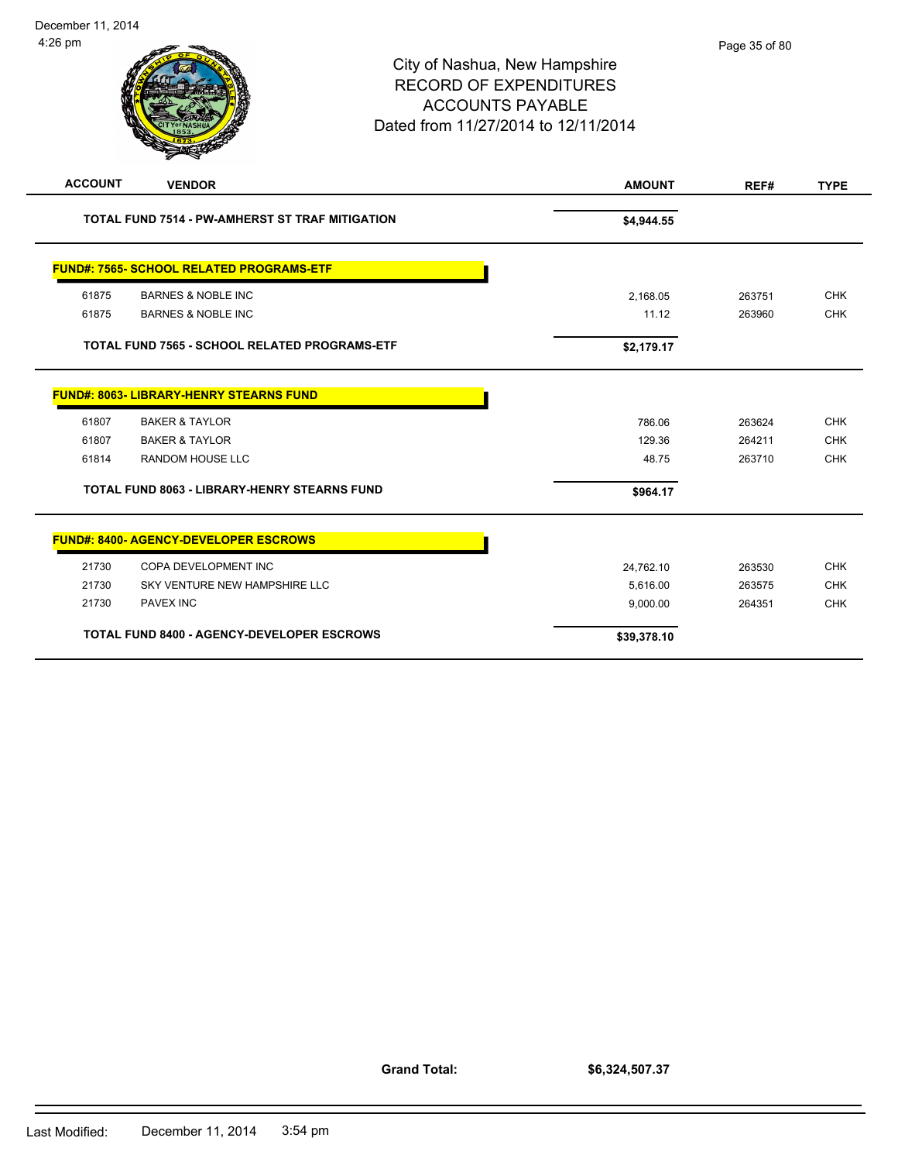

|       | <b>TOTAL FUND 7565 - SCHOOL RELATED PROGRAMS-ETF</b> | \$2,179.17  |        |            |
|-------|------------------------------------------------------|-------------|--------|------------|
|       | <b>FUND#: 8063- LIBRARY-HENRY STEARNS FUND</b>       |             |        |            |
| 61807 | <b>BAKER &amp; TAYLOR</b>                            | 786.06      | 263624 | <b>CHK</b> |
| 61807 | <b>BAKER &amp; TAYLOR</b>                            | 129.36      | 264211 | <b>CHK</b> |
| 61814 | <b>RANDOM HOUSE LLC</b>                              | 48.75       | 263710 | <b>CHK</b> |
|       | <b>TOTAL FUND 8063 - LIBRARY-HENRY STEARNS FUND</b>  | \$964.17    |        |            |
|       | <b>FUND#: 8400- AGENCY-DEVELOPER ESCROWS</b>         |             |        |            |
| 21730 | COPA DEVELOPMENT INC                                 | 24,762.10   | 263530 | <b>CHK</b> |
| 21730 | SKY VENTURE NEW HAMPSHIRE LLC                        | 5,616.00    | 263575 | <b>CHK</b> |
| 21730 | <b>PAVEX INC</b>                                     | 9,000.00    | 264351 | <b>CHK</b> |
|       | <b>TOTAL FUND 8400 - AGENCY-DEVELOPER ESCROWS</b>    | \$39,378.10 |        |            |

**Grand Total:**

**\$6,324,507.37**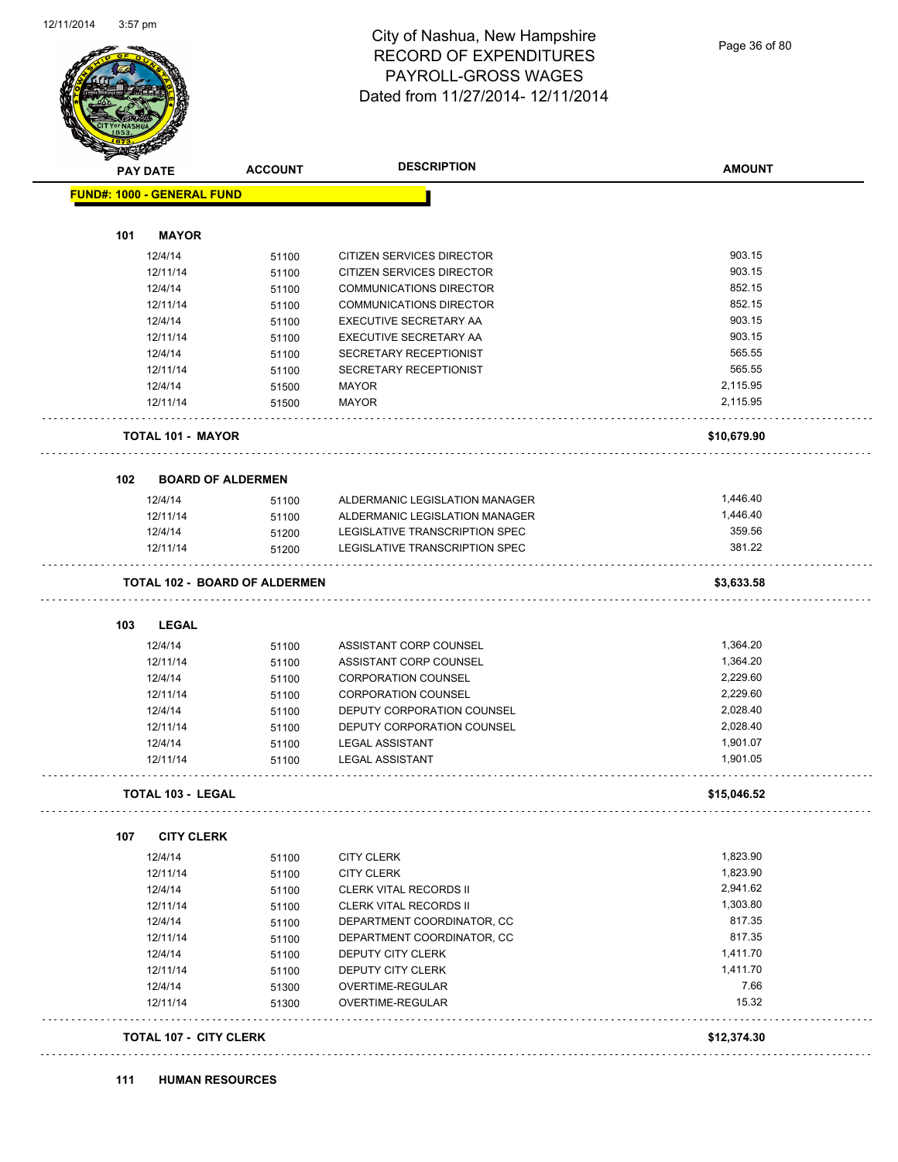

### City of Nashua, New Hampshire RECORD OF EXPENDITURES PAYROLL-GROSS WAGES Dated from 11/27/2014- 12/11/2014

Page 36 of 80

| <b>PAY DATE</b>                   | <b>ACCOUNT</b>                       | <b>DESCRIPTION</b>               | <b>AMOUNT</b> |
|-----------------------------------|--------------------------------------|----------------------------------|---------------|
| <b>FUND#: 1000 - GENERAL FUND</b> |                                      |                                  |               |
| 101<br><b>MAYOR</b>               |                                      |                                  |               |
| 12/4/14                           | 51100                                | <b>CITIZEN SERVICES DIRECTOR</b> | 903.15        |
| 12/11/14                          | 51100                                | CITIZEN SERVICES DIRECTOR        | 903.15        |
| 12/4/14                           | 51100                                | <b>COMMUNICATIONS DIRECTOR</b>   | 852.15        |
| 12/11/14                          | 51100                                | <b>COMMUNICATIONS DIRECTOR</b>   | 852.15        |
| 12/4/14                           | 51100                                | EXECUTIVE SECRETARY AA           | 903.15        |
| 12/11/14                          | 51100                                | EXECUTIVE SECRETARY AA           | 903.15        |
| 12/4/14                           | 51100                                | SECRETARY RECEPTIONIST           | 565.55        |
| 12/11/14                          | 51100                                | SECRETARY RECEPTIONIST           | 565.55        |
| 12/4/14                           | 51500                                | <b>MAYOR</b>                     | 2,115.95      |
| 12/11/14                          | 51500                                | <b>MAYOR</b>                     | 2,115.95      |
|                                   |                                      |                                  |               |
| <b>TOTAL 101 - MAYOR</b>          |                                      |                                  | \$10,679.90   |
| 102                               | <b>BOARD OF ALDERMEN</b>             |                                  |               |
| 12/4/14                           | 51100                                | ALDERMANIC LEGISLATION MANAGER   | 1,446.40      |
| 12/11/14                          | 51100                                | ALDERMANIC LEGISLATION MANAGER   | 1,446.40      |
| 12/4/14                           | 51200                                | LEGISLATIVE TRANSCRIPTION SPEC   | 359.56        |
| 12/11/14                          | 51200                                | LEGISLATIVE TRANSCRIPTION SPEC   | 381.22        |
|                                   | <b>TOTAL 102 - BOARD OF ALDERMEN</b> |                                  | \$3,633.58    |
| 103<br>LEGAL                      |                                      |                                  |               |
| 12/4/14                           | 51100                                | ASSISTANT CORP COUNSEL           | 1,364.20      |
| 12/11/14                          | 51100                                | ASSISTANT CORP COUNSEL           | 1,364.20      |
| 12/4/14                           | 51100                                | <b>CORPORATION COUNSEL</b>       | 2,229.60      |
| 12/11/14                          | 51100                                | <b>CORPORATION COUNSEL</b>       | 2,229.60      |
| 12/4/14                           | 51100                                | DEPUTY CORPORATION COUNSEL       | 2,028.40      |
| 12/11/14                          | 51100                                | DEPUTY CORPORATION COUNSEL       | 2,028.40      |
| 12/4/14                           | 51100                                | <b>LEGAL ASSISTANT</b>           | 1,901.07      |
| 12/11/14                          | 51100                                | <b>LEGAL ASSISTANT</b>           | 1,901.05      |
| <b>TOTAL 103 - LEGAL</b>          |                                      |                                  | \$15,046.52   |
| 107                               | <b>CITY CLERK</b>                    |                                  |               |
| 12/4/14                           | 51100                                | <b>CITY CLERK</b>                | 1,823.90      |
| 12/11/14                          | 51100                                | <b>CITY CLERK</b>                | 1,823.90      |
| 12/4/14                           | 51100                                | <b>CLERK VITAL RECORDS II</b>    | 2,941.62      |
| 12/11/14                          | 51100                                | <b>CLERK VITAL RECORDS II</b>    | 1,303.80      |
| 12/4/14                           | 51100                                | DEPARTMENT COORDINATOR, CC       | 817.35        |
| 12/11/14                          | 51100                                | DEPARTMENT COORDINATOR, CC       | 817.35        |
| 12/4/14                           | 51100                                | DEPUTY CITY CLERK                | 1,411.70      |
| 12/11/14                          | 51100                                | DEPUTY CITY CLERK                | 1,411.70      |
| 12/4/14                           | 51300                                | OVERTIME-REGULAR                 | 7.66          |
| 12/11/14                          | 51300                                | OVERTIME-REGULAR                 | 15.32         |
|                                   |                                      |                                  |               |

**111 HUMAN RESOURCES**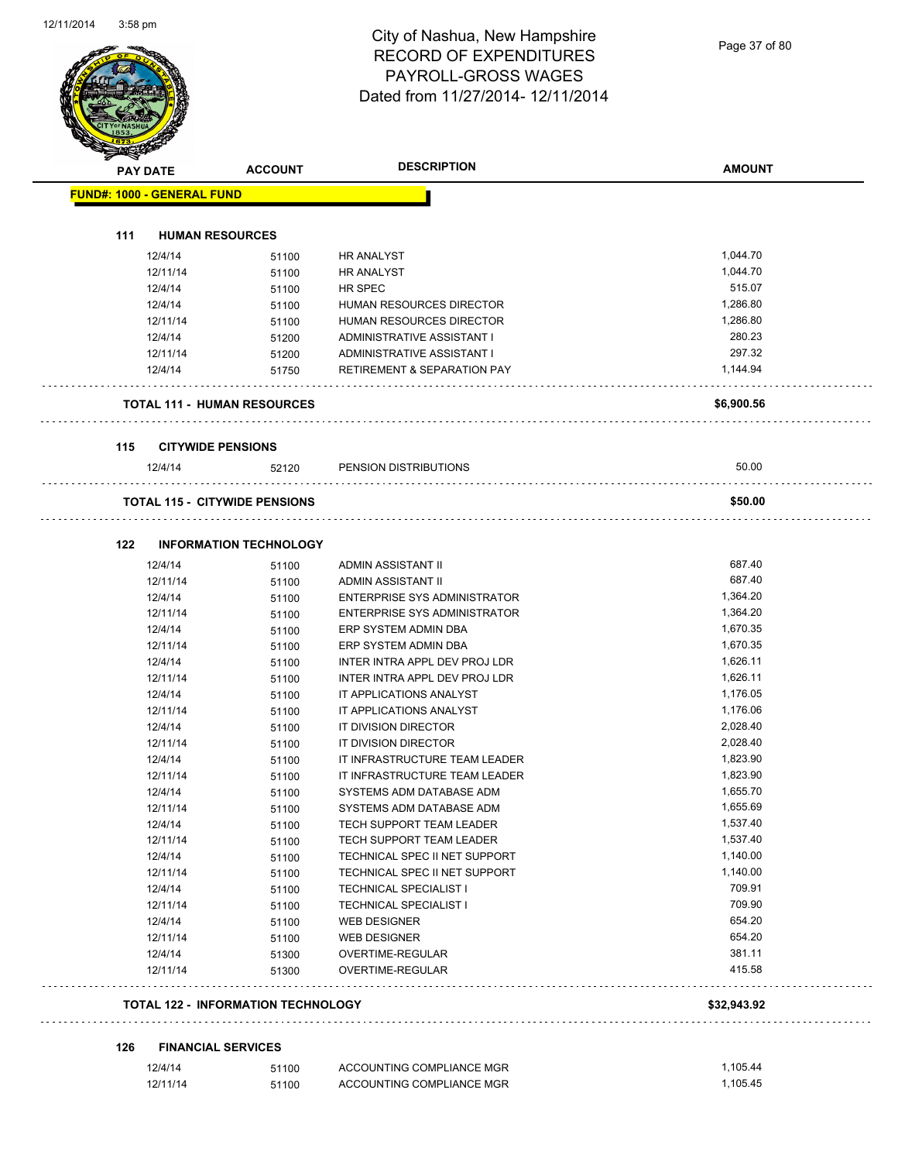Page 37 of 80

|     | <b>PAY DATE</b>                   | <b>ACCOUNT</b>                            | <b>DESCRIPTION</b>                     | <b>AMOUNT</b> |
|-----|-----------------------------------|-------------------------------------------|----------------------------------------|---------------|
|     | <b>FUND#: 1000 - GENERAL FUND</b> |                                           |                                        |               |
|     |                                   |                                           |                                        |               |
| 111 |                                   | <b>HUMAN RESOURCES</b>                    |                                        |               |
|     | 12/4/14                           | 51100                                     | <b>HR ANALYST</b>                      | 1,044.70      |
|     | 12/11/14                          | 51100                                     | <b>HR ANALYST</b>                      | 1,044.70      |
|     | 12/4/14                           | 51100                                     | <b>HR SPEC</b>                         | 515.07        |
|     | 12/4/14                           | 51100                                     | HUMAN RESOURCES DIRECTOR               | 1,286.80      |
|     | 12/11/14                          | 51100                                     | HUMAN RESOURCES DIRECTOR               | 1,286.80      |
|     | 12/4/14                           | 51200                                     | ADMINISTRATIVE ASSISTANT I             | 280.23        |
|     | 12/11/14                          | 51200                                     | ADMINISTRATIVE ASSISTANT I             | 297.32        |
|     | 12/4/14                           | 51750                                     | <b>RETIREMENT &amp; SEPARATION PAY</b> | 1,144.94      |
|     |                                   |                                           |                                        |               |
|     |                                   | <b>TOTAL 111 - HUMAN RESOURCES</b>        |                                        | \$6,900.56    |
| 115 |                                   | <b>CITYWIDE PENSIONS</b>                  |                                        |               |
|     | 12/4/14                           | 52120                                     | PENSION DISTRIBUTIONS                  | 50.00         |
|     |                                   | <b>TOTAL 115 - CITYWIDE PENSIONS</b>      |                                        | \$50.00       |
|     |                                   |                                           |                                        |               |
| 122 |                                   | <b>INFORMATION TECHNOLOGY</b>             |                                        |               |
|     | 12/4/14                           | 51100                                     | ADMIN ASSISTANT II                     | 687.40        |
|     | 12/11/14                          | 51100                                     | ADMIN ASSISTANT II                     | 687.40        |
|     | 12/4/14                           | 51100                                     | ENTERPRISE SYS ADMINISTRATOR           | 1,364.20      |
|     | 12/11/14                          | 51100                                     | ENTERPRISE SYS ADMINISTRATOR           | 1,364.20      |
|     | 12/4/14                           | 51100                                     | ERP SYSTEM ADMIN DBA                   | 1,670.35      |
|     | 12/11/14                          | 51100                                     | ERP SYSTEM ADMIN DBA                   | 1,670.35      |
|     | 12/4/14                           | 51100                                     | INTER INTRA APPL DEV PROJ LDR          | 1,626.11      |
|     | 12/11/14                          | 51100                                     | INTER INTRA APPL DEV PROJ LDR          | 1,626.11      |
|     | 12/4/14                           | 51100                                     | IT APPLICATIONS ANALYST                | 1,176.05      |
|     | 12/11/14                          | 51100                                     | IT APPLICATIONS ANALYST                | 1,176.06      |
|     | 12/4/14                           | 51100                                     | IT DIVISION DIRECTOR                   | 2,028.40      |
|     | 12/11/14                          | 51100                                     | IT DIVISION DIRECTOR                   | 2,028.40      |
|     | 12/4/14                           | 51100                                     | IT INFRASTRUCTURE TEAM LEADER          | 1,823.90      |
|     | 12/11/14                          | 51100                                     | IT INFRASTRUCTURE TEAM LEADER          | 1,823.90      |
|     |                                   |                                           |                                        | 1,655.70      |
|     | 12/4/14                           | 51100                                     | SYSTEMS ADM DATABASE ADM               | 1,655.69      |
|     | 12/11/14                          | 51100                                     | SYSTEMS ADM DATABASE ADM               |               |
|     | 12/4/14                           | 51100                                     | TECH SUPPORT TEAM LEADER               | 1,537.40      |
|     | 12/11/14                          | 51100                                     | TECH SUPPORT TEAM LEADER               | 1,537.40      |
|     | 12/4/14                           | 51100                                     | TECHNICAL SPEC II NET SUPPORT          | 1,140.00      |
|     | 12/11/14                          | 51100                                     | TECHNICAL SPEC II NET SUPPORT          | 1,140.00      |
|     | 12/4/14                           | 51100                                     | <b>TECHNICAL SPECIALIST I</b>          | 709.91        |
|     | 12/11/14                          | 51100                                     | <b>TECHNICAL SPECIALIST I</b>          | 709.90        |
|     | 12/4/14                           | 51100                                     | WEB DESIGNER                           | 654.20        |
|     | 12/11/14                          | 51100                                     | <b>WEB DESIGNER</b>                    | 654.20        |
|     | 12/4/14                           | 51300                                     | OVERTIME-REGULAR                       | 381.11        |
|     | 12/11/14                          | 51300                                     | OVERTIME-REGULAR                       | 415.58        |
|     |                                   | <b>TOTAL 122 - INFORMATION TECHNOLOGY</b> |                                        | \$32,943.92   |
|     |                                   |                                           |                                        |               |
| 126 |                                   | <b>FINANCIAL SERVICES</b>                 |                                        |               |
|     | 12/4/14                           | 51100                                     | ACCOUNTING COMPLIANCE MGR              | 1,105.44      |
|     | 12/11/14                          | 51100                                     | ACCOUNTING COMPLIANCE MGR              | 1,105.45      |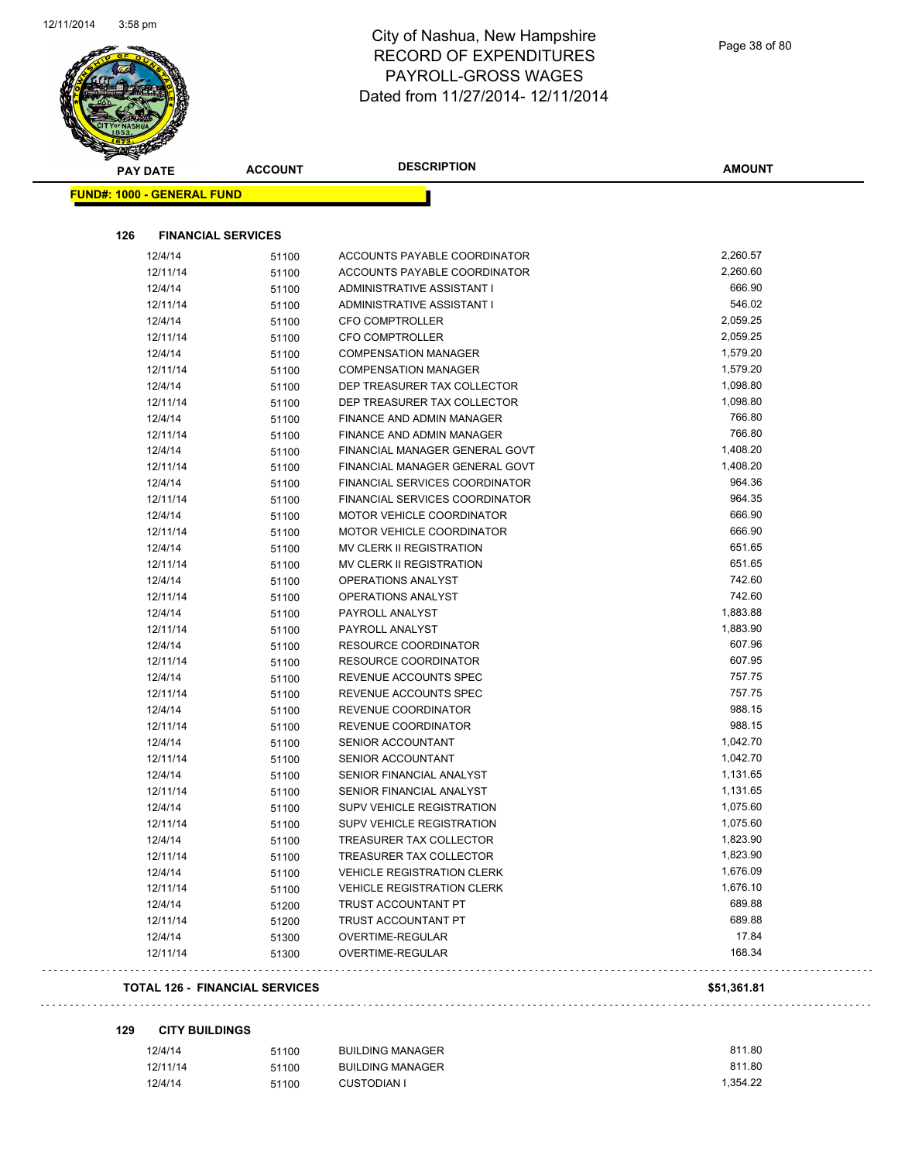

| <b>PAY DATE</b>                   | <b>ACCOUNT</b> | <b>DESCRIPTION</b>                | <b>AMOUNT</b> |
|-----------------------------------|----------------|-----------------------------------|---------------|
| <b>FUND#: 1000 - GENERAL FUND</b> |                |                                   |               |
|                                   |                |                                   |               |
| 126<br><b>FINANCIAL SERVICES</b>  |                |                                   |               |
| 12/4/14                           | 51100          | ACCOUNTS PAYABLE COORDINATOR      | 2,260.57      |
| 12/11/14                          | 51100          | ACCOUNTS PAYABLE COORDINATOR      | 2,260.60      |
| 12/4/14                           | 51100          | ADMINISTRATIVE ASSISTANT I        | 666.90        |
| 12/11/14                          | 51100          | ADMINISTRATIVE ASSISTANT I        | 546.02        |
| 12/4/14                           | 51100          | <b>CFO COMPTROLLER</b>            | 2,059.25      |
| 12/11/14                          | 51100          | <b>CFO COMPTROLLER</b>            | 2,059.25      |
| 12/4/14                           | 51100          | <b>COMPENSATION MANAGER</b>       | 1,579.20      |
| 12/11/14                          | 51100          | <b>COMPENSATION MANAGER</b>       | 1,579.20      |
| 12/4/14                           | 51100          | DEP TREASURER TAX COLLECTOR       | 1,098.80      |
| 12/11/14                          | 51100          | DEP TREASURER TAX COLLECTOR       | 1,098.80      |
| 12/4/14                           | 51100          | FINANCE AND ADMIN MANAGER         | 766.80        |
| 12/11/14                          | 51100          | FINANCE AND ADMIN MANAGER         | 766.80        |
| 12/4/14                           | 51100          | FINANCIAL MANAGER GENERAL GOVT    | 1,408.20      |
| 12/11/14                          | 51100          | FINANCIAL MANAGER GENERAL GOVT    | 1,408.20      |
| 12/4/14                           | 51100          | FINANCIAL SERVICES COORDINATOR    | 964.36        |
| 12/11/14                          | 51100          | FINANCIAL SERVICES COORDINATOR    | 964.35        |
| 12/4/14                           | 51100          | MOTOR VEHICLE COORDINATOR         | 666.90        |
| 12/11/14                          | 51100          | <b>MOTOR VEHICLE COORDINATOR</b>  | 666.90        |
| 12/4/14                           | 51100          | MV CLERK II REGISTRATION          | 651.65        |
| 12/11/14                          | 51100          | MV CLERK II REGISTRATION          | 651.65        |
| 12/4/14                           | 51100          | OPERATIONS ANALYST                | 742.60        |
| 12/11/14                          | 51100          | OPERATIONS ANALYST                | 742.60        |
| 12/4/14                           | 51100          | PAYROLL ANALYST                   | 1,883.88      |
| 12/11/14                          | 51100          | PAYROLL ANALYST                   | 1,883.90      |
| 12/4/14                           | 51100          | <b>RESOURCE COORDINATOR</b>       | 607.96        |
| 12/11/14                          | 51100          | <b>RESOURCE COORDINATOR</b>       | 607.95        |
| 12/4/14                           | 51100          | REVENUE ACCOUNTS SPEC             | 757.75        |
| 12/11/14                          | 51100          | REVENUE ACCOUNTS SPEC             | 757.75        |
| 12/4/14                           | 51100          | REVENUE COORDINATOR               | 988.15        |
| 12/11/14                          | 51100          | REVENUE COORDINATOR               | 988.15        |
| 12/4/14                           | 51100          | SENIOR ACCOUNTANT                 | 1,042.70      |
| 12/11/14                          | 51100          | SENIOR ACCOUNTANT                 | 1,042.70      |
| 12/4/14                           | 51100          | SENIOR FINANCIAL ANALYST          | 1,131.65      |
| 12/11/14                          | 51100          | SENIOR FINANCIAL ANALYST          | 1,131.65      |
| 12/4/14                           | 51100          | SUPV VEHICLE REGISTRATION         | 1,075.60      |
| 12/11/14                          | 51100          | SUPV VEHICLE REGISTRATION         | 1,075.60      |
| 12/4/14                           | 51100          | TREASURER TAX COLLECTOR           | 1,823.90      |
| 12/11/14                          |                | TREASURER TAX COLLECTOR           | 1,823.90      |
| 12/4/14                           | 51100          | <b>VEHICLE REGISTRATION CLERK</b> | 1,676.09      |
| 12/11/14                          | 51100          | <b>VEHICLE REGISTRATION CLERK</b> | 1,676.10      |
| 12/4/14                           | 51100          |                                   | 689.88        |
|                                   | 51200          | TRUST ACCOUNTANT PT               | 689.88        |
| 12/11/14                          | 51200          | TRUST ACCOUNTANT PT               | 17.84         |
| 12/4/14                           | 51300          | OVERTIME-REGULAR                  |               |
| 12/11/14                          | 51300          | OVERTIME-REGULAR                  | 168.34        |

#### **129 CITY BUILDINGS**

| 12/4/14  | 51100 | <b>BUILDING MANAGER</b> | 811.80   |
|----------|-------|-------------------------|----------|
| 12/11/14 | 51100 | <b>BUILDING MANAGER</b> | 811.80   |
| 12/4/14  | 51100 | <b>CUSTODIAN I</b>      | 1.354.22 |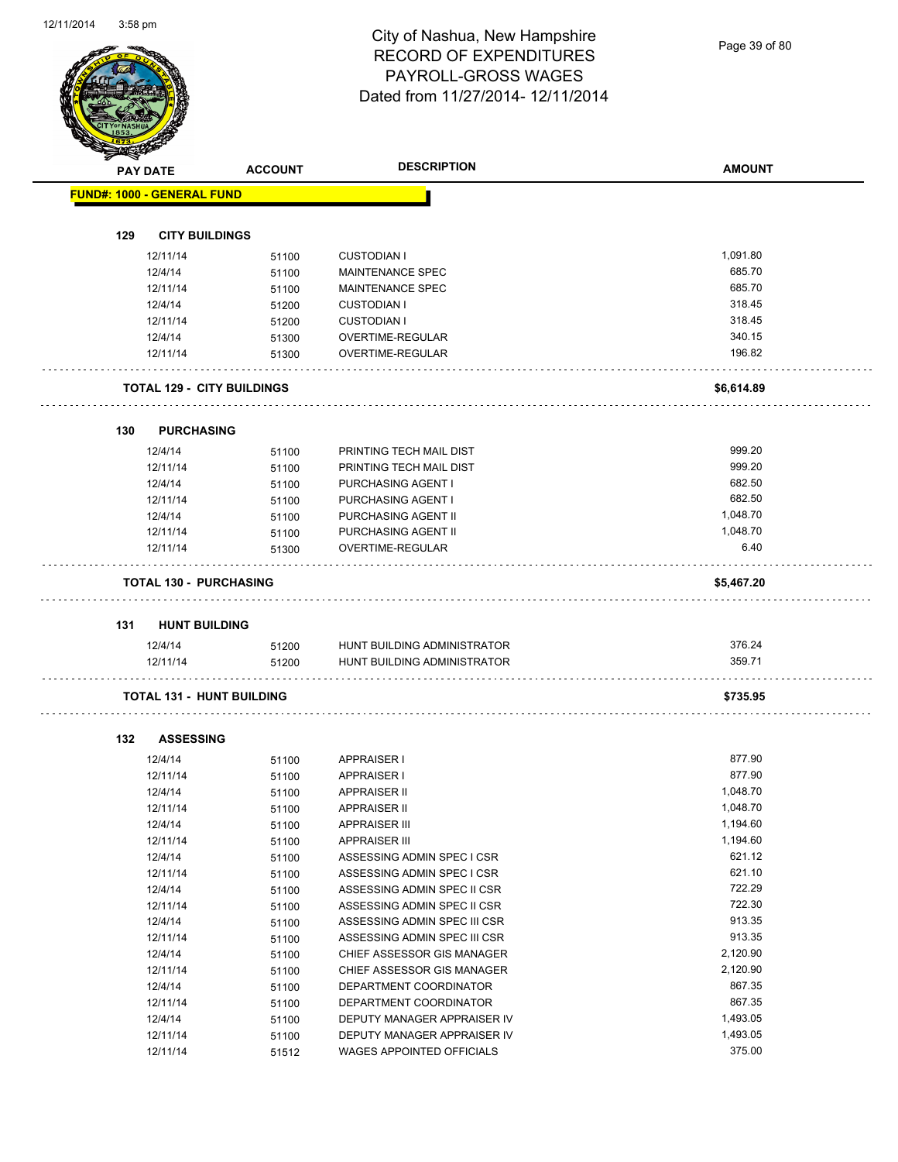Page 39 of 80

|     | <b>PAY DATE</b>                   | <b>ACCOUNT</b> | <b>DESCRIPTION</b>                                         | <b>AMOUNT</b>        |
|-----|-----------------------------------|----------------|------------------------------------------------------------|----------------------|
|     | <b>FUND#: 1000 - GENERAL FUND</b> |                |                                                            |                      |
|     |                                   |                |                                                            |                      |
| 129 | <b>CITY BUILDINGS</b>             |                |                                                            |                      |
|     | 12/11/14<br>12/4/14               | 51100          | <b>CUSTODIAN I</b><br><b>MAINTENANCE SPEC</b>              | 1,091.80<br>685.70   |
|     | 12/11/14                          | 51100          | <b>MAINTENANCE SPEC</b>                                    | 685.70               |
|     | 12/4/14                           | 51100          | <b>CUSTODIAN I</b>                                         | 318.45               |
|     | 12/11/14                          | 51200          |                                                            | 318.45               |
|     | 12/4/14                           | 51200          | <b>CUSTODIAN I</b><br>OVERTIME-REGULAR                     | 340.15               |
|     | 12/11/14                          | 51300<br>51300 | OVERTIME-REGULAR                                           | 196.82               |
|     |                                   |                |                                                            |                      |
|     | <b>TOTAL 129 - CITY BUILDINGS</b> |                |                                                            | \$6,614.89           |
| 130 | <b>PURCHASING</b>                 |                |                                                            |                      |
|     | 12/4/14                           | 51100          | PRINTING TECH MAIL DIST                                    | 999.20               |
|     | 12/11/14                          | 51100          | PRINTING TECH MAIL DIST                                    | 999.20               |
|     | 12/4/14                           | 51100          | PURCHASING AGENT I                                         | 682.50               |
|     | 12/11/14                          | 51100          | PURCHASING AGENT I                                         | 682.50               |
|     | 12/4/14                           | 51100          | PURCHASING AGENT II                                        | 1,048.70             |
|     | 12/11/14                          | 51100          | PURCHASING AGENT II                                        | 1,048.70             |
|     | 12/11/14                          | 51300          | OVERTIME-REGULAR                                           | 6.40                 |
|     | <b>TOTAL 130 - PURCHASING</b>     |                |                                                            | \$5,467.20           |
|     |                                   |                |                                                            |                      |
| 131 | <b>HUNT BUILDING</b>              |                |                                                            |                      |
|     | 12/4/14                           | 51200          | HUNT BUILDING ADMINISTRATOR                                | 376.24               |
|     | 12/11/14                          | 51200          | HUNT BUILDING ADMINISTRATOR                                | 359.71               |
|     | <b>TOTAL 131 - HUNT BUILDING</b>  |                |                                                            | \$735.95             |
|     |                                   |                |                                                            |                      |
| 132 | <b>ASSESSING</b><br>12/4/14       | 51100          | <b>APPRAISER I</b>                                         | 877.90               |
|     | 12/11/14                          | 51100          | <b>APPRAISER I</b>                                         | 877.90               |
|     | 12/4/14                           | 51100          | <b>APPRAISER II</b>                                        | 1,048.70             |
|     |                                   |                |                                                            |                      |
|     |                                   |                |                                                            |                      |
|     | 12/11/14                          | 51100          | <b>APPRAISER II</b>                                        | 1,048.70             |
|     | 12/4/14                           | 51100          | <b>APPRAISER III</b>                                       | 1,194.60             |
|     | 12/11/14                          | 51100          | <b>APPRAISER III</b>                                       | 1,194.60             |
|     | 12/4/14                           | 51100          | ASSESSING ADMIN SPEC I CSR                                 | 621.12               |
|     | 12/11/14                          | 51100          | ASSESSING ADMIN SPEC I CSR                                 | 621.10               |
|     | 12/4/14                           | 51100          | ASSESSING ADMIN SPEC II CSR                                | 722.29               |
|     | 12/11/14                          | 51100          | ASSESSING ADMIN SPEC II CSR                                | 722.30               |
|     | 12/4/14                           | 51100          | ASSESSING ADMIN SPEC III CSR                               | 913.35               |
|     | 12/11/14                          | 51100          | ASSESSING ADMIN SPEC III CSR                               | 913.35               |
|     | 12/4/14                           | 51100          | CHIEF ASSESSOR GIS MANAGER                                 | 2,120.90             |
|     | 12/11/14                          | 51100          | CHIEF ASSESSOR GIS MANAGER                                 | 2,120.90             |
|     | 12/4/14                           | 51100          | DEPARTMENT COORDINATOR                                     | 867.35               |
|     | 12/11/14                          | 51100          | DEPARTMENT COORDINATOR                                     | 867.35               |
|     | 12/4/14<br>12/11/14               | 51100<br>51100 | DEPUTY MANAGER APPRAISER IV<br>DEPUTY MANAGER APPRAISER IV | 1,493.05<br>1,493.05 |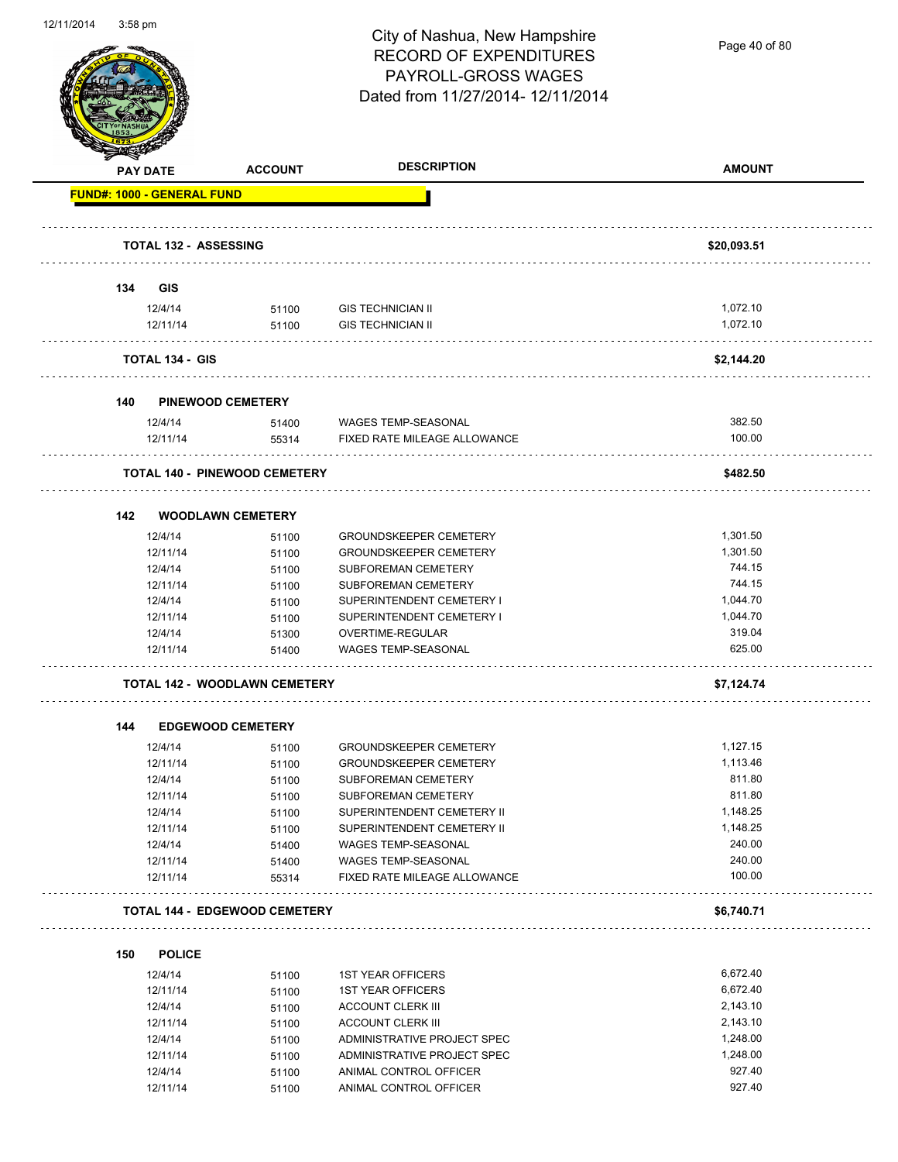Page 40 of 80

|     | <b>PAY DATE</b>                   | <b>ACCOUNT</b>                       | <b>DESCRIPTION</b>                                    | <b>AMOUNT</b>      |
|-----|-----------------------------------|--------------------------------------|-------------------------------------------------------|--------------------|
|     | <b>FUND#: 1000 - GENERAL FUND</b> |                                      |                                                       |                    |
|     |                                   |                                      |                                                       |                    |
|     | <b>TOTAL 132 - ASSESSING</b>      |                                      |                                                       | \$20,093.51        |
| 134 | GIS                               |                                      |                                                       |                    |
|     | 12/4/14                           | 51100                                | <b>GIS TECHNICIAN II</b>                              | 1,072.10           |
|     | 12/11/14                          | 51100                                | <b>GIS TECHNICIAN II</b>                              | 1,072.10           |
|     | <b>TOTAL 134 - GIS</b>            |                                      |                                                       | \$2,144.20         |
| 140 |                                   | <b>PINEWOOD CEMETERY</b>             |                                                       |                    |
|     | 12/4/14                           | 51400                                | WAGES TEMP-SEASONAL                                   | 382.50             |
|     | 12/11/14                          | 55314                                | FIXED RATE MILEAGE ALLOWANCE                          | 100.00             |
|     |                                   | <b>TOTAL 140 - PINEWOOD CEMETERY</b> |                                                       | \$482.50           |
| 142 |                                   | <b>WOODLAWN CEMETERY</b>             |                                                       |                    |
|     | 12/4/14                           | 51100                                | <b>GROUNDSKEEPER CEMETERY</b>                         | 1,301.50           |
|     | 12/11/14                          | 51100                                | <b>GROUNDSKEEPER CEMETERY</b>                         | 1,301.50           |
|     | 12/4/14                           | 51100                                | <b>SUBFOREMAN CEMETERY</b>                            | 744.15             |
|     | 12/11/14                          | 51100                                | SUBFOREMAN CEMETERY                                   | 744.15             |
|     | 12/4/14                           | 51100                                | SUPERINTENDENT CEMETERY I                             | 1,044.70           |
|     | 12/11/14                          | 51100                                | SUPERINTENDENT CEMETERY I                             | 1,044.70           |
|     | 12/4/14                           | 51300                                | OVERTIME-REGULAR                                      | 319.04             |
|     | 12/11/14                          | 51400                                | <b>WAGES TEMP-SEASONAL</b>                            | 625.00             |
|     |                                   | <b>TOTAL 142 - WOODLAWN CEMETERY</b> |                                                       | \$7,124.74         |
| 144 |                                   | <b>EDGEWOOD CEMETERY</b>             |                                                       |                    |
|     | 12/4/14                           | 51100                                | <b>GROUNDSKEEPER CEMETERY</b>                         | 1,127.15           |
|     | 12/11/14                          | 51100                                | <b>GROUNDSKEEPER CEMETERY</b>                         | 1,113.46           |
|     | 12/4/14                           | 51100                                | SUBFOREMAN CEMETERY                                   | 811.80             |
|     | 12/11/14                          | 51100                                | SUBFOREMAN CEMETERY                                   | 811.80             |
|     | 12/4/14                           | 51100                                | SUPERINTENDENT CEMETERY II                            | 1,148.25           |
|     | 12/11/14                          | 51100                                | SUPERINTENDENT CEMETERY II                            | 1,148.25           |
|     | 12/4/14                           |                                      | WAGES TEMP-SEASONAL                                   | 240.00             |
|     |                                   | 51400                                | WAGES TEMP-SEASONAL                                   | 240.00             |
|     |                                   |                                      |                                                       |                    |
|     | 12/11/14<br>12/11/14              | 51400<br>55314                       | FIXED RATE MILEAGE ALLOWANCE                          | 100.00             |
|     |                                   | <b>TOTAL 144 - EDGEWOOD CEMETERY</b> |                                                       | \$6,740.71         |
|     |                                   |                                      |                                                       |                    |
| 150 | <b>POLICE</b>                     |                                      |                                                       |                    |
|     | 12/4/14                           | 51100                                | <b>1ST YEAR OFFICERS</b>                              | 6,672.40           |
|     | 12/11/14                          | 51100                                | <b>1ST YEAR OFFICERS</b>                              | 6,672.40           |
|     | 12/4/14                           | 51100                                | ACCOUNT CLERK III                                     | 2,143.10           |
|     | 12/11/14                          | 51100                                | <b>ACCOUNT CLERK III</b>                              | 2,143.10           |
|     | 12/4/14                           | 51100                                | ADMINISTRATIVE PROJECT SPEC                           | 1,248.00           |
|     | 12/11/14<br>12/4/14               | 51100<br>51100                       | ADMINISTRATIVE PROJECT SPEC<br>ANIMAL CONTROL OFFICER | 1,248.00<br>927.40 |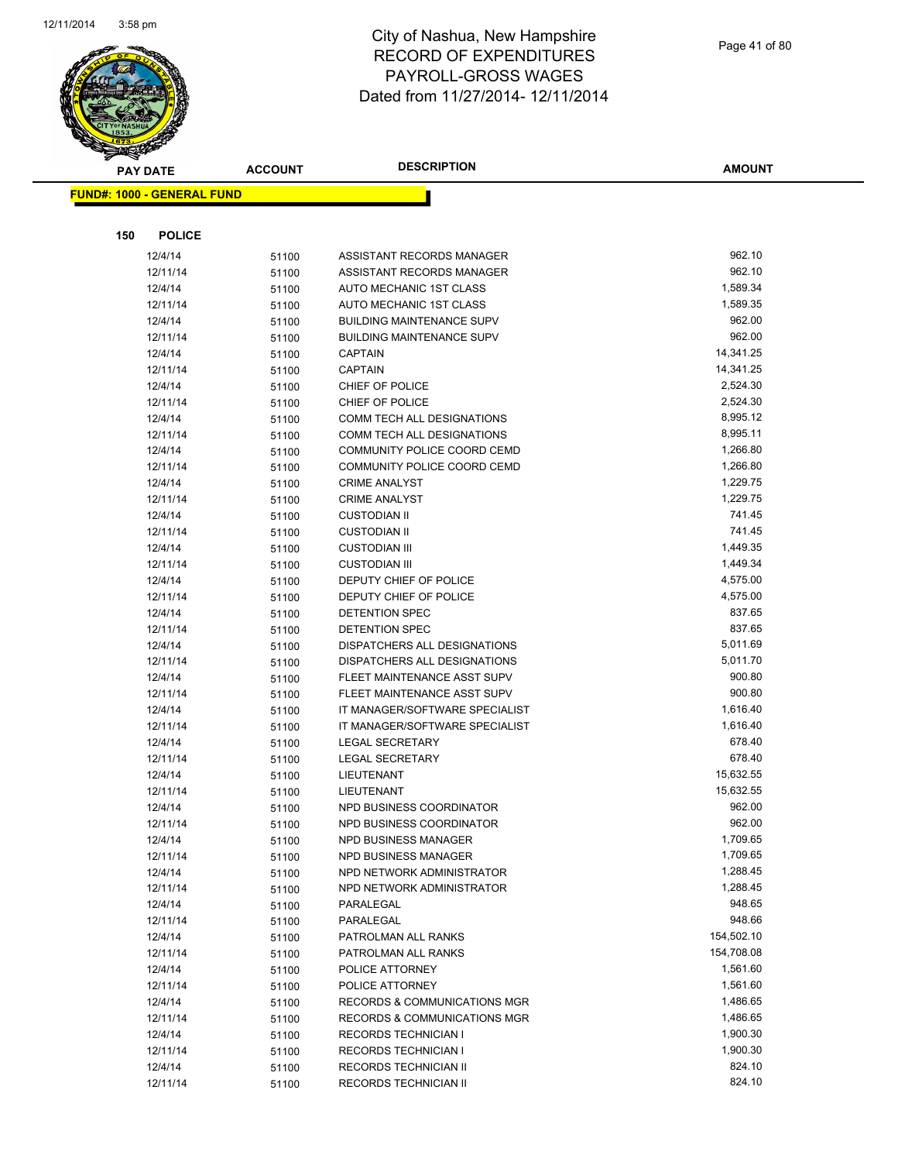

| Page 41 of 80 |  |
|---------------|--|
|               |  |

| <b>PAY DATE</b>                   | <b>ACCOUNT</b> | <b>DESCRIPTION</b>                           | <b>AMOUNT</b>        |
|-----------------------------------|----------------|----------------------------------------------|----------------------|
|                                   |                |                                              |                      |
| <b>FUND#: 1000 - GENERAL FUND</b> |                |                                              |                      |
|                                   |                |                                              |                      |
| 150<br><b>POLICE</b>              |                |                                              |                      |
| 12/4/14                           | 51100          | ASSISTANT RECORDS MANAGER                    | 962.10               |
| 12/11/14                          | 51100          | ASSISTANT RECORDS MANAGER                    | 962.10               |
| 12/4/14                           | 51100          | AUTO MECHANIC 1ST CLASS                      | 1,589.34             |
| 12/11/14                          | 51100          | AUTO MECHANIC 1ST CLASS                      | 1,589.35             |
| 12/4/14                           | 51100          | <b>BUILDING MAINTENANCE SUPV</b>             | 962.00               |
| 12/11/14                          | 51100          | <b>BUILDING MAINTENANCE SUPV</b>             | 962.00               |
| 12/4/14                           | 51100          | CAPTAIN                                      | 14,341.25            |
| 12/11/14                          | 51100          | CAPTAIN                                      | 14,341.25            |
| 12/4/14                           | 51100          | CHIEF OF POLICE                              | 2,524.30             |
| 12/11/14                          | 51100          | CHIEF OF POLICE                              | 2,524.30             |
| 12/4/14                           | 51100          | COMM TECH ALL DESIGNATIONS                   | 8,995.12             |
| 12/11/14                          | 51100          | COMM TECH ALL DESIGNATIONS                   | 8,995.11             |
| 12/4/14                           | 51100          | COMMUNITY POLICE COORD CEMD                  | 1,266.80             |
| 12/11/14                          | 51100          | COMMUNITY POLICE COORD CEMD                  | 1,266.80             |
| 12/4/14                           | 51100          | <b>CRIME ANALYST</b>                         | 1,229.75             |
| 12/11/14                          | 51100          | <b>CRIME ANALYST</b>                         | 1,229.75             |
| 12/4/14                           | 51100          | <b>CUSTODIAN II</b>                          | 741.45<br>741.45     |
| 12/11/14                          | 51100          | <b>CUSTODIAN II</b>                          |                      |
| 12/4/14                           | 51100          | <b>CUSTODIAN III</b><br><b>CUSTODIAN III</b> | 1,449.35<br>1,449.34 |
| 12/11/14<br>12/4/14               | 51100          | DEPUTY CHIEF OF POLICE                       | 4,575.00             |
| 12/11/14                          | 51100          | DEPUTY CHIEF OF POLICE                       | 4,575.00             |
| 12/4/14                           | 51100          | DETENTION SPEC                               | 837.65               |
| 12/11/14                          | 51100<br>51100 | DETENTION SPEC                               | 837.65               |
| 12/4/14                           | 51100          | DISPATCHERS ALL DESIGNATIONS                 | 5,011.69             |
| 12/11/14                          | 51100          | DISPATCHERS ALL DESIGNATIONS                 | 5,011.70             |
| 12/4/14                           | 51100          | FLEET MAINTENANCE ASST SUPV                  | 900.80               |
| 12/11/14                          | 51100          | FLEET MAINTENANCE ASST SUPV                  | 900.80               |
| 12/4/14                           | 51100          | IT MANAGER/SOFTWARE SPECIALIST               | 1,616.40             |
| 12/11/14                          | 51100          | IT MANAGER/SOFTWARE SPECIALIST               | 1,616.40             |
| 12/4/14                           | 51100          | <b>LEGAL SECRETARY</b>                       | 678.40               |
| 12/11/14                          | 51100          | <b>LEGAL SECRETARY</b>                       | 678.40               |
| 12/4/14                           | 51100          | LIEUTENANT                                   | 15,632.55            |
| 12/11/14                          | 51100          | LIEUTENANT                                   | 15,632.55            |
| 12/4/14                           | 51100          | NPD BUSINESS COORDINATOR                     | 962.00               |
| 12/11/14                          | 51100          | NPD BUSINESS COORDINATOR                     | 962.00               |
| 12/4/14                           | 51100          | NPD BUSINESS MANAGER                         | 1,709.65             |
| 12/11/14                          | 51100          | NPD BUSINESS MANAGER                         | 1,709.65             |
| 12/4/14                           | 51100          | NPD NETWORK ADMINISTRATOR                    | 1,288.45             |
| 12/11/14                          | 51100          | NPD NETWORK ADMINISTRATOR                    | 1,288.45             |
| 12/4/14                           | 51100          | PARALEGAL                                    | 948.65               |
| 12/11/14                          | 51100          | PARALEGAL                                    | 948.66               |
| 12/4/14                           | 51100          | PATROLMAN ALL RANKS                          | 154,502.10           |
| 12/11/14                          | 51100          | PATROLMAN ALL RANKS                          | 154,708.08           |
| 12/4/14                           | 51100          | POLICE ATTORNEY                              | 1,561.60             |
| 12/11/14                          | 51100          | POLICE ATTORNEY                              | 1,561.60             |
| 12/4/14                           | 51100          | RECORDS & COMMUNICATIONS MGR                 | 1,486.65             |
| 12/11/14                          | 51100          | RECORDS & COMMUNICATIONS MGR                 | 1,486.65             |
| 12/4/14                           | 51100          | <b>RECORDS TECHNICIAN I</b>                  | 1,900.30             |
| 12/11/14                          | 51100          | <b>RECORDS TECHNICIAN I</b>                  | 1,900.30             |
| 12/4/14                           | 51100          | RECORDS TECHNICIAN II                        | 824.10               |
| 12/11/14                          | 51100          | RECORDS TECHNICIAN II                        | 824.10               |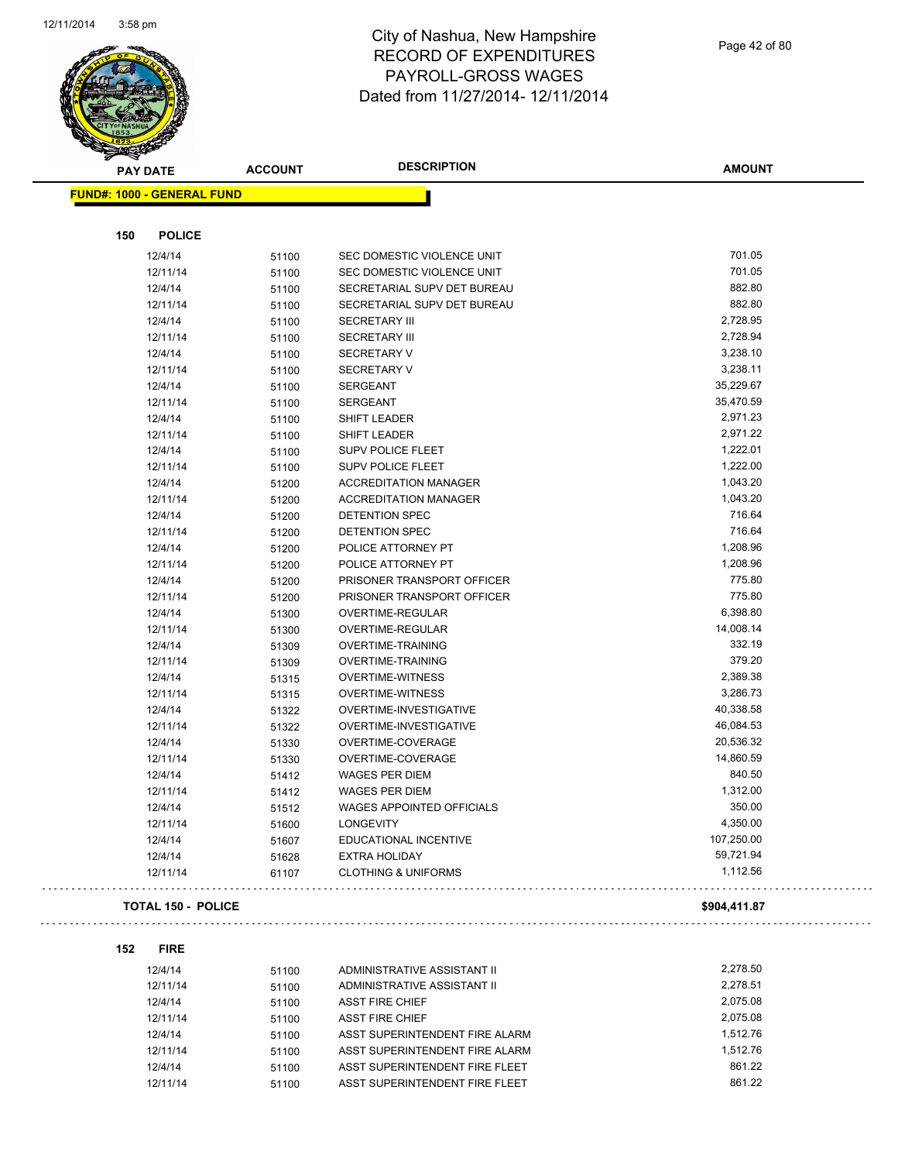

# City of Nashua, New Hampshire RECORD OF EXPENDITURES PAYROLL-GROSS WAGES Dated from 11/27/2014- 12/11/2014

Page 42 of 80

.,

 $\omega$  .

|     | <b>PAY DATE</b>                   | <b>ACCOUNT</b> | <b>DESCRIPTION</b>               | <b>AMOUNT</b> |
|-----|-----------------------------------|----------------|----------------------------------|---------------|
|     | <b>FUND#: 1000 - GENERAL FUND</b> |                |                                  |               |
|     |                                   |                |                                  |               |
| 150 | <b>POLICE</b>                     |                |                                  |               |
|     | 12/4/14                           | 51100          | SEC DOMESTIC VIOLENCE UNIT       | 701.05        |
|     | 12/11/14                          | 51100          | SEC DOMESTIC VIOLENCE UNIT       | 701.05        |
|     | 12/4/14                           | 51100          | SECRETARIAL SUPV DET BUREAU      | 882.80        |
|     | 12/11/14                          | 51100          | SECRETARIAL SUPV DET BUREAU      | 882.80        |
|     | 12/4/14                           | 51100          | <b>SECRETARY III</b>             | 2,728.95      |
|     | 12/11/14                          | 51100          | <b>SECRETARY III</b>             | 2,728.94      |
|     | 12/4/14                           | 51100          | <b>SECRETARY V</b>               | 3,238.10      |
|     | 12/11/14                          | 51100          | <b>SECRETARY V</b>               | 3,238.11      |
|     | 12/4/14                           | 51100          | <b>SERGEANT</b>                  | 35,229.67     |
|     | 12/11/14                          | 51100          | <b>SERGEANT</b>                  | 35,470.59     |
|     | 12/4/14                           | 51100          | SHIFT LEADER                     | 2,971.23      |
|     | 12/11/14                          | 51100          | SHIFT LEADER                     | 2,971.22      |
|     | 12/4/14                           | 51100          | <b>SUPV POLICE FLEET</b>         | 1,222.01      |
|     | 12/11/14                          | 51100          | <b>SUPV POLICE FLEET</b>         | 1,222.00      |
|     | 12/4/14                           | 51200          | <b>ACCREDITATION MANAGER</b>     | 1,043.20      |
|     | 12/11/14                          | 51200          | <b>ACCREDITATION MANAGER</b>     | 1,043.20      |
|     | 12/4/14                           | 51200          | DETENTION SPEC                   | 716.64        |
|     | 12/11/14                          | 51200          | DETENTION SPEC                   | 716.64        |
|     | 12/4/14                           | 51200          | POLICE ATTORNEY PT               | 1,208.96      |
|     | 12/11/14                          | 51200          | POLICE ATTORNEY PT               | 1,208.96      |
|     | 12/4/14                           | 51200          | PRISONER TRANSPORT OFFICER       | 775.80        |
|     | 12/11/14                          | 51200          | PRISONER TRANSPORT OFFICER       | 775.80        |
|     | 12/4/14                           | 51300          | OVERTIME-REGULAR                 | 6,398.80      |
|     | 12/11/14                          | 51300          | OVERTIME-REGULAR                 | 14,008.14     |
|     | 12/4/14                           | 51309          | OVERTIME-TRAINING                | 332.19        |
|     | 12/11/14                          | 51309          | <b>OVERTIME-TRAINING</b>         | 379.20        |
|     | 12/4/14                           | 51315          | <b>OVERTIME-WITNESS</b>          | 2,389.38      |
|     | 12/11/14                          | 51315          | <b>OVERTIME-WITNESS</b>          | 3,286.73      |
|     | 12/4/14                           | 51322          | OVERTIME-INVESTIGATIVE           | 40,338.58     |
|     | 12/11/14                          | 51322          | OVERTIME-INVESTIGATIVE           | 46,084.53     |
|     | 12/4/14                           | 51330          | OVERTIME-COVERAGE                | 20,536.32     |
|     | 12/11/14                          | 51330          | OVERTIME-COVERAGE                | 14,860.59     |
|     | 12/4/14                           | 51412          | <b>WAGES PER DIEM</b>            | 840.50        |
|     | 12/11/14                          | 51412          | <b>WAGES PER DIEM</b>            | 1,312.00      |
|     | 12/4/14                           | 51512          | <b>WAGES APPOINTED OFFICIALS</b> | 350.00        |
|     | 12/11/14                          | 51600          | <b>LONGEVITY</b>                 | 4,350.00      |
|     | 12/4/14                           | 51607          | EDUCATIONAL INCENTIVE            | 107,250.00    |
|     | 12/4/14                           | 51628          | <b>EXTRA HOLIDAY</b>             | 59,721.94     |
|     | 12/11/14                          | 61107          | <b>CLOTHING &amp; UNIFORMS</b>   | 1,112.56      |
|     | <b>TOTAL 150 - POLICE</b>         |                |                                  | \$904,411.87  |
|     |                                   |                |                                  |               |
| 152 | <b>FIRE</b>                       |                |                                  |               |
|     | 12/4/14                           | 51100          | ADMINISTRATIVE ASSISTANT II      | 2,278.50      |
|     | 12/11/14                          | 51100          | ADMINISTRATIVE ASSISTANT II      | 2,278.51      |
|     | 12/4/14                           | 51100          | <b>ASST FIRE CHIEF</b>           | 2,075.08      |
|     | 12/11/14                          | 51100          | <b>ASST FIRE CHIEF</b>           | 2,075.08      |
|     | 12/4/14                           | 51100          | ASST SUPERINTENDENT FIRE ALARM   | 1,512.76      |
|     | 12/11/14                          | 51100          | ASST SUPERINTENDENT FIRE ALARM   | 1,512.76      |
|     | 12/4/14                           | 51100          | ASST SUPERINTENDENT FIRE FLEET   | 861.22        |
|     | 12/11/14                          | 51100          | ASST SUPERINTENDENT FIRE FLEET   | 861.22        |

12/11/14 51100 ASST SUPERINTENDENT FIRE FLEET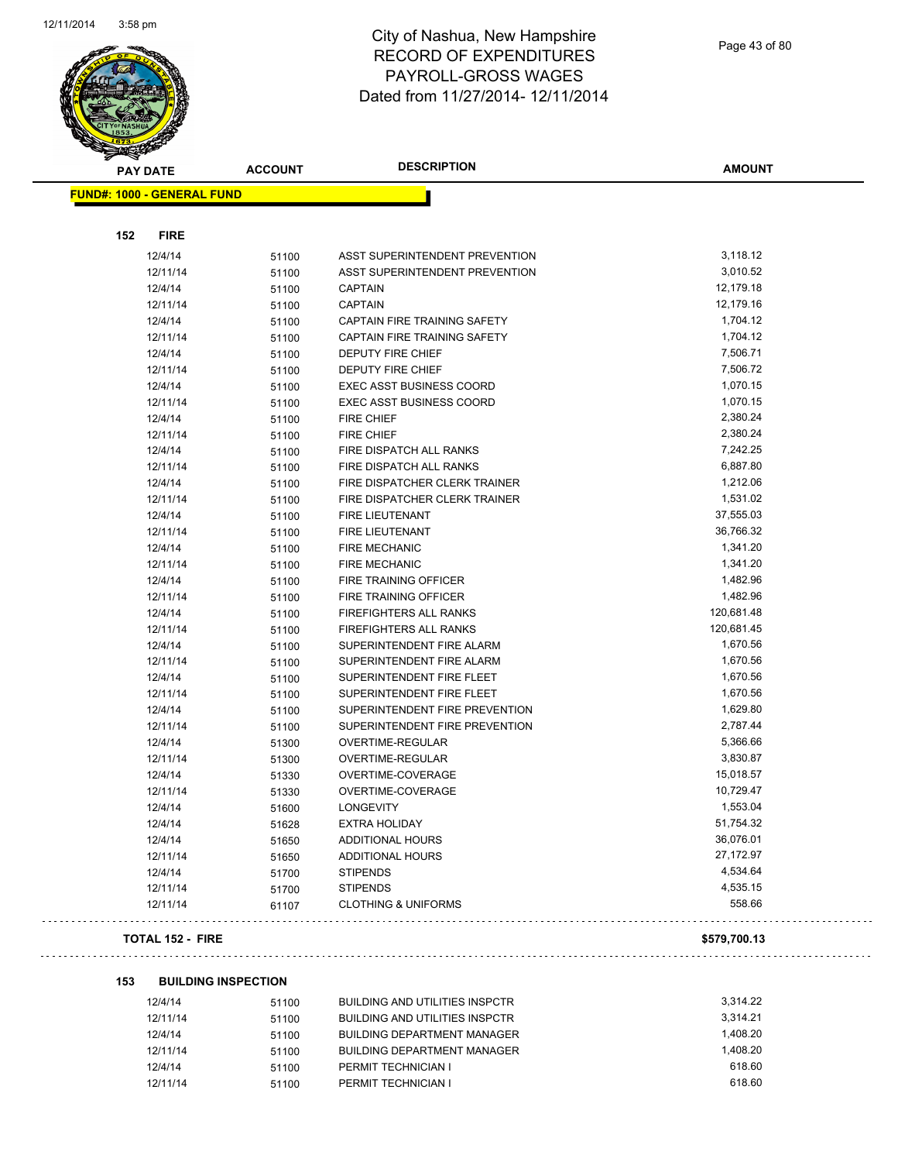

Page 43 of 80

| ទ<br>$\tilde{\phantom{a}}$<br><b>PAY DATE</b> | <b>ACCOUNT</b> | <b>DESCRIPTION</b>              | <b>AMOUNT</b> |
|-----------------------------------------------|----------------|---------------------------------|---------------|
| <b>FUND#: 1000 - GENERAL FUND</b>             |                |                                 |               |
|                                               |                |                                 |               |
| 152<br><b>FIRE</b>                            |                |                                 |               |
| 12/4/14                                       | 51100          | ASST SUPERINTENDENT PREVENTION  | 3,118.12      |
| 12/11/14                                      | 51100          | ASST SUPERINTENDENT PREVENTION  | 3,010.52      |
| 12/4/14                                       | 51100          | <b>CAPTAIN</b>                  | 12,179.18     |
| 12/11/14                                      | 51100          | <b>CAPTAIN</b>                  | 12,179.16     |
| 12/4/14                                       | 51100          | CAPTAIN FIRE TRAINING SAFETY    | 1,704.12      |
| 12/11/14                                      | 51100          | CAPTAIN FIRE TRAINING SAFETY    | 1,704.12      |
| 12/4/14                                       | 51100          | <b>DEPUTY FIRE CHIEF</b>        | 7,506.71      |
| 12/11/14                                      | 51100          | DEPUTY FIRE CHIEF               | 7,506.72      |
| 12/4/14                                       | 51100          | <b>EXEC ASST BUSINESS COORD</b> | 1,070.15      |
| 12/11/14                                      | 51100          | <b>EXEC ASST BUSINESS COORD</b> | 1,070.15      |
| 12/4/14                                       | 51100          | FIRE CHIEF                      | 2,380.24      |
| 12/11/14                                      | 51100          | FIRE CHIEF                      | 2,380.24      |
| 12/4/14                                       | 51100          | FIRE DISPATCH ALL RANKS         | 7,242.25      |
| 12/11/14                                      | 51100          | FIRE DISPATCH ALL RANKS         | 6,887.80      |
| 12/4/14                                       | 51100          | FIRE DISPATCHER CLERK TRAINER   | 1,212.06      |
| 12/11/14                                      | 51100          | FIRE DISPATCHER CLERK TRAINER   | 1,531.02      |
| 12/4/14                                       | 51100          | <b>FIRE LIEUTENANT</b>          | 37,555.03     |
| 12/11/14                                      | 51100          | <b>FIRE LIEUTENANT</b>          | 36,766.32     |
| 12/4/14                                       | 51100          | <b>FIRE MECHANIC</b>            | 1,341.20      |
| 12/11/14                                      | 51100          | <b>FIRE MECHANIC</b>            | 1,341.20      |
| 12/4/14                                       | 51100          | FIRE TRAINING OFFICER           | 1,482.96      |
| 12/11/14                                      | 51100          | FIRE TRAINING OFFICER           | 1,482.96      |
| 12/4/14                                       | 51100          | FIREFIGHTERS ALL RANKS          | 120,681.48    |
| 12/11/14                                      | 51100          | <b>FIREFIGHTERS ALL RANKS</b>   | 120,681.45    |
| 12/4/14                                       | 51100          | SUPERINTENDENT FIRE ALARM       | 1,670.56      |
| 12/11/14                                      | 51100          | SUPERINTENDENT FIRE ALARM       | 1,670.56      |
| 12/4/14                                       | 51100          | SUPERINTENDENT FIRE FLEET       | 1,670.56      |
| 12/11/14                                      | 51100          | SUPERINTENDENT FIRE FLEET       | 1,670.56      |
| 12/4/14                                       | 51100          | SUPERINTENDENT FIRE PREVENTION  | 1,629.80      |
| 12/11/14                                      | 51100          | SUPERINTENDENT FIRE PREVENTION  | 2,787.44      |
| 12/4/14                                       | 51300          | OVERTIME-REGULAR                | 5,366.66      |
| 12/11/14                                      | 51300          | <b>OVERTIME-REGULAR</b>         | 3,830.87      |
| 12/4/14                                       | 51330          | OVERTIME-COVERAGE               | 15,018.57     |
| 12/11/14                                      | 51330          | OVERTIME-COVERAGE               | 10,729.47     |
| 12/4/14                                       | 51600          | <b>LONGEVITY</b>                | 1,553.04      |
| 12/4/14                                       | 51628          | <b>EXTRA HOLIDAY</b>            | 51,754.32     |
| 12/4/14                                       | 51650          | <b>ADDITIONAL HOURS</b>         | 36,076.01     |
| 12/11/14                                      | 51650          | ADDITIONAL HOURS                | 27,172.97     |
| 12/4/14                                       | 51700          | <b>STIPENDS</b>                 | 4,534.64      |
| 12/11/14                                      | 51700          | <b>STIPENDS</b>                 | 4,535.15      |
| 12/11/14                                      | 61107          | <b>CLOTHING &amp; UNIFORMS</b>  | 558.66        |
| <b>TOTAL 152 - FIRE</b>                       |                |                                 | \$579,700.13  |

#### **153 BUILDING INSPECTION**

| 12/4/14  | 51100 | <b>BUILDING AND UTILITIES INSPCTR</b> | 3.314.22 |
|----------|-------|---------------------------------------|----------|
| 12/11/14 | 51100 | <b>BUILDING AND UTILITIES INSPCTR</b> | 3.314.21 |
| 12/4/14  | 51100 | <b>BUILDING DEPARTMENT MANAGER</b>    | 1.408.20 |
| 12/11/14 | 51100 | <b>BUILDING DEPARTMENT MANAGER</b>    | 1.408.20 |
| 12/4/14  | 51100 | PERMIT TECHNICIAN I                   | 618.60   |
| 12/11/14 | 51100 | PERMIT TECHNICIAN I                   | 618.60   |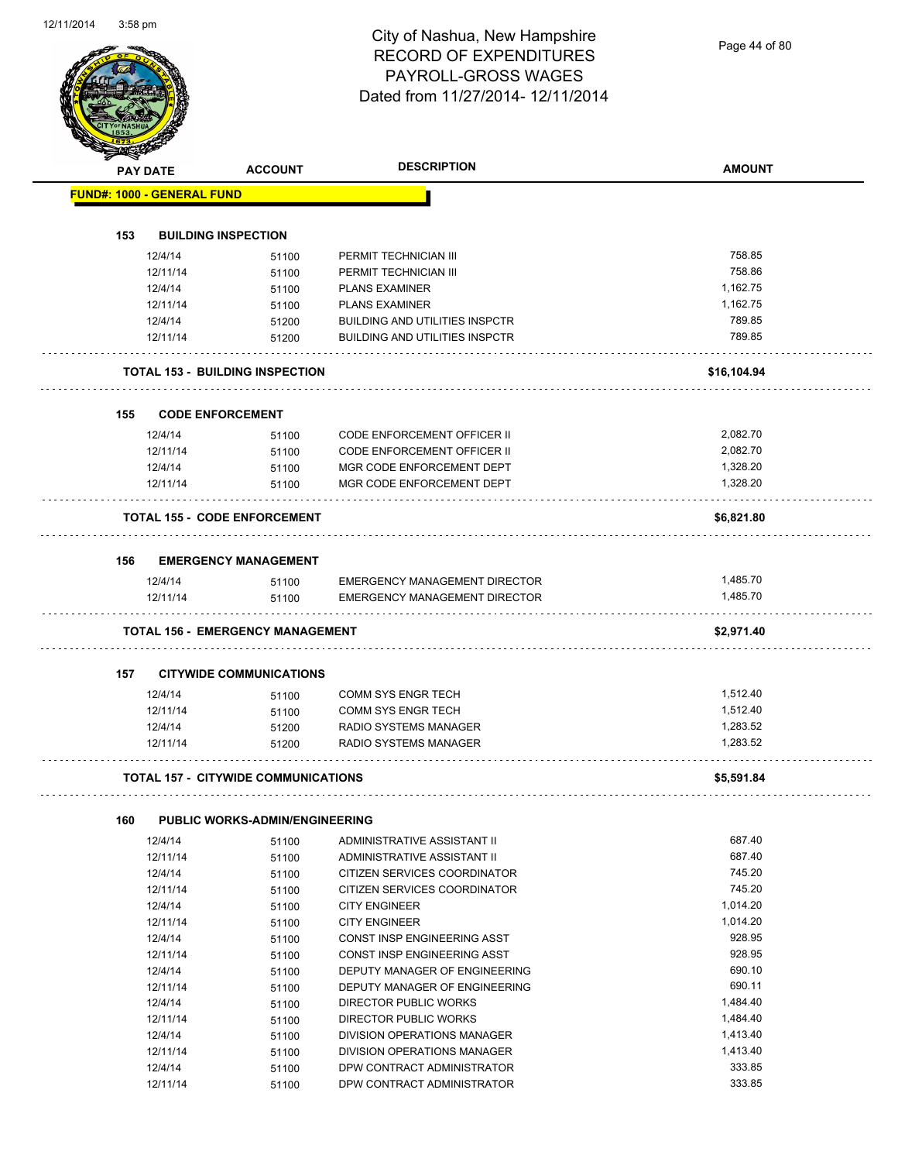Page 44 of 80

|     | PAY DATE                          | <b>ACCOUNT</b>                             | <b>DESCRIPTION</b>                    | <b>AMOUNT</b> |
|-----|-----------------------------------|--------------------------------------------|---------------------------------------|---------------|
|     | <b>FUND#: 1000 - GENERAL FUND</b> |                                            |                                       |               |
|     |                                   |                                            |                                       |               |
| 153 |                                   | <b>BUILDING INSPECTION</b>                 |                                       |               |
|     | 12/4/14                           | 51100                                      | PERMIT TECHNICIAN III                 | 758.85        |
|     | 12/11/14                          | 51100                                      | PERMIT TECHNICIAN III                 | 758.86        |
|     | 12/4/14                           | 51100                                      | <b>PLANS EXAMINER</b>                 | 1,162.75      |
|     | 12/11/14                          | 51100                                      | <b>PLANS EXAMINER</b>                 | 1,162.75      |
|     | 12/4/14                           | 51200                                      | <b>BUILDING AND UTILITIES INSPCTR</b> | 789.85        |
|     | 12/11/14                          | 51200                                      | <b>BUILDING AND UTILITIES INSPCTR</b> | 789.85        |
|     |                                   | <b>TOTAL 153 - BUILDING INSPECTION</b>     |                                       | \$16,104.94   |
| 155 |                                   | <b>CODE ENFORCEMENT</b>                    |                                       |               |
|     | 12/4/14                           | 51100                                      | <b>CODE ENFORCEMENT OFFICER II</b>    | 2,082.70      |
|     | 12/11/14                          | 51100                                      | CODE ENFORCEMENT OFFICER II           | 2,082.70      |
|     | 12/4/14                           | 51100                                      | MGR CODE ENFORCEMENT DEPT             | 1,328.20      |
|     | 12/11/14                          | 51100                                      | MGR CODE ENFORCEMENT DEPT             | 1,328.20      |
|     |                                   | <b>TOTAL 155 - CODE ENFORCEMENT</b>        |                                       | \$6,821.80    |
| 156 |                                   | <b>EMERGENCY MANAGEMENT</b>                |                                       |               |
|     | 12/4/14                           | 51100                                      | <b>EMERGENCY MANAGEMENT DIRECTOR</b>  | 1,485.70      |
|     | 12/11/14                          | 51100                                      | <b>EMERGENCY MANAGEMENT DIRECTOR</b>  | 1,485.70      |
|     |                                   | <b>TOTAL 156 - EMERGENCY MANAGEMENT</b>    |                                       | \$2,971.40    |
| 157 |                                   | <b>CITYWIDE COMMUNICATIONS</b>             |                                       |               |
|     | 12/4/14                           | 51100                                      | <b>COMM SYS ENGR TECH</b>             | 1,512.40      |
|     | 12/11/14                          | 51100                                      | <b>COMM SYS ENGR TECH</b>             | 1,512.40      |
|     | 12/4/14                           | 51200                                      | RADIO SYSTEMS MANAGER                 | 1,283.52      |
|     | 12/11/14                          | 51200                                      | <b>RADIO SYSTEMS MANAGER</b>          | 1,283.52      |
|     |                                   | <b>TOTAL 157 - CITYWIDE COMMUNICATIONS</b> |                                       | \$5,591.84    |
|     |                                   |                                            |                                       |               |
| 160 |                                   | <b>PUBLIC WORKS-ADMIN/ENGINEERING</b>      |                                       |               |
|     | 12/4/14                           | 51100                                      | ADMINISTRATIVE ASSISTANT II           | 687.40        |
|     | 12/11/14                          | 51100                                      | ADMINISTRATIVE ASSISTANT II           | 687.40        |
|     | 12/4/14                           | 51100                                      | CITIZEN SERVICES COORDINATOR          | 745.20        |
|     | 12/11/14                          | 51100                                      | CITIZEN SERVICES COORDINATOR          | 745.20        |
|     | 12/4/14                           | 51100                                      | <b>CITY ENGINEER</b>                  | 1,014.20      |
|     | 12/11/14                          | 51100                                      | <b>CITY ENGINEER</b>                  | 1,014.20      |
|     | 12/4/14                           | 51100                                      | CONST INSP ENGINEERING ASST           | 928.95        |
|     | 12/11/14                          | 51100                                      | CONST INSP ENGINEERING ASST           | 928.95        |
|     | 12/4/14                           | 51100                                      | DEPUTY MANAGER OF ENGINEERING         | 690.10        |
|     | 12/11/14                          | 51100                                      | DEPUTY MANAGER OF ENGINEERING         | 690.11        |
|     | 12/4/14                           | 51100                                      | DIRECTOR PUBLIC WORKS                 | 1,484.40      |
|     | 12/11/14                          | 51100                                      | DIRECTOR PUBLIC WORKS                 | 1,484.40      |
|     | 12/4/14                           | 51100                                      | DIVISION OPERATIONS MANAGER           | 1,413.40      |
|     | 12/11/14                          | 51100                                      | DIVISION OPERATIONS MANAGER           | 1,413.40      |
|     | 12/4/14                           | 51100                                      | DPW CONTRACT ADMINISTRATOR            | 333.85        |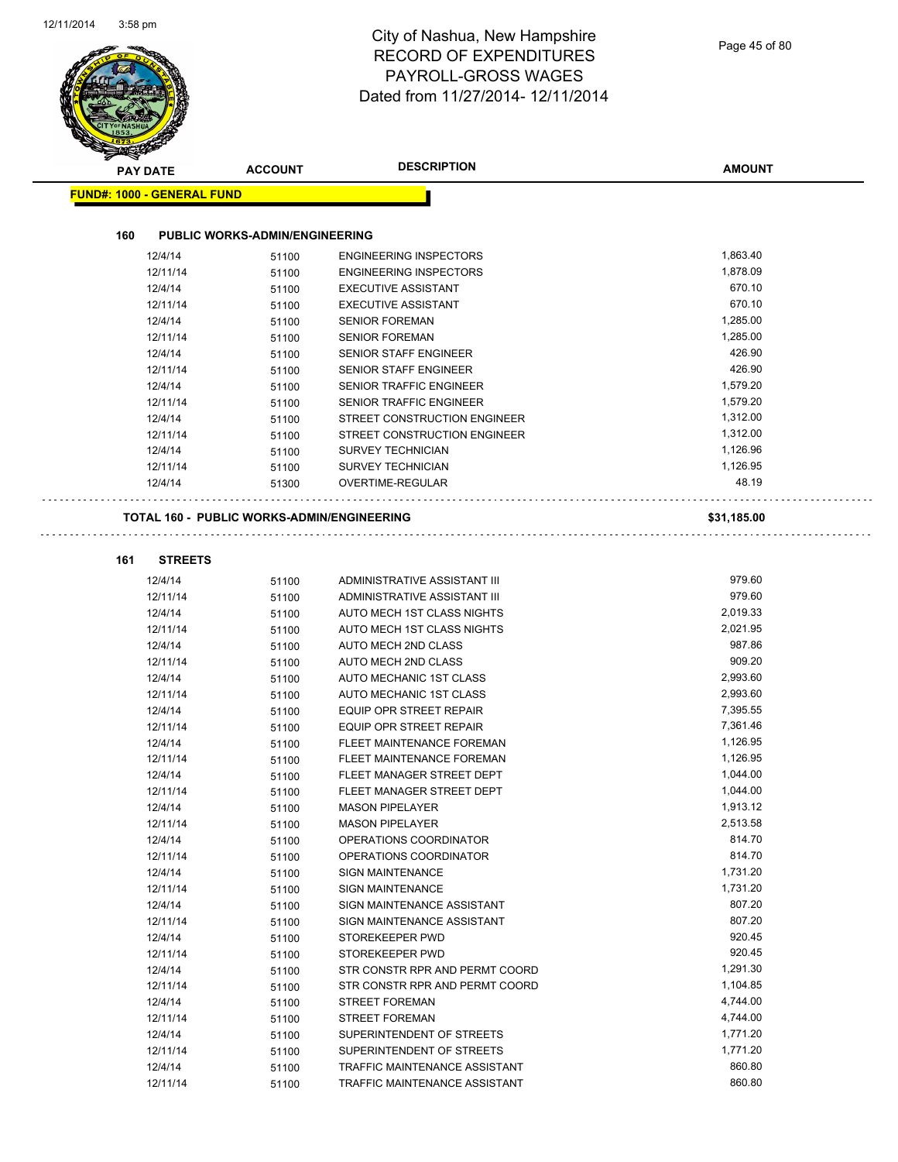| <b>PAY DATE</b>                   | <b>ACCOUNT</b>                                    | <b>DESCRIPTION</b>               | <b>AMOUNT</b> |
|-----------------------------------|---------------------------------------------------|----------------------------------|---------------|
| <b>FUND#: 1000 - GENERAL FUND</b> |                                                   |                                  |               |
|                                   |                                                   |                                  |               |
| 160                               | <b>PUBLIC WORKS-ADMIN/ENGINEERING</b>             |                                  |               |
| 12/4/14                           | 51100                                             | <b>ENGINEERING INSPECTORS</b>    | 1,863.40      |
| 12/11/14                          | 51100                                             | <b>ENGINEERING INSPECTORS</b>    | 1,878.09      |
| 12/4/14                           | 51100                                             | <b>EXECUTIVE ASSISTANT</b>       | 670.10        |
| 12/11/14                          | 51100                                             | <b>EXECUTIVE ASSISTANT</b>       | 670.10        |
| 12/4/14                           | 51100                                             | <b>SENIOR FOREMAN</b>            | 1,285.00      |
| 12/11/14                          | 51100                                             | <b>SENIOR FOREMAN</b>            | 1,285.00      |
| 12/4/14                           | 51100                                             | <b>SENIOR STAFF ENGINEER</b>     | 426.90        |
| 12/11/14                          | 51100                                             | <b>SENIOR STAFF ENGINEER</b>     | 426.90        |
| 12/4/14                           | 51100                                             | SENIOR TRAFFIC ENGINEER          | 1,579.20      |
| 12/11/14                          | 51100                                             | <b>SENIOR TRAFFIC ENGINEER</b>   | 1,579.20      |
| 12/4/14                           | 51100                                             | STREET CONSTRUCTION ENGINEER     | 1,312.00      |
| 12/11/14                          | 51100                                             | STREET CONSTRUCTION ENGINEER     | 1,312.00      |
| 12/4/14                           | 51100                                             | <b>SURVEY TECHNICIAN</b>         | 1,126.96      |
| 12/11/14                          | 51100                                             | <b>SURVEY TECHNICIAN</b>         | 1,126.95      |
| 12/4/14                           | 51300                                             | OVERTIME-REGULAR                 | 48.19         |
|                                   | <b>TOTAL 160 - PUBLIC WORKS-ADMIN/ENGINEERING</b> |                                  | \$31,185.00   |
|                                   |                                                   |                                  |               |
| 161<br><b>STREETS</b>             |                                                   |                                  |               |
| 12/4/14                           | 51100                                             | ADMINISTRATIVE ASSISTANT III     | 979.60        |
| 12/11/14                          | 51100                                             | ADMINISTRATIVE ASSISTANT III     | 979.60        |
| 12/4/14                           | 51100                                             | AUTO MECH 1ST CLASS NIGHTS       | 2,019.33      |
| 12/11/14                          | 51100                                             | AUTO MECH 1ST CLASS NIGHTS       | 2,021.95      |
| 12/4/14                           | 51100                                             | AUTO MECH 2ND CLASS              | 987.86        |
| 12/11/14                          | 51100                                             | AUTO MECH 2ND CLASS              | 909.20        |
| 12/4/14                           | 51100                                             | AUTO MECHANIC 1ST CLASS          | 2,993.60      |
| 12/11/14                          | 51100                                             | AUTO MECHANIC 1ST CLASS          | 2,993.60      |
| 12/4/14                           | 51100                                             | EQUIP OPR STREET REPAIR          | 7,395.55      |
| 12/11/14                          | 51100                                             | <b>EQUIP OPR STREET REPAIR</b>   | 7,361.46      |
| 12/4/14                           | 51100                                             | <b>FLEET MAINTENANCE FOREMAN</b> | 1,126.95      |
| 12/11/14                          | 51100                                             | FLEET MAINTENANCE FOREMAN        | 1,126.95      |
| 12/4/14                           | 51100                                             | FLEET MANAGER STREET DEPT        | 1,044.00      |
| 12/11/14                          | 51100                                             | FLEET MANAGER STREET DEPT        | 1,044.00      |
| 12/4/14                           | 51100                                             | <b>MASON PIPELAYER</b>           | 1,913.12      |
| 12/11/14                          | 51100                                             | <b>MASON PIPELAYER</b>           | 2,513.58      |
| 12/4/14                           | 51100                                             | OPERATIONS COORDINATOR           | 814.70        |
| 12/11/14                          | 51100                                             | OPERATIONS COORDINATOR           | 814.70        |
| 12/4/14                           | 51100                                             | <b>SIGN MAINTENANCE</b>          | 1,731.20      |
| 12/11/14                          | 51100                                             | <b>SIGN MAINTENANCE</b>          | 1,731.20      |
| 12/4/14                           | 51100                                             | SIGN MAINTENANCE ASSISTANT       | 807.20        |
| 12/11/14                          | 51100                                             | SIGN MAINTENANCE ASSISTANT       | 807.20        |
| 12/4/14                           | 51100                                             | STOREKEEPER PWD                  | 920.45        |
| 12/11/14                          | 51100                                             | STOREKEEPER PWD                  | 920.45        |
| 12/4/14                           | 51100                                             | STR CONSTR RPR AND PERMT COORD   | 1,291.30      |
| 12/11/14                          | 51100                                             | STR CONSTR RPR AND PERMT COORD   | 1,104.85      |
| 12/4/14                           | 51100                                             | <b>STREET FOREMAN</b>            | 4,744.00      |
| 12/11/14                          | 51100                                             | <b>STREET FOREMAN</b>            | 4,744.00      |
| 12/4/14                           | 51100                                             | SUPERINTENDENT OF STREETS        | 1,771.20      |
| 12/11/14                          | 51100                                             | SUPERINTENDENT OF STREETS        | 1,771.20      |
| 12/4/14                           | 51100                                             | TRAFFIC MAINTENANCE ASSISTANT    | 860.80        |
| 12/11/14                          | 51100                                             | TRAFFIC MAINTENANCE ASSISTANT    | 860.80        |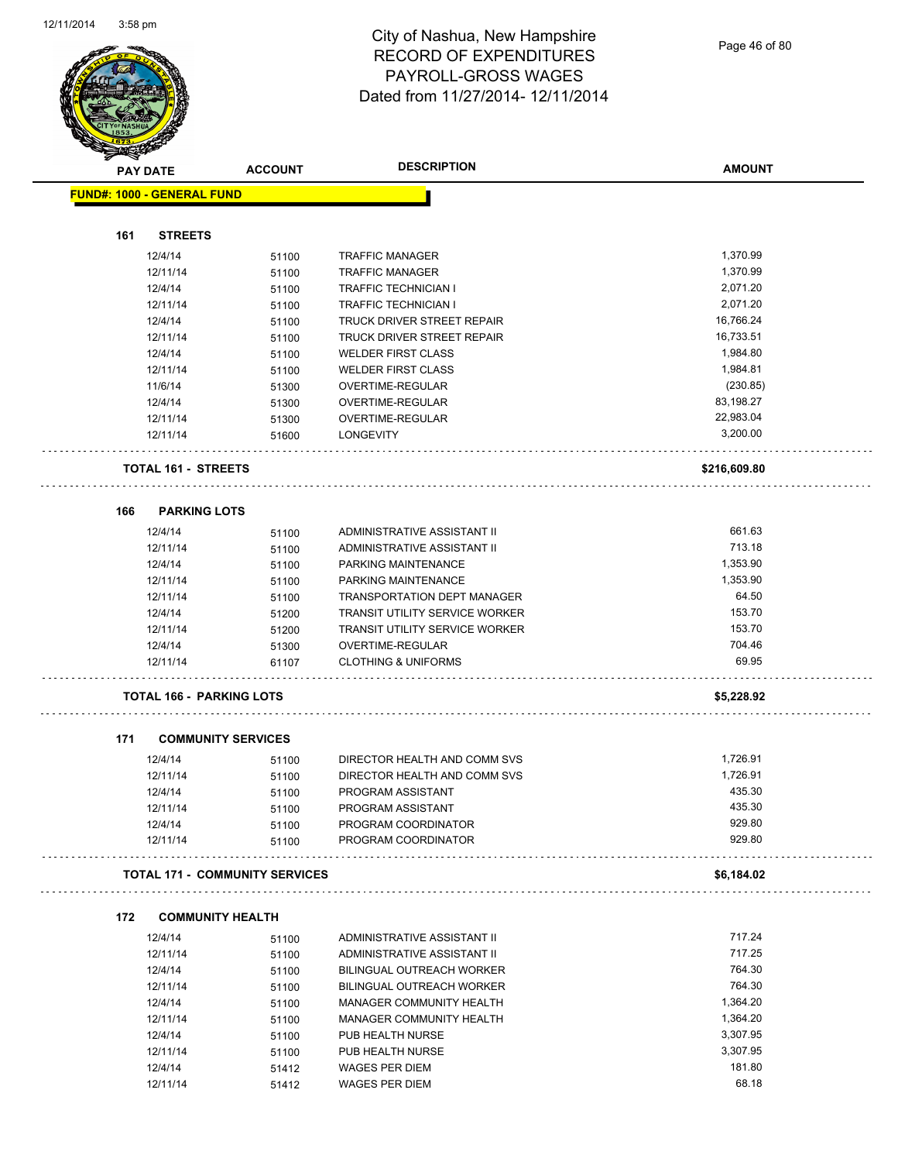

Page 46 of 80

|                                   | <b>PAY DATE</b>                 | <b>ACCOUNT</b>                        | <b>DESCRIPTION</b>                         | <b>AMOUNT</b>    |
|-----------------------------------|---------------------------------|---------------------------------------|--------------------------------------------|------------------|
| <b>FUND#: 1000 - GENERAL FUND</b> |                                 |                                       |                                            |                  |
| 161                               | <b>STREETS</b>                  |                                       |                                            |                  |
|                                   | 12/4/14                         | 51100                                 | <b>TRAFFIC MANAGER</b>                     | 1,370.99         |
|                                   | 12/11/14                        | 51100                                 | <b>TRAFFIC MANAGER</b>                     | 1,370.99         |
|                                   | 12/4/14                         | 51100                                 | <b>TRAFFIC TECHNICIAN I</b>                | 2,071.20         |
|                                   | 12/11/14                        | 51100                                 | <b>TRAFFIC TECHNICIAN I</b>                | 2,071.20         |
|                                   | 12/4/14                         | 51100                                 | <b>TRUCK DRIVER STREET REPAIR</b>          | 16,766.24        |
|                                   | 12/11/14                        | 51100                                 | TRUCK DRIVER STREET REPAIR                 | 16,733.51        |
|                                   | 12/4/14                         | 51100                                 | <b>WELDER FIRST CLASS</b>                  | 1,984.80         |
|                                   | 12/11/14                        | 51100                                 | <b>WELDER FIRST CLASS</b>                  | 1,984.81         |
|                                   | 11/6/14                         | 51300                                 | OVERTIME-REGULAR                           | (230.85)         |
|                                   | 12/4/14                         | 51300                                 | OVERTIME-REGULAR                           | 83,198.27        |
|                                   | 12/11/14                        | 51300                                 | OVERTIME-REGULAR                           | 22,983.04        |
|                                   | 12/11/14                        | 51600                                 | <b>LONGEVITY</b>                           | 3,200.00         |
|                                   | <b>TOTAL 161 - STREETS</b>      |                                       |                                            | \$216,609.80     |
| 166                               | <b>PARKING LOTS</b>             |                                       |                                            |                  |
|                                   | 12/4/14                         | 51100                                 | ADMINISTRATIVE ASSISTANT II                | 661.63           |
|                                   | 12/11/14                        | 51100                                 | ADMINISTRATIVE ASSISTANT II                | 713.18           |
|                                   | 12/4/14                         | 51100                                 | PARKING MAINTENANCE                        | 1,353.90         |
|                                   | 12/11/14                        | 51100                                 | PARKING MAINTENANCE                        | 1,353.90         |
|                                   | 12/11/14                        | 51100                                 | <b>TRANSPORTATION DEPT MANAGER</b>         | 64.50            |
|                                   | 12/4/14                         | 51200                                 | <b>TRANSIT UTILITY SERVICE WORKER</b>      | 153.70           |
|                                   | 12/11/14                        | 51200                                 | <b>TRANSIT UTILITY SERVICE WORKER</b>      | 153.70           |
|                                   | 12/4/14                         | 51300                                 | OVERTIME-REGULAR                           | 704.46           |
|                                   | 12/11/14                        | 61107                                 | <b>CLOTHING &amp; UNIFORMS</b>             | 69.95            |
|                                   | <b>TOTAL 166 - PARKING LOTS</b> |                                       |                                            | \$5,228.92       |
|                                   |                                 |                                       |                                            |                  |
| 171                               |                                 | <b>COMMUNITY SERVICES</b>             |                                            |                  |
|                                   | 12/4/14                         | 51100                                 | DIRECTOR HEALTH AND COMM SVS               | 1,726.91         |
|                                   | 12/11/14                        | 51100                                 | DIRECTOR HEALTH AND COMM SVS               | 1,726.91         |
|                                   | 12/4/14                         | 51100                                 | PROGRAM ASSISTANT                          | 435.30           |
|                                   | 12/11/14                        | 51100                                 | PROGRAM ASSISTANT                          | 435.30           |
|                                   | 12/4/14<br>12/11/14             | 51100<br>51100                        | PROGRAM COORDINATOR<br>PROGRAM COORDINATOR | 929.80<br>929.80 |
|                                   |                                 | <b>TOTAL 171 - COMMUNITY SERVICES</b> |                                            | \$6,184.02       |
|                                   |                                 |                                       |                                            |                  |
| 172                               |                                 | <b>COMMUNITY HEALTH</b>               |                                            |                  |
|                                   | 12/4/14                         | 51100                                 | ADMINISTRATIVE ASSISTANT II                | 717.24           |
|                                   | 12/11/14                        | 51100                                 | ADMINISTRATIVE ASSISTANT II                | 717.25           |
|                                   | 12/4/14                         | 51100                                 | BILINGUAL OUTREACH WORKER                  | 764.30           |
|                                   | 12/11/14                        | 51100                                 | BILINGUAL OUTREACH WORKER                  | 764.30           |
|                                   | 12/4/14                         | 51100                                 | MANAGER COMMUNITY HEALTH                   | 1,364.20         |
|                                   | 12/11/14                        | 51100                                 | MANAGER COMMUNITY HEALTH                   | 1,364.20         |
|                                   | 12/4/14                         | 51100                                 | PUB HEALTH NURSE                           | 3,307.95         |
|                                   | 12/11/14                        | 51100                                 | PUB HEALTH NURSE                           | 3,307.95         |
|                                   | 12/4/14                         | 51412                                 | WAGES PER DIEM                             | 181.80           |
|                                   | 12/11/14                        | 51412                                 | WAGES PER DIEM                             | 68.18            |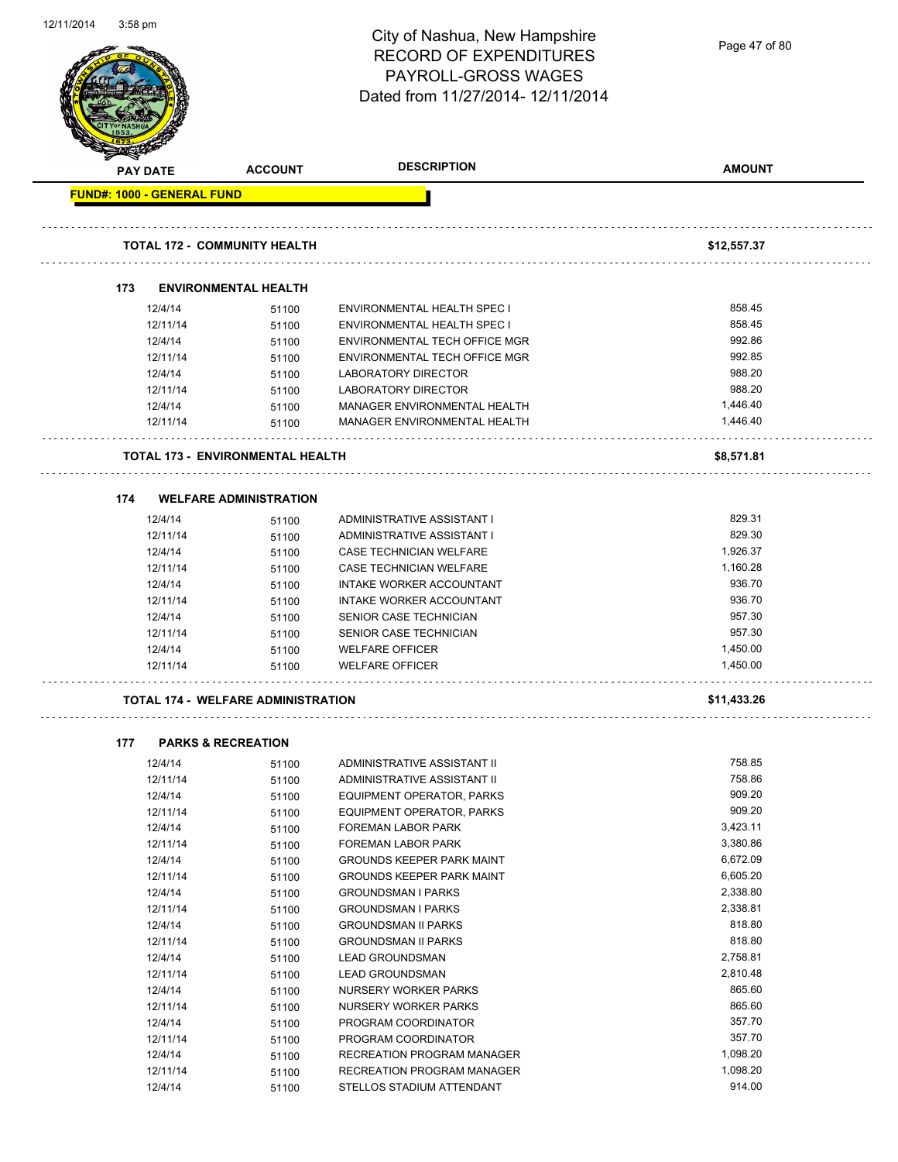| 12/11/2014 | $3:58$ pm                         |                                           | City of Nashua, New Hampshire<br><b>RECORD OF EXPENDITURES</b><br><b>PAYROLL-GROSS WAGES</b><br>Dated from 11/27/2014-12/11/2014 | Page 47 of 80    |
|------------|-----------------------------------|-------------------------------------------|----------------------------------------------------------------------------------------------------------------------------------|------------------|
|            | PAY DATE                          | <b>ACCOUNT</b>                            | <b>DESCRIPTION</b>                                                                                                               | <b>AMOUNT</b>    |
|            | <b>FUND#: 1000 - GENERAL FUND</b> |                                           |                                                                                                                                  |                  |
|            |                                   |                                           |                                                                                                                                  |                  |
|            |                                   | <b>TOTAL 172 - COMMUNITY HEALTH</b>       |                                                                                                                                  | \$12,557.37      |
|            |                                   |                                           |                                                                                                                                  |                  |
|            | 173                               | <b>ENVIRONMENTAL HEALTH</b>               |                                                                                                                                  |                  |
|            | 12/4/14                           | 51100                                     | ENVIRONMENTAL HEALTH SPEC I                                                                                                      | 858.45<br>858.45 |
|            | 12/11/14<br>12/4/14               | 51100                                     | ENVIRONMENTAL HEALTH SPEC I<br>ENVIRONMENTAL TECH OFFICE MGR                                                                     | 992.86           |
|            | 12/11/14                          | 51100<br>51100                            | ENVIRONMENTAL TECH OFFICE MGR                                                                                                    | 992.85           |
|            | 12/4/14                           | 51100                                     | LABORATORY DIRECTOR                                                                                                              | 988.20           |
|            | 12/11/14                          | 51100                                     | <b>LABORATORY DIRECTOR</b>                                                                                                       | 988.20           |
|            | 12/4/14                           | 51100                                     | MANAGER ENVIRONMENTAL HEALTH                                                                                                     | 1,446.40         |
|            | 12/11/14                          | 51100                                     | MANAGER ENVIRONMENTAL HEALTH                                                                                                     | 1,446.40         |
|            |                                   |                                           |                                                                                                                                  |                  |
|            |                                   | <b>TOTAL 173 - ENVIRONMENTAL HEALTH</b>   |                                                                                                                                  | \$8,571.81       |
|            |                                   |                                           |                                                                                                                                  |                  |
|            | 174                               | <b>WELFARE ADMINISTRATION</b>             |                                                                                                                                  |                  |
|            | 12/4/14                           | 51100                                     | ADMINISTRATIVE ASSISTANT I                                                                                                       | 829.31           |
|            | 12/11/14                          | 51100                                     | ADMINISTRATIVE ASSISTANT I                                                                                                       | 829.30           |
|            | 12/4/14                           | 51100                                     | CASE TECHNICIAN WELFARE                                                                                                          | 1,926.37         |
|            | 12/11/14                          | 51100                                     | CASE TECHNICIAN WELFARE                                                                                                          | 1,160.28         |
|            | 12/4/14                           | 51100                                     | <b>INTAKE WORKER ACCOUNTANT</b>                                                                                                  | 936.70           |
|            | 12/11/14                          | 51100                                     | INTAKE WORKER ACCOUNTANT                                                                                                         | 936.70           |
|            | 12/4/14                           | 51100                                     | SENIOR CASE TECHNICIAN                                                                                                           | 957.30           |
|            | 12/11/14                          | 51100                                     | SENIOR CASE TECHNICIAN                                                                                                           | 957.30           |
|            | 12/4/14                           | 51100                                     | <b>WELFARE OFFICER</b>                                                                                                           | 1,450.00         |
|            | 12/11/14                          | 51100                                     | <b>WELFARE OFFICER</b>                                                                                                           | 1,450.00         |
|            |                                   | <b>TOTAL 174 - WELFARE ADMINISTRATION</b> |                                                                                                                                  | \$11,433.26      |
|            |                                   |                                           |                                                                                                                                  |                  |
|            | 177                               | <b>PARKS &amp; RECREATION</b>             |                                                                                                                                  |                  |
|            | 12/4/14                           | 51100                                     | ADMINISTRATIVE ASSISTANT II                                                                                                      | 758.85           |
|            | 12/11/14                          | 51100                                     | ADMINISTRATIVE ASSISTANT II                                                                                                      | 758.86           |
|            | 12/4/14                           | 51100                                     | EQUIPMENT OPERATOR, PARKS                                                                                                        | 909.20           |
|            | 12/11/14                          | 51100                                     | EQUIPMENT OPERATOR, PARKS                                                                                                        | 909.20           |
|            | 12/4/14                           | 51100                                     | <b>FOREMAN LABOR PARK</b>                                                                                                        | 3,423.11         |
|            | 12/11/14                          | 51100                                     | <b>FOREMAN LABOR PARK</b>                                                                                                        | 3,380.86         |
|            | 12/4/14                           | 51100                                     | <b>GROUNDS KEEPER PARK MAINT</b>                                                                                                 | 6,672.09         |
|            | 12/11/14                          | 51100                                     | <b>GROUNDS KEEPER PARK MAINT</b>                                                                                                 | 6,605.20         |
|            | 12/4/14                           | 51100                                     | <b>GROUNDSMAN I PARKS</b>                                                                                                        | 2,338.80         |
|            | 12/11/14                          | 51100                                     | <b>GROUNDSMAN I PARKS</b>                                                                                                        | 2,338.81         |
|            | 12/4/14                           | 51100                                     | <b>GROUNDSMAN II PARKS</b>                                                                                                       | 818.80           |
|            | 12/11/14                          | 51100                                     | <b>GROUNDSMAN II PARKS</b>                                                                                                       | 818.80           |
|            | 12/4/14                           | 51100                                     | <b>LEAD GROUNDSMAN</b>                                                                                                           | 2,758.81         |
|            | 12/11/14                          | 51100                                     | <b>LEAD GROUNDSMAN</b>                                                                                                           | 2,810.48         |
|            | 12/4/14                           | 51100                                     | NURSERY WORKER PARKS                                                                                                             | 865.60           |
|            | 12/11/14                          | 51100                                     | NURSERY WORKER PARKS                                                                                                             | 865.60           |
|            | 12/4/14                           | 51100                                     | PROGRAM COORDINATOR                                                                                                              | 357.70           |
|            | 12/11/14                          | 51100                                     | PROGRAM COORDINATOR                                                                                                              | 357.70           |
|            | 12/4/14                           | 51100                                     | RECREATION PROGRAM MANAGER                                                                                                       | 1,098.20         |
|            | 12/11/14                          | 51100                                     | RECREATION PROGRAM MANAGER                                                                                                       | 1,098.20         |
|            | 12/4/14                           | 51100                                     | STELLOS STADIUM ATTENDANT                                                                                                        | 914.00           |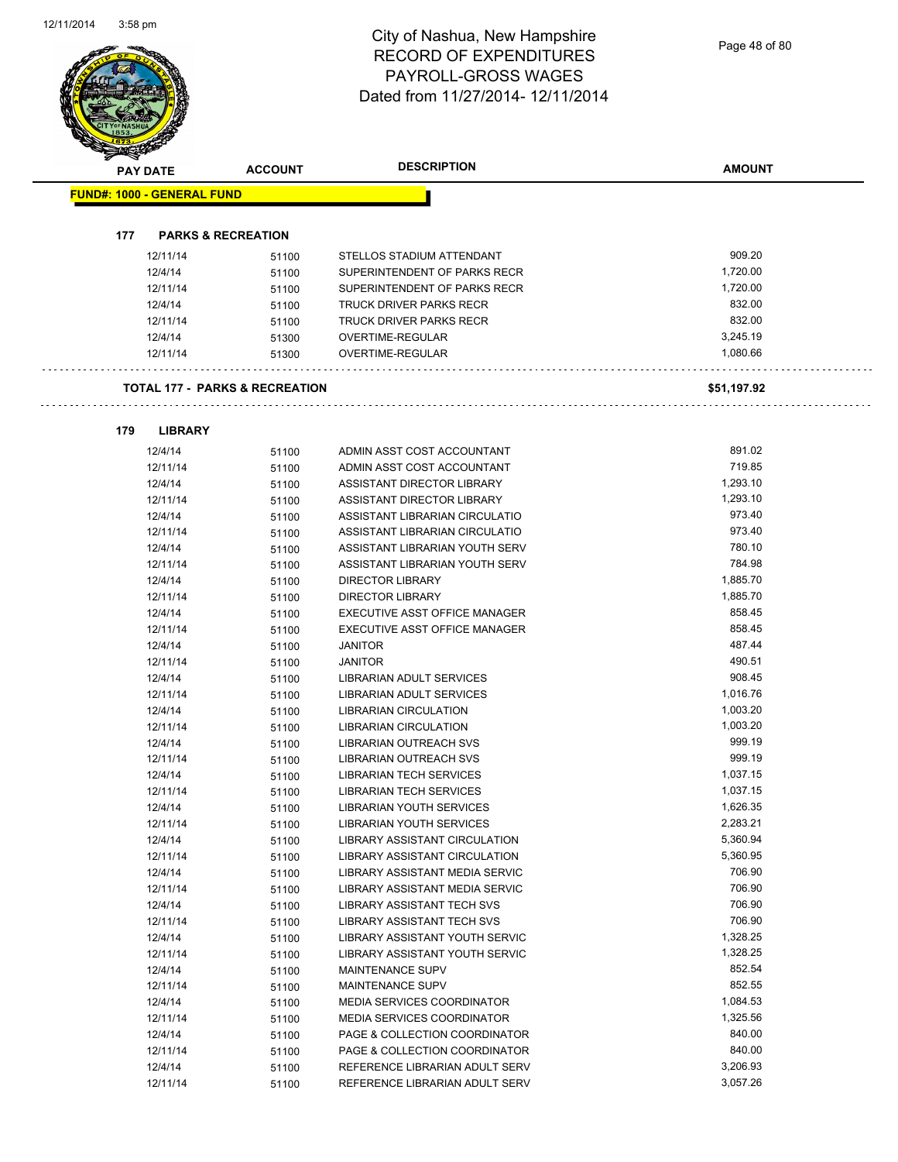Page 48 of 80

| PAY DATE                          | <b>ACCOUNT</b>                            | <b>DESCRIPTION</b>                                       | <b>AMOUNT</b>        |
|-----------------------------------|-------------------------------------------|----------------------------------------------------------|----------------------|
| <b>FUND#: 1000 - GENERAL FUND</b> |                                           |                                                          |                      |
|                                   |                                           |                                                          |                      |
| 177                               | <b>PARKS &amp; RECREATION</b>             |                                                          |                      |
| 12/11/14                          | 51100                                     | STELLOS STADIUM ATTENDANT                                | 909.20               |
| 12/4/14                           | 51100                                     | SUPERINTENDENT OF PARKS RECR                             | 1,720.00             |
| 12/11/14                          | 51100                                     | SUPERINTENDENT OF PARKS RECR                             | 1,720.00             |
| 12/4/14                           | 51100                                     | <b>TRUCK DRIVER PARKS RECR</b>                           | 832.00               |
| 12/11/14                          | 51100                                     | TRUCK DRIVER PARKS RECR                                  | 832.00               |
| 12/4/14<br>12/11/14               | 51300                                     | OVERTIME-REGULAR<br>OVERTIME-REGULAR                     | 3,245.19<br>1,080.66 |
|                                   | 51300                                     |                                                          |                      |
|                                   | <b>TOTAL 177 - PARKS &amp; RECREATION</b> |                                                          | \$51,197.92          |
| 179<br><b>LIBRARY</b>             |                                           |                                                          |                      |
| 12/4/14                           | 51100                                     | ADMIN ASST COST ACCOUNTANT                               | 891.02               |
| 12/11/14                          | 51100                                     | ADMIN ASST COST ACCOUNTANT                               | 719.85               |
| 12/4/14                           | 51100                                     | ASSISTANT DIRECTOR LIBRARY                               | 1,293.10             |
| 12/11/14                          | 51100                                     | ASSISTANT DIRECTOR LIBRARY                               | 1,293.10             |
| 12/4/14                           | 51100                                     | ASSISTANT LIBRARIAN CIRCULATIO                           | 973.40               |
| 12/11/14                          | 51100                                     | ASSISTANT LIBRARIAN CIRCULATIO                           | 973.40               |
| 12/4/14                           | 51100                                     | ASSISTANT LIBRARIAN YOUTH SERV                           | 780.10               |
| 12/11/14                          | 51100                                     | ASSISTANT LIBRARIAN YOUTH SERV                           | 784.98               |
| 12/4/14                           | 51100                                     | <b>DIRECTOR LIBRARY</b>                                  | 1,885.70             |
| 12/11/14                          | 51100                                     | <b>DIRECTOR LIBRARY</b>                                  | 1,885.70             |
| 12/4/14                           | 51100                                     | EXECUTIVE ASST OFFICE MANAGER                            | 858.45               |
| 12/11/14                          | 51100                                     | EXECUTIVE ASST OFFICE MANAGER                            | 858.45               |
| 12/4/14<br>12/11/14               | 51100                                     | <b>JANITOR</b><br><b>JANITOR</b>                         | 487.44<br>490.51     |
| 12/4/14                           | 51100<br>51100                            | LIBRARIAN ADULT SERVICES                                 | 908.45               |
| 12/11/14                          | 51100                                     | <b>LIBRARIAN ADULT SERVICES</b>                          | 1,016.76             |
| 12/4/14                           | 51100                                     | <b>LIBRARIAN CIRCULATION</b>                             | 1,003.20             |
| 12/11/14                          | 51100                                     | <b>LIBRARIAN CIRCULATION</b>                             | 1,003.20             |
| 12/4/14                           | 51100                                     | LIBRARIAN OUTREACH SVS                                   | 999.19               |
| 12/11/14                          | 51100                                     | LIBRARIAN OUTREACH SVS                                   | 999.19               |
| 12/4/14                           | 51100                                     | <b>LIBRARIAN TECH SERVICES</b>                           | 1,037.15             |
| 12/11/14                          | 51100                                     | <b>LIBRARIAN TECH SERVICES</b>                           | 1,037.15             |
| 12/4/14                           | 51100                                     | <b>LIBRARIAN YOUTH SERVICES</b>                          | 1,626.35             |
| 12/11/14                          | 51100                                     | LIBRARIAN YOUTH SERVICES                                 | 2,283.21             |
| 12/4/14                           | 51100                                     | LIBRARY ASSISTANT CIRCULATION                            | 5,360.94             |
| 12/11/14                          | 51100                                     | LIBRARY ASSISTANT CIRCULATION                            | 5,360.95             |
| 12/4/14                           | 51100                                     | LIBRARY ASSISTANT MEDIA SERVIC                           | 706.90               |
| 12/11/14                          | 51100                                     | LIBRARY ASSISTANT MEDIA SERVIC                           | 706.90<br>706.90     |
| 12/4/14<br>12/11/14               | 51100                                     | LIBRARY ASSISTANT TECH SVS<br>LIBRARY ASSISTANT TECH SVS | 706.90               |
| 12/4/14                           | 51100                                     | LIBRARY ASSISTANT YOUTH SERVIC                           | 1,328.25             |
| 12/11/14                          | 51100<br>51100                            | LIBRARY ASSISTANT YOUTH SERVIC                           | 1,328.25             |
| 12/4/14                           | 51100                                     | MAINTENANCE SUPV                                         | 852.54               |
| 12/11/14                          | 51100                                     | MAINTENANCE SUPV                                         | 852.55               |
| 12/4/14                           | 51100                                     | MEDIA SERVICES COORDINATOR                               | 1,084.53             |
| 12/11/14                          | 51100                                     | MEDIA SERVICES COORDINATOR                               | 1,325.56             |
| 12/4/14                           | 51100                                     | PAGE & COLLECTION COORDINATOR                            | 840.00               |
| 12/11/14                          | 51100                                     | PAGE & COLLECTION COORDINATOR                            | 840.00               |
| 12/4/14                           | 51100                                     | REFERENCE LIBRARIAN ADULT SERV                           | 3,206.93             |
| 12/11/14                          | 51100                                     | REFERENCE LIBRARIAN ADULT SERV                           | 3,057.26             |

12/11/14 51100 REFERENCE LIBRARIAN ADULT SERV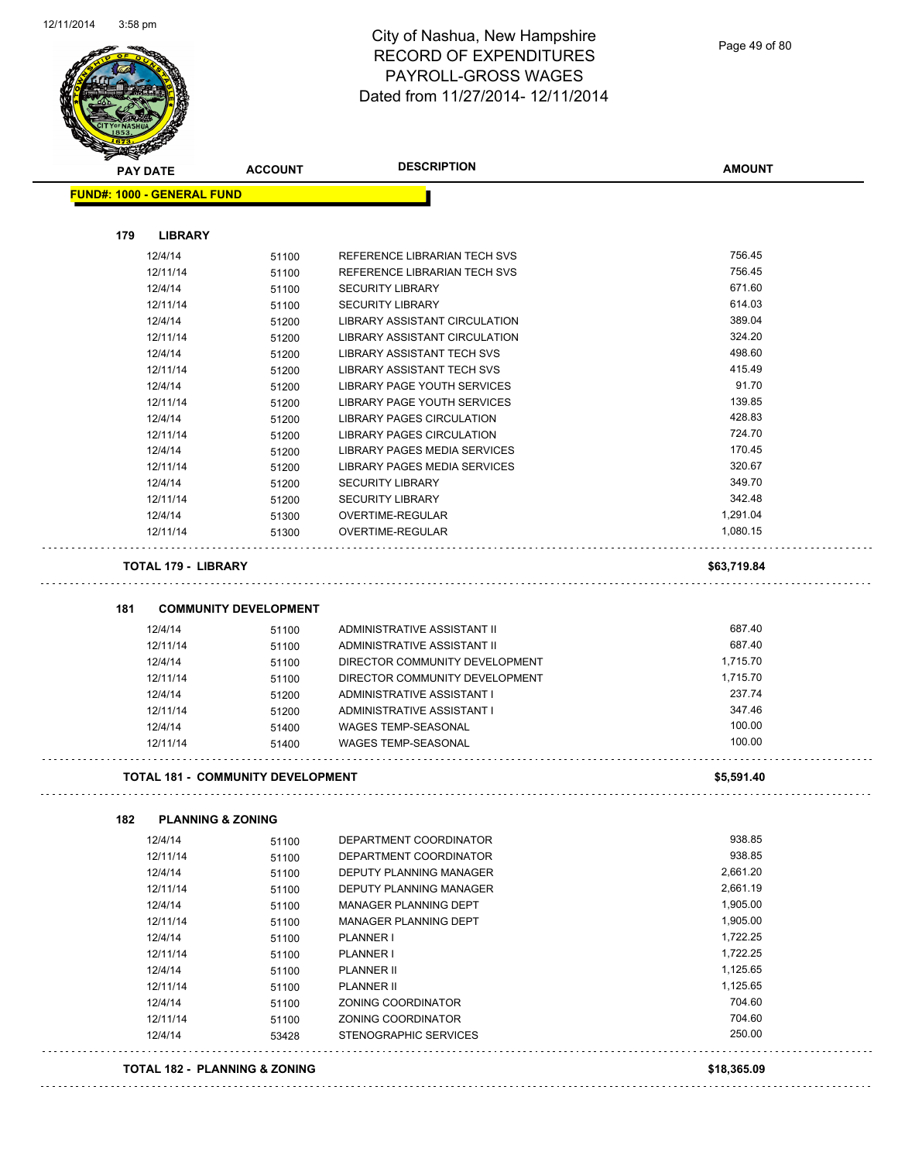J.



#### City of Nashua, New Hampshire RECORD OF EXPENDITURES PAYROLL-GROSS WAGES Dated from 11/27/2014- 12/11/2014

Page 49 of 80

| <b>PAY DATE</b>                          | <b>ACCOUNT</b>               | <b>DESCRIPTION</b>                | <b>AMOUNT</b> |
|------------------------------------------|------------------------------|-----------------------------------|---------------|
| <b>FUND#: 1000 - GENERAL FUND</b>        |                              |                                   |               |
|                                          |                              |                                   |               |
| 179<br><b>LIBRARY</b>                    |                              |                                   |               |
| 12/4/14                                  | 51100                        | REFERENCE LIBRARIAN TECH SVS      | 756.45        |
| 12/11/14                                 | 51100                        | REFERENCE LIBRARIAN TECH SVS      | 756.45        |
| 12/4/14                                  | 51100                        | <b>SECURITY LIBRARY</b>           | 671.60        |
| 12/11/14                                 | 51100                        | <b>SECURITY LIBRARY</b>           | 614.03        |
| 12/4/14                                  | 51200                        | LIBRARY ASSISTANT CIRCULATION     | 389.04        |
| 12/11/14                                 | 51200                        | LIBRARY ASSISTANT CIRCULATION     | 324.20        |
| 12/4/14                                  | 51200                        | <b>LIBRARY ASSISTANT TECH SVS</b> | 498.60        |
| 12/11/14                                 | 51200                        | <b>LIBRARY ASSISTANT TECH SVS</b> | 415.49        |
| 12/4/14                                  | 51200                        | LIBRARY PAGE YOUTH SERVICES       | 91.70         |
| 12/11/14                                 | 51200                        | LIBRARY PAGE YOUTH SERVICES       | 139.85        |
| 12/4/14                                  | 51200                        | LIBRARY PAGES CIRCULATION         | 428.83        |
| 12/11/14                                 | 51200                        | LIBRARY PAGES CIRCULATION         | 724.70        |
| 12/4/14                                  | 51200                        | LIBRARY PAGES MEDIA SERVICES      | 170.45        |
| 12/11/14                                 | 51200                        | LIBRARY PAGES MEDIA SERVICES      | 320.67        |
| 12/4/14                                  | 51200                        | <b>SECURITY LIBRARY</b>           | 349.70        |
| 12/11/14                                 | 51200                        | <b>SECURITY LIBRARY</b>           | 342.48        |
| 12/4/14                                  | 51300                        | <b>OVERTIME-REGULAR</b>           | 1,291.04      |
| 12/11/14                                 | 51300                        | OVERTIME-REGULAR                  | 1,080.15      |
| <b>TOTAL 179 - LIBRARY</b>               |                              |                                   | \$63,719.84   |
| 181                                      | <b>COMMUNITY DEVELOPMENT</b> |                                   |               |
| 12/4/14                                  | 51100                        | ADMINISTRATIVE ASSISTANT II       | 687.40        |
| 12/11/14                                 | 51100                        | ADMINISTRATIVE ASSISTANT II       | 687.40        |
| 12/4/14                                  | 51100                        | DIRECTOR COMMUNITY DEVELOPMENT    | 1,715.70      |
| 12/11/14                                 | 51100                        | DIRECTOR COMMUNITY DEVELOPMENT    | 1,715.70      |
| 12/4/14                                  | 51200                        | ADMINISTRATIVE ASSISTANT I        | 237.74        |
| 12/11/14                                 | 51200                        | ADMINISTRATIVE ASSISTANT I        | 347.46        |
| 12/4/14                                  | 51400                        | <b>WAGES TEMP-SEASONAL</b>        | 100.00        |
| 12/11/14                                 | 51400                        | <b>WAGES TEMP-SEASONAL</b>        | 100.00        |
| <b>TOTAL 181 - COMMUNITY DEVELOPMENT</b> |                              |                                   | \$5,591.40    |
|                                          |                              |                                   |               |
| 182<br><b>PLANNING &amp; ZONING</b>      |                              |                                   |               |
| 12/4/14                                  | 51100                        | DEPARTMENT COORDINATOR            | 938.85        |
| 12/11/14                                 | 51100                        | DEPARTMENT COORDINATOR            | 938.85        |
| 12/4/14                                  | 51100                        | DEPUTY PLANNING MANAGER           | 2,661.20      |
| 12/11/14                                 | 51100                        | DEPUTY PLANNING MANAGER           | 2,661.19      |
| 12/4/14                                  | 51100                        | MANAGER PLANNING DEPT             | 1,905.00      |
| 12/11/14                                 | 51100                        | MANAGER PLANNING DEPT             | 1,905.00      |
| 12/4/14                                  | 51100                        | PLANNER I                         | 1,722.25      |
| 12/11/14                                 | 51100                        | <b>PLANNER I</b>                  | 1,722.25      |
| 12/4/14                                  | 51100                        | <b>PLANNER II</b>                 | 1,125.65      |
| 12/11/14                                 | 51100                        | <b>PLANNER II</b>                 | 1,125.65      |
| 12/4/14                                  | 51100                        | ZONING COORDINATOR                | 704.60        |
| 12/11/14                                 | 51100                        | ZONING COORDINATOR                | 704.60        |
| 12/4/14                                  | 53428                        | STENOGRAPHIC SERVICES             | 250.00        |
| <b>TOTAL 182 - PLANNING &amp; ZONING</b> |                              |                                   | \$18,365.09   |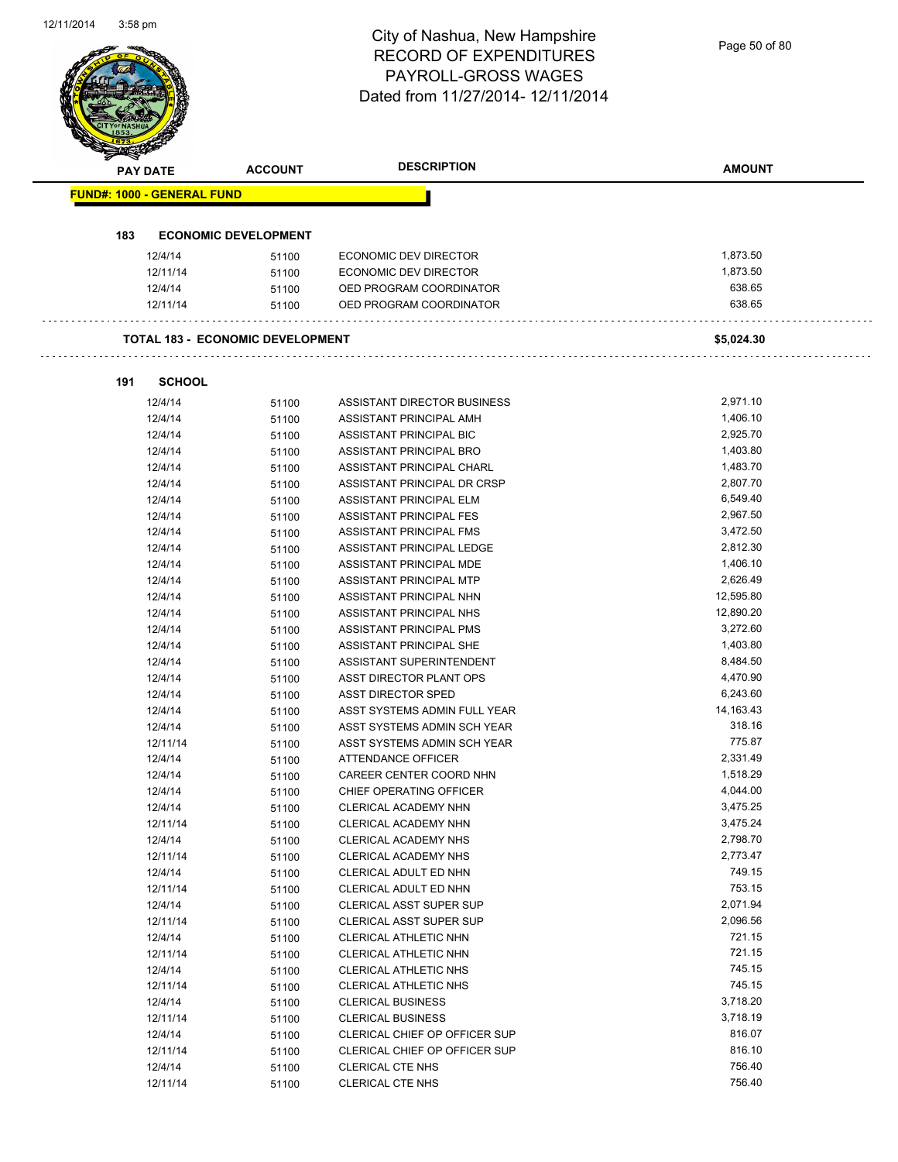Page 50 of 80

|     | <b>PAY DATE</b>                   | <b>ACCOUNT</b>                          | <b>DESCRIPTION</b>             | <b>AMOUNT</b> |
|-----|-----------------------------------|-----------------------------------------|--------------------------------|---------------|
|     | <b>FUND#: 1000 - GENERAL FUND</b> |                                         |                                |               |
|     |                                   |                                         |                                |               |
| 183 |                                   | <b>ECONOMIC DEVELOPMENT</b>             |                                |               |
|     | 12/4/14                           | 51100                                   | ECONOMIC DEV DIRECTOR          | 1,873.50      |
|     | 12/11/14                          | 51100                                   | ECONOMIC DEV DIRECTOR          | 1,873.50      |
|     | 12/4/14                           | 51100                                   | OED PROGRAM COORDINATOR        | 638.65        |
|     | 12/11/14                          | 51100                                   | OED PROGRAM COORDINATOR        | 638.65        |
|     |                                   | <b>TOTAL 183 - ECONOMIC DEVELOPMENT</b> |                                | \$5,024.30    |
| 191 | <b>SCHOOL</b>                     |                                         |                                |               |
|     | 12/4/14                           | 51100                                   | ASSISTANT DIRECTOR BUSINESS    | 2,971.10      |
|     | 12/4/14                           | 51100                                   | ASSISTANT PRINCIPAL AMH        | 1,406.10      |
|     | 12/4/14                           | 51100                                   | ASSISTANT PRINCIPAL BIC        | 2,925.70      |
|     | 12/4/14                           | 51100                                   | ASSISTANT PRINCIPAL BRO        | 1,403.80      |
|     | 12/4/14                           | 51100                                   | ASSISTANT PRINCIPAL CHARL      | 1,483.70      |
|     | 12/4/14                           | 51100                                   | ASSISTANT PRINCIPAL DR CRSP    | 2,807.70      |
|     | 12/4/14                           | 51100                                   | ASSISTANT PRINCIPAL ELM        | 6,549.40      |
|     | 12/4/14                           | 51100                                   | ASSISTANT PRINCIPAL FES        | 2,967.50      |
|     | 12/4/14                           | 51100                                   | ASSISTANT PRINCIPAL FMS        | 3,472.50      |
|     | 12/4/14                           | 51100                                   | ASSISTANT PRINCIPAL LEDGE      | 2,812.30      |
|     | 12/4/14                           | 51100                                   | ASSISTANT PRINCIPAL MDE        | 1,406.10      |
|     | 12/4/14                           | 51100                                   | ASSISTANT PRINCIPAL MTP        | 2,626.49      |
|     | 12/4/14                           | 51100                                   | ASSISTANT PRINCIPAL NHN        | 12,595.80     |
|     | 12/4/14                           | 51100                                   | ASSISTANT PRINCIPAL NHS        | 12,890.20     |
|     | 12/4/14                           | 51100                                   | ASSISTANT PRINCIPAL PMS        | 3,272.60      |
|     | 12/4/14                           | 51100                                   | ASSISTANT PRINCIPAL SHE        | 1,403.80      |
|     | 12/4/14                           | 51100                                   | ASSISTANT SUPERINTENDENT       | 8,484.50      |
|     | 12/4/14                           | 51100                                   | ASST DIRECTOR PLANT OPS        | 4,470.90      |
|     | 12/4/14                           | 51100                                   | <b>ASST DIRECTOR SPED</b>      | 6,243.60      |
|     | 12/4/14                           | 51100                                   | ASST SYSTEMS ADMIN FULL YEAR   | 14,163.43     |
|     | 12/4/14                           | 51100                                   | ASST SYSTEMS ADMIN SCH YEAR    | 318.16        |
|     | 12/11/14                          | 51100                                   | ASST SYSTEMS ADMIN SCH YEAR    | 775.87        |
|     | 12/4/14                           | 51100                                   | ATTENDANCE OFFICER             | 2,331.49      |
|     | 12/4/14                           | 51100                                   | CAREER CENTER COORD NHN        | 1,518.29      |
|     | 12/4/14                           | 51100                                   | CHIEF OPERATING OFFICER        | 4,044.00      |
|     | 12/4/14                           | 51100                                   | CLERICAL ACADEMY NHN           | 3,475.25      |
|     | 12/11/14                          | 51100                                   | CLERICAL ACADEMY NHN           | 3,475.24      |
|     | 12/4/14                           | 51100                                   | CLERICAL ACADEMY NHS           | 2,798.70      |
|     | 12/11/14                          | 51100                                   | CLERICAL ACADEMY NHS           | 2,773.47      |
|     | 12/4/14                           | 51100                                   | CLERICAL ADULT ED NHN          | 749.15        |
|     | 12/11/14                          | 51100                                   | CLERICAL ADULT ED NHN          | 753.15        |
|     | 12/4/14                           | 51100                                   | <b>CLERICAL ASST SUPER SUP</b> | 2,071.94      |
|     | 12/11/14                          | 51100                                   | CLERICAL ASST SUPER SUP        | 2,096.56      |
|     | 12/4/14                           | 51100                                   | CLERICAL ATHLETIC NHN          | 721.15        |
|     | 12/11/14                          | 51100                                   | CLERICAL ATHLETIC NHN          | 721.15        |
|     | 12/4/14                           | 51100                                   | CLERICAL ATHLETIC NHS          | 745.15        |
|     | 12/11/14                          | 51100                                   | CLERICAL ATHLETIC NHS          | 745.15        |
|     | 12/4/14                           | 51100                                   | <b>CLERICAL BUSINESS</b>       | 3,718.20      |
|     | 12/11/14                          | 51100                                   | <b>CLERICAL BUSINESS</b>       | 3,718.19      |
|     | 12/4/14                           | 51100                                   | CLERICAL CHIEF OP OFFICER SUP  | 816.07        |
|     | 12/11/14                          | 51100                                   | CLERICAL CHIEF OP OFFICER SUP  | 816.10        |
|     | 12/4/14                           | 51100                                   | <b>CLERICAL CTE NHS</b>        | 756.40        |
|     | 12/11/14                          | 51100                                   | CLERICAL CTE NHS               | 756.40        |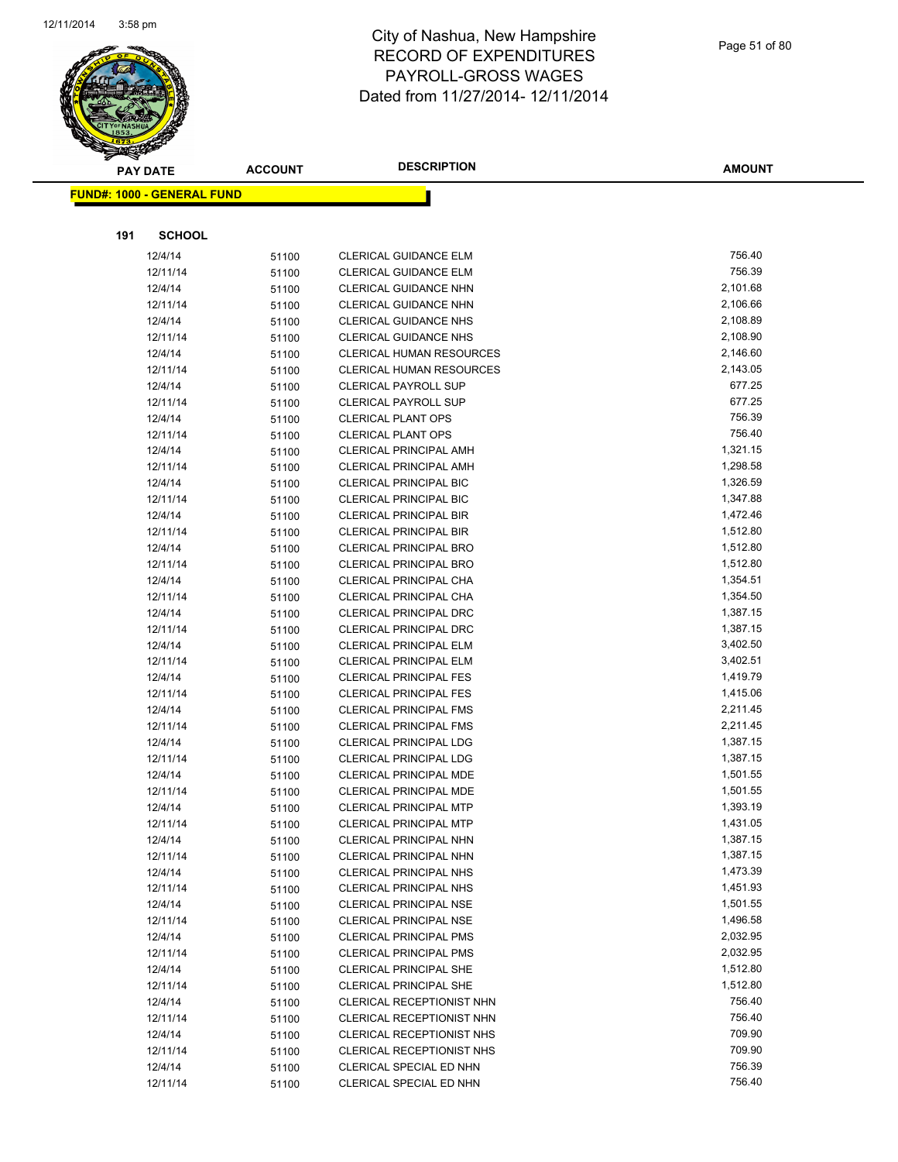

|     | <b>PAY DATE</b>                   | <b>ACCOUNT</b> | <b>DESCRIPTION</b>                             | <b>AMOUNT</b> |
|-----|-----------------------------------|----------------|------------------------------------------------|---------------|
|     | <b>FUND#: 1000 - GENERAL FUND</b> |                |                                                |               |
|     |                                   |                |                                                |               |
| 191 | <b>SCHOOL</b>                     |                |                                                |               |
|     |                                   |                |                                                | 756.40        |
|     | 12/4/14<br>12/11/14               | 51100          | CLERICAL GUIDANCE ELM<br>CLERICAL GUIDANCE ELM | 756.39        |
|     | 12/4/14                           | 51100          | CLERICAL GUIDANCE NHN                          | 2,101.68      |
|     | 12/11/14                          | 51100          | CLERICAL GUIDANCE NHN                          | 2,106.66      |
|     | 12/4/14                           | 51100<br>51100 | <b>CLERICAL GUIDANCE NHS</b>                   | 2,108.89      |
|     | 12/11/14                          | 51100          | <b>CLERICAL GUIDANCE NHS</b>                   | 2,108.90      |
|     | 12/4/14                           | 51100          | <b>CLERICAL HUMAN RESOURCES</b>                | 2,146.60      |
|     | 12/11/14                          | 51100          | <b>CLERICAL HUMAN RESOURCES</b>                | 2,143.05      |
|     | 12/4/14                           | 51100          | <b>CLERICAL PAYROLL SUP</b>                    | 677.25        |
|     | 12/11/14                          | 51100          | <b>CLERICAL PAYROLL SUP</b>                    | 677.25        |
|     | 12/4/14                           | 51100          | <b>CLERICAL PLANT OPS</b>                      | 756.39        |
|     | 12/11/14                          | 51100          | <b>CLERICAL PLANT OPS</b>                      | 756.40        |
|     | 12/4/14                           | 51100          | <b>CLERICAL PRINCIPAL AMH</b>                  | 1,321.15      |
|     | 12/11/14                          | 51100          | <b>CLERICAL PRINCIPAL AMH</b>                  | 1,298.58      |
|     | 12/4/14                           | 51100          | <b>CLERICAL PRINCIPAL BIC</b>                  | 1,326.59      |
|     | 12/11/14                          | 51100          | <b>CLERICAL PRINCIPAL BIC</b>                  | 1,347.88      |
|     | 12/4/14                           | 51100          | <b>CLERICAL PRINCIPAL BIR</b>                  | 1,472.46      |
|     | 12/11/14                          | 51100          | <b>CLERICAL PRINCIPAL BIR</b>                  | 1,512.80      |
|     | 12/4/14                           | 51100          | <b>CLERICAL PRINCIPAL BRO</b>                  | 1,512.80      |
|     | 12/11/14                          | 51100          | <b>CLERICAL PRINCIPAL BRO</b>                  | 1,512.80      |
|     | 12/4/14                           | 51100          | CLERICAL PRINCIPAL CHA                         | 1,354.51      |
|     | 12/11/14                          | 51100          | <b>CLERICAL PRINCIPAL CHA</b>                  | 1,354.50      |
|     | 12/4/14                           | 51100          | <b>CLERICAL PRINCIPAL DRC</b>                  | 1,387.15      |
|     | 12/11/14                          | 51100          | <b>CLERICAL PRINCIPAL DRC</b>                  | 1,387.15      |
|     | 12/4/14                           | 51100          | <b>CLERICAL PRINCIPAL ELM</b>                  | 3,402.50      |
|     | 12/11/14                          | 51100          | <b>CLERICAL PRINCIPAL ELM</b>                  | 3,402.51      |
|     | 12/4/14                           | 51100          | <b>CLERICAL PRINCIPAL FES</b>                  | 1,419.79      |
|     | 12/11/14                          | 51100          | <b>CLERICAL PRINCIPAL FES</b>                  | 1,415.06      |
|     | 12/4/14                           | 51100          | <b>CLERICAL PRINCIPAL FMS</b>                  | 2,211.45      |
|     | 12/11/14                          | 51100          | <b>CLERICAL PRINCIPAL FMS</b>                  | 2,211.45      |
|     | 12/4/14                           | 51100          | <b>CLERICAL PRINCIPAL LDG</b>                  | 1,387.15      |
|     | 12/11/14                          | 51100          | <b>CLERICAL PRINCIPAL LDG</b>                  | 1,387.15      |
|     | 12/4/14                           | 51100          | CLERICAL PRINCIPAL MDE                         | 1,501.55      |
|     | 12/11/14                          | 51100          | CLERICAL PRINCIPAL MDE                         | 1,501.55      |
|     | 12/4/14                           | 51100          | <b>CLERICAL PRINCIPAL MTP</b>                  | 1,393.19      |
|     | 12/11/14                          | 51100          | <b>CLERICAL PRINCIPAL MTP</b>                  | 1,431.05      |
|     | 12/4/14                           | 51100          | CLERICAL PRINCIPAL NHN                         | 1,387.15      |
|     | 12/11/14                          | 51100          | CLERICAL PRINCIPAL NHN                         | 1,387.15      |
|     | 12/4/14                           | 51100          | <b>CLERICAL PRINCIPAL NHS</b>                  | 1,473.39      |
|     | 12/11/14                          | 51100          | <b>CLERICAL PRINCIPAL NHS</b>                  | 1,451.93      |
|     | 12/4/14                           | 51100          | <b>CLERICAL PRINCIPAL NSE</b>                  | 1,501.55      |
|     | 12/11/14                          | 51100          | <b>CLERICAL PRINCIPAL NSE</b>                  | 1,496.58      |
|     | 12/4/14                           | 51100          | <b>CLERICAL PRINCIPAL PMS</b>                  | 2,032.95      |
|     | 12/11/14                          | 51100          | <b>CLERICAL PRINCIPAL PMS</b>                  | 2,032.95      |
|     | 12/4/14                           | 51100          | <b>CLERICAL PRINCIPAL SHE</b>                  | 1,512.80      |
|     | 12/11/14                          | 51100          | <b>CLERICAL PRINCIPAL SHE</b>                  | 1,512.80      |
|     | 12/4/14                           | 51100          | CLERICAL RECEPTIONIST NHN                      | 756.40        |
|     | 12/11/14                          | 51100          | CLERICAL RECEPTIONIST NHN                      | 756.40        |
|     | 12/4/14                           | 51100          | CLERICAL RECEPTIONIST NHS                      | 709.90        |
|     | 12/11/14                          | 51100          | CLERICAL RECEPTIONIST NHS                      | 709.90        |
|     | 12/4/14                           | 51100          | CLERICAL SPECIAL ED NHN                        | 756.39        |
|     | 12/11/14                          | 51100          | CLERICAL SPECIAL ED NHN                        | 756.40        |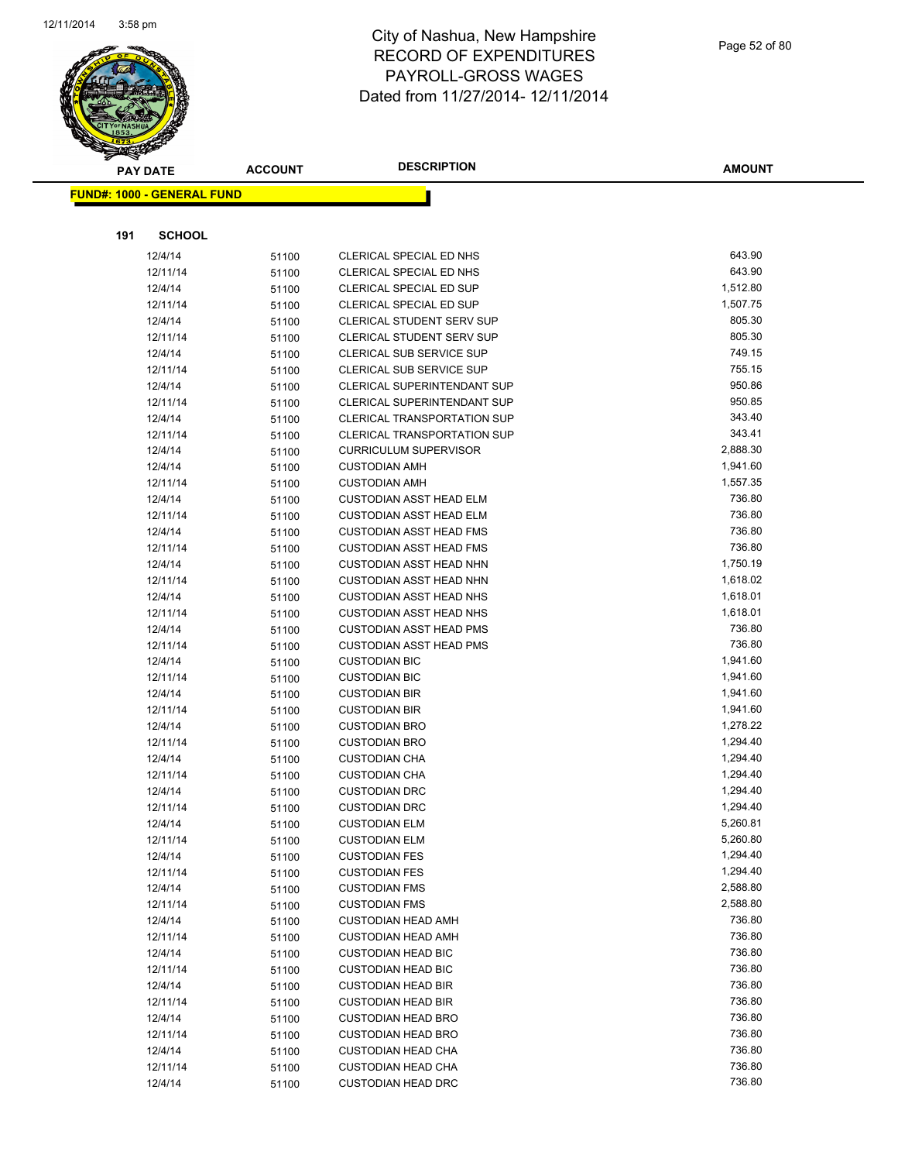

|     | <b>PAY DATE</b>                   | <b>ACCOUNT</b> | <b>DESCRIPTION</b>                                     | <b>AMOUNT</b>    |
|-----|-----------------------------------|----------------|--------------------------------------------------------|------------------|
|     | <b>FUND#: 1000 - GENERAL FUND</b> |                |                                                        |                  |
|     |                                   |                |                                                        |                  |
| 191 | <b>SCHOOL</b>                     |                |                                                        |                  |
|     | 12/4/14                           | 51100          | CLERICAL SPECIAL ED NHS                                | 643.90           |
|     | 12/11/14                          | 51100          | CLERICAL SPECIAL ED NHS                                | 643.90           |
|     | 12/4/14                           | 51100          | CLERICAL SPECIAL ED SUP                                | 1,512.80         |
|     | 12/11/14                          | 51100          | CLERICAL SPECIAL ED SUP                                | 1,507.75         |
|     | 12/4/14                           | 51100          | <b>CLERICAL STUDENT SERV SUP</b>                       | 805.30           |
|     | 12/11/14                          | 51100          | CLERICAL STUDENT SERV SUP                              | 805.30           |
|     | 12/4/14                           | 51100          | CLERICAL SUB SERVICE SUP                               | 749.15           |
|     | 12/11/14                          | 51100          | CLERICAL SUB SERVICE SUP                               | 755.15           |
|     | 12/4/14                           | 51100          | CLERICAL SUPERINTENDANT SUP                            | 950.86           |
|     | 12/11/14                          | 51100          | CLERICAL SUPERINTENDANT SUP                            | 950.85           |
|     | 12/4/14                           | 51100          | <b>CLERICAL TRANSPORTATION SUP</b>                     | 343.40           |
|     | 12/11/14                          | 51100          | <b>CLERICAL TRANSPORTATION SUP</b>                     | 343.41           |
|     | 12/4/14                           | 51100          | <b>CURRICULUM SUPERVISOR</b>                           | 2,888.30         |
|     | 12/4/14                           | 51100          | <b>CUSTODIAN AMH</b>                                   | 1,941.60         |
|     | 12/11/14                          | 51100          | <b>CUSTODIAN AMH</b>                                   | 1,557.35         |
|     | 12/4/14                           | 51100          | <b>CUSTODIAN ASST HEAD ELM</b>                         | 736.80           |
|     | 12/11/14                          | 51100          | <b>CUSTODIAN ASST HEAD ELM</b>                         | 736.80           |
|     | 12/4/14                           | 51100          | <b>CUSTODIAN ASST HEAD FMS</b>                         | 736.80           |
|     | 12/11/14                          | 51100          | <b>CUSTODIAN ASST HEAD FMS</b>                         | 736.80           |
|     | 12/4/14                           | 51100          | <b>CUSTODIAN ASST HEAD NHN</b>                         | 1,750.19         |
|     | 12/11/14                          | 51100          | CUSTODIAN ASST HEAD NHN                                | 1,618.02         |
|     | 12/4/14                           | 51100          | <b>CUSTODIAN ASST HEAD NHS</b>                         | 1,618.01         |
|     | 12/11/14                          | 51100          | <b>CUSTODIAN ASST HEAD NHS</b>                         | 1,618.01         |
|     | 12/4/14                           | 51100          | <b>CUSTODIAN ASST HEAD PMS</b>                         | 736.80           |
|     | 12/11/14                          | 51100          | <b>CUSTODIAN ASST HEAD PMS</b>                         | 736.80           |
|     | 12/4/14                           | 51100          | <b>CUSTODIAN BIC</b>                                   | 1,941.60         |
|     | 12/11/14                          | 51100          | <b>CUSTODIAN BIC</b>                                   | 1,941.60         |
|     | 12/4/14                           | 51100          | <b>CUSTODIAN BIR</b>                                   | 1,941.60         |
|     | 12/11/14                          | 51100          | <b>CUSTODIAN BIR</b>                                   | 1,941.60         |
|     | 12/4/14                           | 51100          | <b>CUSTODIAN BRO</b>                                   | 1,278.22         |
|     | 12/11/14                          | 51100          | <b>CUSTODIAN BRO</b>                                   | 1,294.40         |
|     | 12/4/14                           | 51100          | <b>CUSTODIAN CHA</b>                                   | 1,294.40         |
|     | 12/11/14                          | 51100          | <b>CUSTODIAN CHA</b>                                   | 1,294.40         |
|     | 12/4/14                           | 51100          | <b>CUSTODIAN DRC</b>                                   | 1,294.40         |
|     | 12/11/14                          | 51100          | <b>CUSTODIAN DRC</b>                                   | 1,294.40         |
|     | 12/4/14                           | 51100          | <b>CUSTODIAN ELM</b>                                   | 5,260.81         |
|     | 12/11/14                          | 51100          | <b>CUSTODIAN ELM</b>                                   | 5,260.80         |
|     | 12/4/14                           | 51100          | <b>CUSTODIAN FES</b>                                   | 1,294.40         |
|     | 12/11/14                          | 51100          | <b>CUSTODIAN FES</b>                                   | 1,294.40         |
|     | 12/4/14                           | 51100          | <b>CUSTODIAN FMS</b>                                   | 2,588.80         |
|     | 12/11/14                          | 51100          | <b>CUSTODIAN FMS</b>                                   | 2,588.80         |
|     | 12/4/14                           | 51100          | <b>CUSTODIAN HEAD AMH</b>                              | 736.80           |
|     | 12/11/14                          | 51100          | <b>CUSTODIAN HEAD AMH</b>                              | 736.80           |
|     | 12/4/14                           | 51100          | <b>CUSTODIAN HEAD BIC</b>                              | 736.80<br>736.80 |
|     | 12/11/14                          | 51100          | <b>CUSTODIAN HEAD BIC</b>                              | 736.80           |
|     | 12/4/14                           | 51100          | <b>CUSTODIAN HEAD BIR</b>                              |                  |
|     | 12/11/14                          | 51100          | <b>CUSTODIAN HEAD BIR</b>                              | 736.80<br>736.80 |
|     | 12/4/14                           | 51100          | <b>CUSTODIAN HEAD BRO</b>                              | 736.80           |
|     | 12/11/14                          | 51100          | <b>CUSTODIAN HEAD BRO</b>                              | 736.80           |
|     | 12/4/14<br>12/11/14               | 51100          | <b>CUSTODIAN HEAD CHA</b><br><b>CUSTODIAN HEAD CHA</b> | 736.80           |
|     |                                   | 51100          |                                                        | 736.80           |
|     | 12/4/14                           | 51100          | <b>CUSTODIAN HEAD DRC</b>                              |                  |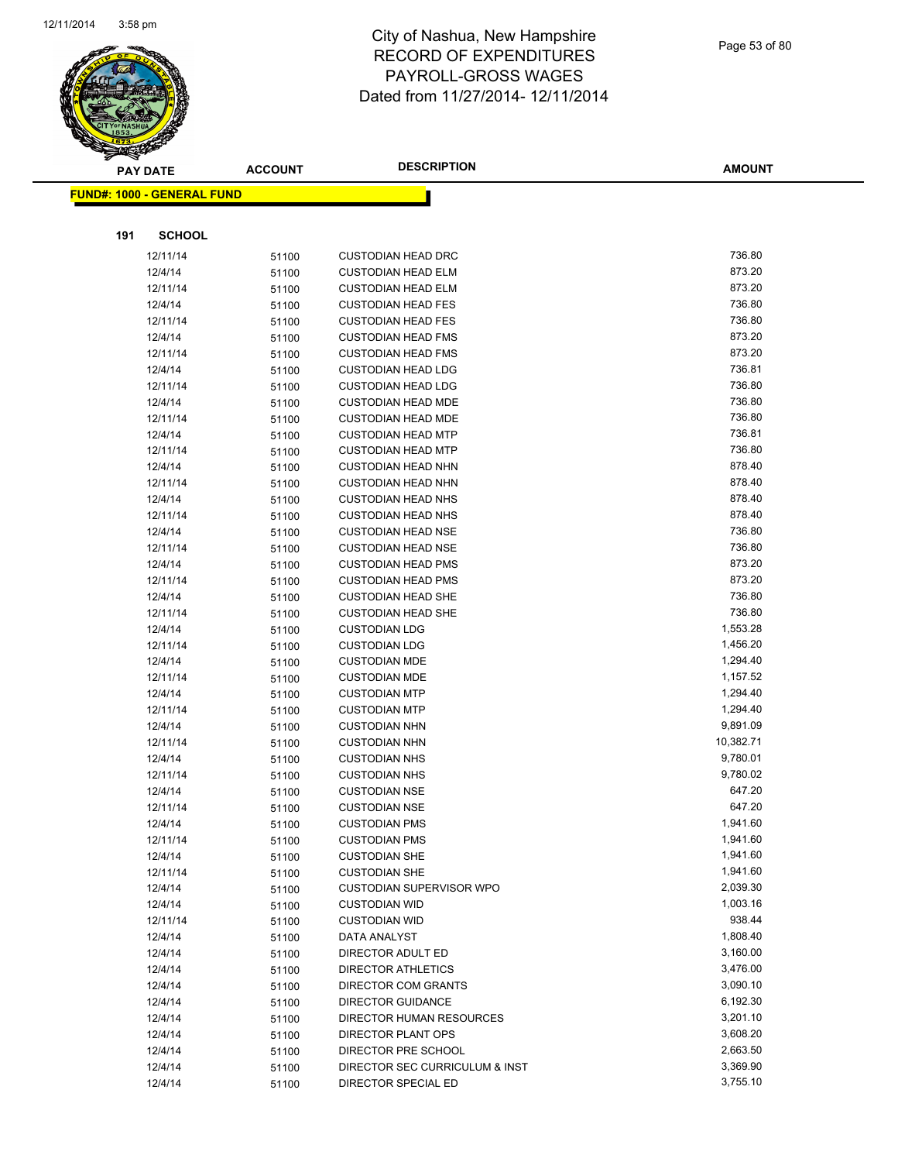

|     | <b>PAY DATE</b>                    | <b>ACCOUNT</b> | <b>DESCRIPTION</b>                                     | <b>AMOUNT</b>    |
|-----|------------------------------------|----------------|--------------------------------------------------------|------------------|
|     | <u> FUND#: 1000 - GENERAL FUND</u> |                |                                                        |                  |
|     |                                    |                |                                                        |                  |
|     |                                    |                |                                                        |                  |
| 191 | <b>SCHOOL</b>                      |                |                                                        |                  |
|     | 12/11/14                           | 51100          | <b>CUSTODIAN HEAD DRC</b>                              | 736.80           |
|     | 12/4/14                            | 51100          | <b>CUSTODIAN HEAD ELM</b>                              | 873.20           |
|     | 12/11/14                           | 51100          | <b>CUSTODIAN HEAD ELM</b>                              | 873.20           |
|     | 12/4/14                            | 51100          | <b>CUSTODIAN HEAD FES</b>                              | 736.80           |
|     | 12/11/14                           | 51100          | <b>CUSTODIAN HEAD FES</b>                              | 736.80           |
|     | 12/4/14                            | 51100          | <b>CUSTODIAN HEAD FMS</b>                              | 873.20           |
|     | 12/11/14                           | 51100          | <b>CUSTODIAN HEAD FMS</b>                              | 873.20           |
|     | 12/4/14                            | 51100          | <b>CUSTODIAN HEAD LDG</b>                              | 736.81           |
|     | 12/11/14                           | 51100          | <b>CUSTODIAN HEAD LDG</b>                              | 736.80           |
|     | 12/4/14                            | 51100          | <b>CUSTODIAN HEAD MDE</b>                              | 736.80           |
|     | 12/11/14                           | 51100          | <b>CUSTODIAN HEAD MDE</b>                              | 736.80           |
|     | 12/4/14                            | 51100          | <b>CUSTODIAN HEAD MTP</b>                              | 736.81           |
|     | 12/11/14                           | 51100          | <b>CUSTODIAN HEAD MTP</b>                              | 736.80           |
|     | 12/4/14                            | 51100          | <b>CUSTODIAN HEAD NHN</b>                              | 878.40           |
|     | 12/11/14                           | 51100          | <b>CUSTODIAN HEAD NHN</b>                              | 878.40           |
|     | 12/4/14                            | 51100          | <b>CUSTODIAN HEAD NHS</b>                              | 878.40           |
|     | 12/11/14                           | 51100          | <b>CUSTODIAN HEAD NHS</b>                              | 878.40<br>736.80 |
|     | 12/4/14<br>12/11/14                | 51100          | <b>CUSTODIAN HEAD NSE</b>                              | 736.80           |
|     |                                    | 51100          | <b>CUSTODIAN HEAD NSE</b><br><b>CUSTODIAN HEAD PMS</b> | 873.20           |
|     | 12/4/14<br>12/11/14                | 51100          | <b>CUSTODIAN HEAD PMS</b>                              | 873.20           |
|     | 12/4/14                            | 51100          | <b>CUSTODIAN HEAD SHE</b>                              | 736.80           |
|     | 12/11/14                           | 51100          | <b>CUSTODIAN HEAD SHE</b>                              | 736.80           |
|     | 12/4/14                            | 51100<br>51100 | <b>CUSTODIAN LDG</b>                                   | 1,553.28         |
|     | 12/11/14                           |                | <b>CUSTODIAN LDG</b>                                   | 1,456.20         |
|     | 12/4/14                            | 51100<br>51100 | <b>CUSTODIAN MDE</b>                                   | 1,294.40         |
|     | 12/11/14                           | 51100          | <b>CUSTODIAN MDE</b>                                   | 1,157.52         |
|     | 12/4/14                            | 51100          | <b>CUSTODIAN MTP</b>                                   | 1,294.40         |
|     | 12/11/14                           | 51100          | <b>CUSTODIAN MTP</b>                                   | 1,294.40         |
|     | 12/4/14                            | 51100          | <b>CUSTODIAN NHN</b>                                   | 9,891.09         |
|     | 12/11/14                           | 51100          | <b>CUSTODIAN NHN</b>                                   | 10,382.71        |
|     | 12/4/14                            | 51100          | <b>CUSTODIAN NHS</b>                                   | 9,780.01         |
|     | 12/11/14                           | 51100          | <b>CUSTODIAN NHS</b>                                   | 9,780.02         |
|     | 12/4/14                            | 51100          | <b>CUSTODIAN NSE</b>                                   | 647.20           |
|     | 12/11/14                           | 51100          | <b>CUSTODIAN NSE</b>                                   | 647.20           |
|     | 12/4/14                            | 51100          | <b>CUSTODIAN PMS</b>                                   | 1,941.60         |
|     | 12/11/14                           | 51100          | <b>CUSTODIAN PMS</b>                                   | 1,941.60         |
|     | 12/4/14                            | 51100          | <b>CUSTODIAN SHE</b>                                   | 1,941.60         |
|     | 12/11/14                           | 51100          | <b>CUSTODIAN SHE</b>                                   | 1,941.60         |
|     | 12/4/14                            | 51100          | <b>CUSTODIAN SUPERVISOR WPO</b>                        | 2,039.30         |
|     | 12/4/14                            | 51100          | <b>CUSTODIAN WID</b>                                   | 1,003.16         |
|     | 12/11/14                           | 51100          | <b>CUSTODIAN WID</b>                                   | 938.44           |
|     | 12/4/14                            | 51100          | DATA ANALYST                                           | 1,808.40         |
|     | 12/4/14                            | 51100          | DIRECTOR ADULT ED                                      | 3,160.00         |
|     | 12/4/14                            | 51100          | <b>DIRECTOR ATHLETICS</b>                              | 3,476.00         |
|     | 12/4/14                            | 51100          | <b>DIRECTOR COM GRANTS</b>                             | 3,090.10         |
|     | 12/4/14                            | 51100          | <b>DIRECTOR GUIDANCE</b>                               | 6,192.30         |
|     | 12/4/14                            | 51100          | DIRECTOR HUMAN RESOURCES                               | 3,201.10         |
|     | 12/4/14                            | 51100          | DIRECTOR PLANT OPS                                     | 3,608.20         |
|     | 12/4/14                            | 51100          | DIRECTOR PRE SCHOOL                                    | 2,663.50         |
|     | 12/4/14                            | 51100          | DIRECTOR SEC CURRICULUM & INST                         | 3,369.90         |
|     | 12/4/14                            | 51100          | DIRECTOR SPECIAL ED                                    | 3,755.10         |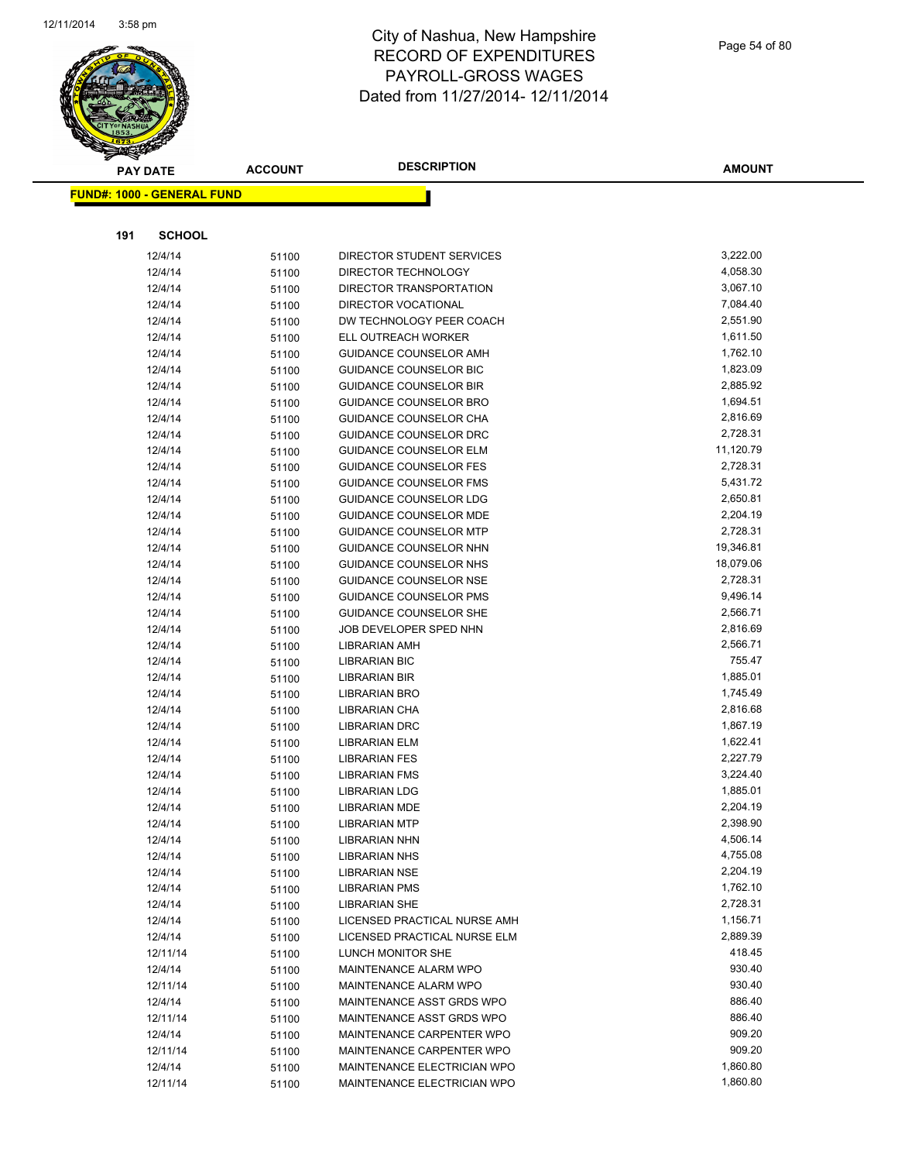

Page 54 of 80

|     | <b>PAY DATE</b>                   | <b>ACCOUNT</b> | <b>DESCRIPTION</b>            | <b>AMOUNT</b> |
|-----|-----------------------------------|----------------|-------------------------------|---------------|
|     | <b>FUND#: 1000 - GENERAL FUND</b> |                |                               |               |
|     |                                   |                |                               |               |
|     |                                   |                |                               |               |
| 191 | <b>SCHOOL</b>                     |                |                               |               |
|     | 12/4/14                           | 51100          | DIRECTOR STUDENT SERVICES     | 3,222.00      |
|     | 12/4/14                           | 51100          | DIRECTOR TECHNOLOGY           | 4,058.30      |
|     | 12/4/14                           | 51100          | DIRECTOR TRANSPORTATION       | 3,067.10      |
|     | 12/4/14                           | 51100          | DIRECTOR VOCATIONAL           | 7,084.40      |
|     | 12/4/14                           | 51100          | DW TECHNOLOGY PEER COACH      | 2,551.90      |
|     | 12/4/14                           | 51100          | ELL OUTREACH WORKER           | 1,611.50      |
|     | 12/4/14                           | 51100          | GUIDANCE COUNSELOR AMH        | 1,762.10      |
|     | 12/4/14                           | 51100          | <b>GUIDANCE COUNSELOR BIC</b> | 1,823.09      |
|     | 12/4/14                           | 51100          | <b>GUIDANCE COUNSELOR BIR</b> | 2,885.92      |
|     | 12/4/14                           | 51100          | GUIDANCE COUNSELOR BRO        | 1,694.51      |
|     | 12/4/14                           | 51100          | GUIDANCE COUNSELOR CHA        | 2,816.69      |
|     | 12/4/14                           | 51100          | GUIDANCE COUNSELOR DRC        | 2,728.31      |
|     | 12/4/14                           | 51100          | <b>GUIDANCE COUNSELOR ELM</b> | 11,120.79     |
|     | 12/4/14                           | 51100          | <b>GUIDANCE COUNSELOR FES</b> | 2,728.31      |
|     | 12/4/14                           | 51100          | <b>GUIDANCE COUNSELOR FMS</b> | 5,431.72      |
|     | 12/4/14                           | 51100          | GUIDANCE COUNSELOR LDG        | 2,650.81      |
|     | 12/4/14                           | 51100          | <b>GUIDANCE COUNSELOR MDE</b> | 2,204.19      |
|     | 12/4/14                           | 51100          | <b>GUIDANCE COUNSELOR MTP</b> | 2,728.31      |
|     | 12/4/14                           | 51100          | GUIDANCE COUNSELOR NHN        | 19,346.81     |
|     | 12/4/14                           | 51100          | <b>GUIDANCE COUNSELOR NHS</b> | 18,079.06     |
|     | 12/4/14                           | 51100          | <b>GUIDANCE COUNSELOR NSE</b> | 2,728.31      |
|     | 12/4/14                           | 51100          | <b>GUIDANCE COUNSELOR PMS</b> | 9,496.14      |
|     | 12/4/14                           | 51100          | GUIDANCE COUNSELOR SHE        | 2,566.71      |
|     | 12/4/14                           | 51100          | JOB DEVELOPER SPED NHN        | 2,816.69      |
|     | 12/4/14                           | 51100          | LIBRARIAN AMH                 | 2,566.71      |
|     | 12/4/14                           | 51100          | <b>LIBRARIAN BIC</b>          | 755.47        |
|     | 12/4/14                           | 51100          | <b>LIBRARIAN BIR</b>          | 1,885.01      |
|     | 12/4/14                           | 51100          | LIBRARIAN BRO                 | 1,745.49      |
|     | 12/4/14                           | 51100          | LIBRARIAN CHA                 | 2,816.68      |
|     | 12/4/14                           | 51100          | <b>LIBRARIAN DRC</b>          | 1,867.19      |
|     | 12/4/14                           | 51100          | <b>LIBRARIAN ELM</b>          | 1,622.41      |
|     | 12/4/14                           | 51100          | <b>LIBRARIAN FES</b>          | 2,227.79      |
|     | 12/4/14                           | 51100          | <b>LIBRARIAN FMS</b>          | 3,224.40      |
|     | 12/4/14                           | 51100          | <b>LIBRARIAN LDG</b>          | 1,885.01      |
|     | 12/4/14                           | 51100          | <b>LIBRARIAN MDE</b>          | 2,204.19      |
|     | 12/4/14                           | 51100          | <b>LIBRARIAN MTP</b>          | 2,398.90      |
|     | 12/4/14                           | 51100          | <b>LIBRARIAN NHN</b>          | 4,506.14      |
|     | 12/4/14                           | 51100          | <b>LIBRARIAN NHS</b>          | 4,755.08      |
|     | 12/4/14                           | 51100          | <b>LIBRARIAN NSE</b>          | 2,204.19      |
|     | 12/4/14                           | 51100          | <b>LIBRARIAN PMS</b>          | 1,762.10      |
|     | 12/4/14                           | 51100          | <b>LIBRARIAN SHE</b>          | 2,728.31      |
|     | 12/4/14                           | 51100          | LICENSED PRACTICAL NURSE AMH  | 1,156.71      |
|     | 12/4/14                           | 51100          | LICENSED PRACTICAL NURSE ELM  | 2,889.39      |
|     | 12/11/14                          | 51100          | LUNCH MONITOR SHE             | 418.45        |
|     | 12/4/14                           | 51100          | MAINTENANCE ALARM WPO         | 930.40        |
|     | 12/11/14                          | 51100          | MAINTENANCE ALARM WPO         | 930.40        |
|     | 12/4/14                           | 51100          | MAINTENANCE ASST GRDS WPO     | 886.40        |
|     | 12/11/14                          | 51100          | MAINTENANCE ASST GRDS WPO     | 886.40        |
|     | 12/4/14                           | 51100          | MAINTENANCE CARPENTER WPO     | 909.20        |
|     | 12/11/14                          | 51100          | MAINTENANCE CARPENTER WPO     | 909.20        |
|     | 12/4/14                           | 51100          | MAINTENANCE ELECTRICIAN WPO   | 1,860.80      |
|     | 12/11/14                          | 51100          | MAINTENANCE ELECTRICIAN WPO   | 1,860.80      |
|     |                                   |                |                               |               |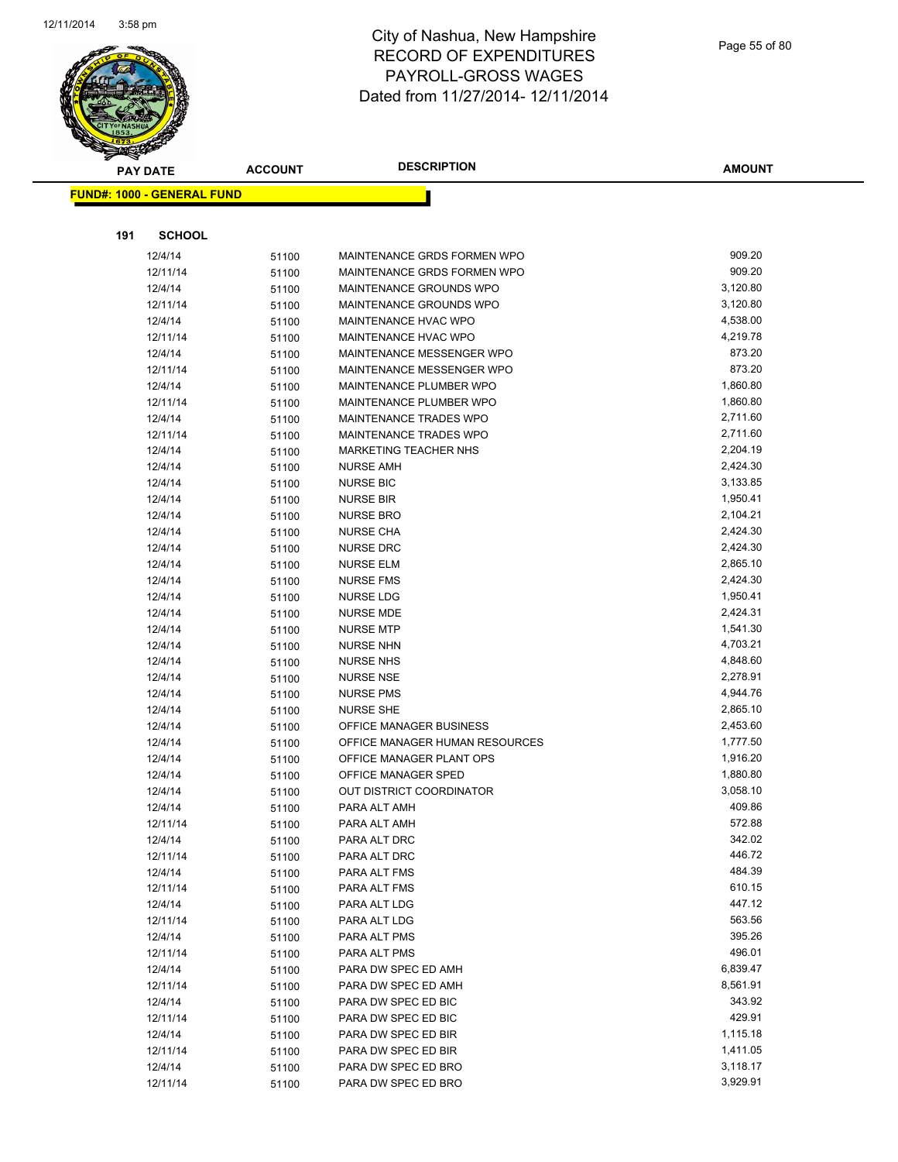

|     | <b>PAY DATE</b>                   | <b>ACCOUNT</b> | <b>DESCRIPTION</b>                                         | <b>AMOUNT</b>    |
|-----|-----------------------------------|----------------|------------------------------------------------------------|------------------|
|     | <b>FUND#: 1000 - GENERAL FUND</b> |                |                                                            |                  |
|     |                                   |                |                                                            |                  |
| 191 | <b>SCHOOL</b>                     |                |                                                            |                  |
|     |                                   |                |                                                            |                  |
|     | 12/4/14                           | 51100          | MAINTENANCE GRDS FORMEN WPO<br>MAINTENANCE GRDS FORMEN WPO | 909.20<br>909.20 |
|     | 12/11/14                          | 51100          |                                                            | 3,120.80         |
|     | 12/4/14<br>12/11/14               | 51100          | MAINTENANCE GROUNDS WPO<br>MAINTENANCE GROUNDS WPO         | 3,120.80         |
|     |                                   | 51100          | MAINTENANCE HVAC WPO                                       | 4,538.00         |
|     | 12/4/14<br>12/11/14               | 51100          | MAINTENANCE HVAC WPO                                       | 4,219.78         |
|     | 12/4/14                           | 51100<br>51100 | MAINTENANCE MESSENGER WPO                                  | 873.20           |
|     | 12/11/14                          | 51100          | MAINTENANCE MESSENGER WPO                                  | 873.20           |
|     | 12/4/14                           | 51100          | MAINTENANCE PLUMBER WPO                                    | 1,860.80         |
|     | 12/11/14                          | 51100          | MAINTENANCE PLUMBER WPO                                    | 1,860.80         |
|     | 12/4/14                           | 51100          | MAINTENANCE TRADES WPO                                     | 2,711.60         |
|     | 12/11/14                          | 51100          | MAINTENANCE TRADES WPO                                     | 2,711.60         |
|     | 12/4/14                           | 51100          | <b>MARKETING TEACHER NHS</b>                               | 2,204.19         |
|     | 12/4/14                           | 51100          | <b>NURSE AMH</b>                                           | 2,424.30         |
|     | 12/4/14                           | 51100          | <b>NURSE BIC</b>                                           | 3,133.85         |
|     | 12/4/14                           | 51100          | <b>NURSE BIR</b>                                           | 1,950.41         |
|     | 12/4/14                           | 51100          | <b>NURSE BRO</b>                                           | 2,104.21         |
|     | 12/4/14                           | 51100          | <b>NURSE CHA</b>                                           | 2,424.30         |
|     | 12/4/14                           | 51100          | <b>NURSE DRC</b>                                           | 2,424.30         |
|     | 12/4/14                           | 51100          | NURSE ELM                                                  | 2,865.10         |
|     | 12/4/14                           | 51100          | <b>NURSE FMS</b>                                           | 2,424.30         |
|     | 12/4/14                           | 51100          | <b>NURSE LDG</b>                                           | 1,950.41         |
|     | 12/4/14                           | 51100          | <b>NURSE MDE</b>                                           | 2,424.31         |
|     | 12/4/14                           | 51100          | <b>NURSE MTP</b>                                           | 1,541.30         |
|     | 12/4/14                           | 51100          | <b>NURSE NHN</b>                                           | 4,703.21         |
|     | 12/4/14                           | 51100          | <b>NURSE NHS</b>                                           | 4,848.60         |
|     | 12/4/14                           | 51100          | <b>NURSE NSE</b>                                           | 2,278.91         |
|     | 12/4/14                           | 51100          | <b>NURSE PMS</b>                                           | 4,944.76         |
|     | 12/4/14                           | 51100          | <b>NURSE SHE</b>                                           | 2,865.10         |
|     | 12/4/14                           | 51100          | OFFICE MANAGER BUSINESS                                    | 2,453.60         |
|     | 12/4/14                           | 51100          | OFFICE MANAGER HUMAN RESOURCES                             | 1,777.50         |
|     | 12/4/14                           | 51100          | OFFICE MANAGER PLANT OPS                                   | 1,916.20         |
|     | 12/4/14                           | 51100          | OFFICE MANAGER SPED                                        | 1,880.80         |
|     | 12/4/14                           | 51100          | OUT DISTRICT COORDINATOR                                   | 3,058.10         |
|     | 12/4/14                           | 51100          | PARA ALT AMH                                               | 409.86           |
|     | 12/11/14                          | 51100          | PARA ALT AMH                                               | 572.88           |
|     | 12/4/14                           | 51100          | PARA ALT DRC                                               | 342.02           |
|     | 12/11/14                          | 51100          | PARA ALT DRC                                               | 446.72           |
|     | 12/4/14                           | 51100          | PARA ALT FMS                                               | 484.39           |
|     | 12/11/14                          | 51100          | PARA ALT FMS                                               | 610.15           |
|     | 12/4/14                           | 51100          | PARA ALT LDG                                               | 447.12           |
|     | 12/11/14                          | 51100          | PARA ALT LDG                                               | 563.56           |
|     | 12/4/14                           | 51100          | PARA ALT PMS                                               | 395.26           |
|     | 12/11/14                          | 51100          | PARA ALT PMS                                               | 496.01           |
|     | 12/4/14                           | 51100          | PARA DW SPEC ED AMH                                        | 6,839.47         |
|     | 12/11/14                          | 51100          | PARA DW SPEC ED AMH                                        | 8,561.91         |
|     | 12/4/14                           | 51100          | PARA DW SPEC ED BIC                                        | 343.92           |
|     | 12/11/14                          | 51100          | PARA DW SPEC ED BIC                                        | 429.91           |
|     | 12/4/14                           | 51100          | PARA DW SPEC ED BIR                                        | 1,115.18         |
|     | 12/11/14                          | 51100          | PARA DW SPEC ED BIR                                        | 1,411.05         |
|     | 12/4/14                           | 51100          | PARA DW SPEC ED BRO                                        | 3,118.17         |
|     | 12/11/14                          | 51100          | PARA DW SPEC ED BRO                                        | 3,929.91         |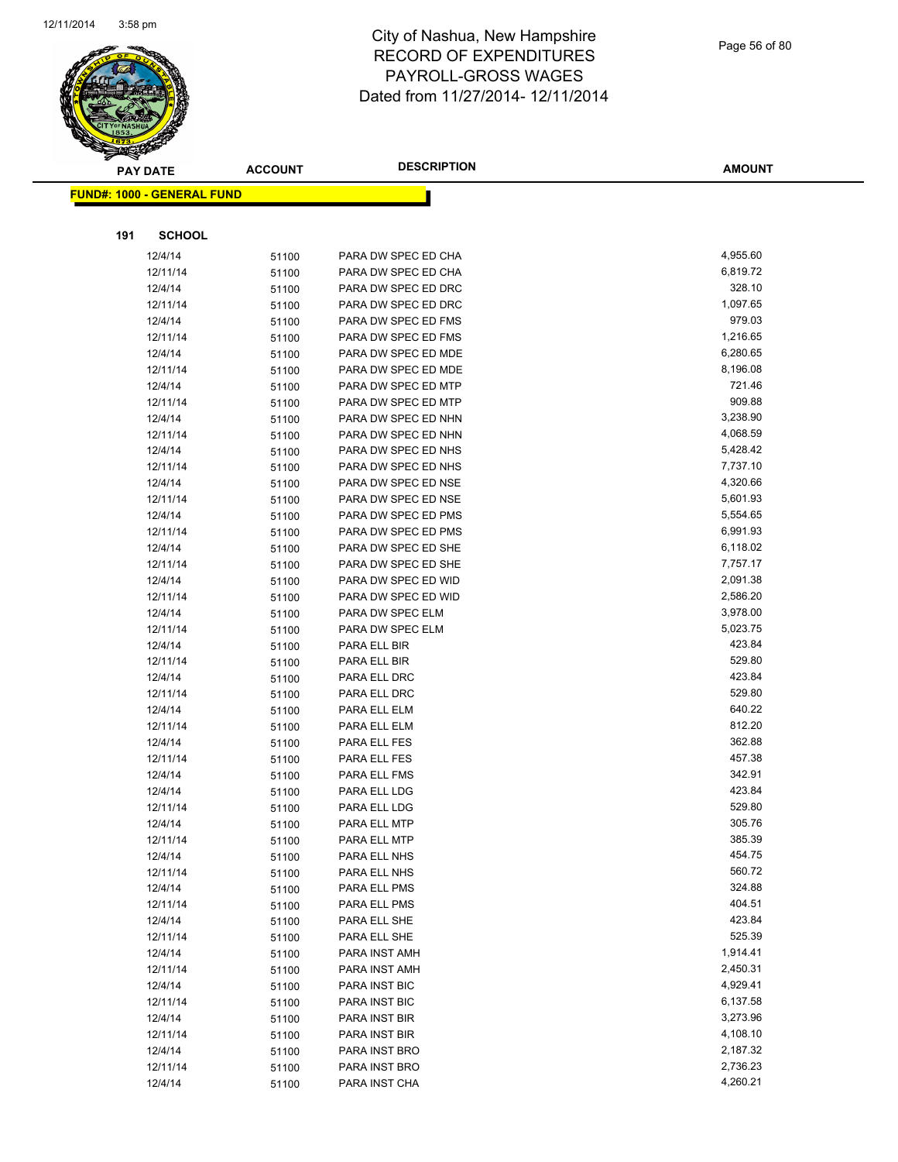

Page 56 of 80

|     | <b>PAY DATE</b>                   | <b>ACCOUNT</b> | <b>DESCRIPTION</b>  | <b>AMOUNT</b> |
|-----|-----------------------------------|----------------|---------------------|---------------|
|     | <b>FUND#: 1000 - GENERAL FUND</b> |                |                     |               |
|     |                                   |                |                     |               |
|     |                                   |                |                     |               |
| 191 | <b>SCHOOL</b>                     |                |                     |               |
|     | 12/4/14                           | 51100          | PARA DW SPEC ED CHA | 4,955.60      |
|     | 12/11/14                          | 51100          | PARA DW SPEC ED CHA | 6,819.72      |
|     | 12/4/14                           | 51100          | PARA DW SPEC ED DRC | 328.10        |
|     | 12/11/14                          | 51100          | PARA DW SPEC ED DRC | 1,097.65      |
|     | 12/4/14                           | 51100          | PARA DW SPEC ED FMS | 979.03        |
|     | 12/11/14                          | 51100          | PARA DW SPEC ED FMS | 1,216.65      |
|     | 12/4/14                           | 51100          | PARA DW SPEC ED MDE | 6,280.65      |
|     | 12/11/14                          | 51100          | PARA DW SPEC ED MDE | 8,196.08      |
|     | 12/4/14                           | 51100          | PARA DW SPEC ED MTP | 721.46        |
|     | 12/11/14                          | 51100          | PARA DW SPEC ED MTP | 909.88        |
|     | 12/4/14                           | 51100          | PARA DW SPEC ED NHN | 3,238.90      |
|     | 12/11/14                          | 51100          | PARA DW SPEC ED NHN | 4,068.59      |
|     | 12/4/14                           | 51100          | PARA DW SPEC ED NHS | 5,428.42      |
|     | 12/11/14                          | 51100          | PARA DW SPEC ED NHS | 7,737.10      |
|     | 12/4/14                           | 51100          | PARA DW SPEC ED NSE | 4,320.66      |
|     | 12/11/14                          | 51100          | PARA DW SPEC ED NSE | 5,601.93      |
|     | 12/4/14                           | 51100          | PARA DW SPEC ED PMS | 5,554.65      |
|     | 12/11/14                          | 51100          | PARA DW SPEC ED PMS | 6,991.93      |
|     | 12/4/14                           | 51100          | PARA DW SPEC ED SHE | 6,118.02      |
|     | 12/11/14                          | 51100          | PARA DW SPEC ED SHE | 7,757.17      |
|     | 12/4/14                           | 51100          | PARA DW SPEC ED WID | 2,091.38      |
|     | 12/11/14                          | 51100          | PARA DW SPEC ED WID | 2,586.20      |
|     | 12/4/14                           | 51100          | PARA DW SPEC ELM    | 3,978.00      |
|     | 12/11/14                          | 51100          | PARA DW SPEC ELM    | 5,023.75      |
|     | 12/4/14                           | 51100          | PARA ELL BIR        | 423.84        |
|     | 12/11/14                          | 51100          | PARA ELL BIR        | 529.80        |
|     | 12/4/14                           | 51100          | PARA ELL DRC        | 423.84        |
|     | 12/11/14                          | 51100          | PARA ELL DRC        | 529.80        |
|     | 12/4/14                           | 51100          | PARA ELL ELM        | 640.22        |
|     | 12/11/14                          | 51100          | PARA ELL ELM        | 812.20        |
|     | 12/4/14                           | 51100          | PARA ELL FES        | 362.88        |
|     | 12/11/14                          | 51100          | PARA ELL FES        | 457.38        |
|     | 12/4/14                           | 51100          | PARA ELL FMS        | 342.91        |
|     | 12/4/14                           | 51100          | PARA ELL LDG        | 423.84        |
|     | 12/11/14                          | 51100          | PARA ELL LDG        | 529.80        |
|     | 12/4/14                           | 51100          | PARA ELL MTP        | 305.76        |
|     | 12/11/14                          | 51100          | PARA ELL MTP        | 385.39        |
|     | 12/4/14                           | 51100          | PARA ELL NHS        | 454.75        |
|     | 12/11/14                          | 51100          | PARA ELL NHS        | 560.72        |
|     | 12/4/14                           | 51100          | PARA ELL PMS        | 324.88        |
|     | 12/11/14                          | 51100          | PARA ELL PMS        | 404.51        |
|     | 12/4/14                           | 51100          | PARA ELL SHE        | 423.84        |
|     | 12/11/14                          | 51100          | PARA ELL SHE        | 525.39        |
|     | 12/4/14                           | 51100          | PARA INST AMH       | 1,914.41      |
|     | 12/11/14                          | 51100          | PARA INST AMH       | 2,450.31      |
|     | 12/4/14                           | 51100          | PARA INST BIC       | 4,929.41      |
|     | 12/11/14                          | 51100          | PARA INST BIC       | 6,137.58      |
|     | 12/4/14                           | 51100          | PARA INST BIR       | 3,273.96      |
|     | 12/11/14                          | 51100          | PARA INST BIR       | 4,108.10      |
|     | 12/4/14                           | 51100          | PARA INST BRO       | 2,187.32      |
|     | 12/11/14                          | 51100          | PARA INST BRO       | 2,736.23      |
|     | 12/4/14                           | 51100          | PARA INST CHA       | 4,260.21      |
|     |                                   |                |                     |               |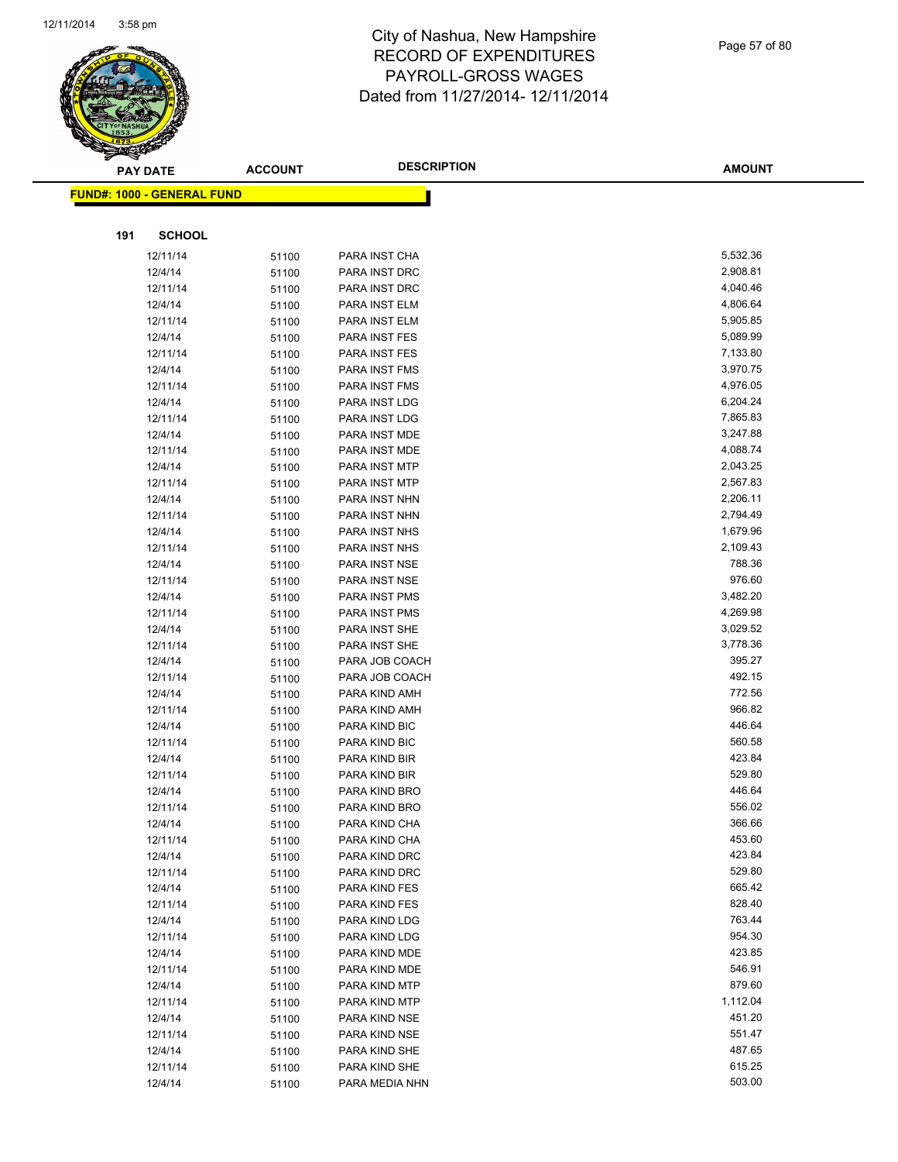

Page 57 of 80

|     | <b>PAY DATE</b>                   | <b>ACCOUNT</b> | <b>DESCRIPTION</b>             | <b>AMOUNT</b>        |
|-----|-----------------------------------|----------------|--------------------------------|----------------------|
|     | <b>FUND#: 1000 - GENERAL FUND</b> |                |                                |                      |
|     |                                   |                |                                |                      |
|     |                                   |                |                                |                      |
| 191 | <b>SCHOOL</b>                     |                |                                |                      |
|     | 12/11/14                          | 51100          | PARA INST CHA                  | 5,532.36             |
|     | 12/4/14                           | 51100          | PARA INST DRC                  | 2,908.81             |
|     | 12/11/14                          | 51100          | PARA INST DRC                  | 4,040.46             |
|     | 12/4/14                           | 51100          | PARA INST ELM                  | 4,806.64             |
|     | 12/11/14                          | 51100          | PARA INST ELM                  | 5,905.85             |
|     | 12/4/14                           | 51100          | PARA INST FES                  | 5,089.99             |
|     | 12/11/14                          | 51100          | PARA INST FES                  | 7,133.80             |
|     | 12/4/14                           | 51100          | PARA INST FMS                  | 3,970.75             |
|     | 12/11/14                          | 51100          | PARA INST FMS                  | 4,976.05             |
|     | 12/4/14                           | 51100          | PARA INST LDG                  | 6,204.24             |
|     | 12/11/14                          | 51100          | PARA INST LDG                  | 7,865.83             |
|     | 12/4/14                           | 51100          | PARA INST MDE                  | 3,247.88             |
|     | 12/11/14                          | 51100          | PARA INST MDE                  | 4,088.74<br>2,043.25 |
|     | 12/4/14                           | 51100          | PARA INST MTP                  |                      |
|     | 12/11/14                          | 51100          | PARA INST MTP                  | 2,567.83<br>2,206.11 |
|     | 12/4/14                           | 51100          | PARA INST NHN                  |                      |
|     | 12/11/14                          | 51100          | PARA INST NHN                  | 2,794.49<br>1,679.96 |
|     | 12/4/14                           | 51100          | PARA INST NHS<br>PARA INST NHS |                      |
|     | 12/11/14                          | 51100          |                                | 2,109.43<br>788.36   |
|     | 12/4/14<br>12/11/14               | 51100          | PARA INST NSE                  | 976.60               |
|     |                                   | 51100          | PARA INST NSE                  | 3,482.20             |
|     | 12/4/14<br>12/11/14               | 51100          | PARA INST PMS<br>PARA INST PMS | 4,269.98             |
|     | 12/4/14                           | 51100          | PARA INST SHE                  | 3,029.52             |
|     | 12/11/14                          | 51100          | PARA INST SHE                  | 3,778.36             |
|     | 12/4/14                           | 51100          | PARA JOB COACH                 | 395.27               |
|     | 12/11/14                          | 51100          | PARA JOB COACH                 | 492.15               |
|     | 12/4/14                           | 51100<br>51100 | PARA KIND AMH                  | 772.56               |
|     | 12/11/14                          | 51100          | PARA KIND AMH                  | 966.82               |
|     | 12/4/14                           | 51100          | PARA KIND BIC                  | 446.64               |
|     | 12/11/14                          | 51100          | PARA KIND BIC                  | 560.58               |
|     | 12/4/14                           | 51100          | PARA KIND BIR                  | 423.84               |
|     | 12/11/14                          | 51100          | PARA KIND BIR                  | 529.80               |
|     | 12/4/14                           | 51100          | PARA KIND BRO                  | 446.64               |
|     | 12/11/14                          | 51100          | PARA KIND BRO                  | 556.02               |
|     | 12/4/14                           | 51100          | PARA KIND CHA                  | 366.66               |
|     | 12/11/14                          | 51100          | PARA KIND CHA                  | 453.60               |
|     | 12/4/14                           | 51100          | PARA KIND DRC                  | 423.84               |
|     | 12/11/14                          | 51100          | PARA KIND DRC                  | 529.80               |
|     | 12/4/14                           | 51100          | PARA KIND FES                  | 665.42               |
|     | 12/11/14                          | 51100          | PARA KIND FES                  | 828.40               |
|     | 12/4/14                           | 51100          | PARA KIND LDG                  | 763.44               |
|     | 12/11/14                          | 51100          | PARA KIND LDG                  | 954.30               |
|     | 12/4/14                           | 51100          | PARA KIND MDE                  | 423.85               |
|     | 12/11/14                          | 51100          | PARA KIND MDE                  | 546.91               |
|     | 12/4/14                           | 51100          | PARA KIND MTP                  | 879.60               |
|     | 12/11/14                          | 51100          | PARA KIND MTP                  | 1,112.04             |
|     | 12/4/14                           | 51100          | PARA KIND NSE                  | 451.20               |
|     | 12/11/14                          | 51100          | PARA KIND NSE                  | 551.47               |
|     | 12/4/14                           | 51100          | PARA KIND SHE                  | 487.65               |
|     | 12/11/14                          | 51100          | PARA KIND SHE                  | 615.25               |
|     | 12/4/14                           | 51100          | PARA MEDIA NHN                 | 503.00               |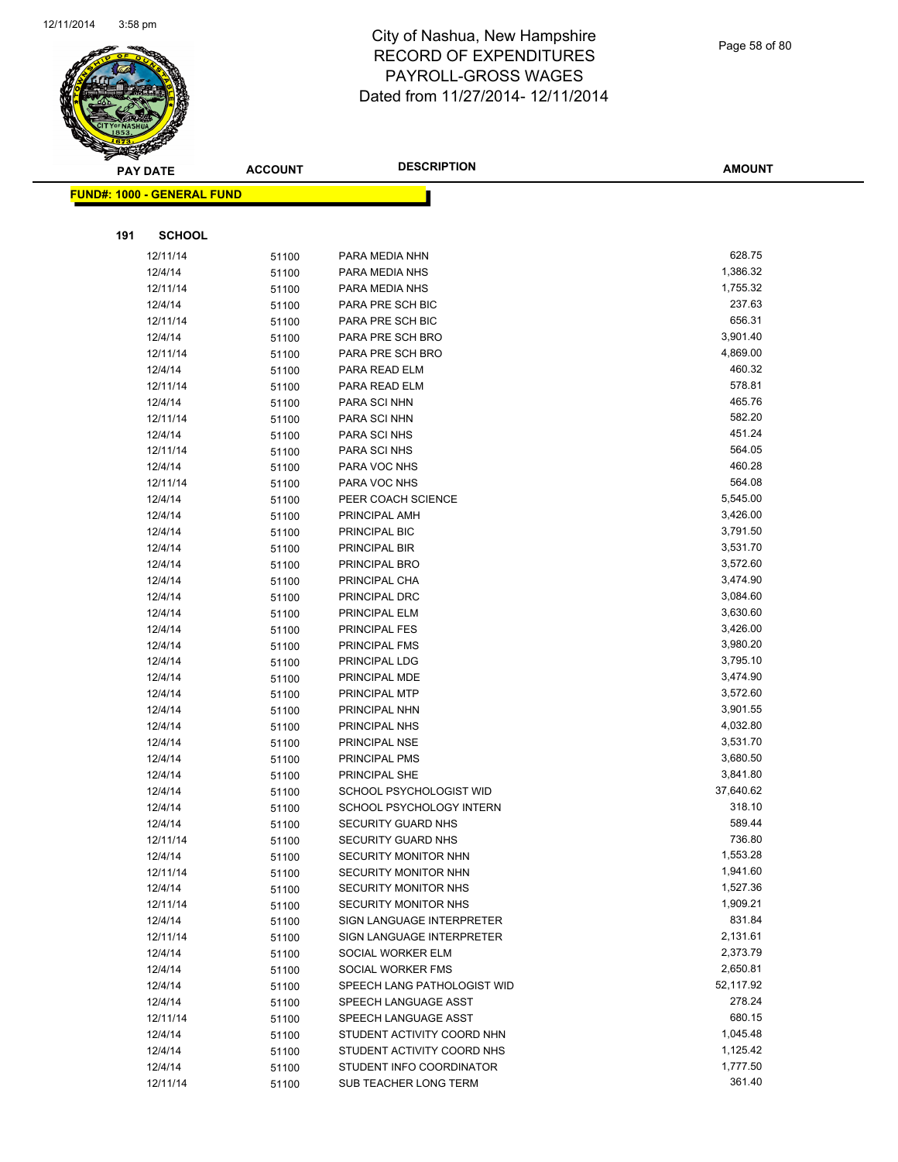

Page 58 of 80

|     | <b>PAY DATE</b>                   | <b>ACCOUNT</b> | <b>DESCRIPTION</b>          | <b>AMOUNT</b> |
|-----|-----------------------------------|----------------|-----------------------------|---------------|
|     | <b>FUND#: 1000 - GENERAL FUND</b> |                |                             |               |
|     |                                   |                |                             |               |
|     |                                   |                |                             |               |
| 191 | <b>SCHOOL</b>                     |                |                             |               |
|     | 12/11/14                          | 51100          | PARA MEDIA NHN              | 628.75        |
|     | 12/4/14                           | 51100          | PARA MEDIA NHS              | 1,386.32      |
|     | 12/11/14                          | 51100          | PARA MEDIA NHS              | 1,755.32      |
|     | 12/4/14                           | 51100          | PARA PRE SCH BIC            | 237.63        |
|     | 12/11/14                          | 51100          | PARA PRE SCH BIC            | 656.31        |
|     | 12/4/14                           | 51100          | PARA PRE SCH BRO            | 3,901.40      |
|     | 12/11/14                          | 51100          | PARA PRE SCH BRO            | 4,869.00      |
|     | 12/4/14                           | 51100          | PARA READ ELM               | 460.32        |
|     | 12/11/14                          | 51100          | PARA READ ELM               | 578.81        |
|     | 12/4/14                           | 51100          | PARA SCI NHN                | 465.76        |
|     | 12/11/14                          | 51100          | PARA SCI NHN                | 582.20        |
|     | 12/4/14                           | 51100          | PARA SCI NHS                | 451.24        |
|     | 12/11/14                          | 51100          | PARA SCI NHS                | 564.05        |
|     | 12/4/14                           | 51100          | PARA VOC NHS                | 460.28        |
|     | 12/11/14                          | 51100          | PARA VOC NHS                | 564.08        |
|     | 12/4/14                           | 51100          | PEER COACH SCIENCE          | 5,545.00      |
|     | 12/4/14                           | 51100          | PRINCIPAL AMH               | 3,426.00      |
|     | 12/4/14                           | 51100          | PRINCIPAL BIC               | 3,791.50      |
|     | 12/4/14                           | 51100          | PRINCIPAL BIR               | 3,531.70      |
|     | 12/4/14                           | 51100          | PRINCIPAL BRO               | 3,572.60      |
|     | 12/4/14                           | 51100          | PRINCIPAL CHA               | 3,474.90      |
|     | 12/4/14                           | 51100          | PRINCIPAL DRC               | 3,084.60      |
|     | 12/4/14                           | 51100          | PRINCIPAL ELM               | 3,630.60      |
|     | 12/4/14                           | 51100          | PRINCIPAL FES               | 3,426.00      |
|     | 12/4/14                           | 51100          | PRINCIPAL FMS               | 3,980.20      |
|     | 12/4/14                           | 51100          | PRINCIPAL LDG               | 3,795.10      |
|     | 12/4/14                           | 51100          | PRINCIPAL MDE               | 3,474.90      |
|     | 12/4/14                           | 51100          | PRINCIPAL MTP               | 3,572.60      |
|     | 12/4/14                           | 51100          | PRINCIPAL NHN               | 3,901.55      |
|     | 12/4/14                           | 51100          | PRINCIPAL NHS               | 4,032.80      |
|     | 12/4/14                           | 51100          | PRINCIPAL NSE               | 3,531.70      |
|     | 12/4/14                           | 51100          | PRINCIPAL PMS               | 3,680.50      |
|     | 12/4/14                           | 51100          | PRINCIPAL SHE               | 3,841.80      |
|     | 12/4/14                           | 51100          | SCHOOL PSYCHOLOGIST WID     | 37,640.62     |
|     | 12/4/14                           | 51100          | SCHOOL PSYCHOLOGY INTERN    | 318.10        |
|     | 12/4/14                           | 51100          | SECURITY GUARD NHS          | 589.44        |
|     | 12/11/14                          | 51100          | <b>SECURITY GUARD NHS</b>   | 736.80        |
|     | 12/4/14                           | 51100          | SECURITY MONITOR NHN        | 1,553.28      |
|     | 12/11/14                          | 51100          | SECURITY MONITOR NHN        | 1,941.60      |
|     | 12/4/14                           | 51100          | SECURITY MONITOR NHS        | 1,527.36      |
|     | 12/11/14                          | 51100          | SECURITY MONITOR NHS        | 1,909.21      |
|     | 12/4/14                           | 51100          | SIGN LANGUAGE INTERPRETER   | 831.84        |
|     | 12/11/14                          | 51100          | SIGN LANGUAGE INTERPRETER   | 2,131.61      |
|     | 12/4/14                           | 51100          | SOCIAL WORKER ELM           | 2,373.79      |
|     | 12/4/14                           | 51100          | SOCIAL WORKER FMS           | 2,650.81      |
|     | 12/4/14                           | 51100          | SPEECH LANG PATHOLOGIST WID | 52,117.92     |
|     | 12/4/14                           | 51100          | SPEECH LANGUAGE ASST        | 278.24        |
|     | 12/11/14                          | 51100          | SPEECH LANGUAGE ASST        | 680.15        |
|     | 12/4/14                           | 51100          | STUDENT ACTIVITY COORD NHN  | 1,045.48      |
|     | 12/4/14                           | 51100          | STUDENT ACTIVITY COORD NHS  | 1,125.42      |
|     | 12/4/14                           | 51100          | STUDENT INFO COORDINATOR    | 1,777.50      |
|     | 12/11/14                          | 51100          | SUB TEACHER LONG TERM       | 361.40        |
|     |                                   |                |                             |               |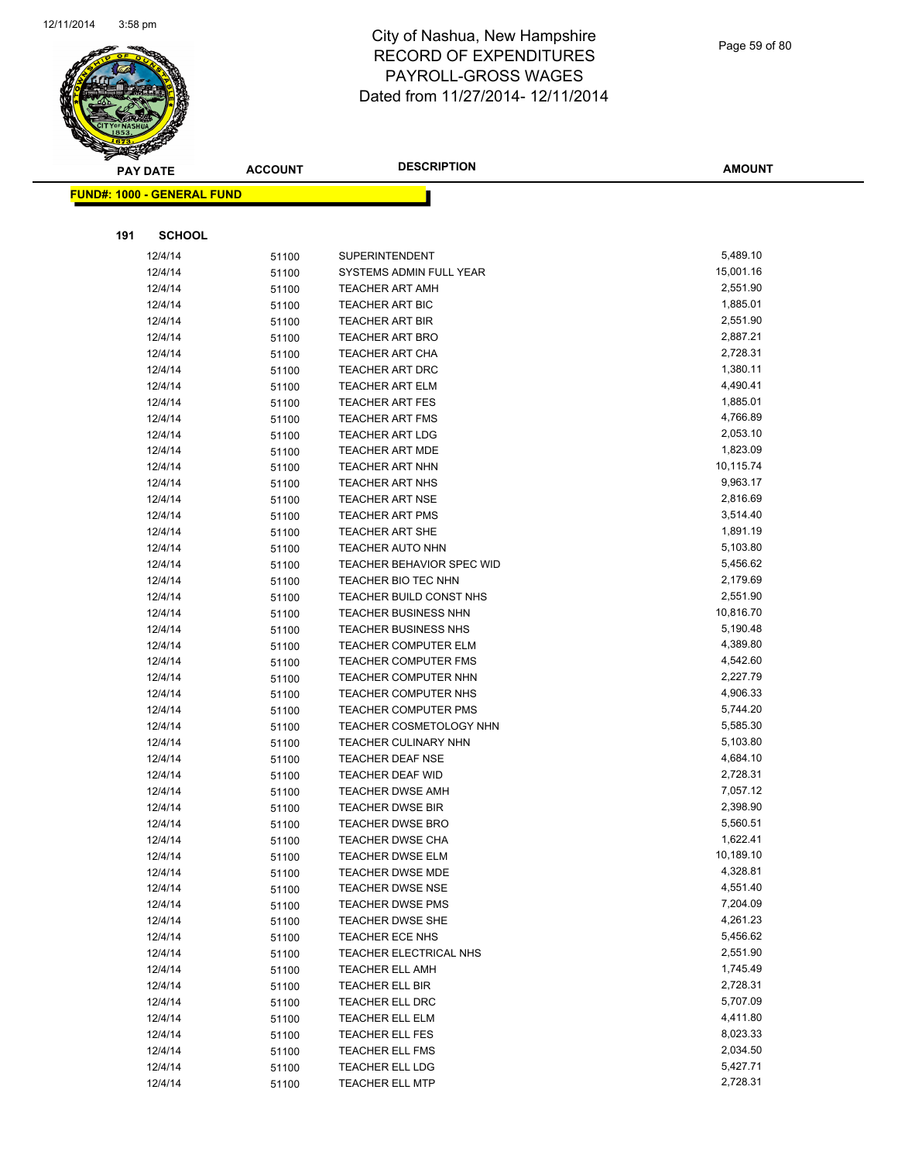

Page 59 of 80

| <b>FUND#: 1000 - GENERAL FUND</b>                    |           |
|------------------------------------------------------|-----------|
|                                                      |           |
|                                                      |           |
|                                                      |           |
| 191<br><b>SCHOOL</b>                                 |           |
| 12/4/14<br><b>SUPERINTENDENT</b><br>51100            | 5,489.10  |
| 12/4/14<br>SYSTEMS ADMIN FULL YEAR<br>51100          | 15,001.16 |
| 12/4/14<br><b>TEACHER ART AMH</b><br>51100           | 2,551.90  |
| 12/4/14<br><b>TEACHER ART BIC</b><br>51100           | 1,885.01  |
| 12/4/14<br>TEACHER ART BIR<br>51100                  | 2,551.90  |
| 12/4/14<br><b>TEACHER ART BRO</b><br>51100           | 2,887.21  |
| 12/4/14<br><b>TEACHER ART CHA</b><br>51100           | 2,728.31  |
| 12/4/14<br><b>TEACHER ART DRC</b><br>51100           | 1,380.11  |
| 12/4/14<br><b>TEACHER ART ELM</b><br>51100           | 4,490.41  |
| 12/4/14<br><b>TEACHER ART FES</b><br>51100           | 1,885.01  |
| 12/4/14<br><b>TEACHER ART FMS</b><br>51100           | 4,766.89  |
| 12/4/14<br><b>TEACHER ART LDG</b><br>51100           | 2,053.10  |
| 12/4/14<br><b>TEACHER ART MDE</b><br>51100           | 1,823.09  |
| 12/4/14<br>TEACHER ART NHN<br>51100                  | 10,115.74 |
| 12/4/14<br><b>TEACHER ART NHS</b><br>51100           | 9,963.17  |
| 12/4/14<br><b>TEACHER ART NSE</b><br>51100           | 2,816.69  |
| 12/4/14<br><b>TEACHER ART PMS</b><br>51100           | 3,514.40  |
| 12/4/14<br>51100<br><b>TEACHER ART SHE</b>           | 1,891.19  |
| 12/4/14<br><b>TEACHER AUTO NHN</b><br>51100          | 5,103.80  |
| 12/4/14<br><b>TEACHER BEHAVIOR SPEC WID</b><br>51100 | 5,456.62  |
| 12/4/14<br>TEACHER BIO TEC NHN<br>51100              | 2,179.69  |
| 12/4/14<br>TEACHER BUILD CONST NHS<br>51100          | 2,551.90  |
| 12/4/14<br><b>TEACHER BUSINESS NHN</b><br>51100      | 10,816.70 |
| 12/4/14<br>TEACHER BUSINESS NHS<br>51100             | 5,190.48  |
| 12/4/14<br><b>TEACHER COMPUTER ELM</b><br>51100      | 4,389.80  |
| 12/4/14<br><b>TEACHER COMPUTER FMS</b><br>51100      | 4,542.60  |
| 12/4/14<br>TEACHER COMPUTER NHN<br>51100             | 2,227.79  |
| 12/4/14<br>TEACHER COMPUTER NHS<br>51100             | 4,906.33  |
| 12/4/14<br><b>TEACHER COMPUTER PMS</b><br>51100      | 5,744.20  |
| 12/4/14<br>TEACHER COSMETOLOGY NHN<br>51100          | 5,585.30  |
| 12/4/14<br>TEACHER CULINARY NHN<br>51100             | 5,103.80  |
| 12/4/14<br><b>TEACHER DEAF NSE</b><br>51100          | 4,684.10  |
| 12/4/14<br>TEACHER DEAF WID<br>51100                 | 2,728.31  |
| 12/4/14<br><b>TEACHER DWSE AMH</b><br>51100          | 7,057.12  |
| 12/4/14<br><b>TEACHER DWSE BIR</b><br>51100          | 2,398.90  |
| 12/4/14<br><b>TEACHER DWSE BRO</b><br>51100          | 5,560.51  |
| 12/4/14<br>51100<br><b>TEACHER DWSE CHA</b>          | 1,622.41  |
| 12/4/14<br><b>TEACHER DWSE ELM</b><br>51100          | 10,189.10 |
| 12/4/14<br>TEACHER DWSE MDE<br>51100                 | 4,328.81  |
| 12/4/14<br><b>TEACHER DWSE NSE</b><br>51100          | 4,551.40  |
| 12/4/14<br><b>TEACHER DWSE PMS</b><br>51100          | 7,204.09  |
| 12/4/14<br><b>TEACHER DWSE SHE</b><br>51100          | 4,261.23  |
| 12/4/14<br>TEACHER ECE NHS<br>51100                  | 5,456.62  |
| 12/4/14<br>TEACHER ELECTRICAL NHS<br>51100           | 2,551.90  |
| 12/4/14<br><b>TEACHER ELL AMH</b><br>51100           | 1,745.49  |
| 12/4/14<br>TEACHER ELL BIR<br>51100                  | 2,728.31  |
| 12/4/14<br><b>TEACHER ELL DRC</b><br>51100           | 5,707.09  |
| 12/4/14<br>TEACHER ELL ELM<br>51100                  | 4,411.80  |
| 12/4/14<br>TEACHER ELL FES<br>51100                  | 8,023.33  |
| 12/4/14<br>TEACHER ELL FMS<br>51100                  | 2,034.50  |
| 12/4/14<br>TEACHER ELL LDG<br>51100                  | 5,427.71  |
| 12/4/14<br><b>TEACHER ELL MTP</b><br>51100           | 2,728.31  |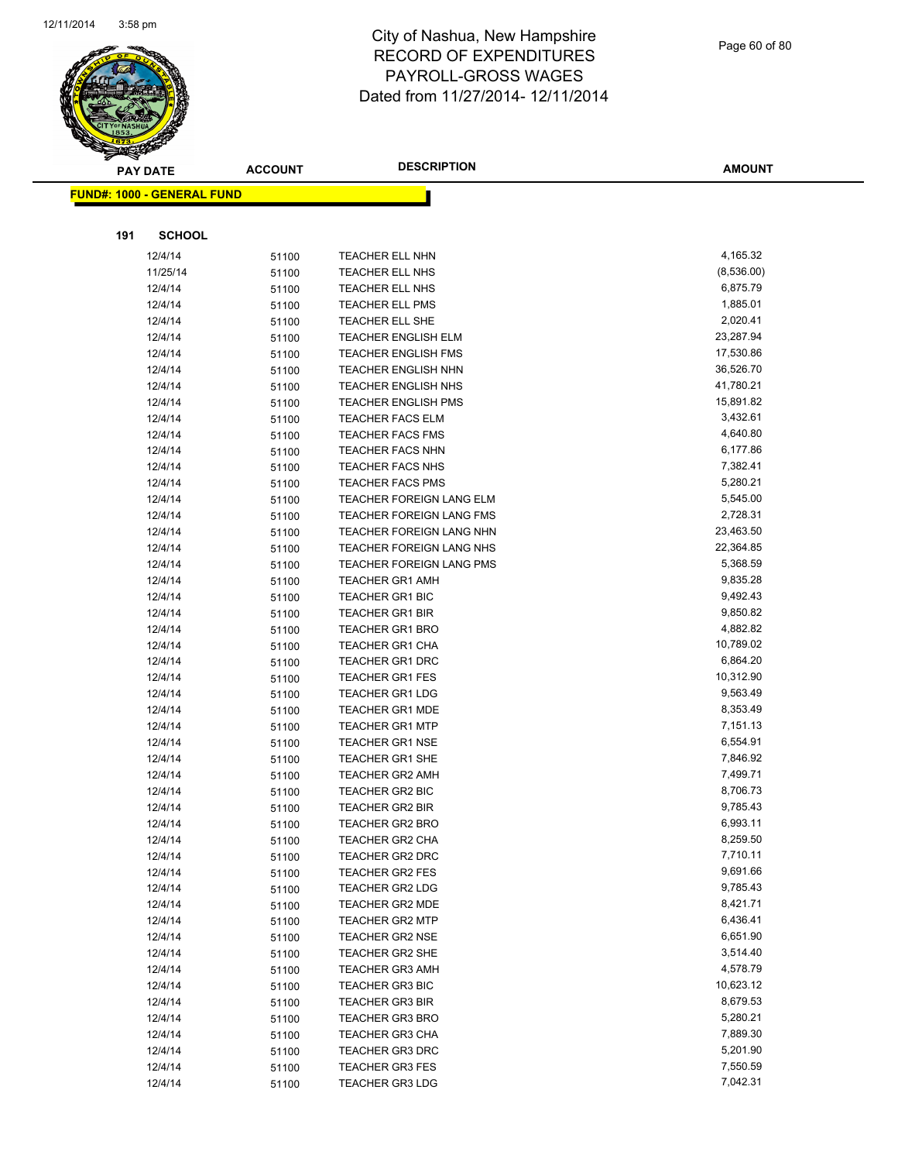

Page 60 of 80

|     | <b>PAY DATE</b>                   | <b>ACCOUNT</b> | <b>DESCRIPTION</b>                        | <b>AMOUNT</b>         |
|-----|-----------------------------------|----------------|-------------------------------------------|-----------------------|
|     | <b>FUND#: 1000 - GENERAL FUND</b> |                |                                           |                       |
|     |                                   |                |                                           |                       |
|     |                                   |                |                                           |                       |
| 191 | <b>SCHOOL</b>                     |                |                                           |                       |
|     | 12/4/14                           | 51100          | <b>TEACHER ELL NHN</b>                    | 4,165.32              |
|     | 11/25/14                          | 51100          | <b>TEACHER ELL NHS</b>                    | (8,536.00)            |
|     | 12/4/14                           | 51100          | TEACHER ELL NHS                           | 6,875.79              |
|     | 12/4/14                           | 51100          | TEACHER ELL PMS                           | 1,885.01              |
|     | 12/4/14                           | 51100          | TEACHER ELL SHE                           | 2,020.41              |
|     | 12/4/14                           | 51100          | <b>TEACHER ENGLISH ELM</b>                | 23,287.94             |
|     | 12/4/14                           | 51100          | <b>TEACHER ENGLISH FMS</b>                | 17,530.86             |
|     | 12/4/14                           | 51100          | <b>TEACHER ENGLISH NHN</b>                | 36,526.70             |
|     | 12/4/14                           | 51100          | <b>TEACHER ENGLISH NHS</b>                | 41,780.21             |
|     | 12/4/14                           | 51100          | <b>TEACHER ENGLISH PMS</b>                | 15,891.82             |
|     | 12/4/14                           | 51100          | <b>TEACHER FACS ELM</b>                   | 3,432.61              |
|     | 12/4/14                           | 51100          | <b>TEACHER FACS FMS</b>                   | 4,640.80              |
|     | 12/4/14                           | 51100          | <b>TEACHER FACS NHN</b>                   | 6,177.86              |
|     | 12/4/14                           | 51100          | <b>TEACHER FACS NHS</b>                   | 7,382.41              |
|     | 12/4/14                           | 51100          | <b>TEACHER FACS PMS</b>                   | 5,280.21              |
|     | 12/4/14                           | 51100          | TEACHER FOREIGN LANG ELM                  | 5,545.00              |
|     | 12/4/14                           | 51100          | TEACHER FOREIGN LANG FMS                  | 2,728.31              |
|     | 12/4/14                           | 51100          | TEACHER FOREIGN LANG NHN                  | 23,463.50             |
|     | 12/4/14                           | 51100          | TEACHER FOREIGN LANG NHS                  | 22,364.85             |
|     | 12/4/14                           | 51100          | TEACHER FOREIGN LANG PMS                  | 5,368.59              |
|     | 12/4/14                           | 51100          | <b>TEACHER GR1 AMH</b>                    | 9,835.28              |
|     | 12/4/14                           | 51100          | <b>TEACHER GR1 BIC</b>                    | 9,492.43              |
|     | 12/4/14                           | 51100          | <b>TEACHER GR1 BIR</b>                    | 9,850.82              |
|     | 12/4/14                           | 51100          | <b>TEACHER GR1 BRO</b>                    | 4,882.82<br>10,789.02 |
|     | 12/4/14<br>12/4/14                | 51100          | TEACHER GR1 CHA<br><b>TEACHER GR1 DRC</b> | 6,864.20              |
|     | 12/4/14                           | 51100          | <b>TEACHER GR1 FES</b>                    | 10,312.90             |
|     | 12/4/14                           | 51100          | <b>TEACHER GR1 LDG</b>                    | 9,563.49              |
|     | 12/4/14                           | 51100<br>51100 | <b>TEACHER GR1 MDE</b>                    | 8,353.49              |
|     | 12/4/14                           | 51100          | <b>TEACHER GR1 MTP</b>                    | 7,151.13              |
|     | 12/4/14                           | 51100          | <b>TEACHER GR1 NSE</b>                    | 6,554.91              |
|     | 12/4/14                           | 51100          | <b>TEACHER GR1 SHE</b>                    | 7,846.92              |
|     | 12/4/14                           | 51100          | <b>TEACHER GR2 AMH</b>                    | 7,499.71              |
|     | 12/4/14                           | 51100          | <b>TEACHER GR2 BIC</b>                    | 8,706.73              |
|     | 12/4/14                           | 51100          | <b>TEACHER GR2 BIR</b>                    | 9,785.43              |
|     | 12/4/14                           | 51100          | TEACHER GR2 BRO                           | 6,993.11              |
|     | 12/4/14                           | 51100          | TEACHER GR2 CHA                           | 8,259.50              |
|     | 12/4/14                           | 51100          | TEACHER GR2 DRC                           | 7,710.11              |
|     | 12/4/14                           | 51100          | <b>TEACHER GR2 FES</b>                    | 9,691.66              |
|     | 12/4/14                           | 51100          | <b>TEACHER GR2 LDG</b>                    | 9,785.43              |
|     | 12/4/14                           | 51100          | <b>TEACHER GR2 MDE</b>                    | 8,421.71              |
|     | 12/4/14                           | 51100          | <b>TEACHER GR2 MTP</b>                    | 6,436.41              |
|     | 12/4/14                           | 51100          | <b>TEACHER GR2 NSE</b>                    | 6,651.90              |
|     | 12/4/14                           | 51100          | TEACHER GR2 SHE                           | 3,514.40              |
|     | 12/4/14                           | 51100          | <b>TEACHER GR3 AMH</b>                    | 4,578.79              |
|     | 12/4/14                           | 51100          | TEACHER GR3 BIC                           | 10,623.12             |
|     | 12/4/14                           | 51100          | <b>TEACHER GR3 BIR</b>                    | 8,679.53              |
|     | 12/4/14                           | 51100          | <b>TEACHER GR3 BRO</b>                    | 5,280.21              |
|     | 12/4/14                           | 51100          | <b>TEACHER GR3 CHA</b>                    | 7,889.30              |
|     | 12/4/14                           | 51100          | <b>TEACHER GR3 DRC</b>                    | 5,201.90              |
|     | 12/4/14                           | 51100          | <b>TEACHER GR3 FES</b>                    | 7,550.59              |
|     | 12/4/14                           | 51100          | <b>TEACHER GR3 LDG</b>                    | 7,042.31              |
|     |                                   |                |                                           |                       |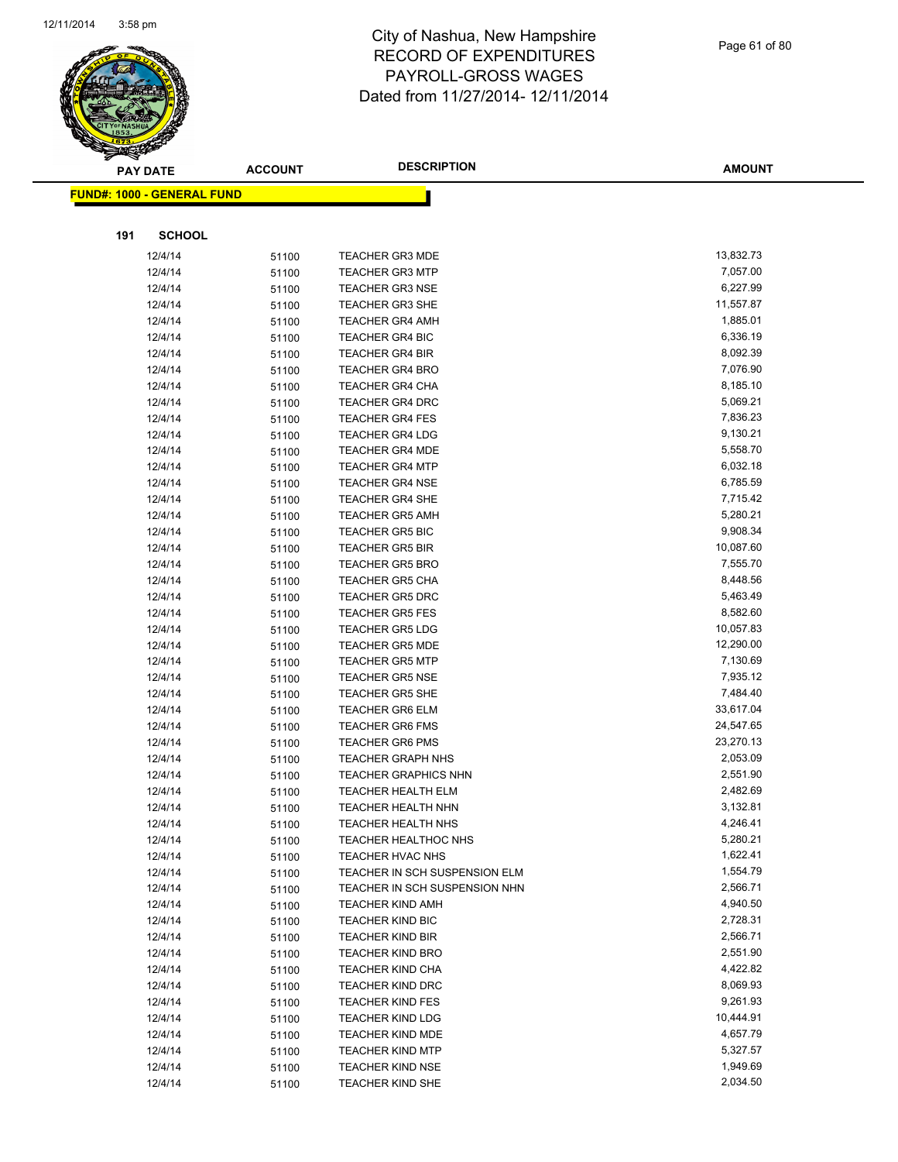

Page 61 of 80

|     | <b>PAY DATE</b>                   | <b>ACCOUNT</b> | <b>DESCRIPTION</b>                               | <b>AMOUNT</b>        |
|-----|-----------------------------------|----------------|--------------------------------------------------|----------------------|
|     | <b>FUND#: 1000 - GENERAL FUND</b> |                |                                                  |                      |
|     |                                   |                |                                                  |                      |
|     |                                   |                |                                                  |                      |
| 191 | <b>SCHOOL</b>                     |                |                                                  |                      |
|     | 12/4/14                           | 51100          | <b>TEACHER GR3 MDE</b>                           | 13,832.73            |
|     | 12/4/14                           | 51100          | <b>TEACHER GR3 MTP</b>                           | 7,057.00             |
|     | 12/4/14                           | 51100          | <b>TEACHER GR3 NSE</b>                           | 6,227.99             |
|     | 12/4/14                           | 51100          | <b>TEACHER GR3 SHE</b>                           | 11,557.87            |
|     | 12/4/14                           | 51100          | <b>TEACHER GR4 AMH</b>                           | 1,885.01             |
|     | 12/4/14                           | 51100          | <b>TEACHER GR4 BIC</b>                           | 6,336.19             |
|     | 12/4/14                           | 51100          | <b>TEACHER GR4 BIR</b>                           | 8,092.39             |
|     | 12/4/14                           | 51100          | <b>TEACHER GR4 BRO</b>                           | 7,076.90             |
|     | 12/4/14                           | 51100          | <b>TEACHER GR4 CHA</b>                           | 8,185.10<br>5,069.21 |
|     | 12/4/14<br>12/4/14                | 51100          | <b>TEACHER GR4 DRC</b><br><b>TEACHER GR4 FES</b> | 7,836.23             |
|     | 12/4/14                           | 51100          | <b>TEACHER GR4 LDG</b>                           | 9,130.21             |
|     | 12/4/14                           | 51100<br>51100 | <b>TEACHER GR4 MDE</b>                           | 5,558.70             |
|     | 12/4/14                           | 51100          | <b>TEACHER GR4 MTP</b>                           | 6,032.18             |
|     | 12/4/14                           | 51100          | <b>TEACHER GR4 NSE</b>                           | 6,785.59             |
|     | 12/4/14                           | 51100          | <b>TEACHER GR4 SHE</b>                           | 7,715.42             |
|     | 12/4/14                           | 51100          | <b>TEACHER GR5 AMH</b>                           | 5,280.21             |
|     | 12/4/14                           | 51100          | <b>TEACHER GR5 BIC</b>                           | 9,908.34             |
|     | 12/4/14                           | 51100          | <b>TEACHER GR5 BIR</b>                           | 10,087.60            |
|     | 12/4/14                           | 51100          | <b>TEACHER GR5 BRO</b>                           | 7,555.70             |
|     | 12/4/14                           | 51100          | <b>TEACHER GR5 CHA</b>                           | 8,448.56             |
|     | 12/4/14                           | 51100          | <b>TEACHER GR5 DRC</b>                           | 5,463.49             |
|     | 12/4/14                           | 51100          | <b>TEACHER GR5 FES</b>                           | 8,582.60             |
|     | 12/4/14                           | 51100          | <b>TEACHER GR5 LDG</b>                           | 10,057.83            |
|     | 12/4/14                           | 51100          | <b>TEACHER GR5 MDE</b>                           | 12,290.00            |
|     | 12/4/14                           | 51100          | <b>TEACHER GR5 MTP</b>                           | 7,130.69             |
|     | 12/4/14                           | 51100          | <b>TEACHER GR5 NSE</b>                           | 7,935.12             |
|     | 12/4/14                           | 51100          | <b>TEACHER GR5 SHE</b>                           | 7,484.40             |
|     | 12/4/14                           | 51100          | <b>TEACHER GR6 ELM</b>                           | 33,617.04            |
|     | 12/4/14                           | 51100          | <b>TEACHER GR6 FMS</b>                           | 24,547.65            |
|     | 12/4/14                           | 51100          | <b>TEACHER GR6 PMS</b>                           | 23,270.13            |
|     | 12/4/14                           | 51100          | <b>TEACHER GRAPH NHS</b>                         | 2,053.09             |
|     | 12/4/14                           | 51100          | <b>TEACHER GRAPHICS NHN</b>                      | 2,551.90             |
|     | 12/4/14                           | 51100          | <b>TEACHER HEALTH ELM</b>                        | 2,482.69             |
|     | 12/4/14                           | 51100          | <b>TEACHER HEALTH NHN</b>                        | 3,132.81             |
|     | 12/4/14                           | 51100          | <b>TEACHER HEALTH NHS</b>                        | 4,246.41             |
|     | 12/4/14                           | 51100          | <b>TEACHER HEALTHOC NHS</b>                      | 5,280.21             |
|     | 12/4/14                           | 51100          | TEACHER HVAC NHS                                 | 1,622.41             |
|     | 12/4/14                           | 51100          | TEACHER IN SCH SUSPENSION ELM                    | 1,554.79             |
|     | 12/4/14                           | 51100          | TEACHER IN SCH SUSPENSION NHN                    | 2,566.71             |
|     | 12/4/14                           | 51100          | <b>TEACHER KIND AMH</b>                          | 4,940.50             |
|     | 12/4/14                           | 51100          | <b>TEACHER KIND BIC</b>                          | 2,728.31             |
|     | 12/4/14                           | 51100          | <b>TEACHER KIND BIR</b>                          | 2,566.71             |
|     | 12/4/14                           | 51100          | <b>TEACHER KIND BRO</b>                          | 2,551.90             |
|     | 12/4/14                           | 51100          | <b>TEACHER KIND CHA</b>                          | 4,422.82             |
|     | 12/4/14                           | 51100          | <b>TEACHER KIND DRC</b>                          | 8,069.93             |
|     | 12/4/14                           | 51100          | <b>TEACHER KIND FES</b>                          | 9,261.93             |
|     | 12/4/14                           | 51100          | <b>TEACHER KIND LDG</b>                          | 10,444.91            |
|     | 12/4/14                           | 51100          | <b>TEACHER KIND MDE</b>                          | 4,657.79             |
|     | 12/4/14                           | 51100          | <b>TEACHER KIND MTP</b>                          | 5,327.57<br>1,949.69 |
|     | 12/4/14<br>12/4/14                | 51100          | <b>TEACHER KIND NSE</b>                          | 2,034.50             |
|     |                                   | 51100          | <b>TEACHER KIND SHE</b>                          |                      |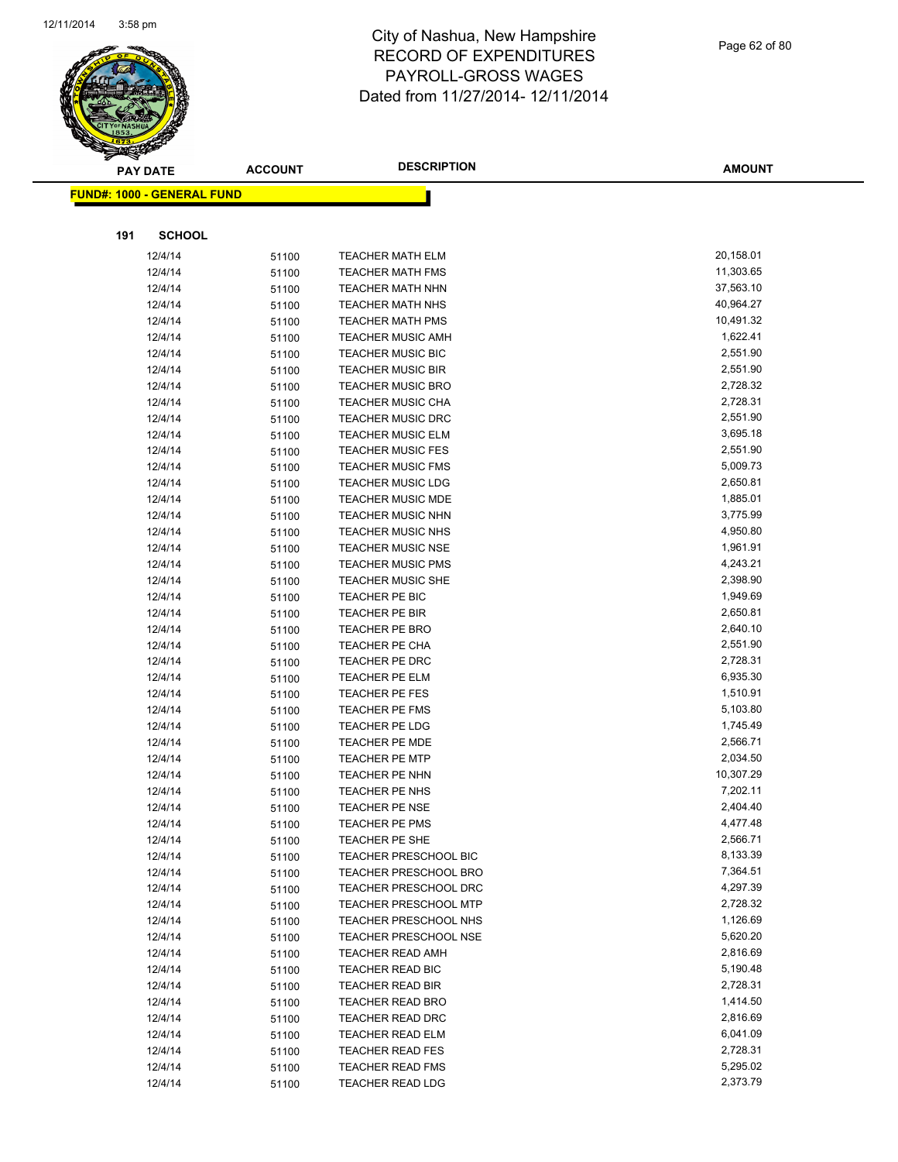

Page 62 of 80

|     | <b>PAY DATE</b>                   | <b>ACCOUNT</b> | <b>DESCRIPTION</b>                      | <b>AMOUNT</b>         |
|-----|-----------------------------------|----------------|-----------------------------------------|-----------------------|
|     | <b>FUND#: 1000 - GENERAL FUND</b> |                |                                         |                       |
|     |                                   |                |                                         |                       |
| 191 | <b>SCHOOL</b>                     |                |                                         |                       |
|     | 12/4/14                           | 51100          | <b>TEACHER MATH ELM</b>                 | 20,158.01             |
|     | 12/4/14                           | 51100          | <b>TEACHER MATH FMS</b>                 | 11,303.65             |
|     | 12/4/14                           | 51100          | <b>TEACHER MATH NHN</b>                 | 37,563.10             |
|     | 12/4/14                           | 51100          | <b>TEACHER MATH NHS</b>                 | 40,964.27             |
|     | 12/4/14                           | 51100          | <b>TEACHER MATH PMS</b>                 | 10,491.32             |
|     | 12/4/14                           | 51100          | <b>TEACHER MUSIC AMH</b>                | 1,622.41              |
|     | 12/4/14                           | 51100          | TEACHER MUSIC BIC                       | 2,551.90              |
|     | 12/4/14                           | 51100          | <b>TEACHER MUSIC BIR</b>                | 2,551.90              |
|     | 12/4/14                           | 51100          | <b>TEACHER MUSIC BRO</b>                | 2,728.32              |
|     | 12/4/14                           | 51100          | <b>TEACHER MUSIC CHA</b>                | 2,728.31              |
|     | 12/4/14                           | 51100          | <b>TEACHER MUSIC DRC</b>                | 2,551.90              |
|     | 12/4/14                           | 51100          | <b>TEACHER MUSIC ELM</b>                | 3,695.18              |
|     | 12/4/14                           | 51100          | <b>TEACHER MUSIC FES</b>                | 2,551.90              |
|     | 12/4/14                           | 51100          | <b>TEACHER MUSIC FMS</b>                | 5,009.73              |
|     | 12/4/14                           | 51100          | <b>TEACHER MUSIC LDG</b>                | 2,650.81              |
|     | 12/4/14                           | 51100          | <b>TEACHER MUSIC MDE</b>                | 1,885.01              |
|     | 12/4/14                           | 51100          | <b>TEACHER MUSIC NHN</b>                | 3,775.99              |
|     | 12/4/14                           | 51100          | <b>TEACHER MUSIC NHS</b>                | 4,950.80              |
|     | 12/4/14                           | 51100          | <b>TEACHER MUSIC NSE</b>                | 1,961.91              |
|     | 12/4/14                           | 51100          | <b>TEACHER MUSIC PMS</b>                | 4,243.21              |
|     | 12/4/14                           | 51100          | <b>TEACHER MUSIC SHE</b>                | 2,398.90              |
|     | 12/4/14                           | 51100          | TEACHER PE BIC                          | 1,949.69              |
|     | 12/4/14                           | 51100          | <b>TEACHER PE BIR</b>                   | 2,650.81              |
|     | 12/4/14                           | 51100          | <b>TEACHER PE BRO</b>                   | 2,640.10              |
|     | 12/4/14                           | 51100          | TEACHER PE CHA                          | 2,551.90              |
|     | 12/4/14                           | 51100          | TEACHER PE DRC                          | 2,728.31              |
|     | 12/4/14                           | 51100          | TEACHER PE ELM                          | 6,935.30              |
|     | 12/4/14                           | 51100          | TEACHER PE FES                          | 1,510.91              |
|     | 12/4/14                           | 51100          | <b>TEACHER PE FMS</b>                   | 5,103.80              |
|     | 12/4/14                           | 51100          | <b>TEACHER PE LDG</b>                   | 1,745.49              |
|     | 12/4/14                           | 51100          | TEACHER PE MDE                          | 2,566.71              |
|     | 12/4/14                           | 51100          | <b>TEACHER PE MTP</b><br>TEACHER PE NHN | 2,034.50<br>10,307.29 |
|     | 12/4/14<br>12/4/14                | 51100          | TEACHER PE NHS                          | 7,202.11              |
|     | 12/4/14                           | 51100          | <b>TEACHER PE NSE</b>                   | 2,404.40              |
|     | 12/4/14                           | 51100          | <b>TEACHER PE PMS</b>                   | 4,477.48              |
|     | 12/4/14                           | 51100          | TEACHER PE SHE                          | 2,566.71              |
|     | 12/4/14                           | 51100<br>51100 | TEACHER PRESCHOOL BIC                   | 8,133.39              |
|     | 12/4/14                           | 51100          | TEACHER PRESCHOOL BRO                   | 7,364.51              |
|     | 12/4/14                           | 51100          | <b>TEACHER PRESCHOOL DRC</b>            | 4,297.39              |
|     | 12/4/14                           | 51100          | <b>TEACHER PRESCHOOL MTP</b>            | 2,728.32              |
|     | 12/4/14                           | 51100          | <b>TEACHER PRESCHOOL NHS</b>            | 1,126.69              |
|     | 12/4/14                           | 51100          | <b>TEACHER PRESCHOOL NSE</b>            | 5,620.20              |
|     | 12/4/14                           | 51100          | <b>TEACHER READ AMH</b>                 | 2,816.69              |
|     | 12/4/14                           | 51100          | TEACHER READ BIC                        | 5,190.48              |
|     | 12/4/14                           | 51100          | TEACHER READ BIR                        | 2,728.31              |
|     | 12/4/14                           | 51100          | <b>TEACHER READ BRO</b>                 | 1,414.50              |
|     | 12/4/14                           | 51100          | TEACHER READ DRC                        | 2,816.69              |
|     | 12/4/14                           | 51100          | <b>TEACHER READ ELM</b>                 | 6,041.09              |
|     | 12/4/14                           | 51100          | <b>TEACHER READ FES</b>                 | 2,728.31              |
|     | 12/4/14                           | 51100          | <b>TEACHER READ FMS</b>                 | 5,295.02              |
|     | 12/4/14                           | 51100          | <b>TEACHER READ LDG</b>                 | 2,373.79              |
|     |                                   |                |                                         |                       |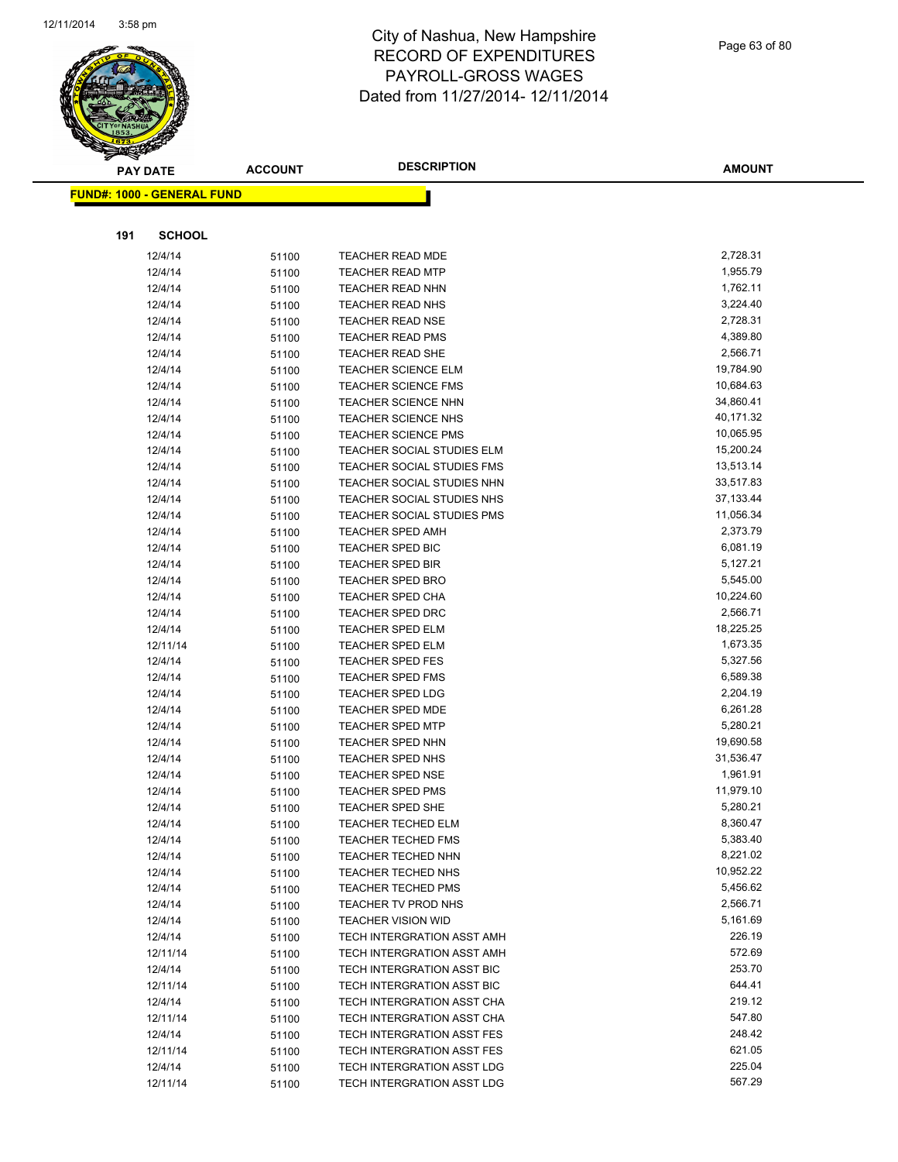

Page 63 of 80

|     | <b>PAY DATE</b>                   | <b>ACCOUNT</b> | <b>DESCRIPTION</b>                | <b>AMOUNT</b> |
|-----|-----------------------------------|----------------|-----------------------------------|---------------|
|     | <b>FUND#: 1000 - GENERAL FUND</b> |                |                                   |               |
|     |                                   |                |                                   |               |
|     |                                   |                |                                   |               |
| 191 | <b>SCHOOL</b>                     |                |                                   |               |
|     | 12/4/14                           | 51100          | <b>TEACHER READ MDE</b>           | 2,728.31      |
|     | 12/4/14                           | 51100          | <b>TEACHER READ MTP</b>           | 1,955.79      |
|     | 12/4/14                           | 51100          | <b>TEACHER READ NHN</b>           | 1,762.11      |
|     | 12/4/14                           | 51100          | <b>TEACHER READ NHS</b>           | 3,224.40      |
|     | 12/4/14                           | 51100          | <b>TEACHER READ NSE</b>           | 2,728.31      |
|     | 12/4/14                           | 51100          | <b>TEACHER READ PMS</b>           | 4,389.80      |
|     | 12/4/14                           | 51100          | TEACHER READ SHE                  | 2,566.71      |
|     | 12/4/14                           | 51100          | <b>TEACHER SCIENCE ELM</b>        | 19,784.90     |
|     | 12/4/14                           | 51100          | <b>TEACHER SCIENCE FMS</b>        | 10,684.63     |
|     | 12/4/14                           | 51100          | TEACHER SCIENCE NHN               | 34,860.41     |
|     | 12/4/14                           | 51100          | <b>TEACHER SCIENCE NHS</b>        | 40,171.32     |
|     | 12/4/14                           | 51100          | <b>TEACHER SCIENCE PMS</b>        | 10,065.95     |
|     | 12/4/14                           | 51100          | TEACHER SOCIAL STUDIES ELM        | 15,200.24     |
|     | 12/4/14                           | 51100          | TEACHER SOCIAL STUDIES FMS        | 13,513.14     |
|     | 12/4/14                           | 51100          | TEACHER SOCIAL STUDIES NHN        | 33,517.83     |
|     | 12/4/14                           | 51100          | <b>TEACHER SOCIAL STUDIES NHS</b> | 37,133.44     |
|     | 12/4/14                           | 51100          | TEACHER SOCIAL STUDIES PMS        | 11,056.34     |
|     | 12/4/14                           | 51100          | <b>TEACHER SPED AMH</b>           | 2,373.79      |
|     | 12/4/14                           | 51100          | TEACHER SPED BIC                  | 6,081.19      |
|     | 12/4/14                           | 51100          | <b>TEACHER SPED BIR</b>           | 5,127.21      |
|     | 12/4/14                           | 51100          | <b>TEACHER SPED BRO</b>           | 5,545.00      |
|     | 12/4/14                           | 51100          | TEACHER SPED CHA                  | 10,224.60     |
|     | 12/4/14                           | 51100          | <b>TEACHER SPED DRC</b>           | 2,566.71      |
|     | 12/4/14                           | 51100          | <b>TEACHER SPED ELM</b>           | 18,225.25     |
|     | 12/11/14                          | 51100          | <b>TEACHER SPED ELM</b>           | 1,673.35      |
|     | 12/4/14                           | 51100          | <b>TEACHER SPED FES</b>           | 5,327.56      |
|     | 12/4/14                           | 51100          | <b>TEACHER SPED FMS</b>           | 6,589.38      |
|     | 12/4/14                           | 51100          | <b>TEACHER SPED LDG</b>           | 2,204.19      |
|     | 12/4/14                           | 51100          | <b>TEACHER SPED MDE</b>           | 6,261.28      |
|     | 12/4/14                           | 51100          | <b>TEACHER SPED MTP</b>           | 5,280.21      |
|     | 12/4/14                           | 51100          | TEACHER SPED NHN                  | 19,690.58     |
|     | 12/4/14                           | 51100          | TEACHER SPED NHS                  | 31,536.47     |
|     | 12/4/14                           | 51100          | <b>TEACHER SPED NSE</b>           | 1,961.91      |
|     | 12/4/14                           | 51100          | <b>TEACHER SPED PMS</b>           | 11,979.10     |
|     | 12/4/14                           | 51100          | TEACHER SPED SHE                  | 5,280.21      |
|     | 12/4/14                           | 51100          | TEACHER TECHED ELM                | 8,360.47      |
|     | 12/4/14                           | 51100          | <b>TEACHER TECHED FMS</b>         | 5,383.40      |
|     | 12/4/14                           | 51100          | <b>TEACHER TECHED NHN</b>         | 8,221.02      |
|     | 12/4/14                           | 51100          | TEACHER TECHED NHS                | 10,952.22     |
|     | 12/4/14                           | 51100          | <b>TEACHER TECHED PMS</b>         | 5,456.62      |
|     | 12/4/14                           | 51100          | TEACHER TV PROD NHS               | 2,566.71      |
|     | 12/4/14                           | 51100          | <b>TEACHER VISION WID</b>         | 5,161.69      |
|     | 12/4/14                           | 51100          | TECH INTERGRATION ASST AMH        | 226.19        |
|     | 12/11/14                          | 51100          | TECH INTERGRATION ASST AMH        | 572.69        |
|     | 12/4/14                           | 51100          | TECH INTERGRATION ASST BIC        | 253.70        |
|     | 12/11/14                          | 51100          | TECH INTERGRATION ASST BIC        | 644.41        |
|     | 12/4/14                           | 51100          | TECH INTERGRATION ASST CHA        | 219.12        |
|     | 12/11/14                          | 51100          | TECH INTERGRATION ASST CHA        | 547.80        |
|     | 12/4/14                           | 51100          | TECH INTERGRATION ASST FES        | 248.42        |
|     | 12/11/14                          | 51100          | TECH INTERGRATION ASST FES        | 621.05        |
|     | 12/4/14                           | 51100          | TECH INTERGRATION ASST LDG        | 225.04        |
|     | 12/11/14                          | 51100          | TECH INTERGRATION ASST LDG        | 567.29        |
|     |                                   |                |                                   |               |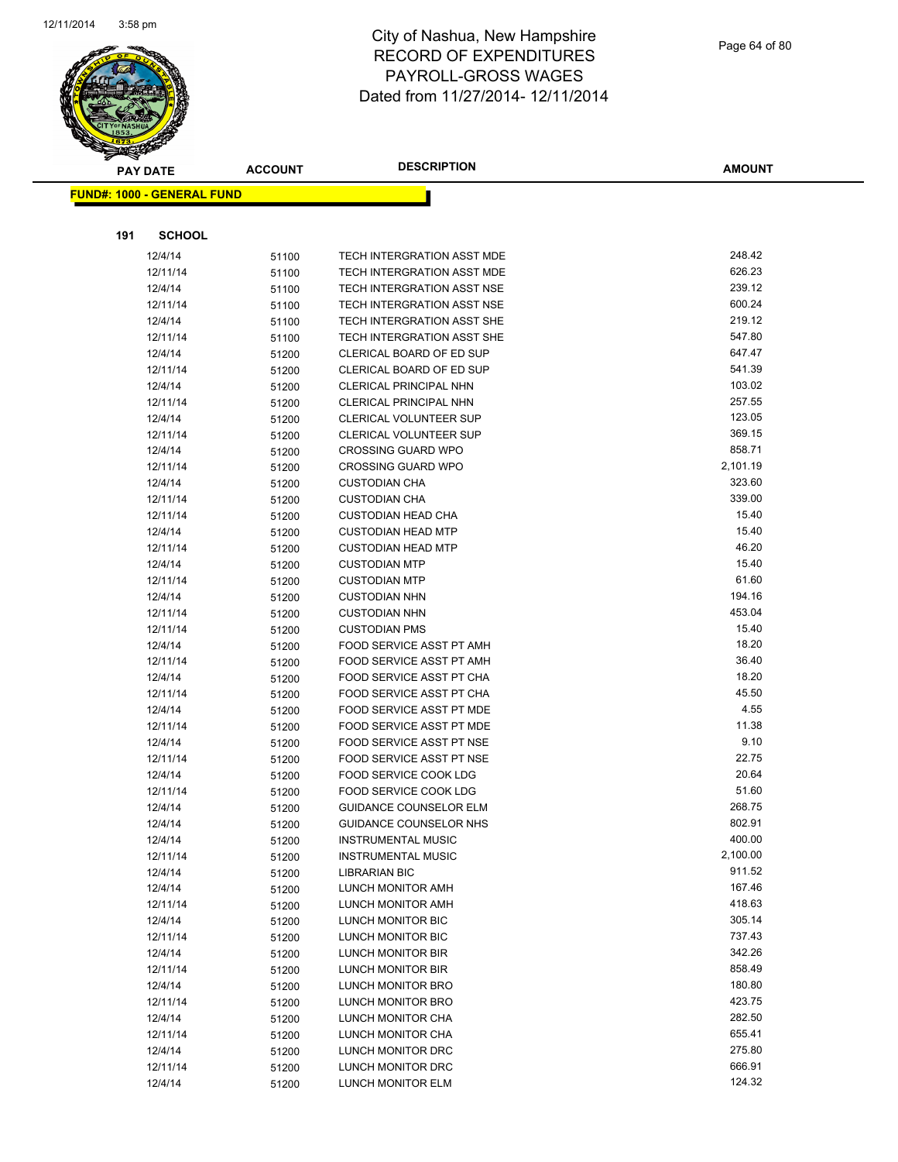

|     | <b>PAY DATE</b>                    | <b>ACCOUNT</b> | <b>DESCRIPTION</b>                                | <b>AMOUNT</b>    |
|-----|------------------------------------|----------------|---------------------------------------------------|------------------|
|     | <u> FUND#: 1000 - GENERAL FUND</u> |                |                                                   |                  |
|     |                                    |                |                                                   |                  |
|     |                                    |                |                                                   |                  |
| 191 | <b>SCHOOL</b>                      |                |                                                   |                  |
|     | 12/4/14                            | 51100          | <b>TECH INTERGRATION ASST MDE</b>                 | 248.42           |
|     | 12/11/14                           | 51100          | TECH INTERGRATION ASST MDE                        | 626.23           |
|     | 12/4/14                            | 51100          | TECH INTERGRATION ASST NSE                        | 239.12           |
|     | 12/11/14                           | 51100          | TECH INTERGRATION ASST NSE                        | 600.24           |
|     | 12/4/14                            | 51100          | TECH INTERGRATION ASST SHE                        | 219.12           |
|     | 12/11/14                           | 51100          | TECH INTERGRATION ASST SHE                        | 547.80           |
|     | 12/4/14                            | 51200          | CLERICAL BOARD OF ED SUP                          | 647.47           |
|     | 12/11/14                           | 51200          | CLERICAL BOARD OF ED SUP                          | 541.39           |
|     | 12/4/14                            | 51200          | CLERICAL PRINCIPAL NHN                            | 103.02           |
|     | 12/11/14                           | 51200          | CLERICAL PRINCIPAL NHN                            | 257.55           |
|     | 12/4/14                            | 51200          | CLERICAL VOLUNTEER SUP                            | 123.05           |
|     | 12/11/14                           | 51200          | CLERICAL VOLUNTEER SUP                            | 369.15           |
|     | 12/4/14                            | 51200          | <b>CROSSING GUARD WPO</b>                         | 858.71           |
|     | 12/11/14                           | 51200          | <b>CROSSING GUARD WPO</b>                         | 2,101.19         |
|     | 12/4/14                            | 51200          | <b>CUSTODIAN CHA</b>                              | 323.60<br>339.00 |
|     | 12/11/14                           | 51200          | <b>CUSTODIAN CHA</b><br><b>CUSTODIAN HEAD CHA</b> | 15.40            |
|     | 12/11/14                           | 51200          | <b>CUSTODIAN HEAD MTP</b>                         | 15.40            |
|     | 12/4/14<br>12/11/14                | 51200          | <b>CUSTODIAN HEAD MTP</b>                         | 46.20            |
|     | 12/4/14                            | 51200          | <b>CUSTODIAN MTP</b>                              | 15.40            |
|     | 12/11/14                           | 51200          | <b>CUSTODIAN MTP</b>                              | 61.60            |
|     | 12/4/14                            | 51200          | <b>CUSTODIAN NHN</b>                              | 194.16           |
|     | 12/11/14                           | 51200<br>51200 | <b>CUSTODIAN NHN</b>                              | 453.04           |
|     | 12/11/14                           | 51200          | <b>CUSTODIAN PMS</b>                              | 15.40            |
|     | 12/4/14                            | 51200          | FOOD SERVICE ASST PT AMH                          | 18.20            |
|     | 12/11/14                           | 51200          | FOOD SERVICE ASST PT AMH                          | 36.40            |
|     | 12/4/14                            | 51200          | FOOD SERVICE ASST PT CHA                          | 18.20            |
|     | 12/11/14                           | 51200          | FOOD SERVICE ASST PT CHA                          | 45.50            |
|     | 12/4/14                            | 51200          | FOOD SERVICE ASST PT MDE                          | 4.55             |
|     | 12/11/14                           | 51200          | FOOD SERVICE ASST PT MDE                          | 11.38            |
|     | 12/4/14                            | 51200          | FOOD SERVICE ASST PT NSE                          | 9.10             |
|     | 12/11/14                           | 51200          | FOOD SERVICE ASST PT NSE                          | 22.75            |
|     | 12/4/14                            | 51200          | FOOD SERVICE COOK LDG                             | 20.64            |
|     | 12/11/14                           | 51200          | FOOD SERVICE COOK LDG                             | 51.60            |
|     | 12/4/14                            | 51200          | <b>GUIDANCE COUNSELOR ELM</b>                     | 268.75           |
|     | 12/4/14                            | 51200          | GUIDANCE COUNSELOR NHS                            | 802.91           |
|     | 12/4/14                            | 51200          | <b>INSTRUMENTAL MUSIC</b>                         | 400.00           |
|     | 12/11/14                           | 51200          | <b>INSTRUMENTAL MUSIC</b>                         | 2,100.00         |
|     | 12/4/14                            | 51200          | <b>LIBRARIAN BIC</b>                              | 911.52           |
|     | 12/4/14                            | 51200          | LUNCH MONITOR AMH                                 | 167.46           |
|     | 12/11/14                           | 51200          | LUNCH MONITOR AMH                                 | 418.63           |
|     | 12/4/14                            | 51200          | LUNCH MONITOR BIC                                 | 305.14           |
|     | 12/11/14                           | 51200          | LUNCH MONITOR BIC                                 | 737.43           |
|     | 12/4/14                            | 51200          | LUNCH MONITOR BIR                                 | 342.26           |
|     | 12/11/14                           | 51200          | LUNCH MONITOR BIR                                 | 858.49           |
|     | 12/4/14                            | 51200          | LUNCH MONITOR BRO                                 | 180.80           |
|     | 12/11/14                           | 51200          | LUNCH MONITOR BRO                                 | 423.75           |
|     | 12/4/14                            | 51200          | LUNCH MONITOR CHA                                 | 282.50           |
|     | 12/11/14                           | 51200          | LUNCH MONITOR CHA                                 | 655.41           |
|     | 12/4/14                            | 51200          | LUNCH MONITOR DRC                                 | 275.80           |
|     | 12/11/14                           | 51200          | LUNCH MONITOR DRC                                 | 666.91           |
|     | 12/4/14                            | 51200          | LUNCH MONITOR ELM                                 | 124.32           |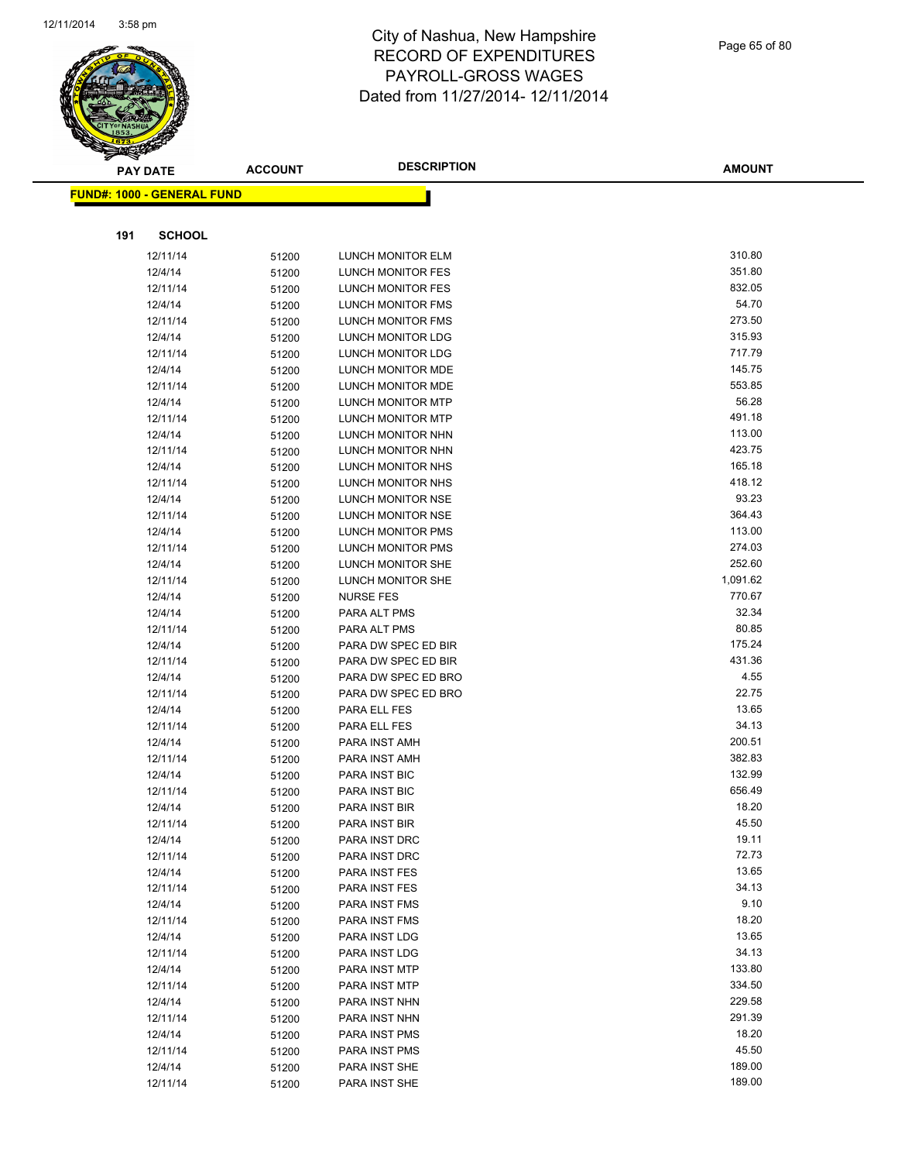

| ॼ   | <b>PAY DATE</b>                   | <b>ACCOUNT</b> | <b>DESCRIPTION</b>           | <b>AMOUNT</b>  |
|-----|-----------------------------------|----------------|------------------------------|----------------|
|     | <b>FUND#: 1000 - GENERAL FUND</b> |                |                              |                |
|     |                                   |                |                              |                |
| 191 | <b>SCHOOL</b>                     |                |                              |                |
|     | 12/11/14                          | 51200          | LUNCH MONITOR ELM            | 310.80         |
|     | 12/4/14                           | 51200          | LUNCH MONITOR FES            | 351.80         |
|     | 12/11/14                          | 51200          | LUNCH MONITOR FES            | 832.05         |
|     | 12/4/14                           | 51200          | <b>LUNCH MONITOR FMS</b>     | 54.70          |
|     | 12/11/14                          | 51200          | LUNCH MONITOR FMS            | 273.50         |
|     | 12/4/14                           | 51200          | LUNCH MONITOR LDG            | 315.93         |
|     | 12/11/14                          | 51200          | LUNCH MONITOR LDG            | 717.79         |
|     | 12/4/14                           | 51200          | LUNCH MONITOR MDE            | 145.75         |
|     | 12/11/14                          | 51200          | <b>LUNCH MONITOR MDE</b>     | 553.85         |
|     | 12/4/14                           | 51200          | <b>LUNCH MONITOR MTP</b>     | 56.28          |
|     | 12/11/14                          | 51200          | LUNCH MONITOR MTP            | 491.18         |
|     | 12/4/14                           | 51200          | LUNCH MONITOR NHN            | 113.00         |
|     | 12/11/14                          | 51200          | LUNCH MONITOR NHN            | 423.75         |
|     | 12/4/14                           | 51200          | LUNCH MONITOR NHS            | 165.18         |
|     | 12/11/14                          | 51200          | LUNCH MONITOR NHS            | 418.12         |
|     | 12/4/14                           | 51200          | LUNCH MONITOR NSE            | 93.23          |
|     | 12/11/14                          | 51200          | LUNCH MONITOR NSE            | 364.43         |
|     | 12/4/14                           | 51200          | <b>LUNCH MONITOR PMS</b>     | 113.00         |
|     | 12/11/14                          | 51200          | <b>LUNCH MONITOR PMS</b>     | 274.03         |
|     | 12/4/14                           | 51200          | <b>LUNCH MONITOR SHE</b>     | 252.60         |
|     | 12/11/14                          | 51200          | LUNCH MONITOR SHE            | 1,091.62       |
|     | 12/4/14                           | 51200          | <b>NURSE FES</b>             | 770.67         |
|     | 12/4/14                           | 51200          | PARA ALT PMS                 | 32.34          |
|     | 12/11/14                          | 51200          | PARA ALT PMS                 | 80.85          |
|     | 12/4/14                           | 51200          | PARA DW SPEC ED BIR          | 175.24         |
|     | 12/11/14                          | 51200          | PARA DW SPEC ED BIR          | 431.36         |
|     | 12/4/14                           | 51200          | PARA DW SPEC ED BRO          | 4.55           |
|     | 12/11/14                          | 51200          | PARA DW SPEC ED BRO          | 22.75<br>13.65 |
|     | 12/4/14                           | 51200          | PARA ELL FES<br>PARA ELL FES | 34.13          |
|     | 12/11/14<br>12/4/14               | 51200          | PARA INST AMH                | 200.51         |
|     | 12/11/14                          | 51200          | PARA INST AMH                | 382.83         |
|     | 12/4/14                           | 51200<br>51200 | <b>PARA INST BIC</b>         | 132.99         |
|     | 12/11/14                          |                | PARA INST BIC                | 656.49         |
|     | 12/4/14                           | 51200<br>51200 | PARA INST BIR                | 18.20          |
|     | 12/11/14                          | 51200          | PARA INST BIR                | 45.50          |
|     | 12/4/14                           | 51200          | PARA INST DRC                | 19.11          |
|     | 12/11/14                          | 51200          | PARA INST DRC                | 72.73          |
|     | 12/4/14                           | 51200          | PARA INST FES                | 13.65          |
|     | 12/11/14                          | 51200          | PARA INST FES                | 34.13          |
|     | 12/4/14                           | 51200          | PARA INST FMS                | 9.10           |
|     | 12/11/14                          | 51200          | PARA INST FMS                | 18.20          |
|     | 12/4/14                           | 51200          | PARA INST LDG                | 13.65          |
|     | 12/11/14                          | 51200          | PARA INST LDG                | 34.13          |
|     | 12/4/14                           | 51200          | PARA INST MTP                | 133.80         |
|     | 12/11/14                          | 51200          | PARA INST MTP                | 334.50         |
|     | 12/4/14                           | 51200          | PARA INST NHN                | 229.58         |
|     | 12/11/14                          | 51200          | PARA INST NHN                | 291.39         |
|     | 12/4/14                           | 51200          | PARA INST PMS                | 18.20          |
|     | 12/11/14                          | 51200          | PARA INST PMS                | 45.50          |
|     | 12/4/14                           | 51200          | PARA INST SHE                | 189.00         |
|     | 12/11/14                          | 51200          | PARA INST SHE                | 189.00         |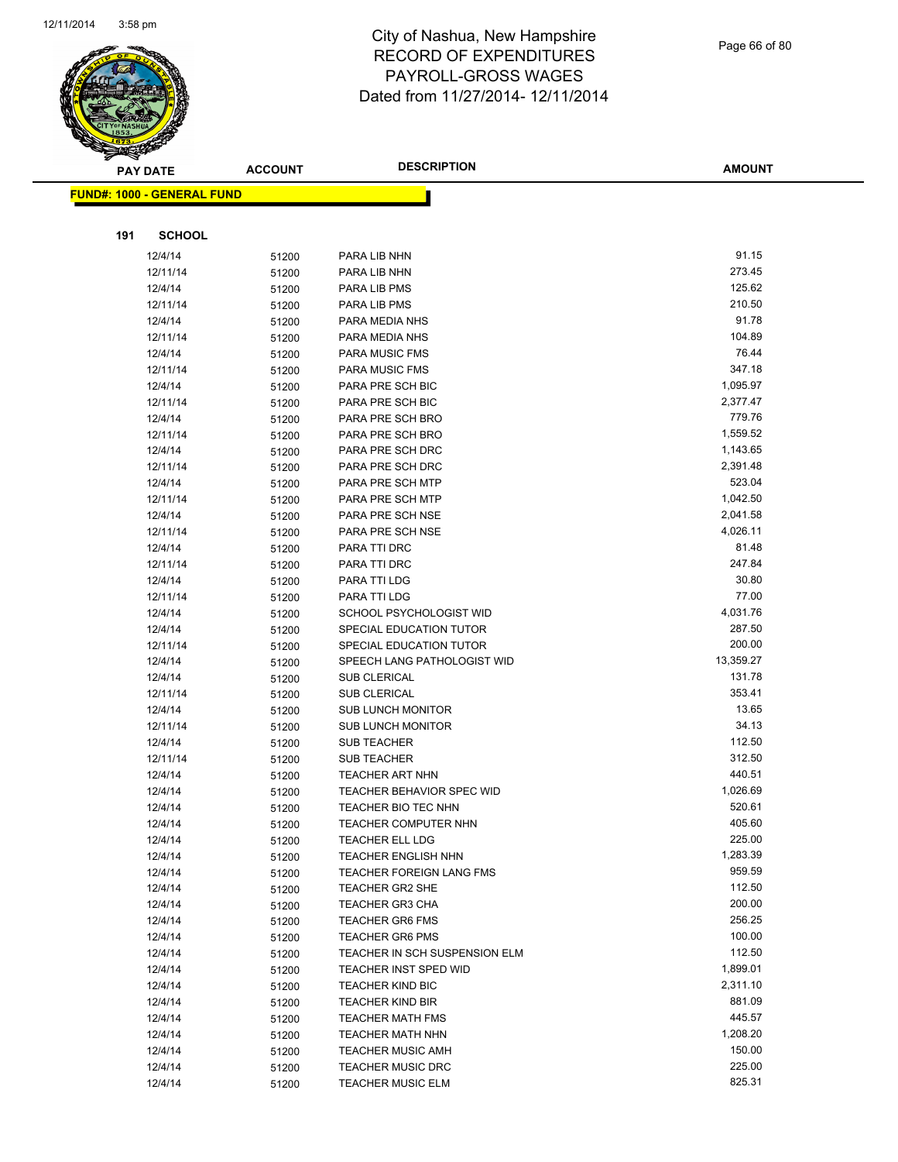

Page 66 of 80

| $\tilde{\phantom{a}}$<br><b>PAY DATE</b> | <b>ACCOUNT</b> | <b>DESCRIPTION</b>                   | <b>AMOUNT</b>    |
|------------------------------------------|----------------|--------------------------------------|------------------|
| <b>FUND#: 1000 - GENERAL FUND</b>        |                |                                      |                  |
|                                          |                |                                      |                  |
|                                          |                |                                      |                  |
| 191<br><b>SCHOOL</b>                     |                |                                      |                  |
| 12/4/14                                  | 51200          | PARA LIB NHN                         | 91.15            |
| 12/11/14                                 | 51200          | PARA LIB NHN                         | 273.45           |
| 12/4/14                                  | 51200          | PARA LIB PMS                         | 125.62           |
| 12/11/14                                 | 51200          | PARA LIB PMS                         | 210.50           |
| 12/4/14                                  | 51200          | PARA MEDIA NHS                       | 91.78            |
| 12/11/14                                 | 51200          | PARA MEDIA NHS                       | 104.89<br>76.44  |
| 12/4/14                                  | 51200          | PARA MUSIC FMS                       | 347.18           |
| 12/11/14                                 | 51200          | PARA MUSIC FMS                       | 1,095.97         |
| 12/4/14                                  | 51200          | PARA PRE SCH BIC                     | 2,377.47         |
| 12/11/14<br>12/4/14                      | 51200          | PARA PRE SCH BIC<br>PARA PRE SCH BRO | 779.76           |
| 12/11/14                                 | 51200          | PARA PRE SCH BRO                     | 1,559.52         |
| 12/4/14                                  | 51200<br>51200 | PARA PRE SCH DRC                     | 1,143.65         |
| 12/11/14                                 | 51200          | PARA PRE SCH DRC                     | 2,391.48         |
| 12/4/14                                  | 51200          | PARA PRE SCH MTP                     | 523.04           |
| 12/11/14                                 | 51200          | PARA PRE SCH MTP                     | 1,042.50         |
| 12/4/14                                  | 51200          | PARA PRE SCH NSE                     | 2,041.58         |
| 12/11/14                                 | 51200          | PARA PRE SCH NSE                     | 4,026.11         |
| 12/4/14                                  | 51200          | PARA TTI DRC                         | 81.48            |
| 12/11/14                                 | 51200          | PARA TTI DRC                         | 247.84           |
| 12/4/14                                  | 51200          | PARA TTI LDG                         | 30.80            |
| 12/11/14                                 | 51200          | PARA TTI LDG                         | 77.00            |
| 12/4/14                                  | 51200          | SCHOOL PSYCHOLOGIST WID              | 4,031.76         |
| 12/4/14                                  | 51200          | SPECIAL EDUCATION TUTOR              | 287.50           |
| 12/11/14                                 | 51200          | SPECIAL EDUCATION TUTOR              | 200.00           |
| 12/4/14                                  | 51200          | SPEECH LANG PATHOLOGIST WID          | 13,359.27        |
| 12/4/14                                  | 51200          | <b>SUB CLERICAL</b>                  | 131.78           |
| 12/11/14                                 | 51200          | SUB CLERICAL                         | 353.41           |
| 12/4/14                                  | 51200          | <b>SUB LUNCH MONITOR</b>             | 13.65            |
| 12/11/14                                 | 51200          | <b>SUB LUNCH MONITOR</b>             | 34.13            |
| 12/4/14                                  | 51200          | <b>SUB TEACHER</b>                   | 112.50           |
| 12/11/14                                 | 51200          | <b>SUB TEACHER</b>                   | 312.50           |
| 12/4/14                                  | 51200          | TEACHER ART NHN                      | 440.51           |
| 12/4/14                                  | 51200          | <b>TEACHER BEHAVIOR SPEC WID</b>     | 1,026.69         |
| 12/4/14                                  | 51200          | <b>TEACHER BIO TEC NHN</b>           | 520.61           |
| 12/4/14                                  | 51200          | <b>TEACHER COMPUTER NHN</b>          | 405.60           |
| 12/4/14                                  | 51200          | <b>TEACHER ELL LDG</b>               | 225.00           |
| 12/4/14                                  | 51200          | <b>TEACHER ENGLISH NHN</b>           | 1,283.39         |
| 12/4/14                                  | 51200          | TEACHER FOREIGN LANG FMS             | 959.59           |
| 12/4/14                                  | 51200          | <b>TEACHER GR2 SHE</b>               | 112.50           |
| 12/4/14                                  | 51200          | <b>TEACHER GR3 CHA</b>               | 200.00           |
| 12/4/14                                  | 51200          | <b>TEACHER GR6 FMS</b>               | 256.25           |
| 12/4/14                                  | 51200          | <b>TEACHER GR6 PMS</b>               | 100.00           |
| 12/4/14                                  | 51200          | TEACHER IN SCH SUSPENSION ELM        | 112.50           |
| 12/4/14                                  | 51200          | TEACHER INST SPED WID                | 1,899.01         |
| 12/4/14                                  | 51200          | <b>TEACHER KIND BIC</b>              | 2,311.10         |
| 12/4/14                                  | 51200          | <b>TEACHER KIND BIR</b>              | 881.09           |
| 12/4/14                                  | 51200          | <b>TEACHER MATH FMS</b>              | 445.57           |
| 12/4/14                                  | 51200          | <b>TEACHER MATH NHN</b>              | 1,208.20         |
| 12/4/14                                  | 51200          | <b>TEACHER MUSIC AMH</b>             | 150.00<br>225.00 |
| 12/4/14                                  | 51200          | <b>TEACHER MUSIC DRC</b>             | 825.31           |
| 12/4/14                                  | 51200          | <b>TEACHER MUSIC ELM</b>             |                  |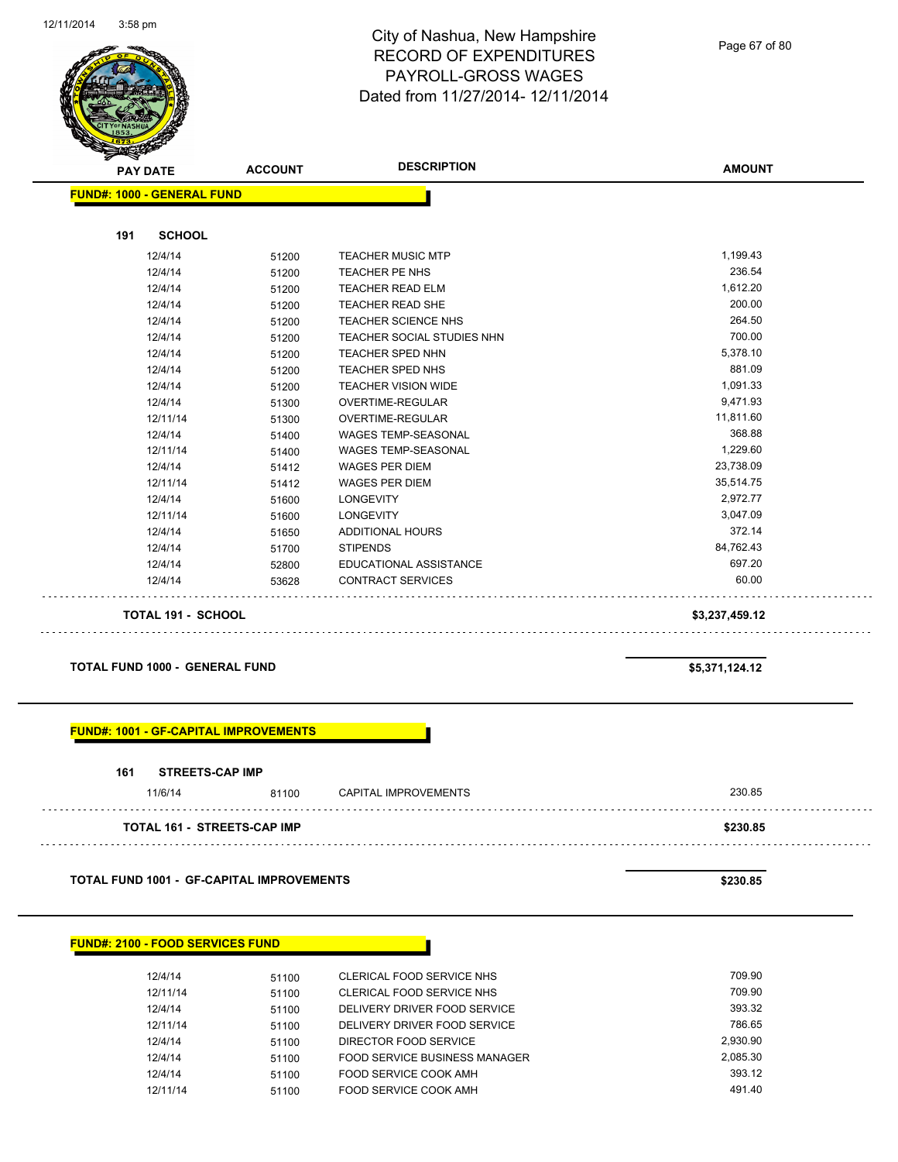

Page 67 of 80

| <b>PAY DATE</b>                   | <b>ACCOUNT</b> | <b>DESCRIPTION</b>         | <b>AMOUNT</b>  |
|-----------------------------------|----------------|----------------------------|----------------|
| <b>FUND#: 1000 - GENERAL FUND</b> |                |                            |                |
| <b>SCHOOL</b><br>191              |                |                            |                |
|                                   |                |                            | 1,199.43       |
| 12/4/14                           | 51200          | <b>TEACHER MUSIC MTP</b>   |                |
| 12/4/14                           | 51200          | TEACHER PE NHS             | 236.54         |
| 12/4/14                           | 51200          | <b>TEACHER READ ELM</b>    | 1,612.20       |
| 12/4/14                           | 51200          | <b>TEACHER READ SHE</b>    | 200.00         |
| 12/4/14                           | 51200          | <b>TEACHER SCIENCE NHS</b> | 264.50         |
| 12/4/14                           | 51200          | TEACHER SOCIAL STUDIES NHN | 700.00         |
| 12/4/14                           | 51200          | <b>TEACHER SPED NHN</b>    | 5,378.10       |
| 12/4/14                           | 51200          | <b>TEACHER SPED NHS</b>    | 881.09         |
| 12/4/14                           | 51200          | <b>TEACHER VISION WIDE</b> | 1,091.33       |
| 12/4/14                           | 51300          | <b>OVERTIME-REGULAR</b>    | 9,471.93       |
| 12/11/14                          | 51300          | <b>OVERTIME-REGULAR</b>    | 11,811.60      |
| 12/4/14                           | 51400          | <b>WAGES TEMP-SEASONAL</b> | 368.88         |
| 12/11/14                          | 51400          | <b>WAGES TEMP-SEASONAL</b> | 1,229.60       |
| 12/4/14                           | 51412          | <b>WAGES PER DIEM</b>      | 23,738.09      |
| 12/11/14                          | 51412          | <b>WAGES PER DIEM</b>      | 35,514.75      |
| 12/4/14                           | 51600          | <b>LONGEVITY</b>           | 2,972.77       |
| 12/11/14                          | 51600          | <b>LONGEVITY</b>           | 3,047.09       |
| 12/4/14                           | 51650          | <b>ADDITIONAL HOURS</b>    | 372.14         |
| 12/4/14                           | 51700          | <b>STIPENDS</b>            | 84,762.43      |
| 12/4/14                           | 52800          | EDUCATIONAL ASSISTANCE     | 697.20         |
| 12/4/14                           | 53628          | <b>CONTRACT SERVICES</b>   | 60.00          |
| <b>TOTAL 191 - SCHOOL</b>         |                |                            | \$3,237,459.12 |

#### **TOTAL FUND 1000 - GENERAL FUND \$5,371,124.12**

#### **FUND#: 1001 - GF-CAPITAL IMPROVEMENTS**

| 161 | <b>STREETS-CAP IMP</b>             |       |                      |          |
|-----|------------------------------------|-------|----------------------|----------|
|     | 11/6/14                            | 81100 | CAPITAL IMPROVEMENTS | 230.85   |
|     | <b>TOTAL 161 - STREETS-CAP IMP</b> |       |                      | \$230.85 |

**TOTAL FUND 1001 - GF-CAPITAL IMPROVEMENTS \$230.85** 

#### **FUND#: 2100 - FOOD SERVICES FUND**

| 12/4/14  | 51100 | CLERICAL FOOD SERVICE NHS     | 709.90   |
|----------|-------|-------------------------------|----------|
| 12/11/14 | 51100 | CLERICAL FOOD SERVICE NHS     | 709.90   |
| 12/4/14  | 51100 | DELIVERY DRIVER FOOD SERVICE  | 393.32   |
| 12/11/14 | 51100 | DELIVERY DRIVER FOOD SERVICE  | 786.65   |
| 12/4/14  | 51100 | DIRECTOR FOOD SERVICE         | 2.930.90 |
| 12/4/14  | 51100 | FOOD SERVICE BUSINESS MANAGER | 2.085.30 |
| 12/4/14  | 51100 | FOOD SERVICE COOK AMH         | 393.12   |
| 12/11/14 | 51100 | FOOD SERVICE COOK AMH         | 491.40   |
|          |       |                               |          |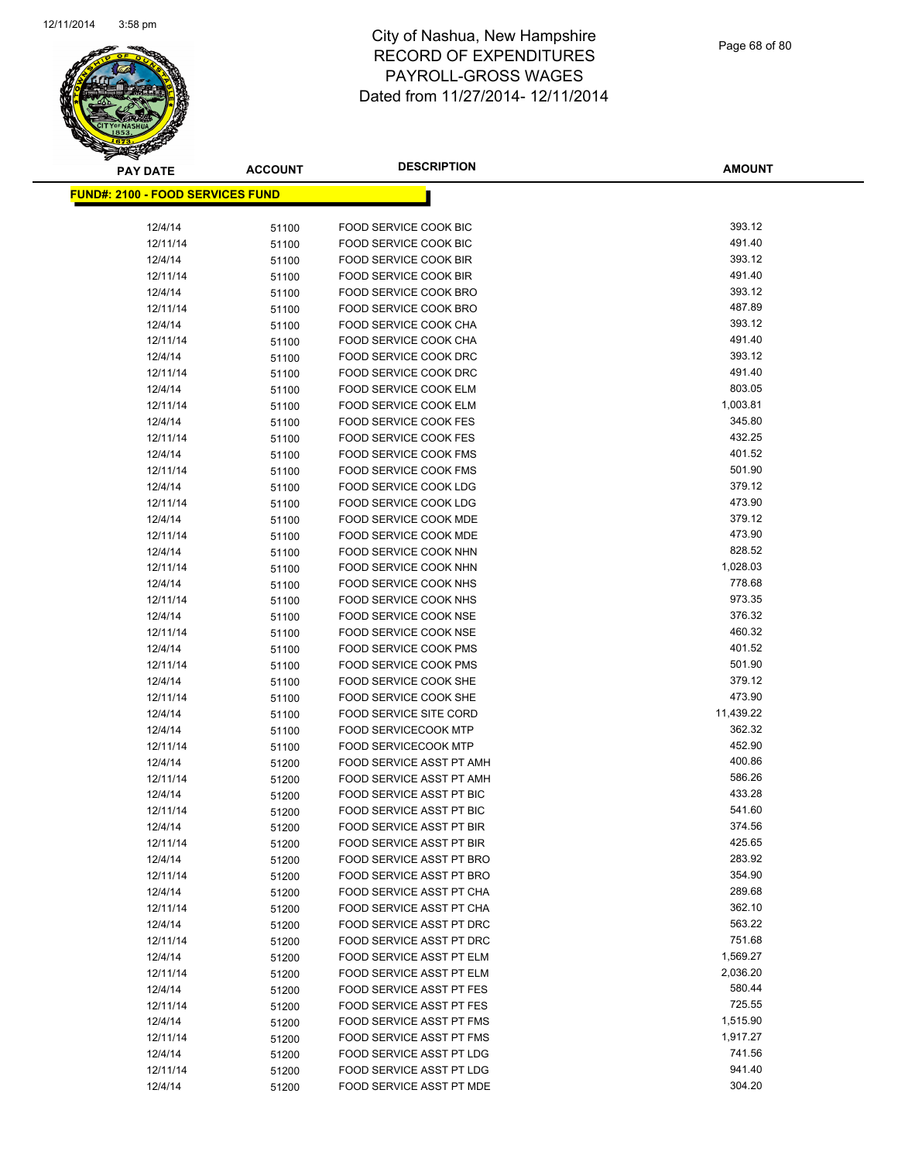

| <b>PAY DATE</b>                          | <b>ACCOUNT</b> | <b>DESCRIPTION</b>                             | <b>AMOUNT</b>    |
|------------------------------------------|----------------|------------------------------------------------|------------------|
| <u> FUND#: 2100 - FOOD SERVICES FUND</u> |                |                                                |                  |
|                                          |                |                                                |                  |
| 12/4/14                                  | 51100          | FOOD SERVICE COOK BIC                          | 393.12           |
| 12/11/14                                 | 51100          | FOOD SERVICE COOK BIC                          | 491.40           |
| 12/4/14                                  | 51100          | FOOD SERVICE COOK BIR                          | 393.12           |
| 12/11/14                                 | 51100          | FOOD SERVICE COOK BIR                          | 491.40           |
| 12/4/14                                  | 51100          | FOOD SERVICE COOK BRO                          | 393.12           |
| 12/11/14                                 | 51100          | FOOD SERVICE COOK BRO                          | 487.89           |
| 12/4/14                                  | 51100          | FOOD SERVICE COOK CHA                          | 393.12           |
| 12/11/14                                 | 51100          | FOOD SERVICE COOK CHA                          | 491.40           |
| 12/4/14                                  | 51100          | FOOD SERVICE COOK DRC                          | 393.12           |
| 12/11/14                                 | 51100          | FOOD SERVICE COOK DRC                          | 491.40           |
| 12/4/14                                  | 51100          | FOOD SERVICE COOK ELM                          | 803.05           |
| 12/11/14                                 | 51100          | FOOD SERVICE COOK ELM                          | 1,003.81         |
| 12/4/14                                  | 51100          | FOOD SERVICE COOK FES                          | 345.80           |
| 12/11/14                                 | 51100          | FOOD SERVICE COOK FES                          | 432.25           |
| 12/4/14                                  | 51100          | FOOD SERVICE COOK FMS                          | 401.52           |
| 12/11/14                                 | 51100          | FOOD SERVICE COOK FMS                          | 501.90           |
| 12/4/14                                  | 51100          | FOOD SERVICE COOK LDG                          | 379.12           |
| 12/11/14                                 | 51100          | FOOD SERVICE COOK LDG                          | 473.90           |
| 12/4/14                                  | 51100          | FOOD SERVICE COOK MDE                          | 379.12           |
| 12/11/14                                 | 51100          | FOOD SERVICE COOK MDE                          | 473.90           |
| 12/4/14                                  | 51100          | FOOD SERVICE COOK NHN                          | 828.52           |
| 12/11/14                                 | 51100          | FOOD SERVICE COOK NHN                          | 1,028.03         |
| 12/4/14                                  | 51100          | FOOD SERVICE COOK NHS                          | 778.68           |
| 12/11/14                                 | 51100          | FOOD SERVICE COOK NHS                          | 973.35           |
| 12/4/14                                  | 51100          | FOOD SERVICE COOK NSE                          | 376.32           |
| 12/11/14                                 | 51100          | FOOD SERVICE COOK NSE                          | 460.32           |
| 12/4/14                                  | 51100          | FOOD SERVICE COOK PMS                          | 401.52           |
| 12/11/14                                 | 51100          | FOOD SERVICE COOK PMS                          | 501.90<br>379.12 |
| 12/4/14<br>12/11/14                      | 51100          | FOOD SERVICE COOK SHE<br>FOOD SERVICE COOK SHE | 473.90           |
| 12/4/14                                  | 51100<br>51100 | <b>FOOD SERVICE SITE CORD</b>                  | 11,439.22        |
| 12/4/14                                  | 51100          | <b>FOOD SERVICECOOK MTP</b>                    | 362.32           |
| 12/11/14                                 | 51100          | <b>FOOD SERVICECOOK MTP</b>                    | 452.90           |
| 12/4/14                                  | 51200          | FOOD SERVICE ASST PT AMH                       | 400.86           |
| 12/11/14                                 | 51200          | FOOD SERVICE ASST PT AMH                       | 586.26           |
| 12/4/14                                  | 51200          | FOOD SERVICE ASST PT BIC                       | 433.28           |
| 12/11/14                                 | 51200          | <b>FOOD SERVICE ASST PT BIC</b>                | 541.60           |
| 12/4/14                                  | 51200          | FOOD SERVICE ASST PT BIR                       | 374.56           |
| 12/11/14                                 | 51200          | <b>FOOD SERVICE ASST PT BIR</b>                | 425.65           |
| 12/4/14                                  | 51200          | FOOD SERVICE ASST PT BRO                       | 283.92           |
| 12/11/14                                 | 51200          | <b>FOOD SERVICE ASST PT BRO</b>                | 354.90           |
| 12/4/14                                  | 51200          | FOOD SERVICE ASST PT CHA                       | 289.68           |
| 12/11/14                                 | 51200          | FOOD SERVICE ASST PT CHA                       | 362.10           |
| 12/4/14                                  | 51200          | FOOD SERVICE ASST PT DRC                       | 563.22           |
| 12/11/14                                 | 51200          | FOOD SERVICE ASST PT DRC                       | 751.68           |
| 12/4/14                                  | 51200          | FOOD SERVICE ASST PT ELM                       | 1,569.27         |
| 12/11/14                                 | 51200          | FOOD SERVICE ASST PT ELM                       | 2,036.20         |
| 12/4/14                                  | 51200          | FOOD SERVICE ASST PT FES                       | 580.44           |
| 12/11/14                                 | 51200          | FOOD SERVICE ASST PT FES                       | 725.55           |
| 12/4/14                                  | 51200          | FOOD SERVICE ASST PT FMS                       | 1,515.90         |
| 12/11/14                                 | 51200          | FOOD SERVICE ASST PT FMS                       | 1,917.27         |
| 12/4/14                                  | 51200          | FOOD SERVICE ASST PT LDG                       | 741.56           |
| 12/11/14                                 | 51200          | FOOD SERVICE ASST PT LDG                       | 941.40           |
| 12/4/14                                  | 51200          | FOOD SERVICE ASST PT MDE                       | 304.20           |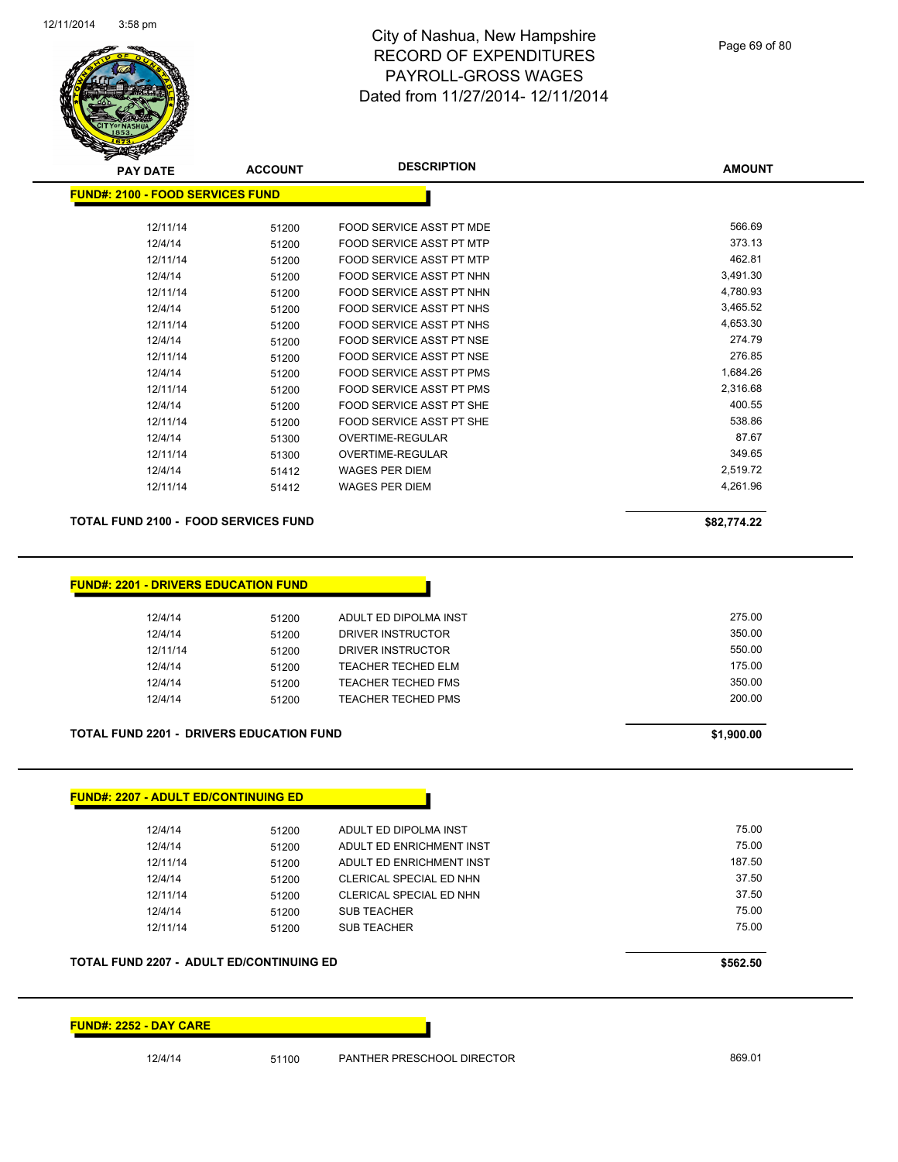

| <b>PAY DATE</b>                          | <b>ACCOUNT</b> | <b>DESCRIPTION</b>              | <b>AMOUNT</b> |  |
|------------------------------------------|----------------|---------------------------------|---------------|--|
| <u> FUND#: 2100 - FOOD SERVICES FUND</u> |                |                                 |               |  |
| 12/11/14                                 | 51200          | FOOD SERVICE ASST PT MDE        | 566.69        |  |
| 12/4/14                                  | 51200          | FOOD SERVICE ASST PT MTP        | 373.13        |  |
| 12/11/14                                 | 51200          | FOOD SERVICE ASST PT MTP        | 462.81        |  |
| 12/4/14                                  | 51200          | FOOD SERVICE ASST PT NHN        | 3,491.30      |  |
| 12/11/14                                 | 51200          | FOOD SERVICE ASST PT NHN        | 4,780.93      |  |
| 12/4/14                                  | 51200          | FOOD SERVICE ASST PT NHS        | 3,465.52      |  |
| 12/11/14                                 | 51200          | FOOD SERVICE ASST PT NHS        | 4,653.30      |  |
| 12/4/14                                  | 51200          | FOOD SERVICE ASST PT NSE        | 274.79        |  |
| 12/11/14                                 | 51200          | FOOD SERVICE ASST PT NSE        | 276.85        |  |
| 12/4/14                                  | 51200          | <b>FOOD SERVICE ASST PT PMS</b> | 1,684.26      |  |
| 12/11/14                                 | 51200          | <b>FOOD SERVICE ASST PT PMS</b> | 2,316.68      |  |
| 12/4/14                                  | 51200          | FOOD SERVICE ASST PT SHE        | 400.55        |  |
| 12/11/14                                 | 51200          | FOOD SERVICE ASST PT SHE        | 538.86        |  |
| 12/4/14                                  | 51300          | <b>OVERTIME-REGULAR</b>         | 87.67         |  |
| 12/11/14                                 | 51300          | <b>OVERTIME-REGULAR</b>         | 349.65        |  |
| 12/4/14                                  | 51412          | WAGES PER DIEM                  | 2,519.72      |  |
| 12/11/14                                 | 51412          | <b>WAGES PER DIEM</b>           | 4,261.96      |  |
|                                          |                |                                 |               |  |

#### **TOTAL FUND 2100 - FOOD SERVICES FUND \$82,774.22**

| <b>FUND#: 2201 - DRIVERS EDUCATION FUND</b> |  |  |
|---------------------------------------------|--|--|
|                                             |  |  |

| 12/4/14  | 51200 | ADULT ED DIPOLMA INST     | 275.00 |
|----------|-------|---------------------------|--------|
| 12/4/14  | 51200 | DRIVER INSTRUCTOR         | 350.00 |
| 12/11/14 | 51200 | DRIVER INSTRUCTOR         | 550.00 |
| 12/4/14  | 51200 | TEACHER TECHED ELM        | 175.00 |
| 12/4/14  | 51200 | TEACHER TECHED FMS        | 350.00 |
| 12/4/14  | 51200 | <b>TEACHER TECHED PMS</b> | 200.00 |

#### **TOTAL FUND 2201 - DRIVERS EDUCATION FUND \$1,900.00**

| 12/4/14                                         | 51200 | ADULT ED DIPOLMA INST    | 75.00    |
|-------------------------------------------------|-------|--------------------------|----------|
| 12/4/14                                         | 51200 | ADULT ED ENRICHMENT INST | 75.00    |
| 12/11/14                                        | 51200 | ADULT ED ENRICHMENT INST | 187.50   |
| 12/4/14                                         | 51200 | CLERICAL SPECIAL ED NHN  | 37.50    |
| 12/11/14                                        | 51200 | CLERICAL SPECIAL ED NHN  | 37.50    |
| 12/4/14                                         | 51200 | <b>SUB TEACHER</b>       | 75.00    |
| 12/11/14                                        | 51200 | <b>SUB TEACHER</b>       | 75.00    |
|                                                 |       |                          |          |
| <b>TOTAL FUND 2207 - ADULT ED/CONTINUING ED</b> |       |                          | \$562.50 |

#### **FUND#: 2252 - DAY CARE**

12/4/14 51100 PANTHER PRESCHOOL DIRECTOR 869.01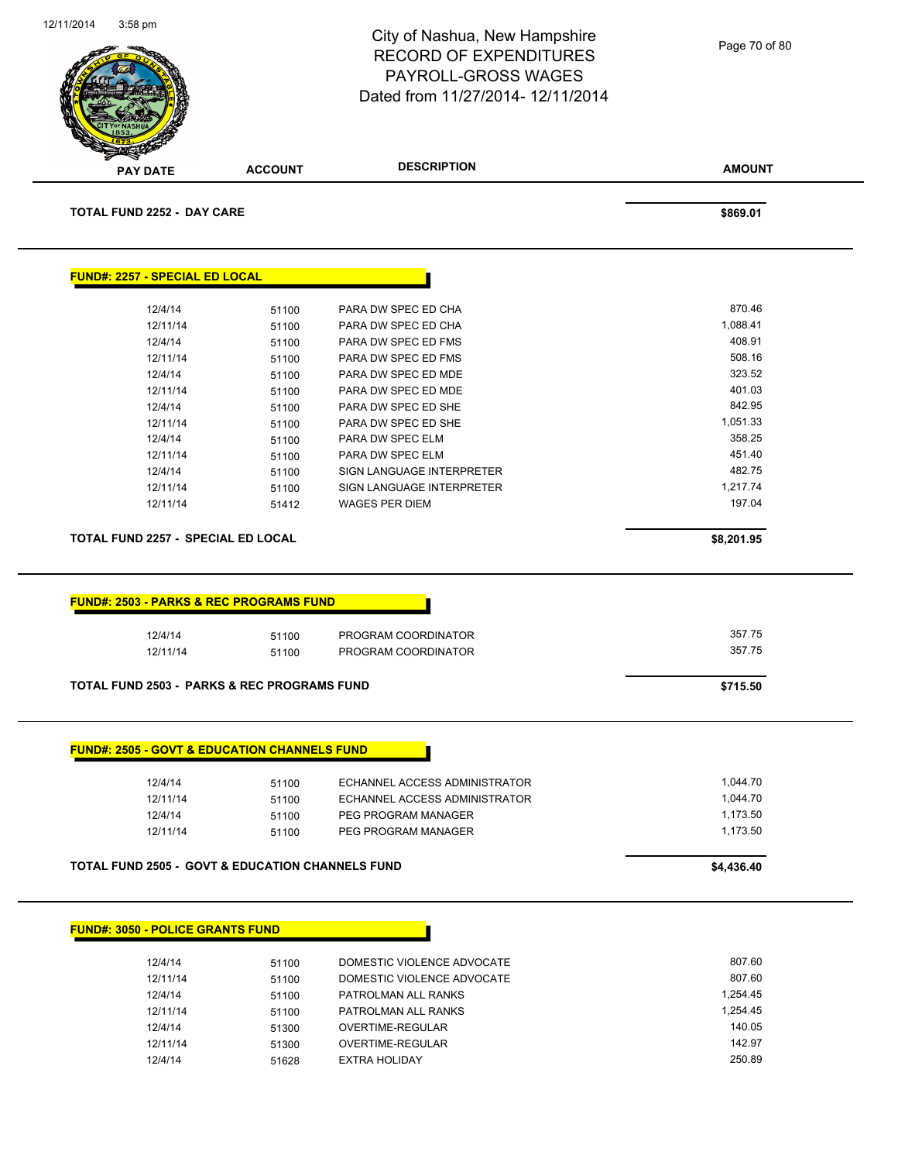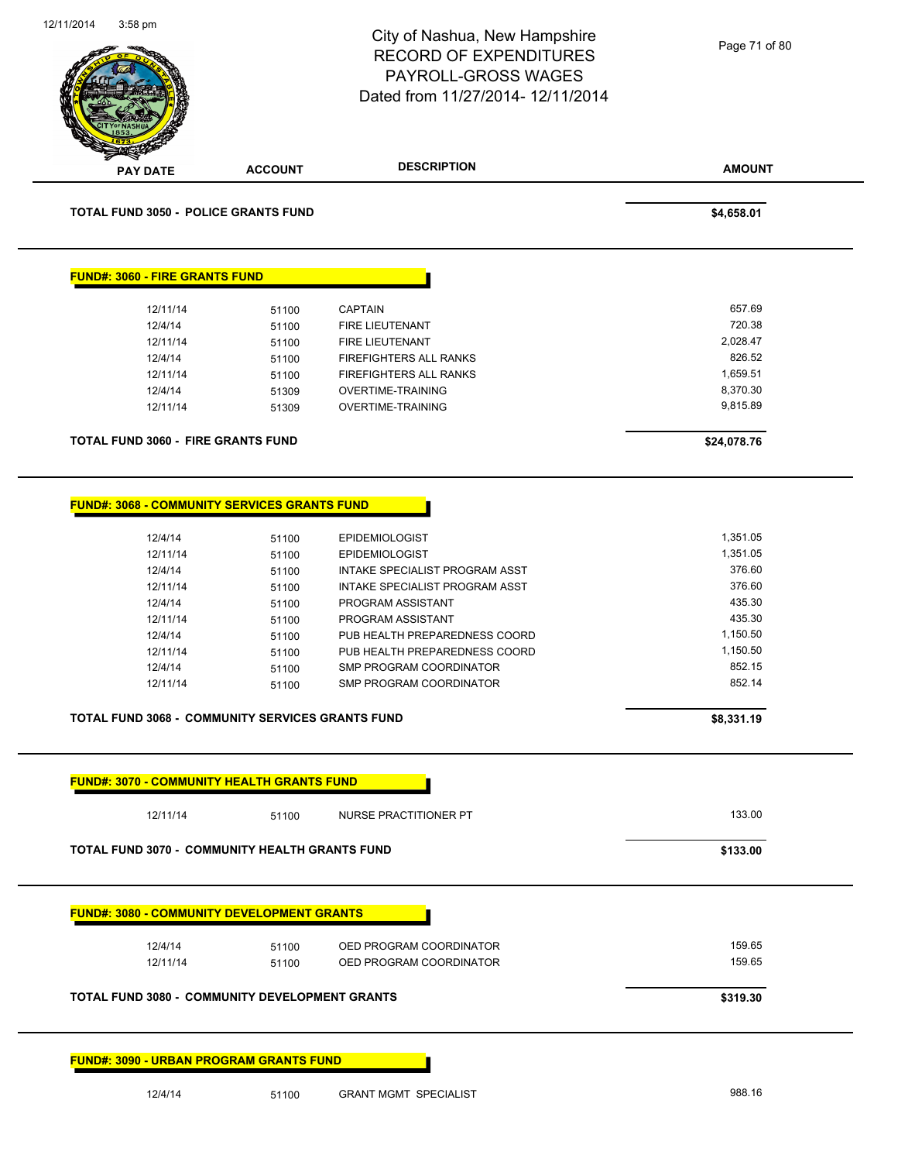| 12/11/2014<br>$3:58$ pm                                                                                                           |                                                             | City of Nashua, New Hampshire<br><b>RECORD OF EXPENDITURES</b><br>PAYROLL-GROSS WAGES<br>Dated from 11/27/2014-12/11/2014                                                                        | Page 71 of 80                                                                        |
|-----------------------------------------------------------------------------------------------------------------------------------|-------------------------------------------------------------|--------------------------------------------------------------------------------------------------------------------------------------------------------------------------------------------------|--------------------------------------------------------------------------------------|
| PAY DATE                                                                                                                          | <b>ACCOUNT</b>                                              | <b>DESCRIPTION</b>                                                                                                                                                                               | <b>AMOUNT</b>                                                                        |
| <b>TOTAL FUND 3050 - POLICE GRANTS FUND</b>                                                                                       |                                                             |                                                                                                                                                                                                  | \$4,658.01                                                                           |
| <b>FUND#: 3060 - FIRE GRANTS FUND</b>                                                                                             |                                                             |                                                                                                                                                                                                  |                                                                                      |
| 12/11/14                                                                                                                          | 51100                                                       | <b>CAPTAIN</b>                                                                                                                                                                                   | 657.69                                                                               |
| 12/4/14                                                                                                                           | 51100                                                       | FIRE LIEUTENANT                                                                                                                                                                                  | 720.38                                                                               |
| 12/11/14                                                                                                                          | 51100                                                       | FIRE LIEUTENANT                                                                                                                                                                                  | 2,028.47                                                                             |
| 12/4/14                                                                                                                           | 51100                                                       | FIREFIGHTERS ALL RANKS                                                                                                                                                                           | 826.52                                                                               |
| 12/11/14                                                                                                                          | 51100                                                       | FIREFIGHTERS ALL RANKS                                                                                                                                                                           | 1,659.51                                                                             |
| 12/4/14                                                                                                                           | 51309                                                       | OVERTIME-TRAINING                                                                                                                                                                                | 8,370.30                                                                             |
| 12/11/14                                                                                                                          | 51309                                                       | OVERTIME-TRAINING                                                                                                                                                                                | 9,815.89                                                                             |
| <b>TOTAL FUND 3060 - FIRE GRANTS FUND</b>                                                                                         |                                                             |                                                                                                                                                                                                  | \$24,078.76                                                                          |
| 12/11/14<br>12/4/14<br>12/11/14<br>12/4/14<br>12/11/14<br>12/4/14<br>12/11/14<br>TOTAL FUND 3068 - COMMUNITY SERVICES GRANTS FUND | 51100<br>51100<br>51100<br>51100<br>51100<br>51100<br>51100 | INTAKE SPECIALIST PROGRAM ASST<br>PROGRAM ASSISTANT<br>PROGRAM ASSISTANT<br>PUB HEALTH PREPAREDNESS COORD<br>PUB HEALTH PREPAREDNESS COORD<br>SMP PROGRAM COORDINATOR<br>SMP PROGRAM COORDINATOR | 376.60<br>435.30<br>435.30<br>1,150.50<br>1,150.50<br>852.15<br>852.14<br>\$8,331.19 |
| <b>FUND#: 3070 - COMMUNITY HEALTH GRANTS FUND</b>                                                                                 |                                                             |                                                                                                                                                                                                  |                                                                                      |
| 12/11/14                                                                                                                          | 51100                                                       | NURSE PRACTITIONER PT                                                                                                                                                                            | 133.00                                                                               |
| <b>TOTAL FUND 3070 - COMMUNITY HEALTH GRANTS FUND</b>                                                                             |                                                             |                                                                                                                                                                                                  | \$133.00                                                                             |
| <b>FUND#: 3080 - COMMUNITY DEVELOPMENT GRANTS</b>                                                                                 |                                                             |                                                                                                                                                                                                  |                                                                                      |
| 12/4/14                                                                                                                           | 51100                                                       | OED PROGRAM COORDINATOR                                                                                                                                                                          | 159.65                                                                               |
| 12/11/14                                                                                                                          | 51100                                                       | OED PROGRAM COORDINATOR                                                                                                                                                                          | 159.65                                                                               |
| <b>TOTAL FUND 3080 - COMMUNITY DEVELOPMENT GRANTS</b>                                                                             |                                                             |                                                                                                                                                                                                  | \$319.30                                                                             |
| <b>FUND#: 3090 - URBAN PROGRAM GRANTS FUND</b>                                                                                    |                                                             |                                                                                                                                                                                                  |                                                                                      |
| 12/4/14                                                                                                                           | 51100                                                       | <b>GRANT MGMT SPECIALIST</b>                                                                                                                                                                     | 988.16                                                                               |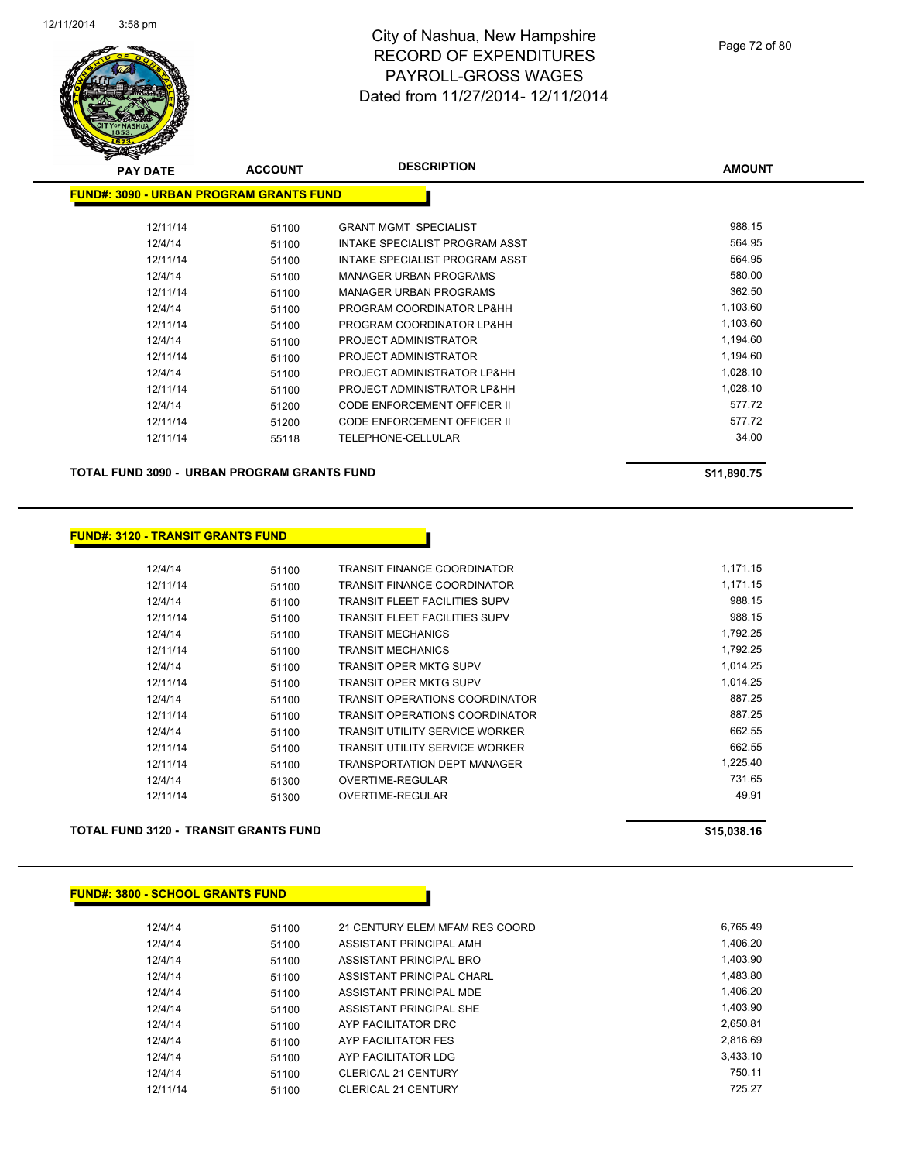

| <b>PAY DATE</b>                                | <b>ACCOUNT</b> | <b>DESCRIPTION</b>                 | <b>AMOUNT</b> |
|------------------------------------------------|----------------|------------------------------------|---------------|
| <b>FUND#: 3090 - URBAN PROGRAM GRANTS FUND</b> |                |                                    |               |
|                                                |                |                                    |               |
| 12/11/14                                       | 51100          | <b>GRANT MGMT SPECIALIST</b>       | 988.15        |
| 12/4/14                                        | 51100          | INTAKE SPECIALIST PROGRAM ASST     | 564.95        |
| 12/11/14                                       | 51100          | INTAKE SPECIALIST PROGRAM ASST     | 564.95        |
| 12/4/14                                        | 51100          | <b>MANAGER URBAN PROGRAMS</b>      | 580.00        |
| 12/11/14                                       | 51100          | <b>MANAGER URBAN PROGRAMS</b>      | 362.50        |
| 12/4/14                                        | 51100          | PROGRAM COORDINATOR LP&HH          | 1,103.60      |
| 12/11/14                                       | 51100          | PROGRAM COORDINATOR LP&HH          | 1,103.60      |
| 12/4/14                                        | 51100          | PROJECT ADMINISTRATOR              | 1,194.60      |
| 12/11/14                                       | 51100          | PROJECT ADMINISTRATOR              | 1,194.60      |
| 12/4/14                                        | 51100          | PROJECT ADMINISTRATOR LP&HH        | 1,028.10      |
| 12/11/14                                       | 51100          | PROJECT ADMINISTRATOR LP&HH        | 1,028.10      |
| 12/4/14                                        | 51200          | <b>CODE ENFORCEMENT OFFICER II</b> | 577.72        |
| 12/11/14                                       | 51200          | <b>CODE ENFORCEMENT OFFICER II</b> | 577.72        |
| 12/11/14                                       | 55118          | <b>TELEPHONE-CELLULAR</b>          | 34.00         |
|                                                |                |                                    |               |

**TOTAL FUND 3090 - URBAN PROGRAM GRANTS FUND \$11,890.75** 

#### **FUND#: 3120 - TRANSIT GRANTS FUND**

| 12/4/14  | 51100 | TRANSIT FINANCE COORDINATOR           | 1.171.15 |
|----------|-------|---------------------------------------|----------|
| 12/11/14 | 51100 | TRANSIT FINANCE COORDINATOR           | 1,171.15 |
| 12/4/14  | 51100 | <b>TRANSIT FLEET FACILITIES SUPV</b>  | 988.15   |
| 12/11/14 | 51100 | TRANSIT FLEET FACILITIES SUPV         | 988.15   |
| 12/4/14  | 51100 | <b>TRANSIT MECHANICS</b>              | 1,792.25 |
| 12/11/14 | 51100 | <b>TRANSIT MECHANICS</b>              | 1.792.25 |
| 12/4/14  | 51100 | TRANSIT OPER MKTG SUPV                | 1,014.25 |
| 12/11/14 | 51100 | TRANSIT OPER MKTG SUPV                | 1.014.25 |
| 12/4/14  | 51100 | <b>TRANSIT OPERATIONS COORDINATOR</b> | 887.25   |
| 12/11/14 | 51100 | TRANSIT OPERATIONS COORDINATOR        | 887.25   |
| 12/4/14  | 51100 | <b>TRANSIT UTILITY SERVICE WORKER</b> | 662.55   |
| 12/11/14 | 51100 | TRANSIT UTILITY SERVICE WORKER        | 662.55   |
| 12/11/14 | 51100 | TRANSPORTATION DEPT MANAGER           | 1.225.40 |
| 12/4/14  | 51300 | OVERTIME-REGULAR                      | 731.65   |
| 12/11/14 | 51300 | OVERTIME-REGULAR                      | 49.91    |
|          |       |                                       |          |

#### **TOTAL FUND 3120 - TRANSIT GRANTS FUND \$15,038.16**

| <b>FUND#: 3800 - SCHOOL GRANTS FUND</b> |  |
|-----------------------------------------|--|
|-----------------------------------------|--|

| 12/4/14  | 51100 | 21 CENTURY ELEM MFAM RES COORD | 6.765.49 |
|----------|-------|--------------------------------|----------|
| 12/4/14  | 51100 | ASSISTANT PRINCIPAL AMH        | 1,406.20 |
| 12/4/14  | 51100 | ASSISTANT PRINCIPAL BRO        | 1.403.90 |
| 12/4/14  | 51100 | ASSISTANT PRINCIPAL CHARL      | 1,483.80 |
| 12/4/14  | 51100 | ASSISTANT PRINCIPAL MDE        | 1,406.20 |
| 12/4/14  | 51100 | ASSISTANT PRINCIPAL SHE        | 1.403.90 |
| 12/4/14  | 51100 | AYP FACILITATOR DRC            | 2,650.81 |
| 12/4/14  | 51100 | AYP FACILITATOR FES            | 2.816.69 |
| 12/4/14  | 51100 | AYP FACILITATOR LDG            | 3.433.10 |
| 12/4/14  | 51100 | <b>CLERICAL 21 CENTURY</b>     | 750.11   |
| 12/11/14 | 51100 | <b>CLERICAL 21 CENTURY</b>     | 725.27   |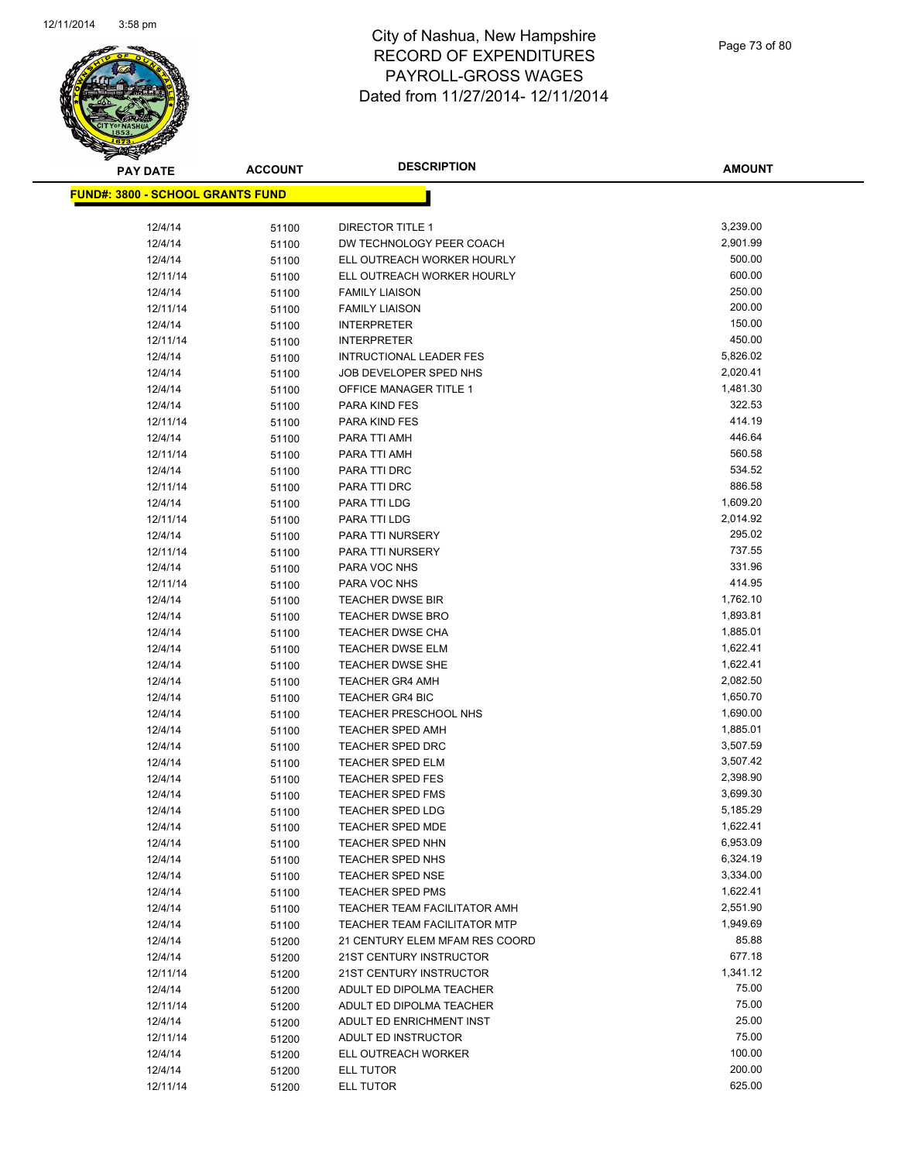

| <b>PAY DATE</b>                          | <b>ACCOUNT</b> | <b>DESCRIPTION</b>                                 | <b>AMOUNT</b>        |
|------------------------------------------|----------------|----------------------------------------------------|----------------------|
| <u> FUND#: 3800 - SCHOOL GRANTS FUND</u> |                |                                                    |                      |
|                                          |                |                                                    |                      |
| 12/4/14                                  | 51100          | <b>DIRECTOR TITLE 1</b>                            | 3,239.00             |
| 12/4/14                                  | 51100          | DW TECHNOLOGY PEER COACH                           | 2,901.99             |
| 12/4/14                                  | 51100          | ELL OUTREACH WORKER HOURLY                         | 500.00               |
| 12/11/14                                 | 51100          | ELL OUTREACH WORKER HOURLY                         | 600.00               |
| 12/4/14                                  | 51100          | <b>FAMILY LIAISON</b>                              | 250.00               |
| 12/11/14                                 | 51100          | <b>FAMILY LIAISON</b>                              | 200.00               |
| 12/4/14                                  | 51100          | <b>INTERPRETER</b>                                 | 150.00               |
| 12/11/14                                 | 51100          | <b>INTERPRETER</b>                                 | 450.00               |
| 12/4/14                                  | 51100          | <b>INTRUCTIONAL LEADER FES</b>                     | 5,826.02             |
| 12/4/14                                  | 51100          | JOB DEVELOPER SPED NHS                             | 2,020.41             |
| 12/4/14                                  | 51100          | OFFICE MANAGER TITLE 1                             | 1,481.30             |
| 12/4/14                                  | 51100          | PARA KIND FES                                      | 322.53               |
| 12/11/14                                 | 51100          | PARA KIND FES                                      | 414.19               |
| 12/4/14                                  | 51100          | PARA TTI AMH                                       | 446.64               |
| 12/11/14                                 | 51100          | PARA TTI AMH                                       | 560.58               |
| 12/4/14                                  | 51100          | PARA TTI DRC                                       | 534.52               |
| 12/11/14                                 | 51100          | PARA TTI DRC                                       | 886.58               |
| 12/4/14                                  | 51100          | PARA TTI LDG                                       | 1,609.20             |
| 12/11/14                                 | 51100          | PARA TTI LDG                                       | 2,014.92             |
| 12/4/14                                  | 51100          | PARA TTI NURSERY                                   | 295.02               |
| 12/11/14                                 | 51100          | PARA TTI NURSERY                                   | 737.55               |
| 12/4/14                                  | 51100          | PARA VOC NHS                                       | 331.96               |
| 12/11/14                                 | 51100          | PARA VOC NHS                                       | 414.95               |
| 12/4/14                                  | 51100          | <b>TEACHER DWSE BIR</b>                            | 1,762.10             |
| 12/4/14                                  | 51100          | <b>TEACHER DWSE BRO</b>                            | 1,893.81             |
| 12/4/14                                  | 51100          | <b>TEACHER DWSE CHA</b>                            | 1,885.01             |
| 12/4/14                                  | 51100          | <b>TEACHER DWSE ELM</b>                            | 1,622.41             |
| 12/4/14                                  | 51100          | TEACHER DWSE SHE                                   | 1,622.41             |
| 12/4/14                                  | 51100          | <b>TEACHER GR4 AMH</b>                             | 2,082.50             |
| 12/4/14                                  | 51100          | <b>TEACHER GR4 BIC</b>                             | 1,650.70             |
| 12/4/14                                  | 51100          | TEACHER PRESCHOOL NHS                              | 1,690.00             |
| 12/4/14                                  | 51100          | <b>TEACHER SPED AMH</b>                            | 1,885.01             |
| 12/4/14                                  | 51100          | <b>TEACHER SPED DRC</b>                            | 3,507.59             |
| 12/4/14                                  | 51100          | TEACHER SPED ELM                                   | 3,507.42             |
| 12/4/14                                  | 51100          | <b>TEACHER SPED FES</b>                            | 2,398.90             |
| 12/4/14                                  | 51100          | <b>TEACHER SPED FMS</b>                            | 3,699.30             |
| 12/4/14                                  | 51100          | <b>TEACHER SPED LDG</b>                            | 5,185.29             |
| 12/4/14                                  | 51100          | TEACHER SPED MDE                                   | 1,622.41<br>6,953.09 |
| 12/4/14                                  | 51100          | <b>TEACHER SPED NHN</b>                            | 6,324.19             |
| 12/4/14                                  | 51100          | TEACHER SPED NHS                                   | 3,334.00             |
| 12/4/14<br>12/4/14                       | 51100          | <b>TEACHER SPED NSE</b><br><b>TEACHER SPED PMS</b> | 1,622.41             |
| 12/4/14                                  | 51100          | TEACHER TEAM FACILITATOR AMH                       | 2,551.90             |
| 12/4/14                                  | 51100          | <b>TEACHER TEAM FACILITATOR MTP</b>                | 1,949.69             |
| 12/4/14                                  | 51100<br>51200 | 21 CENTURY ELEM MFAM RES COORD                     | 85.88                |
| 12/4/14                                  | 51200          | 21ST CENTURY INSTRUCTOR                            | 677.18               |
| 12/11/14                                 | 51200          | 21ST CENTURY INSTRUCTOR                            | 1,341.12             |
| 12/4/14                                  | 51200          | ADULT ED DIPOLMA TEACHER                           | 75.00                |
| 12/11/14                                 | 51200          | ADULT ED DIPOLMA TEACHER                           | 75.00                |
| 12/4/14                                  | 51200          | ADULT ED ENRICHMENT INST                           | 25.00                |
| 12/11/14                                 | 51200          | ADULT ED INSTRUCTOR                                | 75.00                |
| 12/4/14                                  | 51200          | ELL OUTREACH WORKER                                | 100.00               |
| 12/4/14                                  | 51200          | ELL TUTOR                                          | 200.00               |
| 12/11/14                                 | 51200          | ELL TUTOR                                          | 625.00               |
|                                          |                |                                                    |                      |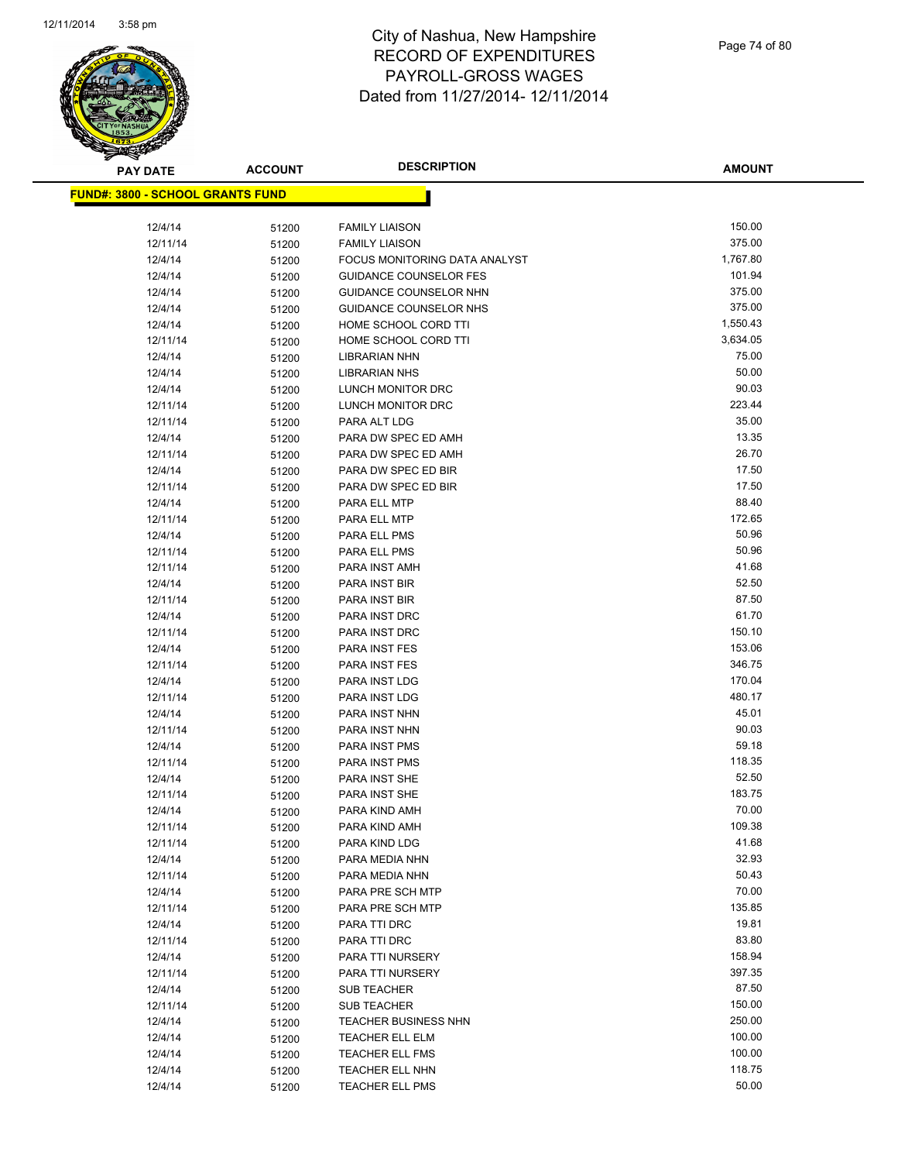

| <b>PAY DATE</b>                          | <b>ACCOUNT</b> | <b>DESCRIPTION</b>             | <b>AMOUNT</b>    |
|------------------------------------------|----------------|--------------------------------|------------------|
| <u> FUND#: 3800 - SCHOOL GRANTS FUND</u> |                |                                |                  |
|                                          |                |                                |                  |
| 12/4/14                                  | 51200          | <b>FAMILY LIAISON</b>          | 150.00           |
| 12/11/14                                 | 51200          | <b>FAMILY LIAISON</b>          | 375.00           |
| 12/4/14                                  | 51200          | FOCUS MONITORING DATA ANALYST  | 1,767.80         |
| 12/4/14                                  | 51200          | <b>GUIDANCE COUNSELOR FES</b>  | 101.94           |
| 12/4/14                                  | 51200          | GUIDANCE COUNSELOR NHN         | 375.00           |
| 12/4/14                                  | 51200          | GUIDANCE COUNSELOR NHS         | 375.00           |
| 12/4/14                                  | 51200          | HOME SCHOOL CORD TTI           | 1,550.43         |
| 12/11/14                                 | 51200          | HOME SCHOOL CORD TTI           | 3,634.05         |
| 12/4/14                                  | 51200          | LIBRARIAN NHN                  | 75.00            |
| 12/4/14                                  | 51200          | <b>LIBRARIAN NHS</b>           | 50.00            |
| 12/4/14                                  | 51200          | LUNCH MONITOR DRC              | 90.03            |
| 12/11/14                                 | 51200          | LUNCH MONITOR DRC              | 223.44           |
| 12/11/14                                 | 51200          | PARA ALT LDG                   | 35.00            |
| 12/4/14                                  | 51200          | PARA DW SPEC ED AMH            | 13.35            |
| 12/11/14                                 | 51200          | PARA DW SPEC ED AMH            | 26.70            |
| 12/4/14                                  | 51200          | PARA DW SPEC ED BIR            | 17.50            |
| 12/11/14                                 | 51200          | PARA DW SPEC ED BIR            | 17.50            |
| 12/4/14                                  | 51200          | PARA ELL MTP                   | 88.40            |
| 12/11/14                                 | 51200          | PARA ELL MTP                   | 172.65           |
| 12/4/14                                  | 51200          | PARA ELL PMS                   | 50.96            |
| 12/11/14                                 | 51200          | PARA ELL PMS                   | 50.96            |
| 12/11/14                                 | 51200          | PARA INST AMH                  | 41.68            |
| 12/4/14                                  | 51200          | PARA INST BIR                  | 52.50            |
| 12/11/14                                 | 51200          | PARA INST BIR                  | 87.50            |
| 12/4/14                                  | 51200          | PARA INST DRC                  | 61.70            |
| 12/11/14                                 | 51200          | PARA INST DRC                  | 150.10           |
| 12/4/14                                  | 51200          | PARA INST FES                  | 153.06           |
| 12/11/14                                 | 51200          | PARA INST FES                  | 346.75<br>170.04 |
| 12/4/14                                  | 51200          | PARA INST LDG                  | 480.17           |
| 12/11/14<br>12/4/14                      | 51200          | PARA INST LDG<br>PARA INST NHN | 45.01            |
| 12/11/14                                 | 51200<br>51200 | PARA INST NHN                  | 90.03            |
| 12/4/14                                  | 51200          | PARA INST PMS                  | 59.18            |
| 12/11/14                                 | 51200          | PARA INST PMS                  | 118.35           |
| 12/4/14                                  | 51200          | PARA INST SHE                  | 52.50            |
| 12/11/14                                 | 51200          | PARA INST SHE                  | 183.75           |
| 12/4/14                                  | 51200          | PARA KIND AMH                  | 70.00            |
| 12/11/14                                 | 51200          | PARA KIND AMH                  | 109.38           |
| 12/11/14                                 | 51200          | PARA KIND LDG                  | 41.68            |
| 12/4/14                                  | 51200          | PARA MEDIA NHN                 | 32.93            |
| 12/11/14                                 | 51200          | PARA MEDIA NHN                 | 50.43            |
| 12/4/14                                  | 51200          | PARA PRE SCH MTP               | 70.00            |
| 12/11/14                                 | 51200          | PARA PRE SCH MTP               | 135.85           |
| 12/4/14                                  | 51200          | PARA TTI DRC                   | 19.81            |
| 12/11/14                                 | 51200          | PARA TTI DRC                   | 83.80            |
| 12/4/14                                  | 51200          | PARA TTI NURSERY               | 158.94           |
| 12/11/14                                 | 51200          | PARA TTI NURSERY               | 397.35           |
| 12/4/14                                  | 51200          | <b>SUB TEACHER</b>             | 87.50            |
| 12/11/14                                 | 51200          | <b>SUB TEACHER</b>             | 150.00           |
| 12/4/14                                  | 51200          | TEACHER BUSINESS NHN           | 250.00           |
| 12/4/14                                  | 51200          | TEACHER ELL ELM                | 100.00           |
| 12/4/14                                  | 51200          | <b>TEACHER ELL FMS</b>         | 100.00           |
| 12/4/14                                  | 51200          | TEACHER ELL NHN                | 118.75           |
| 12/4/14                                  | 51200          | <b>TEACHER ELL PMS</b>         | 50.00            |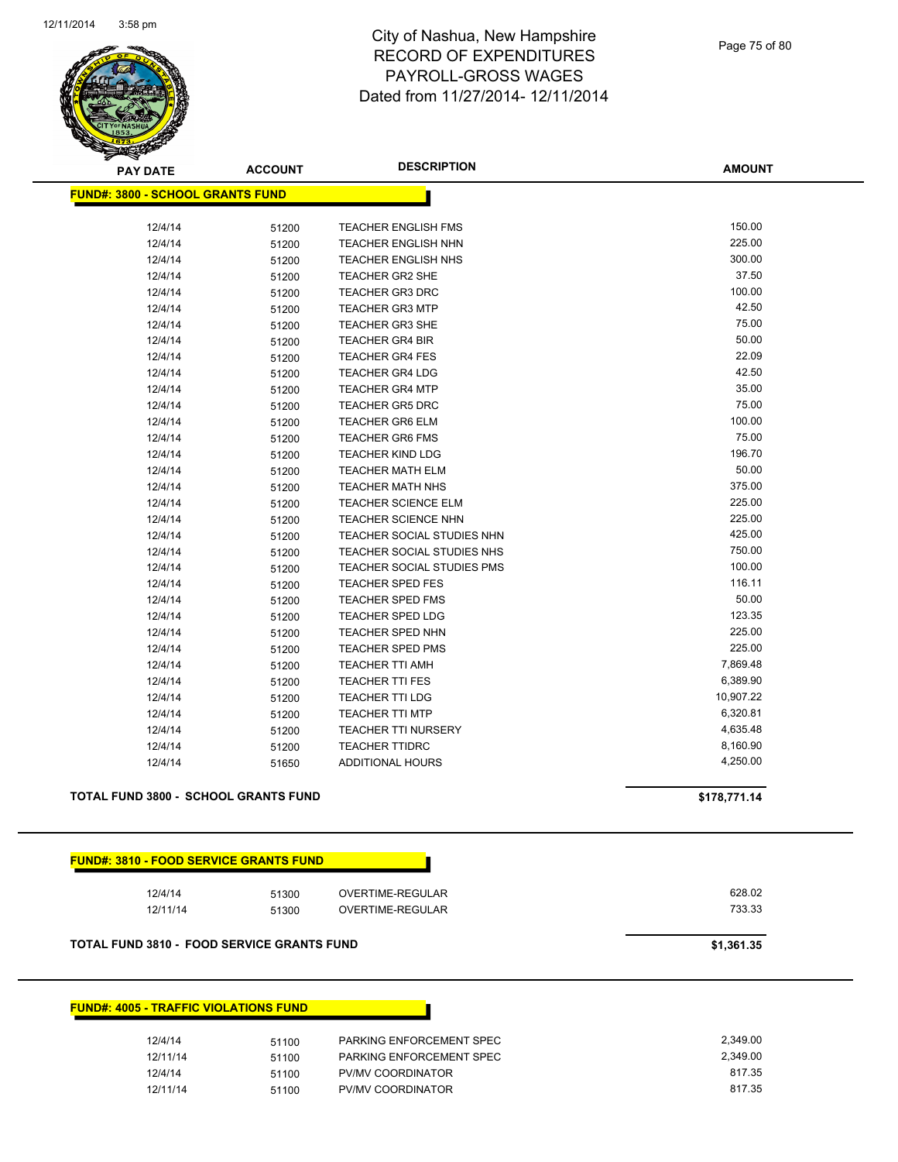

Page 75 of 80

| <b>PAY DATE</b>                                   | <b>ACCOUNT</b> | <b>DESCRIPTION</b>         | <b>AMOUNT</b> |
|---------------------------------------------------|----------------|----------------------------|---------------|
| <b>FUND#: 3800 - SCHOOL GRANTS FUND</b>           |                |                            |               |
|                                                   |                |                            |               |
| 12/4/14                                           | 51200          | <b>TEACHER ENGLISH FMS</b> | 150.00        |
| 12/4/14                                           | 51200          | <b>TEACHER ENGLISH NHN</b> | 225.00        |
| 12/4/14                                           | 51200          | <b>TEACHER ENGLISH NHS</b> | 300.00        |
| 12/4/14                                           | 51200          | TEACHER GR2 SHE            | 37.50         |
| 12/4/14                                           | 51200          | <b>TEACHER GR3 DRC</b>     | 100.00        |
| 12/4/14                                           | 51200          | <b>TEACHER GR3 MTP</b>     | 42.50         |
| 12/4/14                                           | 51200          | <b>TEACHER GR3 SHE</b>     | 75.00         |
| 12/4/14                                           | 51200          | <b>TEACHER GR4 BIR</b>     | 50.00         |
| 12/4/14                                           | 51200          | <b>TEACHER GR4 FES</b>     | 22.09         |
| 12/4/14                                           | 51200          | <b>TEACHER GR4 LDG</b>     | 42.50         |
| 12/4/14                                           | 51200          | <b>TEACHER GR4 MTP</b>     | 35.00         |
| 12/4/14                                           | 51200          | <b>TEACHER GR5 DRC</b>     | 75.00         |
| 12/4/14                                           | 51200          | <b>TEACHER GR6 ELM</b>     | 100.00        |
| 12/4/14                                           | 51200          | <b>TEACHER GR6 FMS</b>     | 75.00         |
| 12/4/14                                           | 51200          | <b>TEACHER KIND LDG</b>    | 196.70        |
| 12/4/14                                           | 51200          | <b>TEACHER MATH ELM</b>    | 50.00         |
| 12/4/14                                           | 51200          | <b>TEACHER MATH NHS</b>    | 375.00        |
| 12/4/14                                           | 51200          | <b>TEACHER SCIENCE ELM</b> | 225.00        |
| 12/4/14                                           | 51200          | <b>TEACHER SCIENCE NHN</b> | 225.00        |
| 12/4/14                                           | 51200          | TEACHER SOCIAL STUDIES NHN | 425.00        |
| 12/4/14                                           | 51200          | TEACHER SOCIAL STUDIES NHS | 750.00        |
| 12/4/14                                           | 51200          | TEACHER SOCIAL STUDIES PMS | 100.00        |
| 12/4/14                                           | 51200          | <b>TEACHER SPED FES</b>    | 116.11        |
| 12/4/14                                           | 51200          | <b>TEACHER SPED FMS</b>    | 50.00         |
| 12/4/14                                           | 51200          | <b>TEACHER SPED LDG</b>    | 123.35        |
| 12/4/14                                           | 51200          | <b>TEACHER SPED NHN</b>    | 225.00        |
| 12/4/14                                           | 51200          | <b>TEACHER SPED PMS</b>    | 225.00        |
| 12/4/14                                           | 51200          | <b>TEACHER TTI AMH</b>     | 7,869.48      |
| 12/4/14                                           | 51200          | <b>TEACHER TTI FES</b>     | 6,389.90      |
| 12/4/14                                           | 51200          | <b>TEACHER TTI LDG</b>     | 10,907.22     |
| 12/4/14                                           | 51200          | <b>TEACHER TTI MTP</b>     | 6,320.81      |
| 12/4/14                                           | 51200          | <b>TEACHER TTI NURSERY</b> | 4,635.48      |
| 12/4/14                                           | 51200          | <b>TEACHER TTIDRC</b>      | 8,160.90      |
| 12/4/14                                           | 51650          | ADDITIONAL HOURS           | 4,250.00      |
|                                                   |                |                            |               |
| <b>TOTAL FUND 3800 - SCHOOL GRANTS FUND</b>       |                |                            | \$178,771.14  |
| <b>FUND#: 3810 - FOOD SERVICE GRANTS FUND</b>     |                |                            |               |
| 12/4/14                                           | 51300          | OVERTIME-REGULAR           | 628.02        |
| 12/11/14                                          | 51300          | OVERTIME-REGULAR           | 733.33        |
|                                                   |                |                            |               |
| <b>TOTAL FUND 3810 - FOOD SERVICE GRANTS FUND</b> |                |                            | \$1,361.35    |
| <b>FUND#: 4005 - TRAFFIC VIOLATIONS FUND</b>      |                |                            |               |
| 12/4/14                                           | 51100          | PARKING ENFORCEMENT SPEC   | 2,349.00      |
| 12/11/14                                          | 51100          | PARKING ENFORCEMENT SPEC   | 2,349.00      |
| 12/4/14                                           | 51100          | PV/MV COORDINATOR          | 817.35        |
| 12/11/14                                          | 51100          | PV/MV COORDINATOR          | 817.35        |
|                                                   |                |                            |               |
|                                                   |                |                            |               |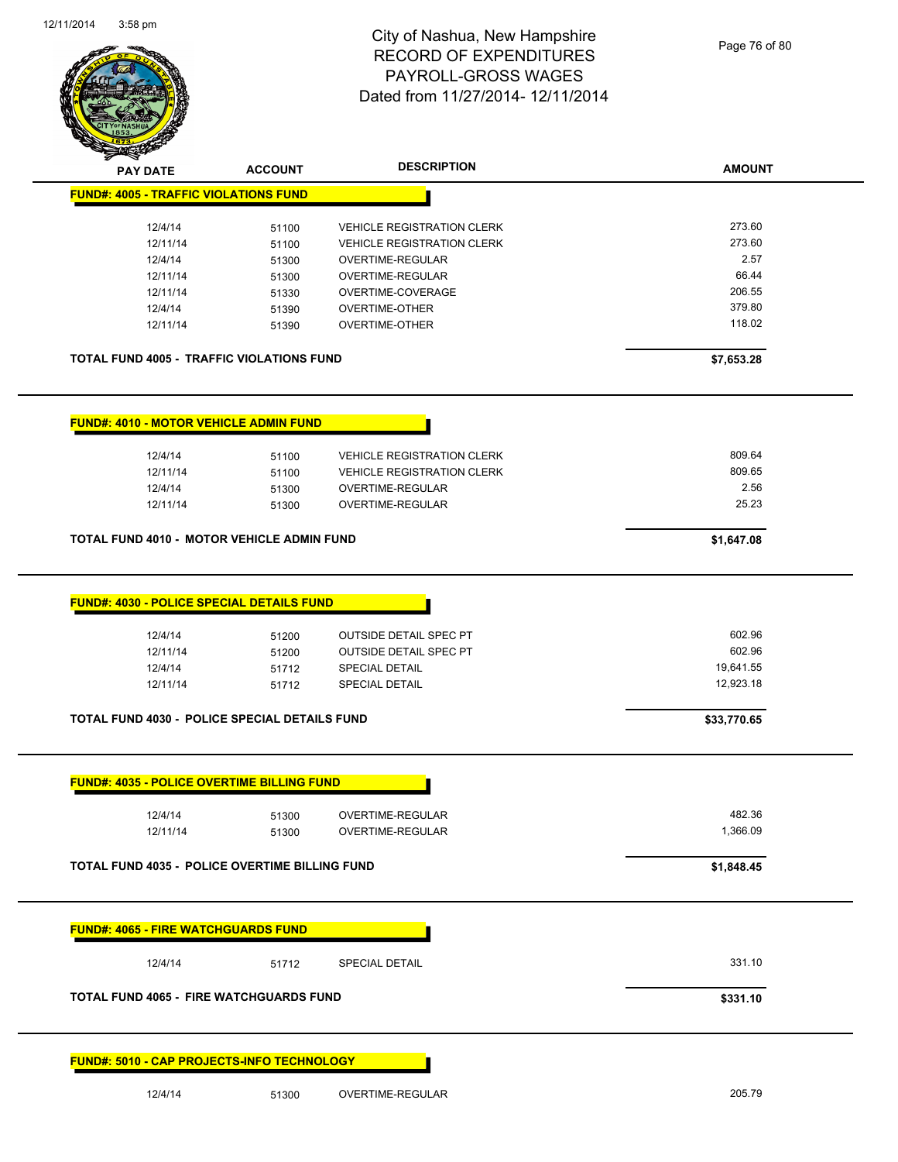

Page 76 of 80

| <b>STARS</b>                                                                     |                                  |                                                                                 |                                                 |
|----------------------------------------------------------------------------------|----------------------------------|---------------------------------------------------------------------------------|-------------------------------------------------|
| <b>PAY DATE</b>                                                                  | <b>ACCOUNT</b>                   | <b>DESCRIPTION</b>                                                              | <b>AMOUNT</b>                                   |
| <b>FUND#: 4005 - TRAFFIC VIOLATIONS FUND</b>                                     |                                  |                                                                                 |                                                 |
| 12/4/14                                                                          | 51100                            | <b>VEHICLE REGISTRATION CLERK</b>                                               | 273.60                                          |
| 12/11/14                                                                         | 51100                            | <b>VEHICLE REGISTRATION CLERK</b>                                               | 273.60                                          |
| 12/4/14                                                                          |                                  | OVERTIME-REGULAR                                                                | 2.57                                            |
|                                                                                  | 51300                            |                                                                                 | 66.44                                           |
| 12/11/14                                                                         | 51300                            | OVERTIME-REGULAR                                                                |                                                 |
| 12/11/14                                                                         | 51330                            | OVERTIME-COVERAGE                                                               | 206.55                                          |
| 12/4/14<br>12/11/14                                                              | 51390<br>51390                   | <b>OVERTIME-OTHER</b><br><b>OVERTIME-OTHER</b>                                  | 379.80<br>118.02                                |
| <b>TOTAL FUND 4005 - TRAFFIC VIOLATIONS FUND</b>                                 |                                  |                                                                                 | \$7,653.28                                      |
| <b>FUND#: 4010 - MOTOR VEHICLE ADMIN FUND</b>                                    |                                  |                                                                                 |                                                 |
| 12/4/14                                                                          | 51100                            | <b>VEHICLE REGISTRATION CLERK</b>                                               | 809.64                                          |
| 12/11/14                                                                         | 51100                            | <b>VEHICLE REGISTRATION CLERK</b>                                               | 809.65                                          |
| 12/4/14                                                                          | 51300                            | <b>OVERTIME-REGULAR</b>                                                         | 2.56                                            |
| 12/11/14                                                                         | 51300                            | OVERTIME-REGULAR                                                                | 25.23                                           |
| <b>TOTAL FUND 4010 - MOTOR VEHICLE ADMIN FUND</b>                                |                                  |                                                                                 | \$1,647.08                                      |
| 12/11/14<br>12/4/14<br>12/11/14<br>TOTAL FUND 4030 - POLICE SPECIAL DETAILS FUND | 51200<br>51200<br>51712<br>51712 | <b>OUTSIDE DETAIL SPEC PT</b><br><b>SPECIAL DETAIL</b><br><b>SPECIAL DETAIL</b> | 602.96<br>19,641.55<br>12,923.18<br>\$33,770.65 |
| <b>FUND#: 4035 - POLICE OVERTIME BILLING FUND</b>                                |                                  |                                                                                 |                                                 |
| 12/4/14                                                                          | 51300                            | OVERTIME-REGULAR                                                                | 482.36                                          |
| 12/11/14                                                                         | 51300                            | OVERTIME-REGULAR                                                                | 1,366.09                                        |
| <b>TOTAL FUND 4035 - POLICE OVERTIME BILLING FUND</b>                            |                                  |                                                                                 | \$1,848.45                                      |
| <b>FUND#: 4065 - FIRE WATCHGUARDS FUND</b>                                       |                                  |                                                                                 |                                                 |
| 12/4/14                                                                          | 51712                            | SPECIAL DETAIL                                                                  | 331.10                                          |
| <b>TOTAL FUND 4065 - FIRE WATCHGUARDS FUND</b>                                   |                                  |                                                                                 | \$331.10                                        |
| FUND#: 5010 - CAP PROJECTS-INFO TECHNOLOGY                                       |                                  |                                                                                 |                                                 |
| 12/4/14                                                                          | 51300                            | OVERTIME-REGULAR                                                                | 205.79                                          |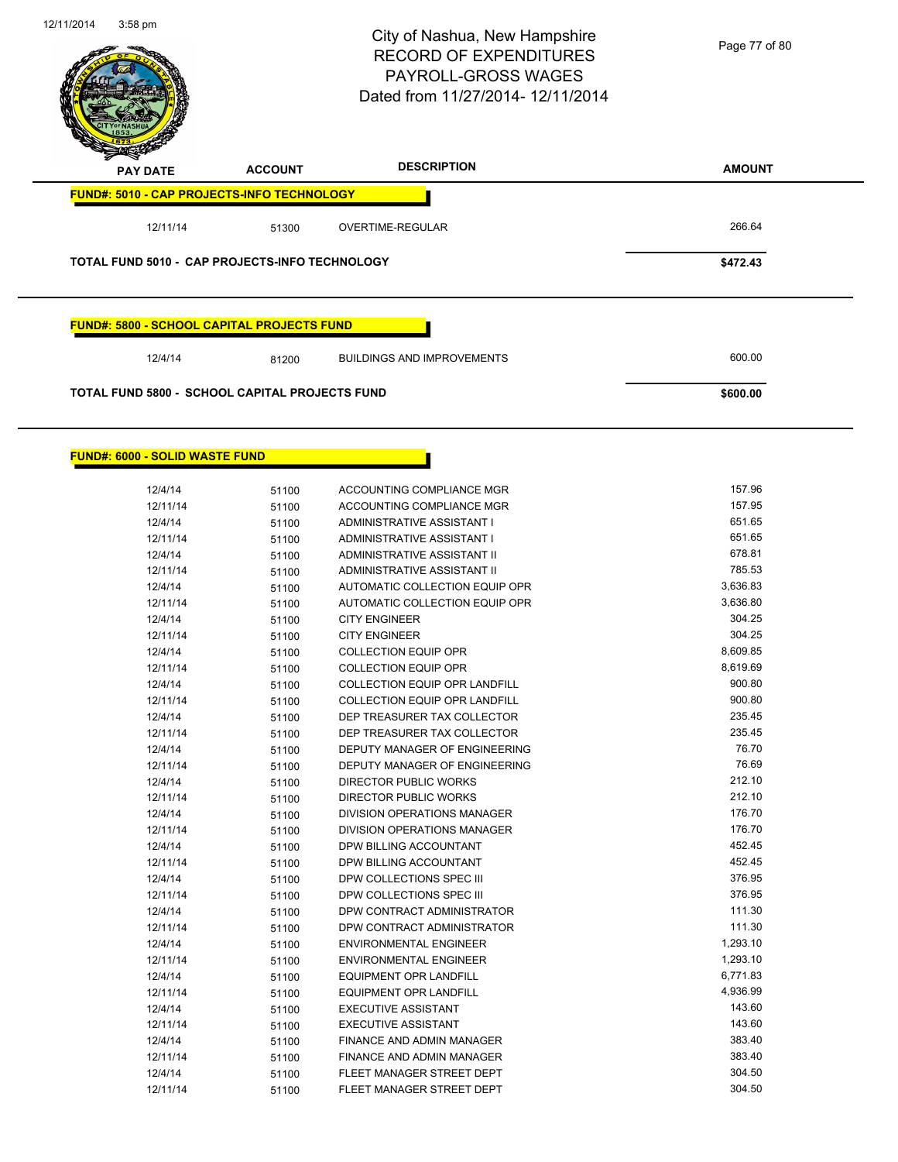

Page 77 of 80

| <b>PAY DATE</b>                                       | <b>ACCOUNT</b> | <b>DESCRIPTION</b>                | <b>AMOUNT</b> |
|-------------------------------------------------------|----------------|-----------------------------------|---------------|
| <b>FUND#: 5010 - CAP PROJECTS-INFO TECHNOLOGY</b>     |                |                                   |               |
| 12/11/14                                              | 51300          | OVERTIME-REGULAR                  | 266.64        |
| <b>TOTAL FUND 5010 - CAP PROJECTS-INFO TECHNOLOGY</b> |                |                                   | \$472.43      |
| <b>FUND#: 5800 - SCHOOL CAPITAL PROJECTS FUND</b>     |                |                                   |               |
| 12/4/14                                               | 81200          | <b>BUILDINGS AND IMPROVEMENTS</b> | 600.00        |
| <b>TOTAL FUND 5800 - SCHOOL CAPITAL PROJECTS FUND</b> |                |                                   | \$600.00      |
| <b>FUND#: 6000 - SOLID WASTE FUND</b>                 |                |                                   |               |
|                                                       |                |                                   |               |
| 12/4/14                                               | 51100          | ACCOUNTING COMPLIANCE MGR         | 157.96        |
| 12/11/14                                              | 51100          | ACCOUNTING COMPLIANCE MGR         | 157.95        |
| 12/4/14                                               | 51100          | ADMINISTRATIVE ASSISTANT I        | 651.65        |
| 12/11/14                                              | 51100          | ADMINISTRATIVE ASSISTANT I        | 651.65        |
| 12/4/14                                               | 51100          | ADMINISTRATIVE ASSISTANT II       | 678.81        |
| 12/11/14                                              | 51100          | ADMINISTRATIVE ASSISTANT II       | 785.53        |
| 12/4/14                                               | 51100          | AUTOMATIC COLLECTION EQUIP OPR    | 3,636.83      |
| 12/11/14                                              | 51100          | AUTOMATIC COLLECTION EQUIP OPR    | 3,636.80      |
| 12/4/14                                               | 51100          | <b>CITY ENGINEER</b>              | 304.25        |
| 12/11/14                                              | 51100          | <b>CITY ENGINEER</b>              | 304.25        |

| . <i>. .</i> <del>. .</del> | JI IUU | AUTOMATIC COLLECTION LOOK OF IN      | 0,000.00 |
|-----------------------------|--------|--------------------------------------|----------|
| 12/4/14                     | 51100  | <b>CITY ENGINEER</b>                 | 304.25   |
| 12/11/14                    | 51100  | <b>CITY ENGINEER</b>                 | 304.25   |
| 12/4/14                     | 51100  | <b>COLLECTION EQUIP OPR</b>          | 8,609.85 |
| 12/11/14                    | 51100  | <b>COLLECTION EQUIP OPR</b>          | 8,619.69 |
| 12/4/14                     | 51100  | <b>COLLECTION EQUIP OPR LANDFILL</b> | 900.80   |
| 12/11/14                    | 51100  | <b>COLLECTION EQUIP OPR LANDFILL</b> | 900.80   |
| 12/4/14                     | 51100  | DEP TREASURER TAX COLLECTOR          | 235.45   |
| 12/11/14                    | 51100  | DEP TREASURER TAX COLLECTOR          | 235.45   |
| 12/4/14                     | 51100  | DEPUTY MANAGER OF ENGINEERING        | 76.70    |
| 12/11/14                    | 51100  | DEPUTY MANAGER OF ENGINEERING        | 76.69    |
| 12/4/14                     | 51100  | <b>DIRECTOR PUBLIC WORKS</b>         | 212.10   |
| 12/11/14                    | 51100  | <b>DIRECTOR PUBLIC WORKS</b>         | 212.10   |
| 12/4/14                     | 51100  | <b>DIVISION OPERATIONS MANAGER</b>   | 176.70   |
| 12/11/14                    | 51100  | <b>DIVISION OPERATIONS MANAGER</b>   | 176.70   |
| 12/4/14                     | 51100  | DPW BILLING ACCOUNTANT               | 452.45   |
| 12/11/14                    | 51100  | DPW BILLING ACCOUNTANT               | 452.45   |
| 12/4/14                     | 51100  | DPW COLLECTIONS SPEC III             | 376.95   |
| 12/11/14                    | 51100  | DPW COLLECTIONS SPEC III             | 376.95   |
| 12/4/14                     | 51100  | DPW CONTRACT ADMINISTRATOR           | 111.30   |
| 12/11/14                    | 51100  | DPW CONTRACT ADMINISTRATOR           | 111.30   |
| 12/4/14                     | 51100  | <b>ENVIRONMENTAL ENGINEER</b>        | 1,293.10 |
| 12/11/14                    | 51100  | <b>ENVIRONMENTAL ENGINEER</b>        | 1,293.10 |
| 12/4/14                     | 51100  | <b>EQUIPMENT OPR LANDFILL</b>        | 6,771.83 |
| 12/11/14                    | 51100  | <b>EQUIPMENT OPR LANDFILL</b>        | 4,936.99 |
| 12/4/14                     | 51100  | <b>EXECUTIVE ASSISTANT</b>           | 143.60   |
| 12/11/14                    | 51100  | <b>EXECUTIVE ASSISTANT</b>           | 143.60   |
| 12/4/14                     | 51100  | FINANCE AND ADMIN MANAGER            | 383.40   |
| 12/11/14                    | 51100  | <b>FINANCE AND ADMIN MANAGER</b>     | 383.40   |
| 12/4/14                     | 51100  | FLEET MANAGER STREET DEPT            | 304.50   |
| 12/11/14                    | 51100  | FLEET MANAGER STREET DEPT            | 304.50   |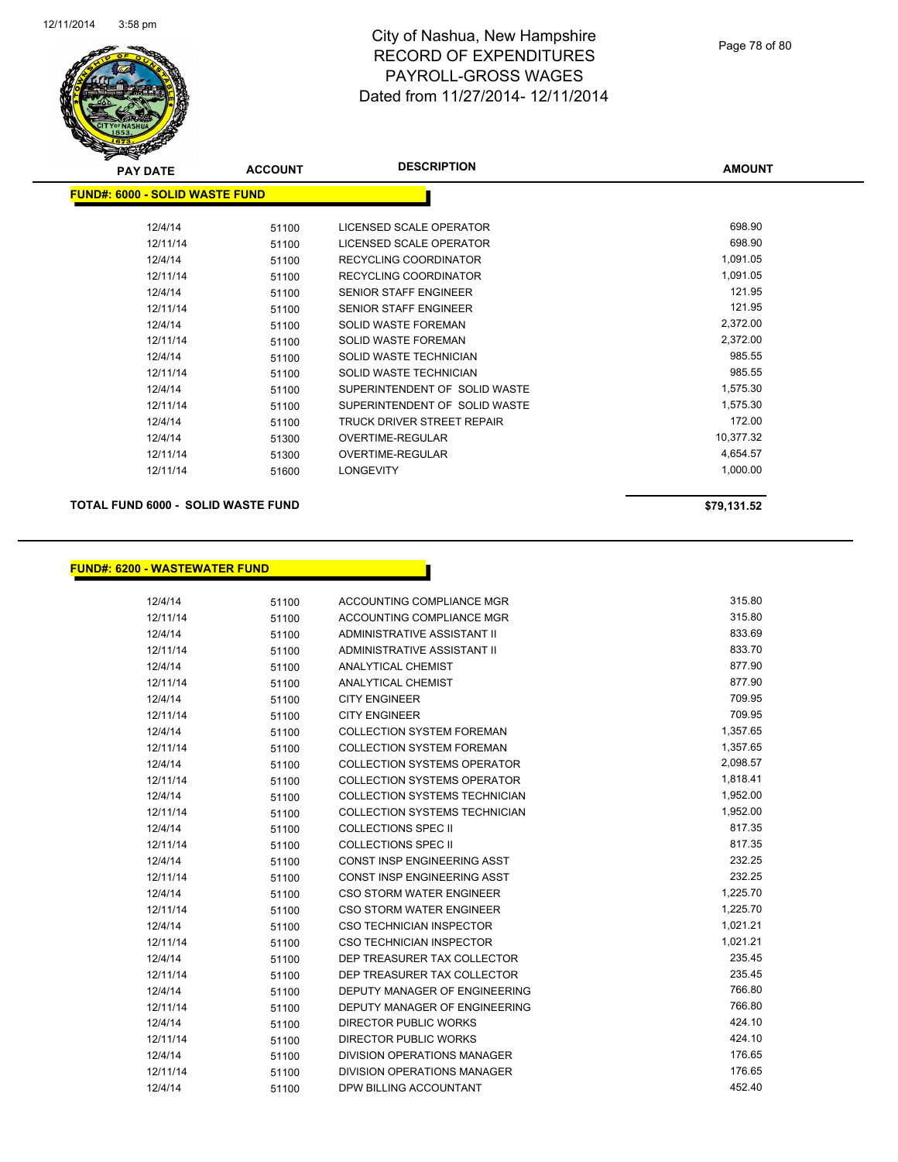

| <b>PAY DATE</b>                | <b>ACCOUNT</b> | <b>DESCRIPTION</b>            | <b>AMOUNT</b> |
|--------------------------------|----------------|-------------------------------|---------------|
| FUND#: 6000 - SOLID WASTE FUND |                |                               |               |
| 12/4/14                        | 51100          | LICENSED SCALE OPERATOR       | 698.90        |
| 12/11/14                       | 51100          | LICENSED SCALE OPERATOR       | 698.90        |
| 12/4/14                        | 51100          | <b>RECYCLING COORDINATOR</b>  | 1,091.05      |
| 12/11/14                       | 51100          | <b>RECYCLING COORDINATOR</b>  | 1,091.05      |
| 12/4/14                        | 51100          | <b>SENIOR STAFF ENGINEER</b>  | 121.95        |
| 12/11/14                       | 51100          | <b>SENIOR STAFF ENGINEER</b>  | 121.95        |
| 12/4/14                        | 51100          | <b>SOLID WASTE FOREMAN</b>    | 2,372.00      |
| 12/11/14                       | 51100          | <b>SOLID WASTE FOREMAN</b>    | 2,372.00      |
| 12/4/14                        | 51100          | SOLID WASTE TECHNICIAN        | 985.55        |
| 12/11/14                       | 51100          | SOLID WASTE TECHNICIAN        | 985.55        |
| 12/4/14                        | 51100          | SUPERINTENDENT OF SOLID WASTE | 1,575.30      |
| 12/11/14                       | 51100          | SUPERINTENDENT OF SOLID WASTE | 1,575.30      |
| 12/4/14                        | 51100          | TRUCK DRIVER STREET REPAIR    | 172.00        |
| 12/4/14                        | 51300          | OVERTIME-REGULAR              | 10,377.32     |
| 12/11/14                       | 51300          | <b>OVERTIME-REGULAR</b>       | 4,654.57      |
| 12/11/14                       | 51600          | <b>LONGEVITY</b>              | 1,000.00      |
|                                |                |                               |               |

**TOTAL FUND 6000 - SOLID WASTE FUND \$79,131.52** 

## **FUND#: 6200 - WASTEWATER FUND**

| 12/4/14  | 51100 | ACCOUNTING COMPLIANCE MGR            | 315.80   |
|----------|-------|--------------------------------------|----------|
| 12/11/14 | 51100 | ACCOUNTING COMPLIANCE MGR            | 315.80   |
| 12/4/14  | 51100 | ADMINISTRATIVE ASSISTANT II          | 833.69   |
| 12/11/14 | 51100 | ADMINISTRATIVE ASSISTANT II          | 833.70   |
| 12/4/14  | 51100 | <b>ANALYTICAL CHEMIST</b>            | 877.90   |
| 12/11/14 | 51100 | <b>ANALYTICAL CHEMIST</b>            | 877.90   |
| 12/4/14  | 51100 | <b>CITY ENGINEER</b>                 | 709.95   |
| 12/11/14 | 51100 | <b>CITY ENGINEER</b>                 | 709.95   |
| 12/4/14  | 51100 | <b>COLLECTION SYSTEM FOREMAN</b>     | 1,357.65 |
| 12/11/14 | 51100 | <b>COLLECTION SYSTEM FOREMAN</b>     | 1,357.65 |
| 12/4/14  | 51100 | <b>COLLECTION SYSTEMS OPERATOR</b>   | 2,098.57 |
| 12/11/14 | 51100 | <b>COLLECTION SYSTEMS OPERATOR</b>   | 1,818.41 |
| 12/4/14  | 51100 | <b>COLLECTION SYSTEMS TECHNICIAN</b> | 1,952.00 |
| 12/11/14 | 51100 | COLLECTION SYSTEMS TECHNICIAN        | 1,952.00 |
| 12/4/14  | 51100 | <b>COLLECTIONS SPEC II</b>           | 817.35   |
| 12/11/14 | 51100 | <b>COLLECTIONS SPEC II</b>           | 817.35   |
| 12/4/14  | 51100 | <b>CONST INSP ENGINEERING ASST</b>   | 232.25   |
| 12/11/14 | 51100 | <b>CONST INSP ENGINEERING ASST</b>   | 232.25   |
| 12/4/14  | 51100 | <b>CSO STORM WATER ENGINEER</b>      | 1,225.70 |
| 12/11/14 | 51100 | <b>CSO STORM WATER ENGINEER</b>      | 1,225.70 |
| 12/4/14  | 51100 | <b>CSO TECHNICIAN INSPECTOR</b>      | 1,021.21 |
| 12/11/14 | 51100 | <b>CSO TECHNICIAN INSPECTOR</b>      | 1,021.21 |
| 12/4/14  | 51100 | DEP TREASURER TAX COLLECTOR          | 235.45   |
| 12/11/14 | 51100 | DEP TREASURER TAX COLLECTOR          | 235.45   |
| 12/4/14  | 51100 | <b>DEPUTY MANAGER OF ENGINEERING</b> | 766.80   |
| 12/11/14 | 51100 | DEPUTY MANAGER OF ENGINEERING        | 766.80   |
| 12/4/14  | 51100 | <b>DIRECTOR PUBLIC WORKS</b>         | 424.10   |
| 12/11/14 | 51100 | <b>DIRECTOR PUBLIC WORKS</b>         | 424.10   |
| 12/4/14  | 51100 | <b>DIVISION OPERATIONS MANAGER</b>   | 176.65   |
| 12/11/14 | 51100 | <b>DIVISION OPERATIONS MANAGER</b>   | 176.65   |
| 12/4/14  | 51100 | DPW BILLING ACCOUNTANT               | 452.40   |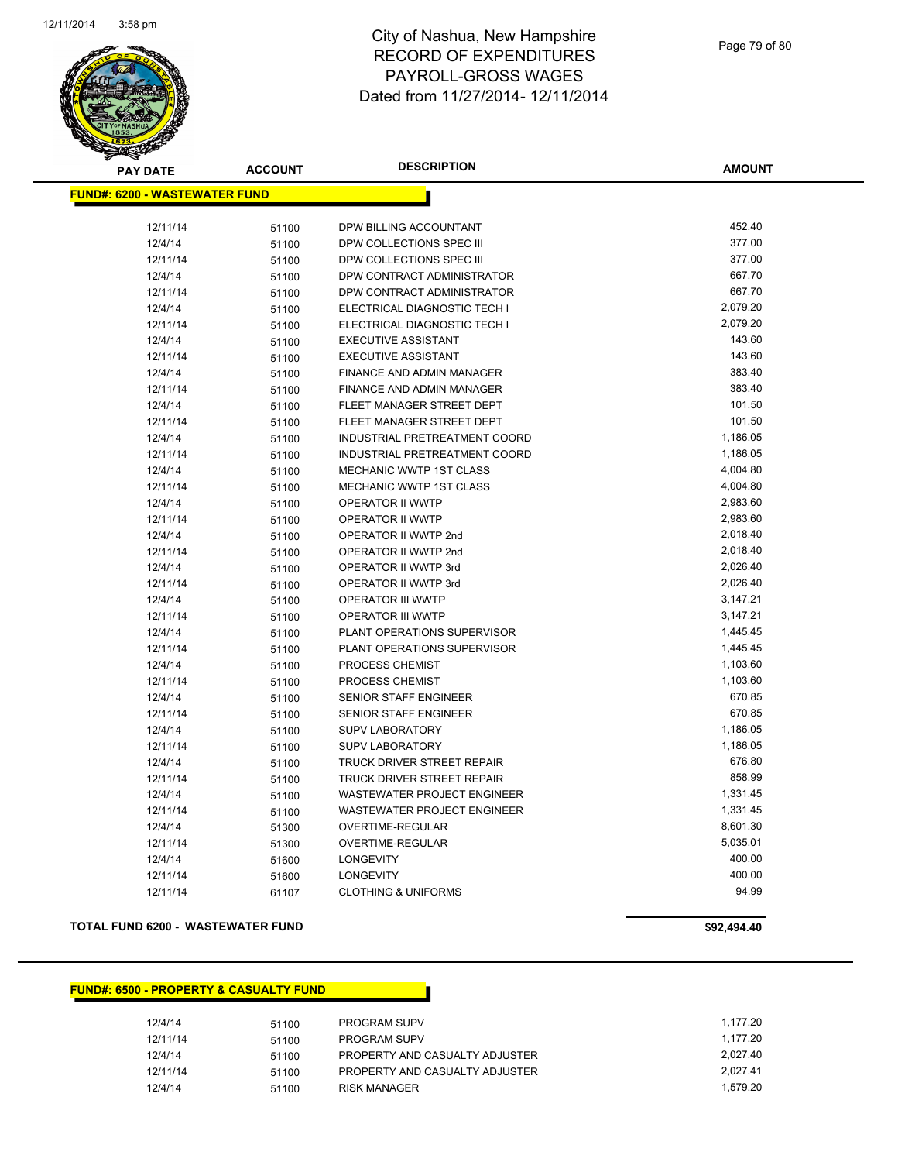

Page 79 of 80

| <b>PAY DATE</b>                      | <b>ACCOUNT</b> | <b>DESCRIPTION</b>             | <b>AMOUNT</b> |
|--------------------------------------|----------------|--------------------------------|---------------|
| <b>FUND#: 6200 - WASTEWATER FUND</b> |                |                                |               |
|                                      |                |                                |               |
| 12/11/14                             | 51100          | DPW BILLING ACCOUNTANT         | 452.40        |
| 12/4/14                              | 51100          | DPW COLLECTIONS SPEC III       | 377.00        |
| 12/11/14                             | 51100          | DPW COLLECTIONS SPEC III       | 377.00        |
| 12/4/14                              | 51100          | DPW CONTRACT ADMINISTRATOR     | 667.70        |
| 12/11/14                             | 51100          | DPW CONTRACT ADMINISTRATOR     | 667.70        |
| 12/4/14                              | 51100          | ELECTRICAL DIAGNOSTIC TECH I   | 2,079.20      |
| 12/11/14                             | 51100          | ELECTRICAL DIAGNOSTIC TECH I   | 2,079.20      |
| 12/4/14                              | 51100          | <b>EXECUTIVE ASSISTANT</b>     | 143.60        |
| 12/11/14                             | 51100          | <b>EXECUTIVE ASSISTANT</b>     | 143.60        |
| 12/4/14                              | 51100          | FINANCE AND ADMIN MANAGER      | 383.40        |
| 12/11/14                             | 51100          | FINANCE AND ADMIN MANAGER      | 383.40        |
| 12/4/14                              | 51100          | FLEET MANAGER STREET DEPT      | 101.50        |
| 12/11/14                             | 51100          | FLEET MANAGER STREET DEPT      | 101.50        |
| 12/4/14                              | 51100          | INDUSTRIAL PRETREATMENT COORD  | 1,186.05      |
| 12/11/14                             | 51100          | INDUSTRIAL PRETREATMENT COORD  | 1,186.05      |
| 12/4/14                              | 51100          | MECHANIC WWTP 1ST CLASS        | 4,004.80      |
| 12/11/14                             | 51100          | <b>MECHANIC WWTP 1ST CLASS</b> | 4,004.80      |
| 12/4/14                              | 51100          | OPERATOR II WWTP               | 2,983.60      |
| 12/11/14                             | 51100          | <b>OPERATOR II WWTP</b>        | 2,983.60      |
| 12/4/14                              | 51100          | OPERATOR II WWTP 2nd           | 2,018.40      |
| 12/11/14                             | 51100          | OPERATOR II WWTP 2nd           | 2,018.40      |
| 12/4/14                              | 51100          | OPERATOR II WWTP 3rd           | 2,026.40      |
| 12/11/14                             | 51100          | OPERATOR II WWTP 3rd           | 2,026.40      |
| 12/4/14                              | 51100          | OPERATOR III WWTP              | 3,147.21      |
| 12/11/14                             | 51100          | OPERATOR III WWTP              | 3,147.21      |
| 12/4/14                              | 51100          | PLANT OPERATIONS SUPERVISOR    | 1,445.45      |
| 12/11/14                             | 51100          | PLANT OPERATIONS SUPERVISOR    | 1,445.45      |
| 12/4/14                              | 51100          | PROCESS CHEMIST                | 1,103.60      |
| 12/11/14                             | 51100          | PROCESS CHEMIST                | 1,103.60      |
| 12/4/14                              | 51100          | SENIOR STAFF ENGINEER          | 670.85        |
| 12/11/14                             | 51100          | SENIOR STAFF ENGINEER          | 670.85        |
| 12/4/14                              | 51100          | <b>SUPV LABORATORY</b>         | 1,186.05      |
| 12/11/14                             | 51100          | SUPV LABORATORY                | 1,186.05      |
| 12/4/14                              | 51100          | TRUCK DRIVER STREET REPAIR     | 676.80        |
| 12/11/14                             | 51100          | TRUCK DRIVER STREET REPAIR     | 858.99        |
| 12/4/14                              | 51100          | WASTEWATER PROJECT ENGINEER    | 1,331.45      |
| 12/11/14                             | 51100          | WASTEWATER PROJECT ENGINEER    | 1,331.45      |
| 12/4/14                              | 51300          | OVERTIME-REGULAR               | 8,601.30      |
| 12/11/14                             | 51300          | OVERTIME-REGULAR               | 5,035.01      |
| 12/4/14                              | 51600          | <b>LONGEVITY</b>               | 400.00        |
| 12/11/14                             | 51600          | <b>LONGEVITY</b>               | 400.00        |
| 12/11/14                             | 61107          | <b>CLOTHING &amp; UNIFORMS</b> | 94.99         |

### **TOTAL FUND 6200 - WASTEWATER FUND \$92,494.40**

| 12/4/14  | 51100 | PROGRAM SUPV                   | 1.177.20 |
|----------|-------|--------------------------------|----------|
| 12/11/14 | 51100 | <b>PROGRAM SUPV</b>            | 1.177.20 |
| 12/4/14  | 51100 | PROPERTY AND CASUALTY ADJUSTER | 2.027.40 |
| 12/11/14 | 51100 | PROPERTY AND CASUALTY ADJUSTER | 2.027.41 |
| 12/4/14  | 51100 | RISK MANAGER                   | 1.579.20 |